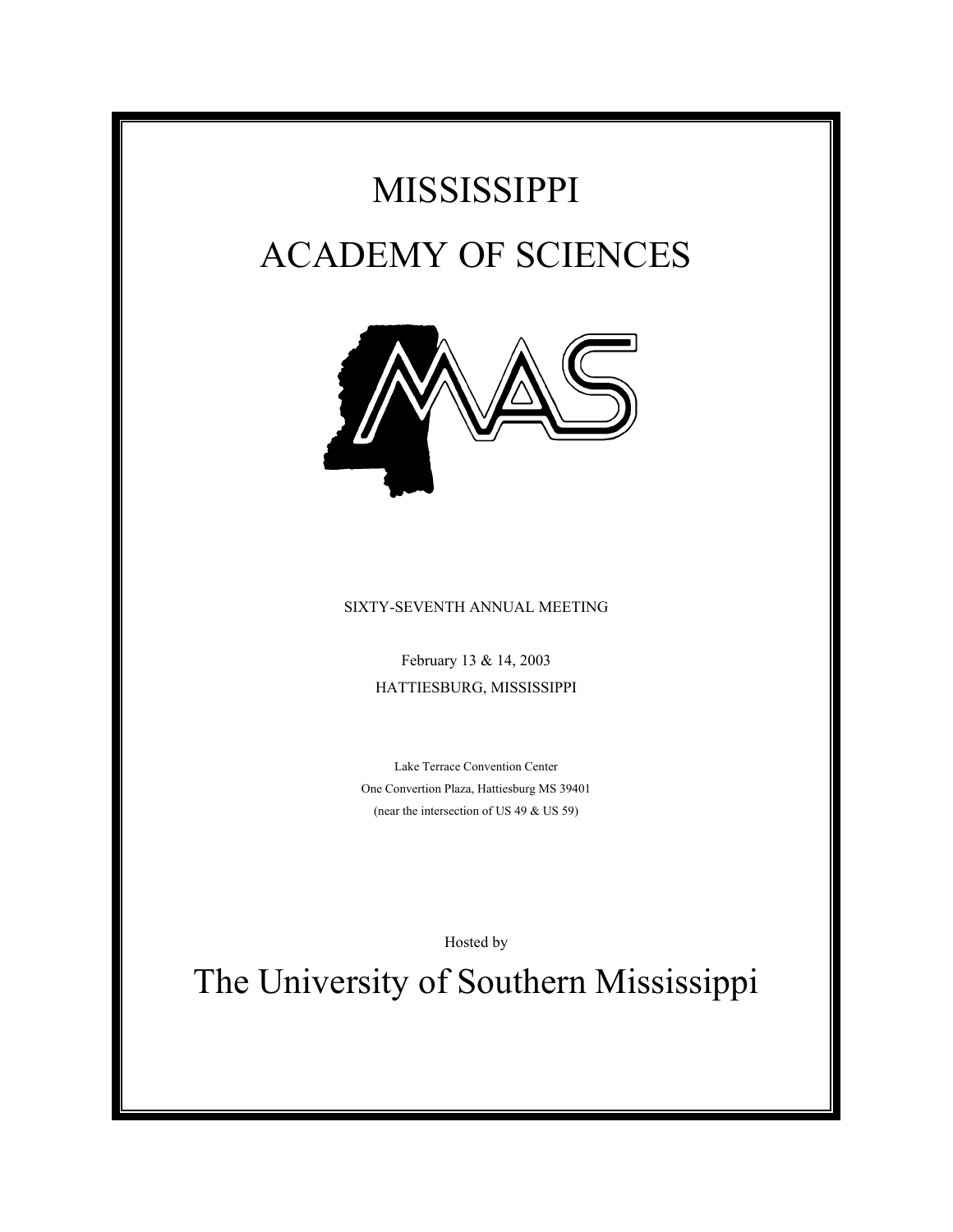# MISSISSIPPI ACADEMY OF SCIENCES



### SIXTY-SEVENTH ANNUAL MEETING

February 13 & 14, 2003 HATTIESBURG, MISSISSIPPI

Lake Terrace Convention Center One Convertion Plaza, Hattiesburg MS 39401 (near the intersection of US 49 & US 59)

Hosted by

The University of Southern Mississippi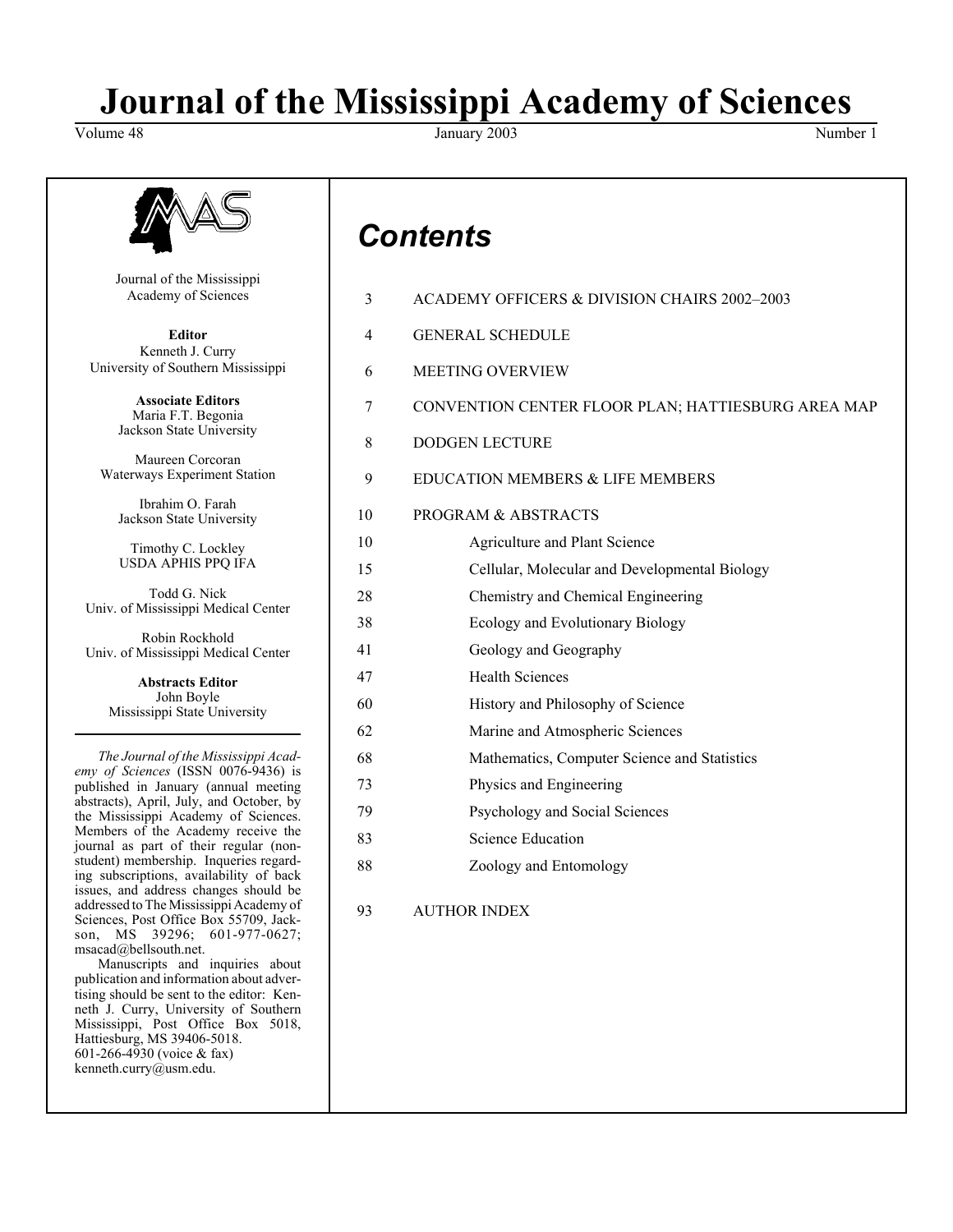# **Journal of the Mississippi Academy of Sciences**

Volume 48 Number 1 and 3003 January 2003 Number 1 and 3003 Number 1 and 3003 Number 1 and 3003 Number 1 and 300



Journal of the Mississippi Academy of Sciences

**Editor** Kenneth J. Curry University of Southern Mississippi

> **Associate Editors** Maria F.T. Begonia Jackson State University

Maureen Corcoran Waterways Experiment Station

Ibrahim O. Farah Jackson State University

Timothy C. Lockley USDA APHIS PPQ IFA

Todd G. Nick Univ. of Mississippi Medical Center

Robin Rockhold Univ. of Mississippi Medical Center

> **Abstracts Editor** John Boyle Mississippi State University

*The Journal of the Mississippi Academy of Sciences* (ISSN 0076-9436) is published in January (annual meeting abstracts), April, July, and October, by the Mississippi Academy of Sciences. Members of the Academy receive the journal as part of their regular (nonstudent) membership. Inqueries regarding subscriptions, availability of back issues, and address changes should be addressed to The Mississippi Academy of Sciences, Post Office Box 55709, Jackson, MS 39296; 601-977-0627; msacad@bellsouth.net.

Manuscripts and inquiries about publication and information about advertising should be sent to the editor: Kenneth J. Curry, University of Southern Mississippi, Post Office Box 5018, Hattiesburg, MS 39406-5018. 601-266-4930 (voice & fax) kenneth.curry@usm.edu.

# *Contents*

| 3  | ACADEMY OFFICERS & DIVISION CHAIRS 2002-2003       |
|----|----------------------------------------------------|
| 4  | <b>GENERAL SCHEDULE</b>                            |
| 6  | <b>MEETING OVERVIEW</b>                            |
| 7  | CONVENTION CENTER FLOOR PLAN; HATTIESBURG AREA MAP |
| 8  | <b>DODGEN LECTURE</b>                              |
| 9  | EDUCATION MEMBERS & LIFE MEMBERS                   |
| 10 | PROGRAM & ABSTRACTS                                |
| 10 | Agriculture and Plant Science                      |
| 15 | Cellular, Molecular and Developmental Biology      |
| 28 | Chemistry and Chemical Engineering                 |
| 38 | Ecology and Evolutionary Biology                   |
| 41 | Geology and Geography                              |
| 47 | <b>Health Sciences</b>                             |
| 60 | History and Philosophy of Science                  |
| 62 | Marine and Atmospheric Sciences                    |
| 68 | Mathematics, Computer Science and Statistics       |
| 73 | Physics and Engineering                            |
| 79 | Psychology and Social Sciences                     |
| 83 | <b>Science Education</b>                           |
| 88 | Zoology and Entomology                             |
| 93 | <b>AUTHOR INDEX</b>                                |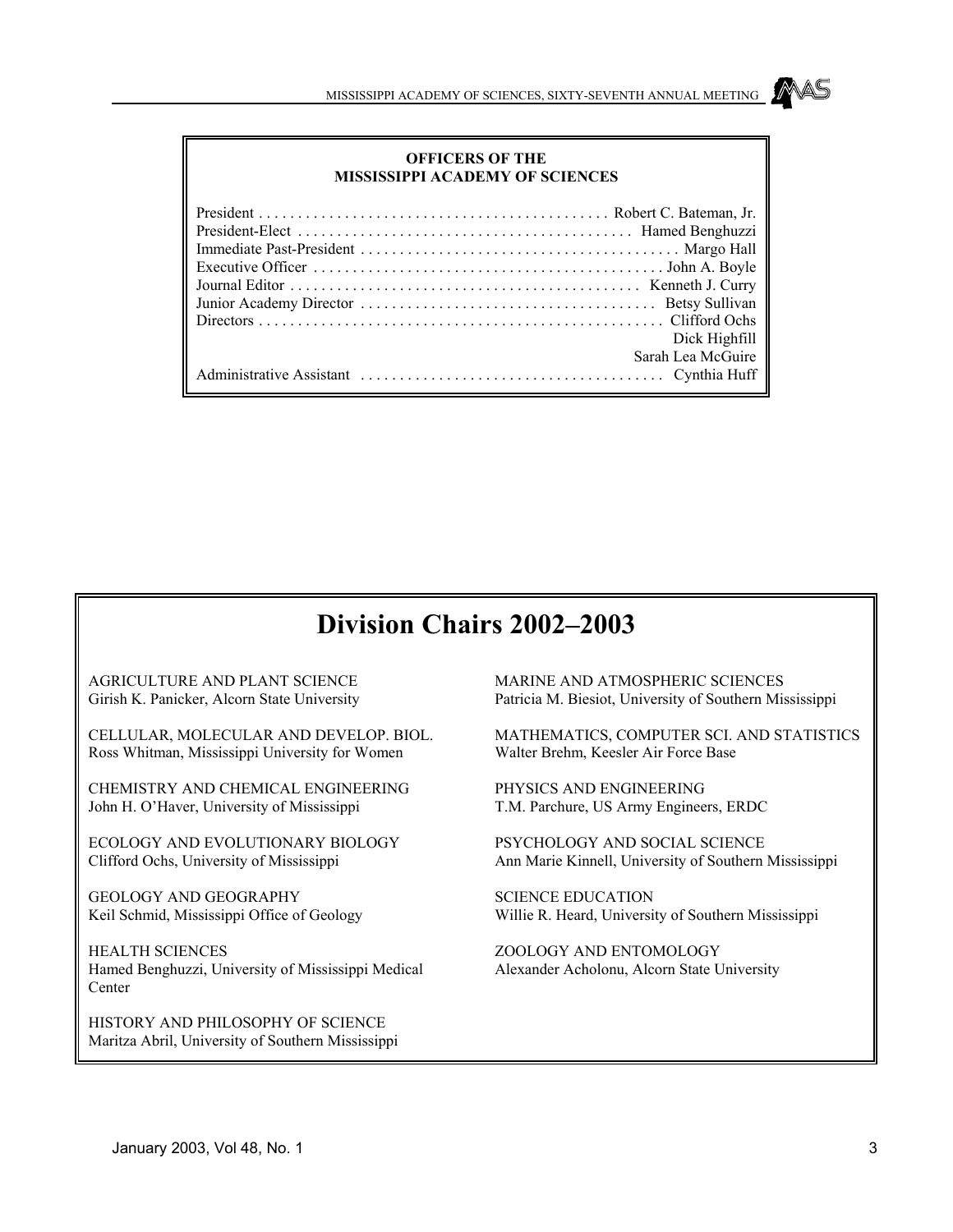### **OFFICERS OF THE MISSISSIPPI ACADEMY OF SCIENCES**

| Dick Highfill     |
|-------------------|
| Sarah Lea McGuire |
|                   |

### **Division Chairs 2002–2003**

AGRICULTURE AND PLANT SCIENCE Girish K. Panicker, Alcorn State University

CELLULAR, MOLECULAR AND DEVELOP. BIOL. Ross Whitman, Mississippi University for Women

CHEMISTRY AND CHEMICAL ENGINEERING John H. O'Haver, University of Mississippi

ECOLOGY AND EVOLUTIONARY BIOLOGY Clifford Ochs, University of Mississippi

GEOLOGY AND GEOGRAPHY Keil Schmid, Mississippi Office of Geology

HEALTH SCIENCES Hamed Benghuzzi, University of Mississippi Medical **Center** 

HISTORY AND PHILOSOPHY OF SCIENCE Maritza Abril, University of Southern Mississippi MARINE AND ATMOSPHERIC SCIENCES Patricia M. Biesiot, University of Southern Mississippi

MATHEMATICS, COMPUTER SCI. AND STATISTICS Walter Brehm, Keesler Air Force Base

PHYSICS AND ENGINEERING T.M. Parchure, US Army Engineers, ERDC

PSYCHOLOGY AND SOCIAL SCIENCE Ann Marie Kinnell, University of Southern Mississippi

SCIENCE EDUCATION Willie R. Heard, University of Southern Mississippi

ZOOLOGY AND ENTOMOLOGY Alexander Acholonu, Alcorn State University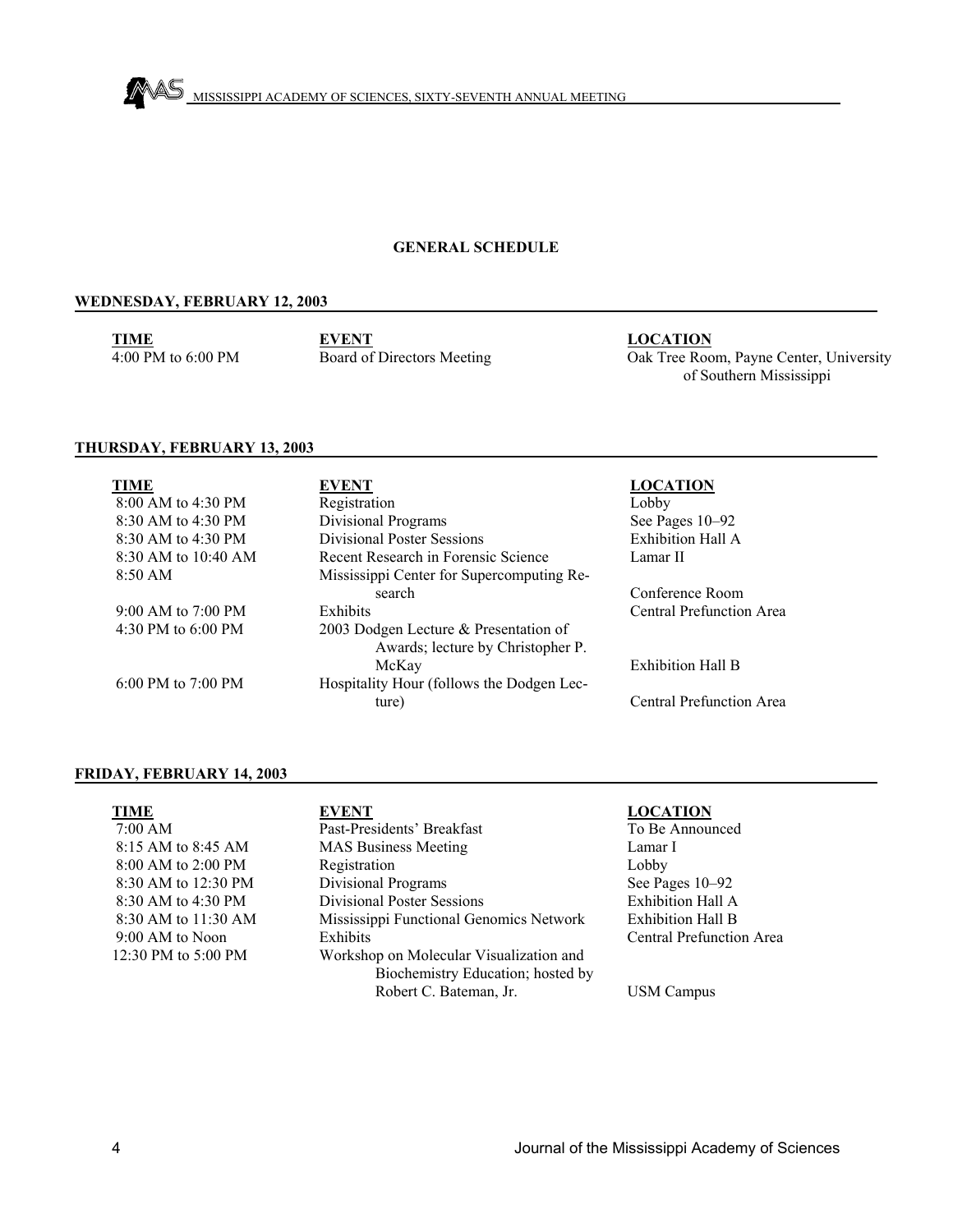

### **GENERAL SCHEDULE**

### **WEDNESDAY, FEBRUARY 12, 2003**

**TIME** 4:00 PM to 6:00 PM

**EVENT** Board of Directors Meeting **LOCATION**

Oak Tree Room, Payne Center, University of Southern Mississippi

### **THURSDAY, FEBRUARY 13, 2003**

| <b>TIME</b>             | EVENT                                     | <b>LOCATION</b>          |
|-------------------------|-------------------------------------------|--------------------------|
| $8:00$ AM to 4:30 PM    | Registration                              | Lobby                    |
| 8:30 AM to 4:30 PM      | <b>Divisional Programs</b>                | See Pages 10-92          |
| $8:30$ AM to $4:30$ PM  | <b>Divisional Poster Sessions</b>         | Exhibition Hall A        |
| $8:30$ AM to $10:40$ AM | Recent Research in Forensic Science       | Lamar II                 |
| $8:50 \text{ AM}$       | Mississippi Center for Supercomputing Re- |                          |
|                         | search                                    | Conference Room          |
| 9:00 AM to $7:00$ PM    | <b>Exhibits</b>                           | Central Prefunction Area |
| 4:30 PM to $6:00$ PM    | 2003 Dodgen Lecture & Presentation of     |                          |
|                         | Awards; lecture by Christopher P.         |                          |
|                         | McKay                                     | <b>Exhibition Hall B</b> |
| 6:00 PM to $7:00$ PM    | Hospitality Hour (follows the Dodgen Lec- |                          |
|                         | ture)                                     | Central Prefunction Area |

### **FRIDAY, FEBRUARY 14, 2003**

| TIME                | EVENT                                   | <b>LOCATION</b>                 |
|---------------------|-----------------------------------------|---------------------------------|
| 7:00 AM             | Past-Presidents' Breakfast              | To Be Announced                 |
| 8:15 AM to 8:45 AM  | <b>MAS Business Meeting</b>             | Lamar I                         |
| 8:00 AM to 2:00 PM  | Registration                            | Lobby                           |
| 8:30 AM to 12:30 PM | <b>Divisional Programs</b>              | See Pages 10–92                 |
| 8:30 AM to 4:30 PM  | <b>Divisional Poster Sessions</b>       | Exhibition Hall A               |
| 8:30 AM to 11:30 AM | Mississippi Functional Genomics Network | <b>Exhibition Hall B</b>        |
| 9:00 AM to Noon     | Exhibits                                | <b>Central Prefunction Area</b> |
| 12:30 PM to 5:00 PM | Workshop on Molecular Visualization and |                                 |
|                     | Biochemistry Education; hosted by       |                                 |
|                     | Robert C. Bateman, Jr.                  | <b>USM Campus</b>               |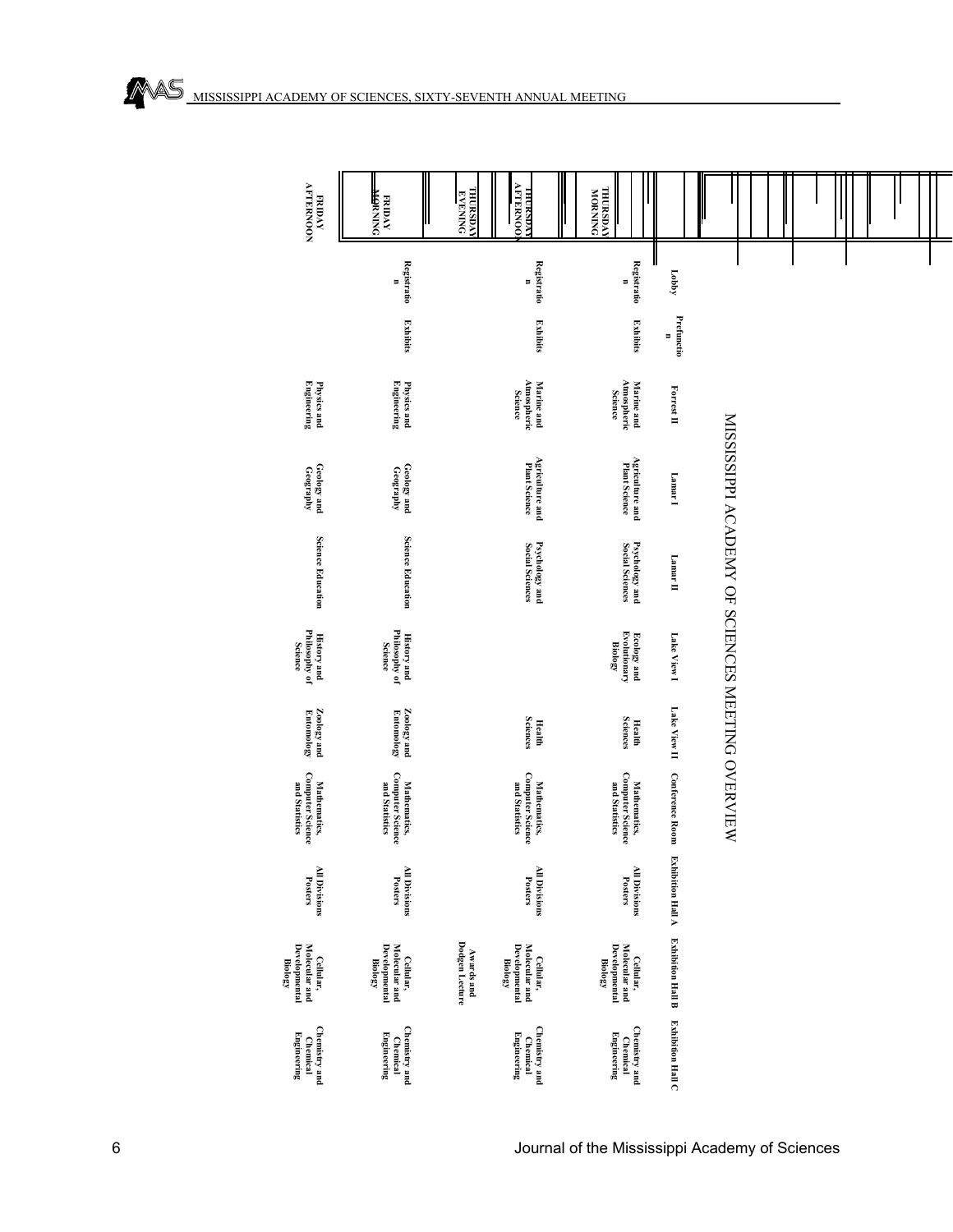|   | FRIDAY<br>AFTERNOON                                           | <b>PNINM<del>OR</del></b><br>AVOIM                            | <b>THURSDAY</b><br><b>EVENING</b>   | <b>THUKSDAY</b><br>AFTERNOOL                                         | <b>THURSDAY</b>                                               |                          |                                                  |  |  |  |
|---|---------------------------------------------------------------|---------------------------------------------------------------|-------------------------------------|----------------------------------------------------------------------|---------------------------------------------------------------|--------------------------|--------------------------------------------------|--|--|--|
|   |                                                               | <b>Registratio</b><br>Ξ                                       |                                     | <b>Registratio</b><br>Ξ                                              | <b>Registratio</b><br>Ξ                                       | Lobby                    |                                                  |  |  |  |
|   |                                                               | <b>Exhibits</b>                                               |                                     | <b>Exhibits</b>                                                      | <b>Exhibits</b>                                               | Prefunctio<br>Ξ          |                                                  |  |  |  |
|   | <b>Engineering</b><br>Physics and                             | Physics and<br>Engineering                                    |                                     | Atmospheric<br>Science<br><b>Marine</b> and                          | Marine and<br>Atmospheric<br><b>Science</b>                   | Forrest II               |                                                  |  |  |  |
|   | Geology and<br>Geography                                      | Geology and<br>Geography                                      |                                     | <b>Agriculture and</b><br>Plant Science                              | <b>Agriculture and</b><br>Plant Science                       | Lamar <sup>1</sup>       |                                                  |  |  |  |
|   | <b>Science Education</b>                                      | <b>Science Education</b>                                      |                                     | Psychology and<br>Social Sciences                                    | Psychology and<br>Social Sciences                             | Lamar II                 | MISSISSIPPI ACADEMY OF SCIENCES MEETING OVERVIEW |  |  |  |
|   | Philosophy of<br>Science<br><b>History and</b>                | <b>History and<br/>Philosophy of</b><br><b>Science</b>        |                                     |                                                                      | <b>Ecology and</b><br>Evolutionary<br><b>Biology</b>          | Lake View I              |                                                  |  |  |  |
|   | <b>Zoology and</b><br>Entomology                              | $\mathbf{Z}$ oology and Entomology                            |                                     | <b>Sciences</b><br><b>Health</b>                                     | <b>Sciences</b><br><b>Health</b>                              | Lake View II             |                                                  |  |  |  |
|   | Mathematics,<br>Computer Science<br>and Statistics            | Mathematics,<br>Computer Science<br>and Statistics            |                                     | Mathematics,<br>Computer Science<br>and Statistics                   | <b>Computer Science</b><br>Mathematics,<br>and Statistics     | <b>Conference Room</b>   |                                                  |  |  |  |
|   | All Divisions<br>Posters                                      | All Divisions<br>Posters                                      |                                     | All Divisions<br>Posters                                             | <b>All Divisions</b><br>Posters                               | <b>Exhibition Hall A</b> |                                                  |  |  |  |
|   | Developmental<br>Molecular and<br>Cellular,<br><b>Biology</b> | Developmental<br>Molecular and<br>Cellular,<br><b>Biology</b> | Dodgen Lecture<br><b>Awards and</b> | <b>Developmental</b><br>Molecular and<br>Cellular,<br><b>Biology</b> | Developmental<br>Molecular and<br>Cellular,<br><b>Biology</b> | <b>Exhibition Hall B</b> |                                                  |  |  |  |
|   | Chemistry and<br><b>Engineering</b><br>Chemical               | Chemistry and<br><b>Engineering</b><br>Chemical               |                                     | Chemistry and<br><b>Engineering</b><br>Chemical                      | Chemistry and<br>Engineering<br>Chemical                      | <b>Exhibition Hall C</b> |                                                  |  |  |  |
| 6 |                                                               |                                                               |                                     |                                                                      | Journal of the Mississippi Academy of Sciences                |                          |                                                  |  |  |  |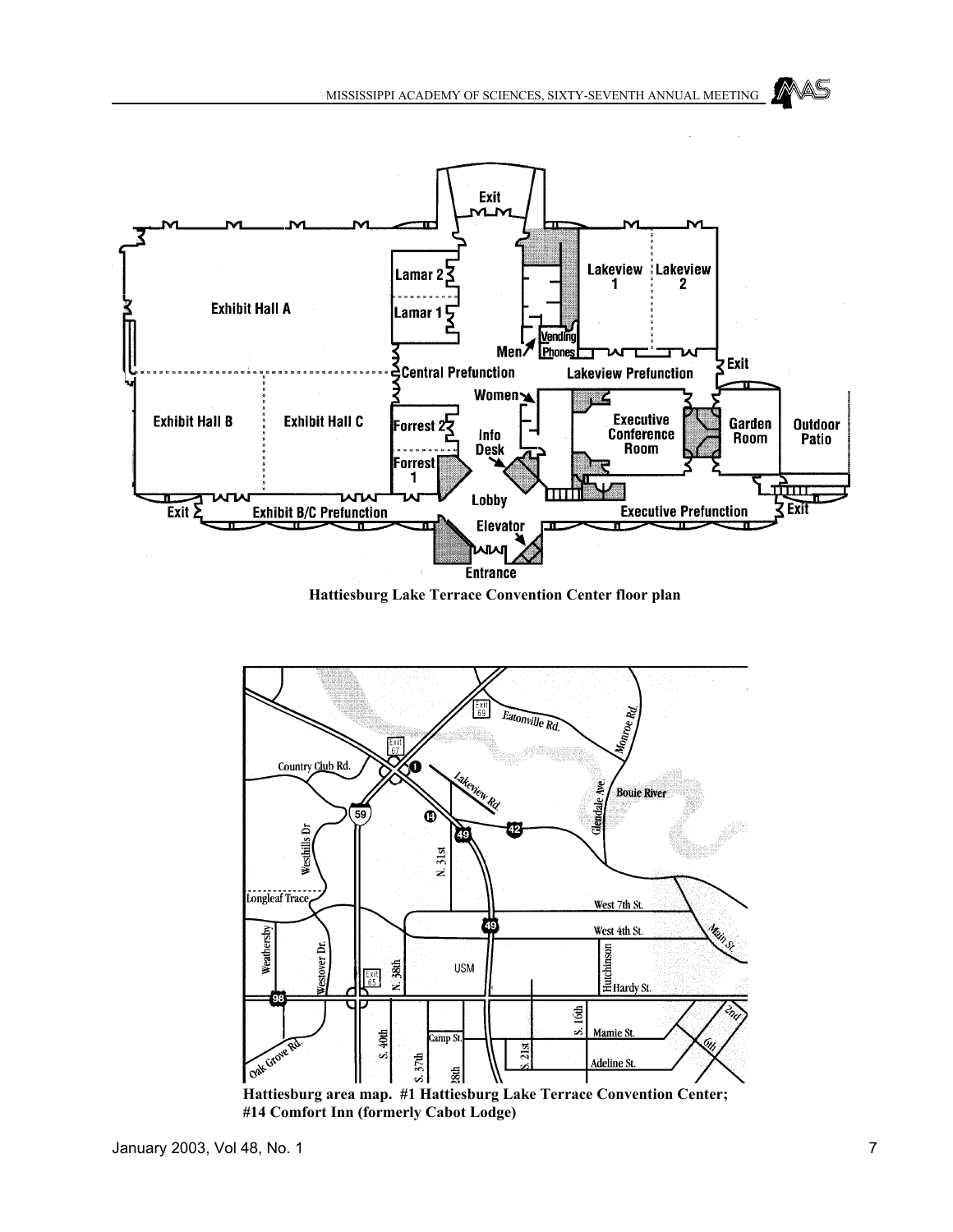



**Hattiesburg Lake Terrace Convention Center floor plan**



**#14 Comfort Inn (formerly Cabot Lodge)**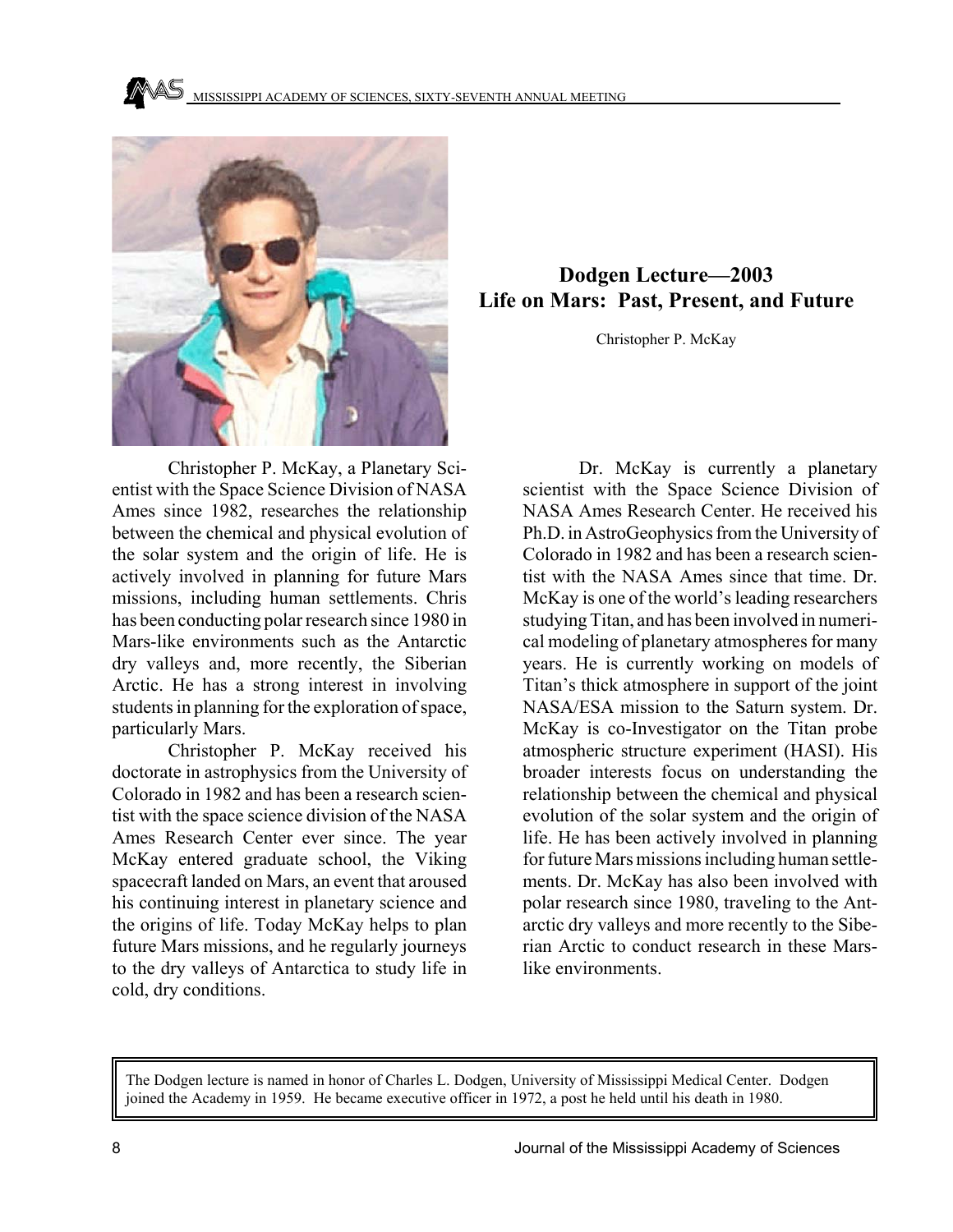

### **Dodgen Lecture—2003 Life on Mars: Past, Present, and Future**

Christopher P. McKay

Christopher P. McKay, a Planetary Scientist with the Space Science Division of NASA Ames since 1982, researches the relationship between the chemical and physical evolution of the solar system and the origin of life. He is actively involved in planning for future Mars missions, including human settlements. Chris has been conducting polar research since 1980 in Mars-like environments such as the Antarctic dry valleys and, more recently, the Siberian Arctic. He has a strong interest in involving students in planning for the exploration of space, particularly Mars.

Christopher P. McKay received his doctorate in astrophysics from the University of Colorado in 1982 and has been a research scientist with the space science division of the NASA Ames Research Center ever since. The year McKay entered graduate school, the Viking spacecraft landed on Mars, an event that aroused his continuing interest in planetary science and the origins of life. Today McKay helps to plan future Mars missions, and he regularly journeys to the dry valleys of Antarctica to study life in cold, dry conditions.

Dr. McKay is currently a planetary scientist with the Space Science Division of NASA Ames Research Center. He received his Ph.D. in AstroGeophysics from the University of Colorado in 1982 and has been a research scientist with the NASA Ames since that time. Dr. McKay is one of the world's leading researchers studying Titan, and has been involved in numerical modeling of planetary atmospheres for many years. He is currently working on models of Titan's thick atmosphere in support of the joint NASA/ESA mission to the Saturn system. Dr. McKay is co-Investigator on the Titan probe atmospheric structure experiment (HASI). His broader interests focus on understanding the relationship between the chemical and physical evolution of the solar system and the origin of life. He has been actively involved in planning for future Mars missions including human settlements. Dr. McKay has also been involved with polar research since 1980, traveling to the Antarctic dry valleys and more recently to the Siberian Arctic to conduct research in these Marslike environments.

The Dodgen lecture is named in honor of Charles L. Dodgen, University of Mississippi Medical Center. Dodgen joined the Academy in 1959. He became executive officer in 1972, a post he held until his death in 1980.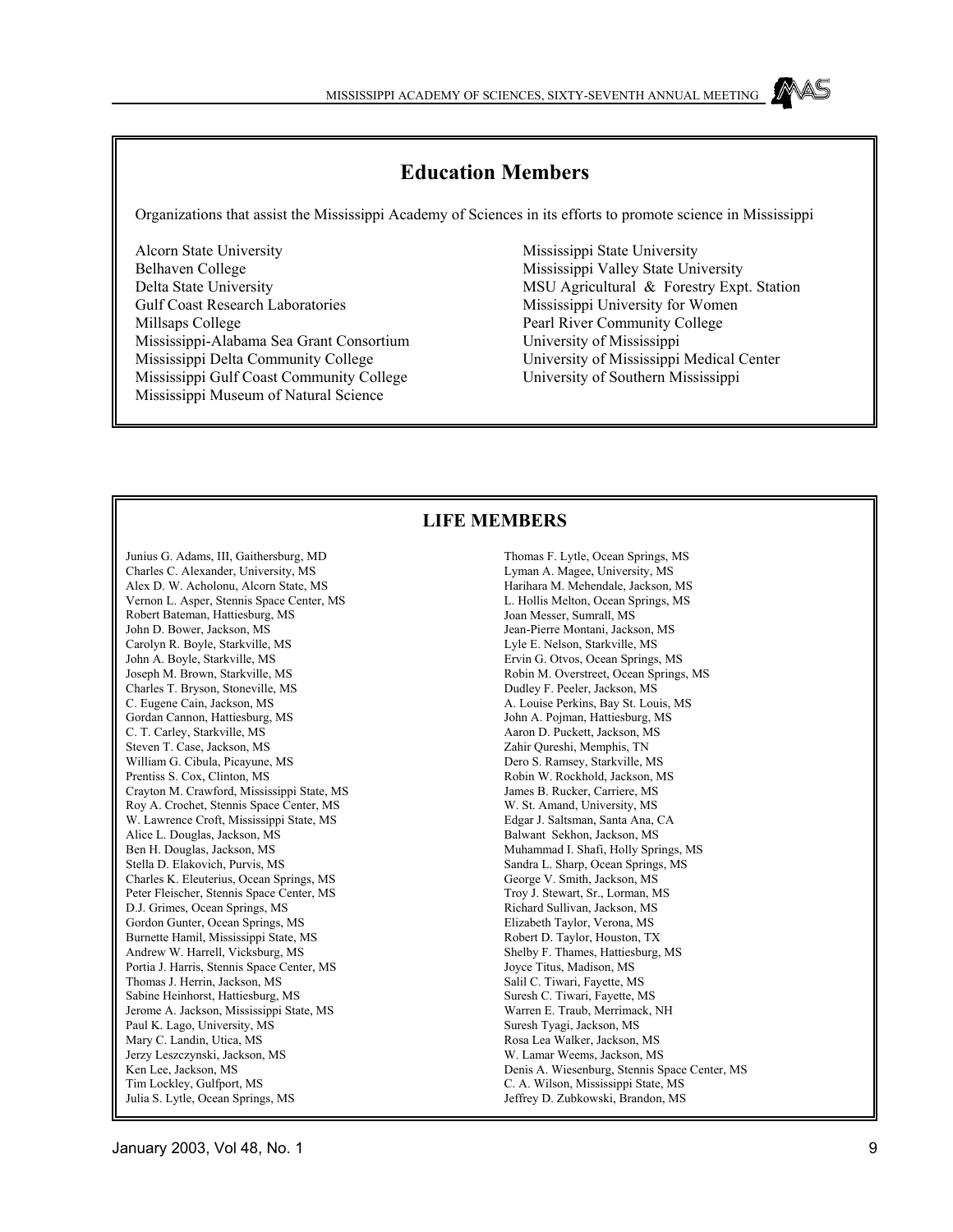### **Education Members**

Organizations that assist the Mississippi Academy of Sciences in its efforts to promote science in Mississippi

Alcorn State University Belhaven College Delta State University Gulf Coast Research Laboratories Millsaps College Mississippi-Alabama Sea Grant Consortium Mississippi Delta Community College Mississippi Gulf Coast Community College Mississippi Museum of Natural Science

Mississippi State University Mississippi Valley State University MSU Agricultural & Forestry Expt. Station Mississippi University for Women Pearl River Community College University of Mississippi University of Mississippi Medical Center University of Southern Mississippi

### **LIFE MEMBERS**

Junius G. Adams, III, Gaithersburg, MD Charles C. Alexander, University, MS Alex D. W. Acholonu, Alcorn State, MS Vernon L. Asper, Stennis Space Center, MS Robert Bateman, Hattiesburg, MS John D. Bower, Jackson, MS Carolyn R. Boyle, Starkville, MS John A. Boyle, Starkville, MS Joseph M. Brown, Starkville, MS Charles T. Bryson, Stoneville, MS C. Eugene Cain, Jackson, MS Gordan Cannon, Hattiesburg, MS C. T. Carley, Starkville, MS Steven T. Case, Jackson, MS William G. Cibula, Picayune, MS Prentiss S. Cox, Clinton, MS Crayton M. Crawford, Mississippi State, MS Roy A. Crochet, Stennis Space Center, MS W. Lawrence Croft, Mississippi State, MS Alice L. Douglas, Jackson, MS Ben H. Douglas, Jackson, MS Stella D. Elakovich, Purvis, MS Charles K. Eleuterius, Ocean Springs, MS Peter Fleischer, Stennis Space Center, MS D.J. Grimes, Ocean Springs, MS Gordon Gunter, Ocean Springs, MS Burnette Hamil, Mississippi State, MS Andrew W. Harrell, Vicksburg, MS Portia J. Harris, Stennis Space Center, MS Thomas J. Herrin, Jackson, MS Sabine Heinhorst, Hattiesburg, MS Jerome A. Jackson, Mississippi State, MS Paul K. Lago, University, MS Mary C. Landin, Utica, MS Jerzy Leszczynski, Jackson, MS Ken Lee, Jackson, MS Tim Lockley, Gulfport, MS Julia S. Lytle, Ocean Springs, MS

Thomas F. Lytle, Ocean Springs, MS Lyman A. Magee, University, MS Harihara M. Mehendale, Jackson, MS L. Hollis Melton, Ocean Springs, MS Joan Messer, Sumrall, MS Jean-Pierre Montani, Jackson, MS Lyle E. Nelson, Starkville, MS Ervin G. Otvos, Ocean Springs, MS Robin M. Overstreet, Ocean Springs, MS Dudley F. Peeler, Jackson, MS A. Louise Perkins, Bay St. Louis, MS John A. Pojman, Hattiesburg, MS Aaron D. Puckett, Jackson, MS Zahir Qureshi, Memphis, TN Dero S. Ramsey, Starkville, MS Robin W. Rockhold, Jackson, MS James B. Rucker, Carriere, MS W. St. Amand, University, MS Edgar J. Saltsman, Santa Ana, CA Balwant Sekhon, Jackson, MS Muhammad I. Shafi, Holly Springs, MS Sandra L. Sharp, Ocean Springs, MS George V. Smith, Jackson, MS Troy J. Stewart, Sr., Lorman, MS Richard Sullivan, Jackson, MS Elizabeth Taylor, Verona, MS Robert D. Taylor, Houston, TX Shelby F. Thames, Hattiesburg, MS Joyce Titus, Madison, MS Salil C. Tiwari, Fayette, MS Suresh C. Tiwari, Fayette, MS Warren E. Traub, Merrimack, NH Suresh Tyagi, Jackson, MS Rosa Lea Walker, Jackson, MS W. Lamar Weems, Jackson, MS Denis A. Wiesenburg, Stennis Space Center, MS C. A. Wilson, Mississippi State, MS Jeffrey D. Zubkowski, Brandon, MS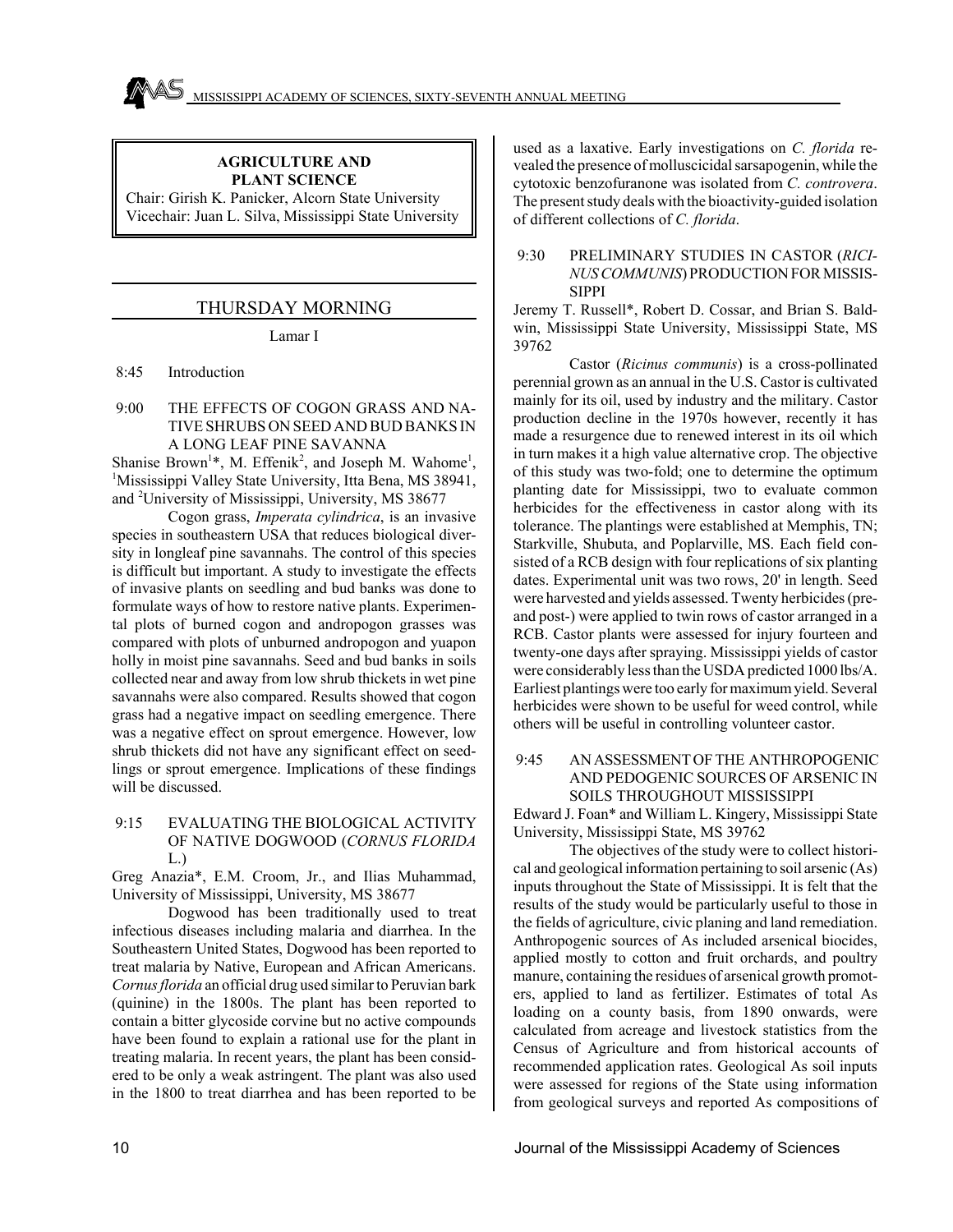### **AGRICULTURE AND PLANT SCIENCE**

Chair: Girish K. Panicker, Alcorn State University Vicechair: Juan L. Silva, Mississippi State University

### THURSDAY MORNING

Lamar I

8:45 Introduction

 9:00 THE EFFECTS OF COGON GRASS AND NA-TIVE SHRUBS ON SEED AND BUD BANKS IN A LONG LEAF PINE SAVANNA

Shanise Brown<sup>1\*</sup>, M. Effenik<sup>2</sup>, and Joseph M. Wahome<sup>1</sup>, <sup>1</sup>Mississippi Valley State University, Itta Bena, MS 38941, and <sup>2</sup> University of Mississippi, University, MS 38677

Cogon grass, *Imperata cylindrica*, is an invasive species in southeastern USA that reduces biological diversity in longleaf pine savannahs. The control of this species is difficult but important. A study to investigate the effects of invasive plants on seedling and bud banks was done to formulate ways of how to restore native plants. Experimental plots of burned cogon and andropogon grasses was compared with plots of unburned andropogon and yuapon holly in moist pine savannahs. Seed and bud banks in soils collected near and away from low shrub thickets in wet pine savannahs were also compared. Results showed that cogon grass had a negative impact on seedling emergence. There was a negative effect on sprout emergence. However, low shrub thickets did not have any significant effect on seedlings or sprout emergence. Implications of these findings will be discussed.

 9:15 EVALUATING THE BIOLOGICAL ACTIVITY OF NATIVE DOGWOOD (*CORNUS FLORIDA* L.)

Greg Anazia\*, E.M. Croom, Jr., and Ilias Muhammad, University of Mississippi, University, MS 38677

Dogwood has been traditionally used to treat infectious diseases including malaria and diarrhea. In the Southeastern United States, Dogwood has been reported to treat malaria by Native, European and African Americans. *Cornus florida* an official drug used similar to Peruvian bark (quinine) in the 1800s. The plant has been reported to contain a bitter glycoside corvine but no active compounds have been found to explain a rational use for the plant in treating malaria. In recent years, the plant has been considered to be only a weak astringent. The plant was also used in the 1800 to treat diarrhea and has been reported to be

used as a laxative. Early investigations on *C. florida* revealed the presence of molluscicidal sarsapogenin, while the cytotoxic benzofuranone was isolated from *C. controvera*. The present study deals with the bioactivity-guided isolation of different collections of *C. florida*.

### 9:30 PRELIMINARY STUDIES IN CASTOR (*RICI-NUS COMMUNIS*) PRODUCTION FOR MISSIS-SIPPI

Jeremy T. Russell\*, Robert D. Cossar, and Brian S. Baldwin, Mississippi State University, Mississippi State, MS 39762

Castor (*Ricinus communis*) is a cross-pollinated perennial grown as an annual in the U.S. Castor is cultivated mainly for its oil, used by industry and the military. Castor production decline in the 1970s however, recently it has made a resurgence due to renewed interest in its oil which in turn makes it a high value alternative crop. The objective of this study was two-fold; one to determine the optimum planting date for Mississippi, two to evaluate common herbicides for the effectiveness in castor along with its tolerance. The plantings were established at Memphis, TN; Starkville, Shubuta, and Poplarville, MS. Each field consisted of a RCB design with four replications of six planting dates. Experimental unit was two rows, 20' in length. Seed were harvested and yields assessed. Twenty herbicides (preand post-) were applied to twin rows of castor arranged in a RCB. Castor plants were assessed for injury fourteen and twenty-one days after spraying. Mississippi yields of castor were considerably less than the USDA predicted 1000 lbs/A. Earliest plantings were too early for maximum yield. Several herbicides were shown to be useful for weed control, while others will be useful in controlling volunteer castor.

 9:45 AN ASSESSMENT OF THE ANTHROPOGENIC AND PEDOGENIC SOURCES OF ARSENIC IN SOILS THROUGHOUT MISSISSIPPI

Edward J. Foan\* and William L. Kingery, Mississippi State University, Mississippi State, MS 39762

The objectives of the study were to collect historical and geological information pertaining to soil arsenic (As) inputs throughout the State of Mississippi. It is felt that the results of the study would be particularly useful to those in the fields of agriculture, civic planing and land remediation. Anthropogenic sources of As included arsenical biocides, applied mostly to cotton and fruit orchards, and poultry manure, containing the residues of arsenical growth promoters, applied to land as fertilizer. Estimates of total As loading on a county basis, from 1890 onwards, were calculated from acreage and livestock statistics from the Census of Agriculture and from historical accounts of recommended application rates. Geological As soil inputs were assessed for regions of the State using information from geological surveys and reported As compositions of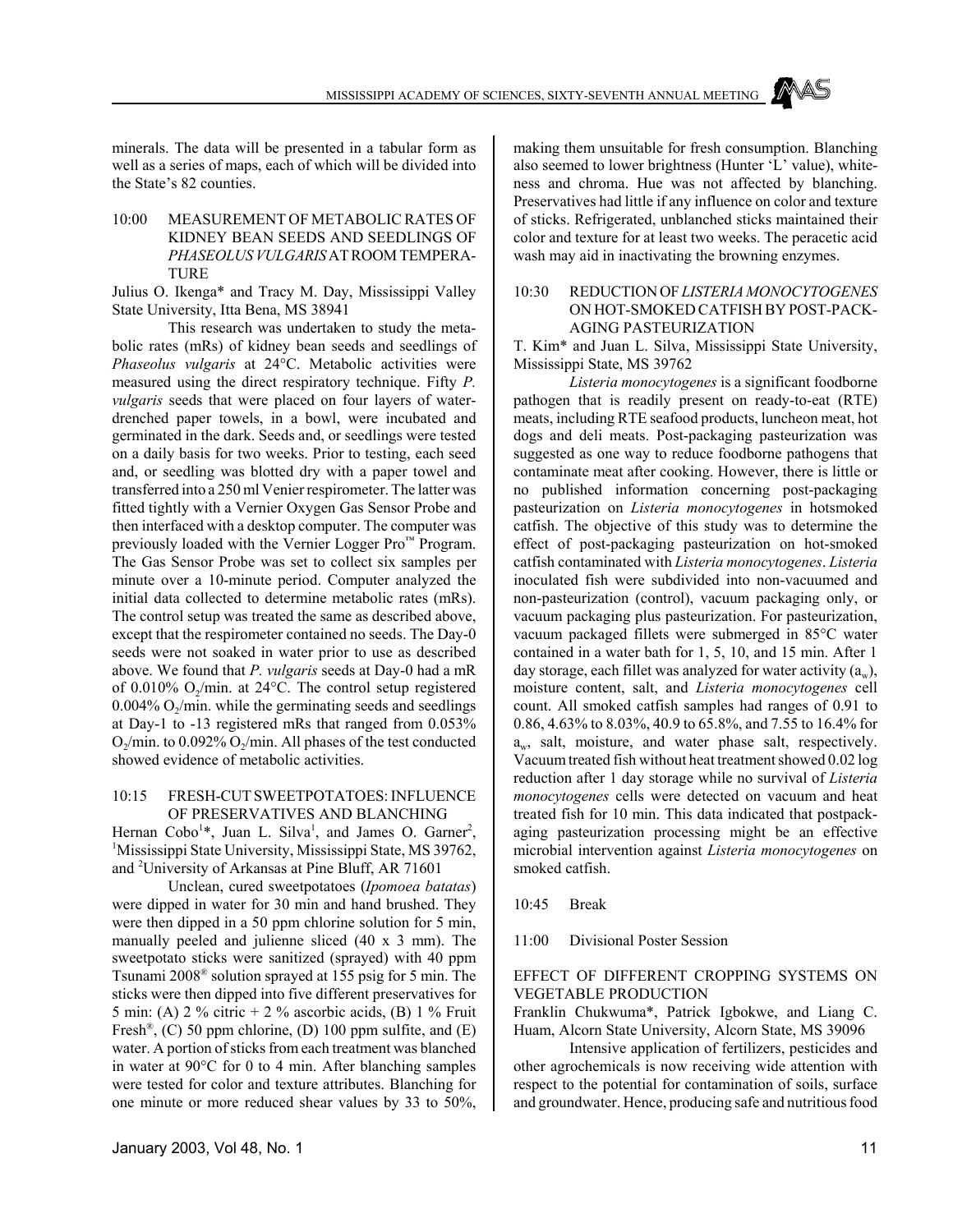

minerals. The data will be presented in a tabular form as well as a series of maps, each of which will be divided into the State's 82 counties.

10:00 MEASUREMENT OF METABOLIC RATES OF KIDNEY BEAN SEEDS AND SEEDLINGS OF *PHASEOLUSVULGARIS* AT ROOM TEMPERA-TURE

Julius O. Ikenga\* and Tracy M. Day, Mississippi Valley State University, Itta Bena, MS 38941

This research was undertaken to study the metabolic rates (mRs) of kidney bean seeds and seedlings of *Phaseolus vulgaris* at 24°C. Metabolic activities were measured using the direct respiratory technique. Fifty *P. vulgaris* seeds that were placed on four layers of waterdrenched paper towels, in a bowl, were incubated and germinated in the dark. Seeds and, or seedlings were tested on a daily basis for two weeks. Prior to testing, each seed and, or seedling was blotted dry with a paper towel and transferred into a 250 ml Venier respirometer. The latter was fitted tightly with a Vernier Oxygen Gas Sensor Probe and then interfaced with a desktop computer. The computer was previously loaded with the Vernier Logger Pro™ Program. The Gas Sensor Probe was set to collect six samples per minute over a 10-minute period. Computer analyzed the initial data collected to determine metabolic rates (mRs). The control setup was treated the same as described above, except that the respirometer contained no seeds. The Day-0 seeds were not soaked in water prior to use as described above. We found that *P. vulgaris* seeds at Day-0 had a mR of 0.010%  $O_2$ /min. at 24°C. The control setup registered  $0.004\%$  O<sub>2</sub>/min. while the germinating seeds and seedlings at Day-1 to -13 registered mRs that ranged from 0.053%  $O_2$ /min. to 0.092%  $O_2$ /min. All phases of the test conducted showed evidence of metabolic activities.

#### 10:15 FRESH-CUT SWEETPOTATOES: INFLUENCE OF PRESERVATIVES AND BLANCHING

Hernan Cobo<sup>1\*</sup>, Juan L. Silva<sup>1</sup>, and James O. Garner<sup>2</sup>, <sup>1</sup>Mississippi State University, Mississippi State, MS 39762, and 2 University of Arkansas at Pine Bluff, AR 71601

Unclean, cured sweetpotatoes (*Ipomoea batatas*) were dipped in water for 30 min and hand brushed. They were then dipped in a 50 ppm chlorine solution for 5 min, manually peeled and julienne sliced (40 x 3 mm). The sweetpotato sticks were sanitized (sprayed) with 40 ppm Tsunami 2008® solution sprayed at 155 psig for 5 min. The sticks were then dipped into five different preservatives for 5 min: (A)  $2\%$  citric +  $2\%$  ascorbic acids, (B)  $1\%$  Fruit Fresh<sup>®</sup>, (C) 50 ppm chlorine, (D) 100 ppm sulfite, and (E) water. A portion of sticks from each treatment was blanched in water at 90°C for 0 to 4 min. After blanching samples were tested for color and texture attributes. Blanching for one minute or more reduced shear values by 33 to 50%, making them unsuitable for fresh consumption. Blanching also seemed to lower brightness (Hunter 'L' value), whiteness and chroma. Hue was not affected by blanching. Preservatives had little if any influence on color and texture of sticks. Refrigerated, unblanched sticks maintained their color and texture for at least two weeks. The peracetic acid wash may aid in inactivating the browning enzymes.

### 10:30 REDUCTION OF *LISTERIA MONOCYTOGENES* ON HOT-SMOKED CATFISH BY POST-PACK-AGING PASTEURIZATION

T. Kim\* and Juan L. Silva, Mississippi State University, Mississippi State, MS 39762

*Listeria monocytogenes* is a significant foodborne pathogen that is readily present on ready-to-eat (RTE) meats, including RTE seafood products, luncheon meat, hot dogs and deli meats. Post-packaging pasteurization was suggested as one way to reduce foodborne pathogens that contaminate meat after cooking. However, there is little or no published information concerning post-packaging pasteurization on *Listeria monocytogenes* in hotsmoked catfish. The objective of this study was to determine the effect of post-packaging pasteurization on hot-smoked catfish contaminated with *Listeria monocytogenes*. *Listeria* inoculated fish were subdivided into non-vacuumed and non-pasteurization (control), vacuum packaging only, or vacuum packaging plus pasteurization. For pasteurization, vacuum packaged fillets were submerged in 85°C water contained in a water bath for 1, 5, 10, and 15 min. After 1 day storage, each fillet was analyzed for water activity  $(a_w)$ , moisture content, salt, and *Listeria monocytogenes* cell count. All smoked catfish samples had ranges of 0.91 to 0.86, 4.63% to 8.03%, 40.9 to 65.8%, and 7.55 to 16.4% for  $a_w$ , salt, moisture, and water phase salt, respectively. Vacuum treated fish without heat treatment showed 0.02 log reduction after 1 day storage while no survival of *Listeria monocytogenes* cells were detected on vacuum and heat treated fish for 10 min. This data indicated that postpackaging pasteurization processing might be an effective microbial intervention against *Listeria monocytogenes* on smoked catfish.

10:45 Break

11:00 Divisional Poster Session

### EFFECT OF DIFFERENT CROPPING SYSTEMS ON VEGETABLE PRODUCTION

Franklin Chukwuma\*, Patrick Igbokwe, and Liang C. Huam, Alcorn State University, Alcorn State, MS 39096

Intensive application of fertilizers, pesticides and other agrochemicals is now receiving wide attention with respect to the potential for contamination of soils, surface and groundwater. Hence, producing safe and nutritious food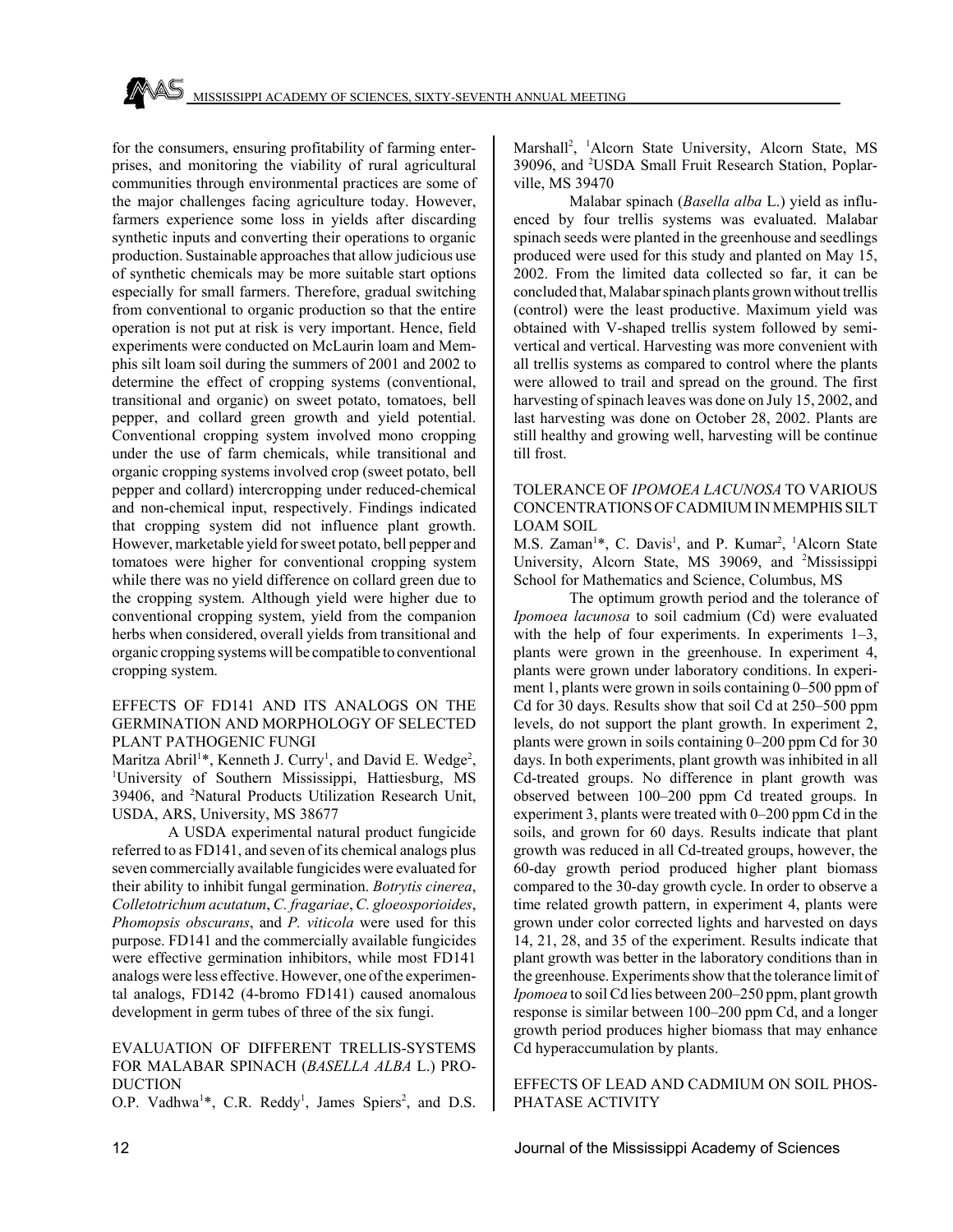for the consumers, ensuring profitability of farming enterprises, and monitoring the viability of rural agricultural communities through environmental practices are some of the major challenges facing agriculture today. However, farmers experience some loss in yields after discarding synthetic inputs and converting their operations to organic production. Sustainable approaches that allow judicious use of synthetic chemicals may be more suitable start options especially for small farmers. Therefore, gradual switching from conventional to organic production so that the entire operation is not put at risk is very important. Hence, field experiments were conducted on McLaurin loam and Memphis silt loam soil during the summers of 2001 and 2002 to determine the effect of cropping systems (conventional, transitional and organic) on sweet potato, tomatoes, bell pepper, and collard green growth and yield potential. Conventional cropping system involved mono cropping under the use of farm chemicals, while transitional and organic cropping systems involved crop (sweet potato, bell pepper and collard) intercropping under reduced-chemical and non-chemical input, respectively. Findings indicated that cropping system did not influence plant growth. However, marketable yield for sweet potato, bell pepper and tomatoes were higher for conventional cropping system while there was no yield difference on collard green due to the cropping system. Although yield were higher due to conventional cropping system, yield from the companion herbs when considered, overall yields from transitional and organic cropping systems will be compatible to conventional cropping system.

### EFFECTS OF FD141 AND ITS ANALOGS ON THE GERMINATION AND MORPHOLOGY OF SELECTED PLANT PATHOGENIC FUNGI

Maritza Abril<sup>1\*</sup>, Kenneth J. Curry<sup>1</sup>, and David E. Wedge<sup>2</sup>, <sup>1</sup>University of Southern Mississippi, Hattiesburg, MS 39406, and <sup>2</sup>Natural Products Utilization Research Unit, USDA, ARS, University, MS 38677

A USDA experimental natural product fungicide referred to as FD141, and seven of its chemical analogs plus seven commercially available fungicides were evaluated for their ability to inhibit fungal germination. *Botrytis cinerea*, *Colletotrichum acutatum*, *C. fragariae*, *C. gloeosporioides*, *Phomopsis obscurans*, and *P. viticola* were used for this purpose. FD141 and the commercially available fungicides were effective germination inhibitors, while most FD141 analogs were less effective. However, one of the experimental analogs, FD142 (4-bromo FD141) caused anomalous development in germ tubes of three of the six fungi.

### EVALUATION OF DIFFERENT TRELLIS-SYSTEMS FOR MALABAR SPINACH (*BASELLA ALBA* L.) PRO-DUCTION

O.P. Vadhwa<sup>1\*</sup>, C.R. Reddy<sup>1</sup>, James Spiers<sup>2</sup>, and D.S.

Marshall<sup>2</sup>, <sup>1</sup>Alcorn State University, Alcorn State, MS 39096, and <sup>2</sup>USDA Small Fruit Research Station, Poplarville, MS 39470

Malabar spinach (*Basella alba* L.) yield as influenced by four trellis systems was evaluated. Malabar spinach seeds were planted in the greenhouse and seedlings produced were used for this study and planted on May 15, 2002. From the limited data collected so far, it can be concluded that, Malabar spinach plants grown without trellis (control) were the least productive. Maximum yield was obtained with V-shaped trellis system followed by semivertical and vertical. Harvesting was more convenient with all trellis systems as compared to control where the plants were allowed to trail and spread on the ground. The first harvesting of spinach leaves was done on July 15, 2002, and last harvesting was done on October 28, 2002. Plants are still healthy and growing well, harvesting will be continue till frost.

### TOLERANCE OF *IPOMOEA LACUNOSA* TO VARIOUS CONCENTRATIONS OF CADMIUM IN MEMPHIS SILT LOAM SOIL

M.S. Zaman<sup>1\*</sup>, C. Davis<sup>1</sup>, and P. Kumar<sup>2</sup>, <sup>1</sup>Alcorn State University, Alcorn State, MS 39069, and <sup>2</sup>Mississippi School for Mathematics and Science, Columbus, MS

The optimum growth period and the tolerance of *Ipomoea lacunosa* to soil cadmium (Cd) were evaluated with the help of four experiments. In experiments 1–3, plants were grown in the greenhouse. In experiment 4, plants were grown under laboratory conditions. In experiment 1, plants were grown in soils containing 0–500 ppm of Cd for 30 days. Results show that soil Cd at 250–500 ppm levels, do not support the plant growth. In experiment 2, plants were grown in soils containing 0–200 ppm Cd for 30 days. In both experiments, plant growth was inhibited in all Cd-treated groups. No difference in plant growth was observed between 100–200 ppm Cd treated groups. In experiment 3, plants were treated with 0–200 ppm Cd in the soils, and grown for 60 days. Results indicate that plant growth was reduced in all Cd-treated groups, however, the 60-day growth period produced higher plant biomass compared to the 30-day growth cycle. In order to observe a time related growth pattern, in experiment 4, plants were grown under color corrected lights and harvested on days 14, 21, 28, and 35 of the experiment. Results indicate that plant growth was better in the laboratory conditions than in the greenhouse. Experiments show that the tolerance limit of *Ipomoea* to soil Cd lies between 200–250 ppm, plant growth response is similar between 100–200 ppm Cd, and a longer growth period produces higher biomass that may enhance Cd hyperaccumulation by plants.

EFFECTS OF LEAD AND CADMIUM ON SOIL PHOS-PHATASE ACTIVITY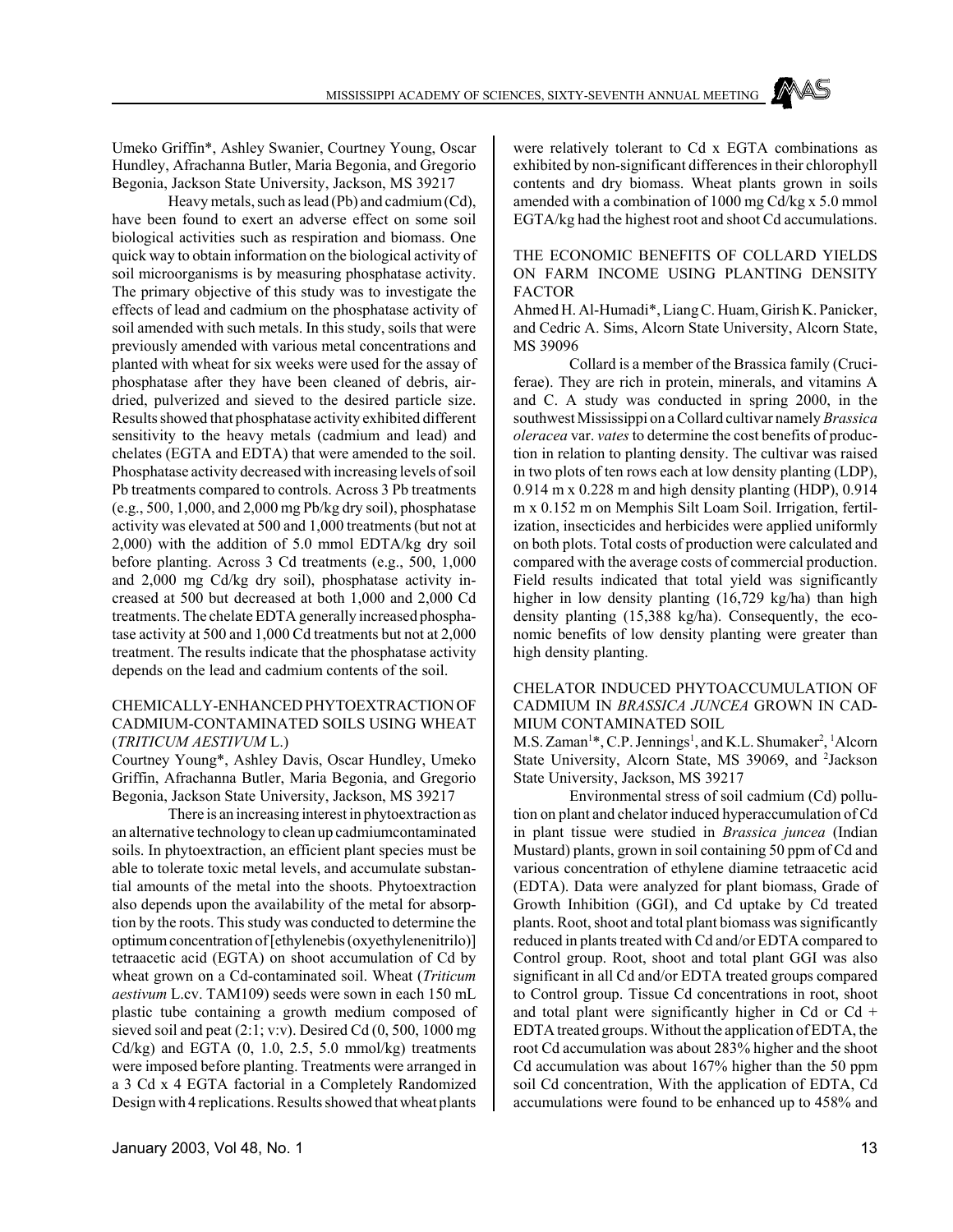Umeko Griffin\*, Ashley Swanier, Courtney Young, Oscar Hundley, Afrachanna Butler, Maria Begonia, and Gregorio Begonia, Jackson State University, Jackson, MS 39217

Heavy metals, such as lead (Pb) and cadmium (Cd), have been found to exert an adverse effect on some soil biological activities such as respiration and biomass. One quick way to obtain information on the biological activity of soil microorganisms is by measuring phosphatase activity. The primary objective of this study was to investigate the effects of lead and cadmium on the phosphatase activity of soil amended with such metals. In this study, soils that were previously amended with various metal concentrations and planted with wheat for six weeks were used for the assay of phosphatase after they have been cleaned of debris, airdried, pulverized and sieved to the desired particle size. Results showed that phosphatase activity exhibited different sensitivity to the heavy metals (cadmium and lead) and chelates (EGTA and EDTA) that were amended to the soil. Phosphatase activity decreased with increasing levels of soil Pb treatments compared to controls. Across 3 Pb treatments (e.g., 500, 1,000, and 2,000 mg Pb/kg dry soil), phosphatase activity was elevated at 500 and 1,000 treatments (but not at 2,000) with the addition of 5.0 mmol EDTA/kg dry soil before planting. Across 3 Cd treatments (e.g., 500, 1,000 and 2,000 mg Cd/kg dry soil), phosphatase activity increased at 500 but decreased at both 1,000 and 2,000 Cd treatments. The chelate EDTA generally increased phosphatase activity at 500 and 1,000 Cd treatments but not at 2,000 treatment. The results indicate that the phosphatase activity depends on the lead and cadmium contents of the soil.

### CHEMICALLY-ENHANCED PHYTOEXTRACTION OF CADMIUM-CONTAMINATED SOILS USING WHEAT (*TRITICUM AESTIVUM* L.)

Courtney Young\*, Ashley Davis, Oscar Hundley, Umeko Griffin, Afrachanna Butler, Maria Begonia, and Gregorio Begonia, Jackson State University, Jackson, MS 39217

There is an increasing interest in phytoextraction as an alternative technology to clean up cadmiumcontaminated soils. In phytoextraction, an efficient plant species must be able to tolerate toxic metal levels, and accumulate substantial amounts of the metal into the shoots. Phytoextraction also depends upon the availability of the metal for absorption by the roots. This study was conducted to determine the optimum concentration of [ethylenebis (oxyethylenenitrilo)] tetraacetic acid (EGTA) on shoot accumulation of Cd by wheat grown on a Cd-contaminated soil. Wheat (*Triticum aestivum* L.cv. TAM109) seeds were sown in each 150 mL plastic tube containing a growth medium composed of sieved soil and peat  $(2:1; v:v)$ . Desired Cd  $(0, 500, 1000 \text{ mg})$ Cd/kg) and EGTA  $(0, 1.0, 2.5, 5.0 \text{ mmol/kg})$  treatments were imposed before planting. Treatments were arranged in a 3 Cd x 4 EGTA factorial in a Completely Randomized Design with 4 replications. Results showed that wheat plants

were relatively tolerant to Cd x EGTA combinations as exhibited by non-significant differences in their chlorophyll contents and dry biomass. Wheat plants grown in soils amended with a combination of 1000 mg Cd/kg x 5.0 mmol EGTA/kg had the highest root and shoot Cd accumulations.

### THE ECONOMIC BENEFITS OF COLLARD YIELDS ON FARM INCOME USING PLANTING DENSITY FACTOR

Ahmed H. Al-Humadi\*, Liang C. Huam, Girish K. Panicker, and Cedric A. Sims, Alcorn State University, Alcorn State, MS 39096

Collard is a member of the Brassica family (Cruciferae). They are rich in protein, minerals, and vitamins A and C. A study was conducted in spring 2000, in the southwest Mississippi on a Collard cultivar namely *Brassica oleracea* var. *vates* to determine the cost benefits of production in relation to planting density. The cultivar was raised in two plots of ten rows each at low density planting (LDP), 0.914 m x 0.228 m and high density planting (HDP), 0.914 m x 0.152 m on Memphis Silt Loam Soil. Irrigation, fertilization, insecticides and herbicides were applied uniformly on both plots. Total costs of production were calculated and compared with the average costs of commercial production. Field results indicated that total yield was significantly higher in low density planting (16,729 kg/ha) than high density planting (15,388 kg/ha). Consequently, the economic benefits of low density planting were greater than high density planting.

### CHELATOR INDUCED PHYTOACCUMULATION OF CADMIUM IN *BRASSICA JUNCEA* GROWN IN CAD-MIUM CONTAMINATED SOIL

M.S. Zaman<sup>1\*</sup>, C.P. Jennings<sup>1</sup>, and K.L. Shumaker<sup>2</sup>, <sup>1</sup>Alcorn State University, Alcorn State, MS 39069, and <sup>2</sup>Jackson State University, Jackson, MS 39217

Environmental stress of soil cadmium (Cd) pollution on plant and chelator induced hyperaccumulation of Cd in plant tissue were studied in *Brassica juncea* (Indian Mustard) plants, grown in soil containing 50 ppm of Cd and various concentration of ethylene diamine tetraacetic acid (EDTA). Data were analyzed for plant biomass, Grade of Growth Inhibition (GGI), and Cd uptake by Cd treated plants. Root, shoot and total plant biomass was significantly reduced in plants treated with Cd and/or EDTA compared to Control group. Root, shoot and total plant GGI was also significant in all Cd and/or EDTA treated groups compared to Control group. Tissue Cd concentrations in root, shoot and total plant were significantly higher in Cd or Cd  $+$ EDTA treated groups. Without the application of EDTA, the root Cd accumulation was about 283% higher and the shoot Cd accumulation was about 167% higher than the 50 ppm soil Cd concentration, With the application of EDTA, Cd accumulations were found to be enhanced up to 458% and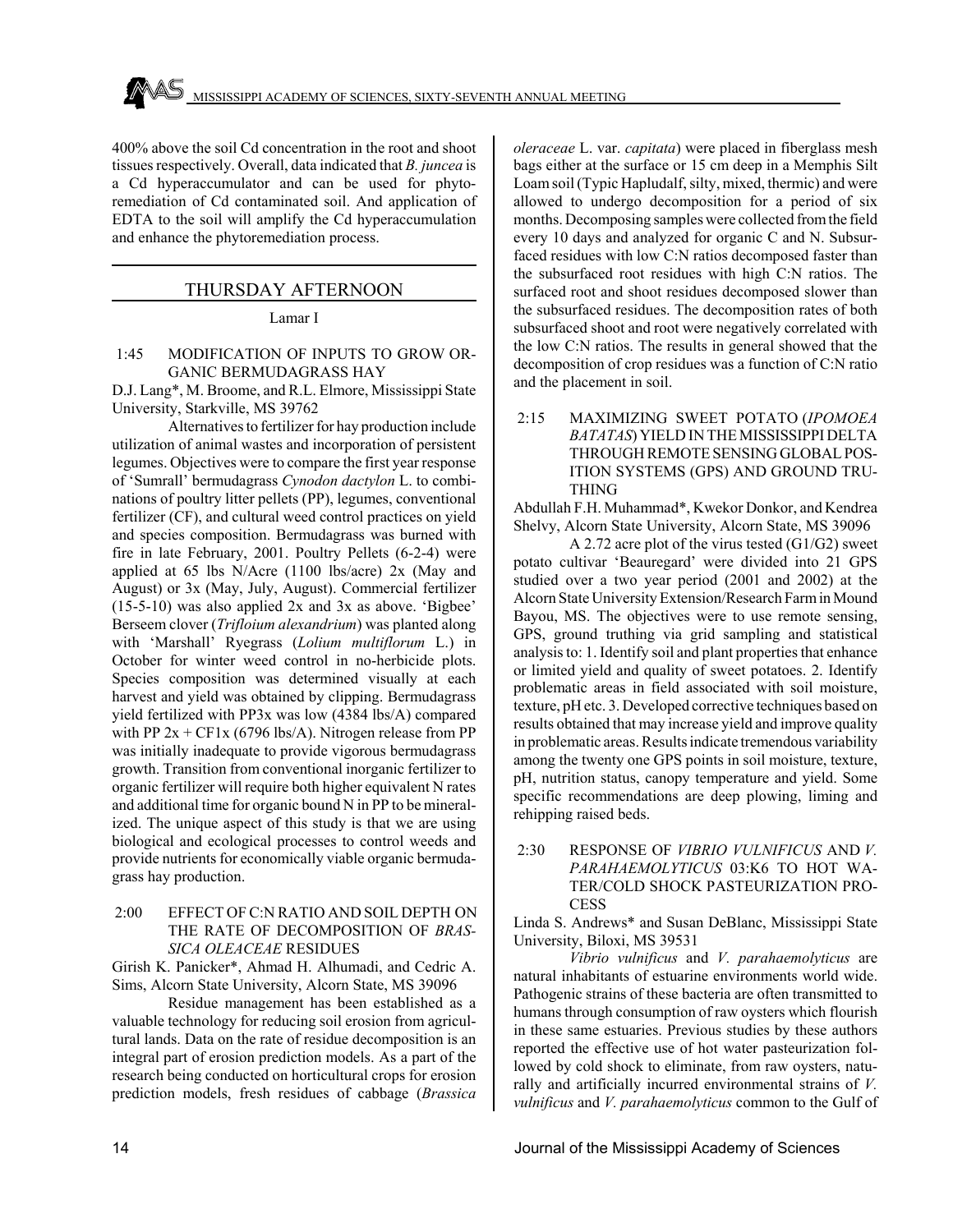400% above the soil Cd concentration in the root and shoot tissues respectively. Overall, data indicated that *B. juncea* is a Cd hyperaccumulator and can be used for phytoremediation of Cd contaminated soil. And application of EDTA to the soil will amplify the Cd hyperaccumulation and enhance the phytoremediation process.

### THURSDAY AFTERNOON

Lamar I

### 1:45 MODIFICATION OF INPUTS TO GROW OR-GANIC BERMUDAGRASS HAY

D.J. Lang\*, M. Broome, and R.L. Elmore, Mississippi State University, Starkville, MS 39762

Alternatives to fertilizer for hay production include utilization of animal wastes and incorporation of persistent legumes. Objectives were to compare the first year response of 'Sumrall' bermudagrass *Cynodon dactylon* L. to combinations of poultry litter pellets (PP), legumes, conventional fertilizer (CF), and cultural weed control practices on yield and species composition. Bermudagrass was burned with fire in late February, 2001. Poultry Pellets (6-2-4) were applied at 65 lbs N/Acre (1100 lbs/acre) 2x (May and August) or 3x (May, July, August). Commercial fertilizer  $(15-5-10)$  was also applied 2x and 3x as above. 'Bigbee' Berseem clover (*Trifloium alexandrium*) was planted along with 'Marshall' Ryegrass (*Lolium multiflorum* L.) in October for winter weed control in no-herbicide plots. Species composition was determined visually at each harvest and yield was obtained by clipping. Bermudagrass yield fertilized with PP3x was low (4384 lbs/A) compared with PP  $2x + CF1x$  (6796 lbs/A). Nitrogen release from PP was initially inadequate to provide vigorous bermudagrass growth. Transition from conventional inorganic fertilizer to organic fertilizer will require both higher equivalent N rates and additional time for organic bound N in PP to be mineralized. The unique aspect of this study is that we are using biological and ecological processes to control weeds and provide nutrients for economically viable organic bermudagrass hay production.

### 2:00 EFFECT OF C:N RATIO AND SOIL DEPTH ON THE RATE OF DECOMPOSITION OF *BRAS-SICA OLEACEAE* RESIDUES

Girish K. Panicker\*, Ahmad H. Alhumadi, and Cedric A. Sims, Alcorn State University, Alcorn State, MS 39096

Residue management has been established as a valuable technology for reducing soil erosion from agricultural lands. Data on the rate of residue decomposition is an integral part of erosion prediction models. As a part of the research being conducted on horticultural crops for erosion prediction models, fresh residues of cabbage (*Brassica*

*oleraceae* L. var. *capitata*) were placed in fiberglass mesh bags either at the surface or 15 cm deep in a Memphis Silt Loam soil (Typic Hapludalf, silty, mixed, thermic) and were allowed to undergo decomposition for a period of six months. Decomposing samples were collected from the field every 10 days and analyzed for organic C and N. Subsurfaced residues with low C:N ratios decomposed faster than the subsurfaced root residues with high C:N ratios. The surfaced root and shoot residues decomposed slower than the subsurfaced residues. The decomposition rates of both subsurfaced shoot and root were negatively correlated with the low C:N ratios. The results in general showed that the decomposition of crop residues was a function of C:N ratio and the placement in soil.

### 2:15 MAXIMIZING SWEET POTATO (*IPOMOEA BATATAS*) YIELD IN THE MISSISSIPPI DELTA THROUGH REMOTE SENSING GLOBAL POS-ITION SYSTEMS (GPS) AND GROUND TRU-THING

Abdullah F.H. Muhammad\*, Kwekor Donkor, and Kendrea Shelvy, Alcorn State University, Alcorn State, MS 39096

A 2.72 acre plot of the virus tested (G1/G2) sweet potato cultivar 'Beauregard' were divided into 21 GPS studied over a two year period (2001 and 2002) at the Alcorn State University Extension/Research Farm in Mound Bayou, MS. The objectives were to use remote sensing, GPS, ground truthing via grid sampling and statistical analysis to: 1. Identify soil and plant properties that enhance or limited yield and quality of sweet potatoes. 2. Identify problematic areas in field associated with soil moisture, texture, pH etc. 3. Developed corrective techniques based on results obtained that may increase yield and improve quality in problematic areas. Results indicate tremendous variability among the twenty one GPS points in soil moisture, texture, pH, nutrition status, canopy temperature and yield. Some specific recommendations are deep plowing, liming and rehipping raised beds.

### 2:30 RESPONSE OF *VIBRIO VULNIFICUS* AND *V. PARAHAEMOLYTICUS* 03:K6 TO HOT WA-TER/COLD SHOCK PASTEURIZATION PRO-**CESS**

Linda S. Andrews\* and Susan DeBlanc, Mississippi State University, Biloxi, MS 39531

*Vibrio vulnificus* and *V. parahaemolyticus* are natural inhabitants of estuarine environments world wide. Pathogenic strains of these bacteria are often transmitted to humans through consumption of raw oysters which flourish in these same estuaries. Previous studies by these authors reported the effective use of hot water pasteurization followed by cold shock to eliminate, from raw oysters, naturally and artificially incurred environmental strains of *V. vulnificus* and *V. parahaemolyticus* common to the Gulf of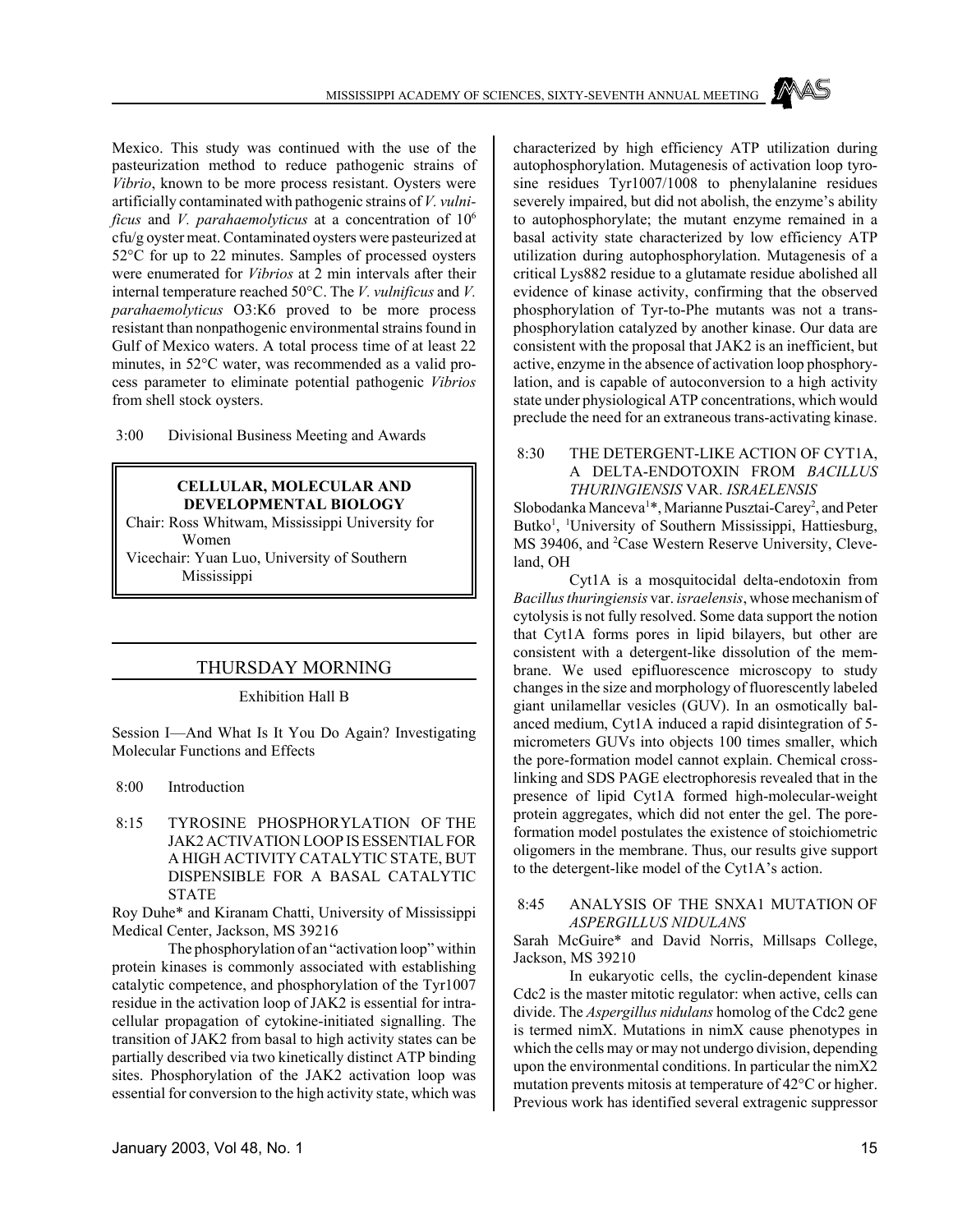Mexico. This study was continued with the use of the pasteurization method to reduce pathogenic strains of *Vibrio*, known to be more process resistant. Oysters were artificially contaminated with pathogenic strains of *V. vulnificus* and *V. parahaemolyticus* at a concentration of 106 cfu/g oyster meat. Contaminated oysters were pasteurized at 52°C for up to 22 minutes. Samples of processed oysters were enumerated for *Vibrios* at 2 min intervals after their internal temperature reached 50°C. The *V. vulnificus* and *V. parahaemolyticus* O3:K6 proved to be more process resistant than nonpathogenic environmental strains found in Gulf of Mexico waters. A total process time of at least 22 minutes, in 52°C water, was recommended as a valid process parameter to eliminate potential pathogenic *Vibrios* from shell stock oysters.

3:00 Divisional Business Meeting and Awards

### **CELLULAR, MOLECULAR AND DEVELOPMENTAL BIOLOGY**

Chair: Ross Whitwam, Mississippi University for Women

Vicechair: Yuan Luo, University of Southern Mississippi

### THURSDAY MORNING

Exhibition Hall B

Session I—And What Is It You Do Again? Investigating Molecular Functions and Effects

8:00 Introduction

 8:15 TYROSINE PHOSPHORYLATION OF THE JAK2 ACTIVATION LOOP IS ESSENTIAL FOR A HIGH ACTIVITY CATALYTIC STATE, BUT DISPENSIBLE FOR A BASAL CATALYTIC STATE

Roy Duhe\* and Kiranam Chatti, University of Mississippi Medical Center, Jackson, MS 39216

The phosphorylation of an "activation loop" within protein kinases is commonly associated with establishing catalytic competence, and phosphorylation of the Tyr1007 residue in the activation loop of JAK2 is essential for intracellular propagation of cytokine-initiated signalling. The transition of JAK2 from basal to high activity states can be partially described via two kinetically distinct ATP binding sites. Phosphorylation of the JAK2 activation loop was essential for conversion to the high activity state, which was

characterized by high efficiency ATP utilization during autophosphorylation. Mutagenesis of activation loop tyrosine residues Tyr1007/1008 to phenylalanine residues severely impaired, but did not abolish, the enzyme's ability to autophosphorylate; the mutant enzyme remained in a basal activity state characterized by low efficiency ATP utilization during autophosphorylation. Mutagenesis of a critical Lys882 residue to a glutamate residue abolished all evidence of kinase activity, confirming that the observed phosphorylation of Tyr-to-Phe mutants was not a transphosphorylation catalyzed by another kinase. Our data are consistent with the proposal that JAK2 is an inefficient, but active, enzyme in the absence of activation loop phosphorylation, and is capable of autoconversion to a high activity state under physiological ATP concentrations, which would preclude the need for an extraneous trans-activating kinase.

 8:30 THE DETERGENT-LIKE ACTION OF CYT1A, A DELTA-ENDOTOXIN FROM *BACILLUS THURINGIENSIS* VAR. *ISRAELENSIS*

Slobodanka Manceva<sup>1\*</sup>, Marianne Pusztai-Carey<sup>2</sup>, and Peter Butko<sup>1</sup>, <sup>1</sup>University of Southern Mississippi, Hattiesburg, MS 39406, and <sup>2</sup>Case Western Reserve University, Cleveland, OH

Cyt1A is a mosquitocidal delta-endotoxin from *Bacillus thuringiensis* var. *israelensis*, whose mechanism of cytolysis is not fully resolved. Some data support the notion that Cyt1A forms pores in lipid bilayers, but other are consistent with a detergent-like dissolution of the membrane. We used epifluorescence microscopy to study changes in the size and morphology of fluorescently labeled giant unilamellar vesicles (GUV). In an osmotically balanced medium, Cyt1A induced a rapid disintegration of 5 micrometers GUVs into objects 100 times smaller, which the pore-formation model cannot explain. Chemical crosslinking and SDS PAGE electrophoresis revealed that in the presence of lipid Cyt1A formed high-molecular-weight protein aggregates, which did not enter the gel. The poreformation model postulates the existence of stoichiometric oligomers in the membrane. Thus, our results give support to the detergent-like model of the Cyt1A's action.

### 8:45 ANALYSIS OF THE SNXA1 MUTATION OF *ASPERGILLUS NIDULANS*

Sarah McGuire\* and David Norris, Millsaps College, Jackson, MS 39210

In eukaryotic cells, the cyclin-dependent kinase Cdc2 is the master mitotic regulator: when active, cells can divide. The *Aspergillus nidulans* homolog of the Cdc2 gene is termed nimX. Mutations in nimX cause phenotypes in which the cells may or may not undergo division, depending upon the environmental conditions. In particular the nimX2 mutation prevents mitosis at temperature of 42°C or higher. Previous work has identified several extragenic suppressor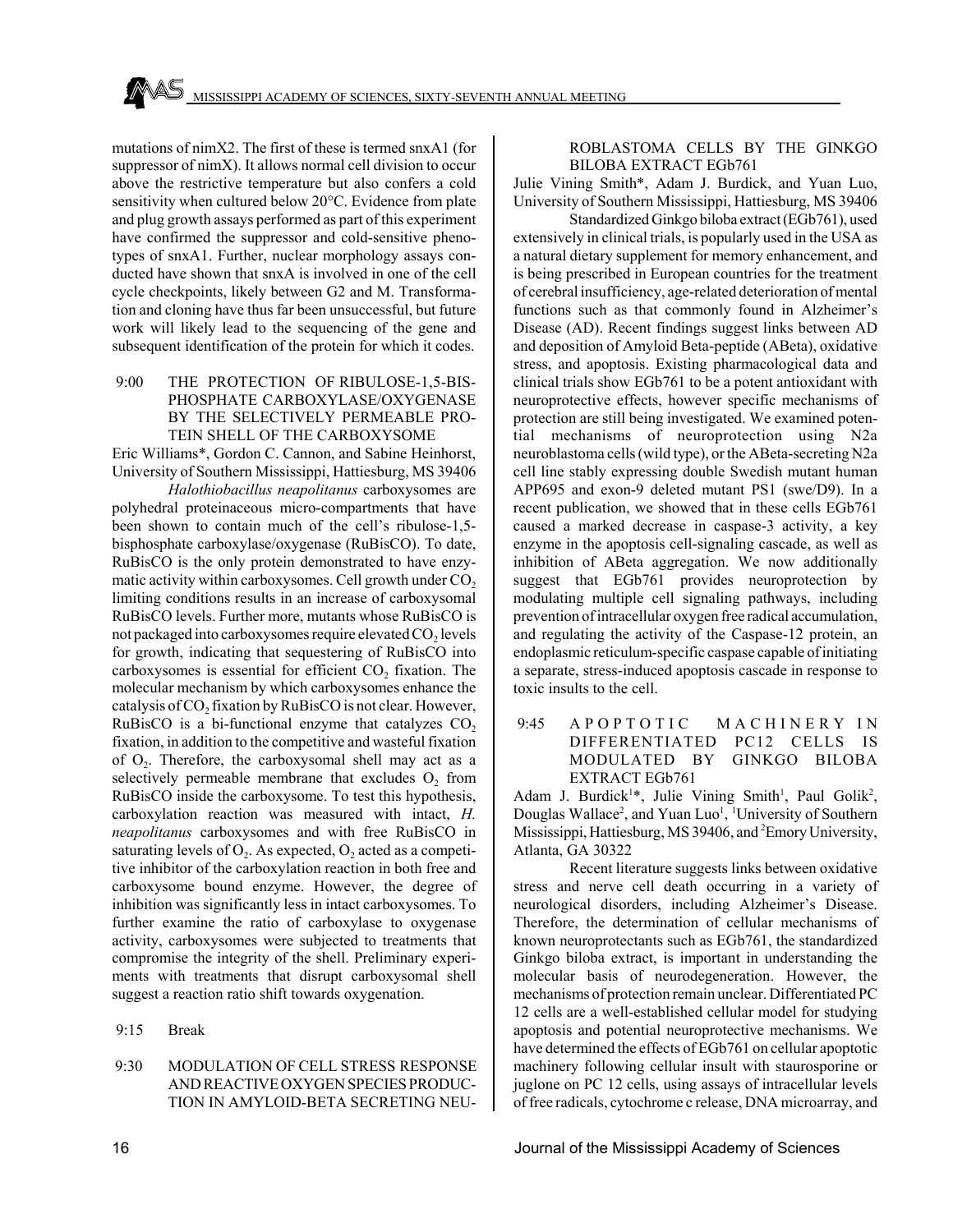mutations of nimX2. The first of these is termed snxA1 (for suppressor of nimX). It allows normal cell division to occur above the restrictive temperature but also confers a cold sensitivity when cultured below 20°C. Evidence from plate and plug growth assays performed as part of this experiment have confirmed the suppressor and cold-sensitive phenotypes of snxA1. Further, nuclear morphology assays conducted have shown that snxA is involved in one of the cell cycle checkpoints, likely between G2 and M. Transformation and cloning have thus far been unsuccessful, but future work will likely lead to the sequencing of the gene and subsequent identification of the protein for which it codes.

 9:00 THE PROTECTION OF RIBULOSE-1,5-BIS-PHOSPHATE CARBOXYLASE/OXYGENASE BY THE SELECTIVELY PERMEABLE PRO-TEIN SHELL OF THE CARBOXYSOME

Eric Williams\*, Gordon C. Cannon, and Sabine Heinhorst, University of Southern Mississippi, Hattiesburg, MS 39406

*Halothiobacillus neapolitanus* carboxysomes are polyhedral proteinaceous micro-compartments that have been shown to contain much of the cell's ribulose-1,5 bisphosphate carboxylase/oxygenase (RuBisCO). To date, RuBisCO is the only protein demonstrated to have enzymatic activity within carboxysomes. Cell growth under  $CO<sub>2</sub>$ limiting conditions results in an increase of carboxysomal RuBisCO levels. Further more, mutants whose RuBisCO is not packaged into carboxysomes require elevated  $CO<sub>2</sub>$  levels for growth, indicating that sequestering of RuBisCO into carboxysomes is essential for efficient  $CO<sub>2</sub>$  fixation. The molecular mechanism by which carboxysomes enhance the catalysis of CO<sub>2</sub> fixation by RuBisCO is not clear. However, RuBisCO is a bi-functional enzyme that catalyzes  $CO<sub>2</sub>$ fixation, in addition to the competitive and wasteful fixation of  $O<sub>2</sub>$ . Therefore, the carboxysomal shell may act as a selectively permeable membrane that excludes  $O<sub>2</sub>$  from RuBisCO inside the carboxysome. To test this hypothesis, carboxylation reaction was measured with intact, *H. neapolitanus* carboxysomes and with free RuBisCO in saturating levels of  $O_2$ . As expected,  $O_2$  acted as a competitive inhibitor of the carboxylation reaction in both free and carboxysome bound enzyme. However, the degree of inhibition was significantly less in intact carboxysomes. To further examine the ratio of carboxylase to oxygenase activity, carboxysomes were subjected to treatments that compromise the integrity of the shell. Preliminary experiments with treatments that disrupt carboxysomal shell suggest a reaction ratio shift towards oxygenation.

- 9:15 Break
- 9:30 MODULATION OF CELL STRESS RESPONSE AND REACTIVE OXYGEN SPECIES PRODUC-TION IN AMYLOID-BETA SECRETING NEU-

### ROBLASTOMA CELLS BY THE GINKGO BILOBA EXTRACT EGb761

Julie Vining Smith\*, Adam J. Burdick, and Yuan Luo, University of Southern Mississippi, Hattiesburg, MS 39406

Standardized Ginkgo biloba extract (EGb761), used extensively in clinical trials, is popularly used in the USA as a natural dietary supplement for memory enhancement, and is being prescribed in European countries for the treatment of cerebral insufficiency, age-related deterioration of mental functions such as that commonly found in Alzheimer's Disease (AD). Recent findings suggest links between AD and deposition of Amyloid Beta-peptide (ABeta), oxidative stress, and apoptosis. Existing pharmacological data and clinical trials show EGb761 to be a potent antioxidant with neuroprotective effects, however specific mechanisms of protection are still being investigated. We examined potential mechanisms of neuroprotection using N2a neuroblastoma cells (wild type), or the ABeta-secreting N2a cell line stably expressing double Swedish mutant human APP695 and exon-9 deleted mutant PS1 (swe/D9). In a recent publication, we showed that in these cells EGb761 caused a marked decrease in caspase-3 activity, a key enzyme in the apoptosis cell-signaling cascade, as well as inhibition of ABeta aggregation. We now additionally suggest that EGb761 provides neuroprotection by modulating multiple cell signaling pathways, including prevention of intracellular oxygen free radical accumulation, and regulating the activity of the Caspase-12 protein, an endoplasmic reticulum-specific caspase capable of initiating a separate, stress-induced apoptosis cascade in response to toxic insults to the cell.

9:45 A P O P T O T I C M A C H I N E R Y IN DIFFERENTIATED PC12 CELLS IS MODULATED BY GINKGO BILOBA EXTRACT EGb761

Adam J. Burdick<sup>1\*</sup>, Julie Vining Smith<sup>1</sup>, Paul Golik<sup>2</sup>, Douglas Wallace<sup>2</sup>, and Yuan Luo<sup>1</sup>, <sup>1</sup>University of Southern Mississippi, Hattiesburg, MS 39406, and <sup>2</sup>Emory University, Atlanta, GA 30322

Recent literature suggests links between oxidative stress and nerve cell death occurring in a variety of neurological disorders, including Alzheimer's Disease. Therefore, the determination of cellular mechanisms of known neuroprotectants such as EGb761, the standardized Ginkgo biloba extract, is important in understanding the molecular basis of neurodegeneration. However, the mechanisms of protection remain unclear. Differentiated PC 12 cells are a well-established cellular model for studying apoptosis and potential neuroprotective mechanisms. We have determined the effects of EGb761 on cellular apoptotic machinery following cellular insult with staurosporine or juglone on PC 12 cells, using assays of intracellular levels of free radicals, cytochrome c release, DNA microarray, and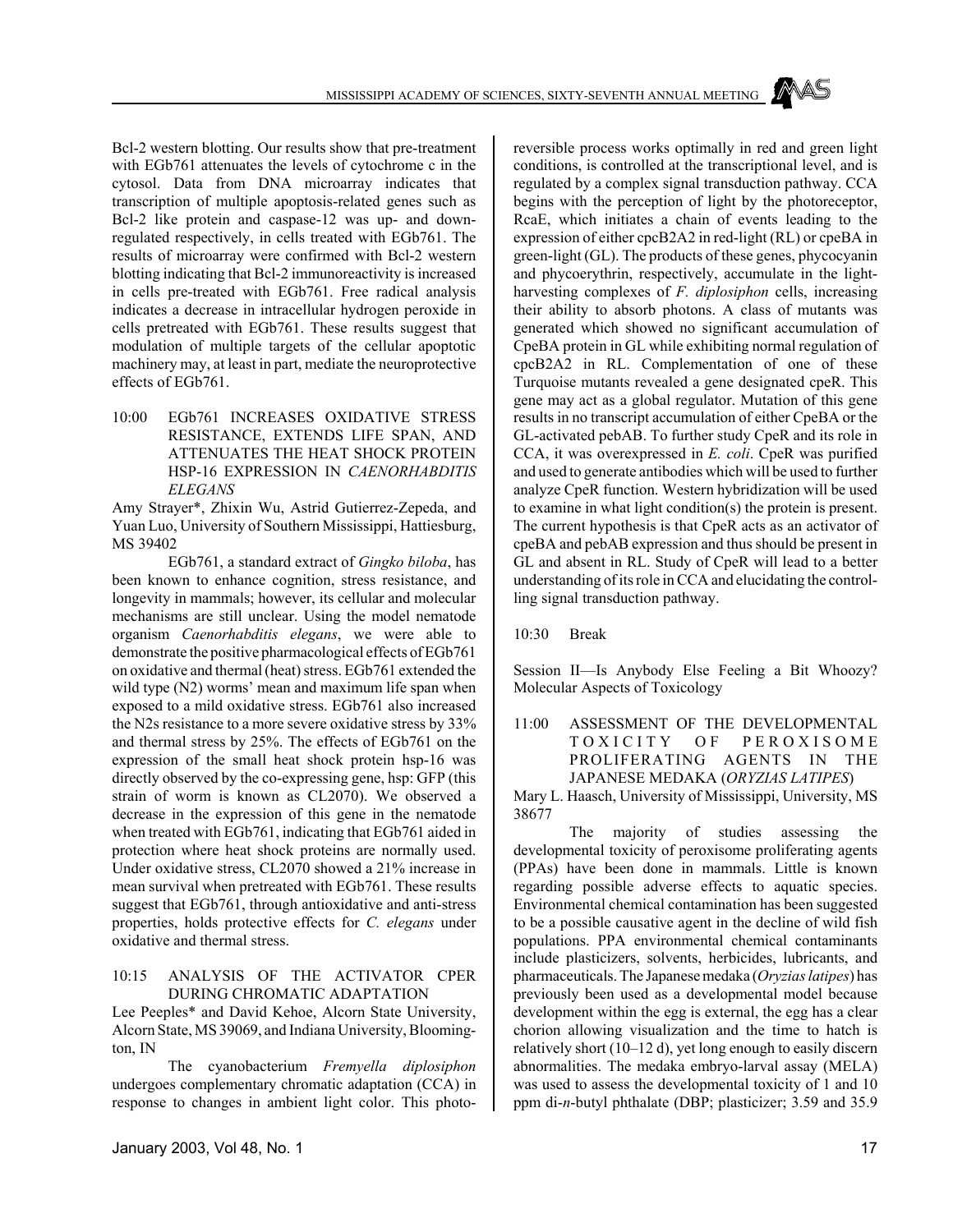Bcl-2 western blotting. Our results show that pre-treatment with EGb761 attenuates the levels of cytochrome c in the cytosol. Data from DNA microarray indicates that transcription of multiple apoptosis-related genes such as Bcl-2 like protein and caspase-12 was up- and downregulated respectively, in cells treated with EGb761. The results of microarray were confirmed with Bcl-2 western blotting indicating that Bcl-2 immunoreactivity is increased in cells pre-treated with EGb761. Free radical analysis indicates a decrease in intracellular hydrogen peroxide in cells pretreated with EGb761. These results suggest that modulation of multiple targets of the cellular apoptotic machinery may, at least in part, mediate the neuroprotective effects of EGb761.

10:00 EGb761 INCREASES OXIDATIVE STRESS RESISTANCE, EXTENDS LIFE SPAN, AND ATTENUATES THE HEAT SHOCK PROTEIN HSP-16 EXPRESSION IN *CAENORHABDITIS ELEGANS*

Amy Strayer\*, Zhixin Wu, Astrid Gutierrez-Zepeda, and Yuan Luo, University of Southern Mississippi, Hattiesburg, MS 39402

EGb761, a standard extract of *Gingko biloba*, has been known to enhance cognition, stress resistance, and longevity in mammals; however, its cellular and molecular mechanisms are still unclear. Using the model nematode organism *Caenorhabditis elegans*, we were able to demonstrate the positive pharmacological effects of EGb761 on oxidative and thermal (heat) stress. EGb761 extended the wild type  $(N2)$  worms' mean and maximum life span when exposed to a mild oxidative stress. EGb761 also increased the N2s resistance to a more severe oxidative stress by 33% and thermal stress by 25%. The effects of EGb761 on the expression of the small heat shock protein hsp-16 was directly observed by the co-expressing gene, hsp: GFP (this strain of worm is known as CL2070). We observed a decrease in the expression of this gene in the nematode when treated with EGb761, indicating that EGb761 aided in protection where heat shock proteins are normally used. Under oxidative stress, CL2070 showed a 21% increase in mean survival when pretreated with EGb761. These results suggest that EGb761, through antioxidative and anti-stress properties, holds protective effects for *C. elegans* under oxidative and thermal stress.

### 10:15 ANALYSIS OF THE ACTIVATOR CPER DURING CHROMATIC ADAPTATION

Lee Peeples\* and David Kehoe, Alcorn State University, Alcorn State, MS 39069, and Indiana University, Bloomington, IN

The cyanobacterium *Fremyella diplosiphon* undergoes complementary chromatic adaptation (CCA) in response to changes in ambient light color. This photoreversible process works optimally in red and green light conditions, is controlled at the transcriptional level, and is regulated by a complex signal transduction pathway. CCA begins with the perception of light by the photoreceptor, RcaE, which initiates a chain of events leading to the expression of either cpcB2A2 in red-light (RL) or cpeBA in green-light (GL). The products of these genes, phycocyanin and phycoerythrin, respectively, accumulate in the lightharvesting complexes of *F. diplosiphon* cells, increasing their ability to absorb photons. A class of mutants was generated which showed no significant accumulation of CpeBA protein in GL while exhibiting normal regulation of cpcB2A2 in RL. Complementation of one of these Turquoise mutants revealed a gene designated cpeR. This gene may act as a global regulator. Mutation of this gene results in no transcript accumulation of either CpeBA or the GL-activated pebAB. To further study CpeR and its role in CCA, it was overexpressed in *E. coli*. CpeR was purified and used to generate antibodies which will be used to further analyze CpeR function. Western hybridization will be used to examine in what light condition(s) the protein is present. The current hypothesis is that CpeR acts as an activator of cpeBA and pebAB expression and thus should be present in GL and absent in RL. Study of CpeR will lead to a better understanding of its role in CCA and elucidating the controlling signal transduction pathway.

10:30 Break

Session II—Is Anybody Else Feeling a Bit Whoozy? Molecular Aspects of Toxicology

11:00 ASSESSMENT OF THE DEVELOPMENTAL TOXICITY OF PEROXISOME PROLIFERATING AGENTS IN THE JAPANESE MEDAKA (*ORYZIAS LATIPES*)

Mary L. Haasch, University of Mississippi, University, MS 38677

The majority of studies assessing the developmental toxicity of peroxisome proliferating agents (PPAs) have been done in mammals. Little is known regarding possible adverse effects to aquatic species. Environmental chemical contamination has been suggested to be a possible causative agent in the decline of wild fish populations. PPA environmental chemical contaminants include plasticizers, solvents, herbicides, lubricants, and pharmaceuticals. The Japanese medaka (*Oryzias latipes*) has previously been used as a developmental model because development within the egg is external, the egg has a clear chorion allowing visualization and the time to hatch is relatively short (10–12 d), yet long enough to easily discern abnormalities. The medaka embryo-larval assay (MELA) was used to assess the developmental toxicity of 1 and 10 ppm di-*n*-butyl phthalate (DBP; plasticizer; 3.59 and 35.9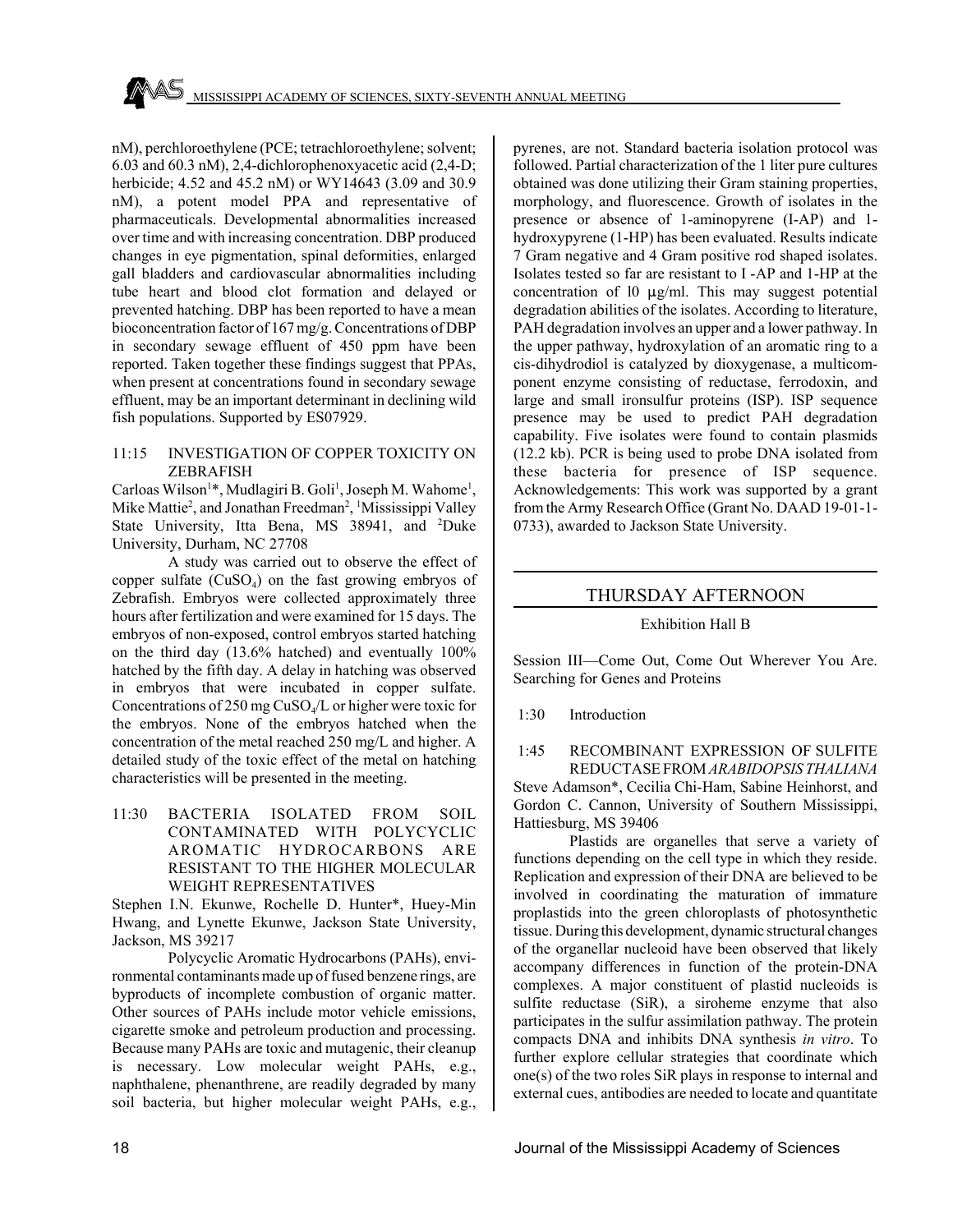nM), perchloroethylene (PCE; tetrachloroethylene; solvent; 6.03 and 60.3 nM), 2,4-dichlorophenoxyacetic acid (2,4-D; herbicide; 4.52 and 45.2 nM) or WY14643 (3.09 and 30.9 nM), a potent model PPA and representative of pharmaceuticals. Developmental abnormalities increased over time and with increasing concentration. DBP produced changes in eye pigmentation, spinal deformities, enlarged gall bladders and cardiovascular abnormalities including tube heart and blood clot formation and delayed or prevented hatching. DBP has been reported to have a mean bioconcentration factor of 167 mg/g. Concentrations of DBP in secondary sewage effluent of 450 ppm have been reported. Taken together these findings suggest that PPAs, when present at concentrations found in secondary sewage effluent, may be an important determinant in declining wild fish populations. Supported by ES07929.

### 11:15 INVESTIGATION OF COPPER TOXICITY ON ZEBRAFISH

Carloas Wilson<sup>1\*</sup>, Mudlagiri B. Goli<sup>1</sup>, Joseph M. Wahome<sup>1</sup>, Mike Mattie<sup>2</sup>, and Jonathan Freedman<sup>2</sup>, <sup>1</sup>Mississippi Valley State University, Itta Bena, MS 38941, and <sup>2</sup>Duke University, Durham, NC 27708

A study was carried out to observe the effect of copper sulfate  $(CuSO<sub>4</sub>)$  on the fast growing embryos of Zebrafish. Embryos were collected approximately three hours after fertilization and were examined for 15 days. The embryos of non-exposed, control embryos started hatching on the third day (13.6% hatched) and eventually 100% hatched by the fifth day. A delay in hatching was observed in embryos that were incubated in copper sulfate. Concentrations of 250 mg CuSO4/L or higher were toxic for the embryos. None of the embryos hatched when the concentration of the metal reached 250 mg/L and higher. A detailed study of the toxic effect of the metal on hatching characteristics will be presented in the meeting.

11:30 BACTERIA ISOLATED FROM SOIL CONTAMINATED WITH POLYCYCLIC AROMATIC HYDROCARBONS ARE RESISTANT TO THE HIGHER MOLECULAR WEIGHT REPRESENTATIVES

Stephen I.N. Ekunwe, Rochelle D. Hunter\*, Huey-Min Hwang, and Lynette Ekunwe, Jackson State University, Jackson, MS 39217

Polycyclic Aromatic Hydrocarbons (PAHs), environmental contaminants made up of fused benzene rings, are byproducts of incomplete combustion of organic matter. Other sources of PAHs include motor vehicle emissions, cigarette smoke and petroleum production and processing. Because many PAHs are toxic and mutagenic, their cleanup is necessary. Low molecular weight PAHs, e.g., naphthalene, phenanthrene, are readily degraded by many soil bacteria, but higher molecular weight PAHs, e.g., pyrenes, are not. Standard bacteria isolation protocol was followed. Partial characterization of the 1 liter pure cultures obtained was done utilizing their Gram staining properties, morphology, and fluorescence. Growth of isolates in the presence or absence of 1-aminopyrene (I-AP) and 1 hydroxypyrene (1-HP) has been evaluated. Results indicate 7 Gram negative and 4 Gram positive rod shaped isolates. Isolates tested so far are resistant to I -AP and 1-HP at the concentration of 10  $\mu$ g/ml. This may suggest potential degradation abilities of the isolates. According to literature, PAH degradation involves an upper and a lower pathway. In the upper pathway, hydroxylation of an aromatic ring to a cis-dihydrodiol is catalyzed by dioxygenase, a multicomponent enzyme consisting of reductase, ferrodoxin, and large and small ironsulfur proteins (ISP). ISP sequence presence may be used to predict PAH degradation capability. Five isolates were found to contain plasmids (12.2 kb). PCR is being used to probe DNA isolated from these bacteria for presence of ISP sequence. Acknowledgements: This work was supported by a grant from the Army Research Office (Grant No. DAAD 19-01-1- 0733), awarded to Jackson State University.

### THURSDAY AFTERNOON

### Exhibition Hall B

Session III—Come Out, Come Out Wherever You Are. Searching for Genes and Proteins

1:30 Introduction

### 1:45 RECOMBINANT EXPRESSION OF SULFITE REDUCTASE FROM *ARABIDOPSIS THALIANA*

Steve Adamson\*, Cecilia Chi-Ham, Sabine Heinhorst, and Gordon C. Cannon, University of Southern Mississippi, Hattiesburg, MS 39406

Plastids are organelles that serve a variety of functions depending on the cell type in which they reside. Replication and expression of their DNA are believed to be involved in coordinating the maturation of immature proplastids into the green chloroplasts of photosynthetic tissue. During this development, dynamic structural changes of the organellar nucleoid have been observed that likely accompany differences in function of the protein-DNA complexes. A major constituent of plastid nucleoids is sulfite reductase (SiR), a siroheme enzyme that also participates in the sulfur assimilation pathway. The protein compacts DNA and inhibits DNA synthesis *in vitro*. To further explore cellular strategies that coordinate which one(s) of the two roles SiR plays in response to internal and external cues, antibodies are needed to locate and quantitate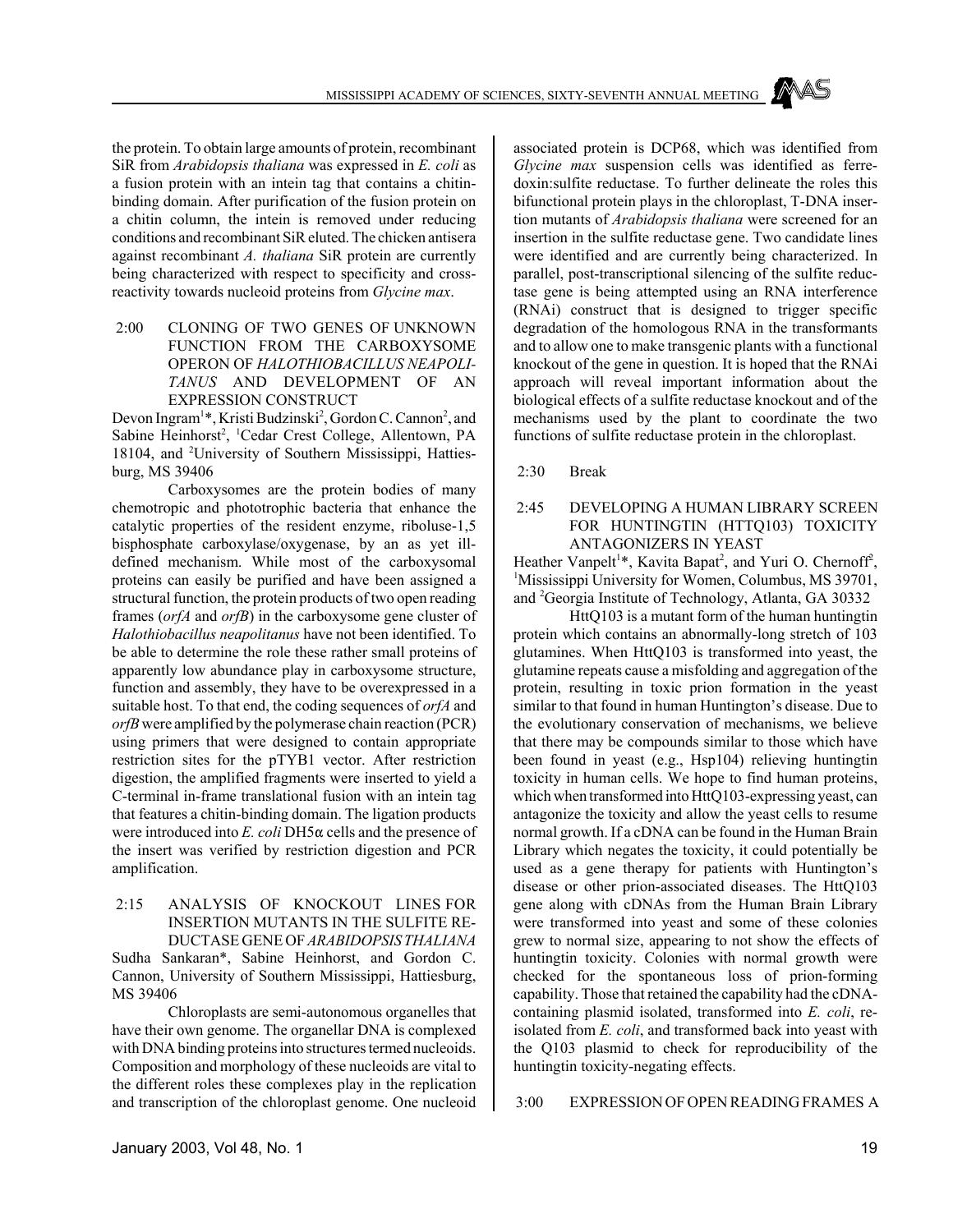the protein. To obtain large amounts of protein, recombinant SiR from *Arabidopsis thaliana* was expressed in *E. coli* as a fusion protein with an intein tag that contains a chitinbinding domain. After purification of the fusion protein on a chitin column, the intein is removed under reducing conditions and recombinant SiR eluted. The chicken antisera against recombinant *A. thaliana* SiR protein are currently being characterized with respect to specificity and crossreactivity towards nucleoid proteins from *Glycine max*.

### 2:00 CLONING OF TWO GENES OF UNKNOWN FUNCTION FROM THE CARBOXYSOME OPERON OF *HALOTHIOBACILLUS NEAPOLI-TANUS* AND DEVELOPMENT OF AN EXPRESSION CONSTRUCT

Devon Ingram<sup>1\*</sup>, Kristi Budzinski<sup>2</sup>, Gordon C. Cannon<sup>2</sup>, and Sabine Heinhorst<sup>2</sup>, <sup>1</sup>Cedar Crest College, Allentown, PA 18104, and <sup>2</sup>University of Southern Mississippi, Hattiesburg, MS 39406

Carboxysomes are the protein bodies of many chemotropic and phototrophic bacteria that enhance the catalytic properties of the resident enzyme, riboluse-1,5 bisphosphate carboxylase/oxygenase, by an as yet illdefined mechanism. While most of the carboxysomal proteins can easily be purified and have been assigned a structural function, the protein products of two open reading frames (*orfA* and *orfB*) in the carboxysome gene cluster of *Halothiobacillus neapolitanus* have not been identified. To be able to determine the role these rather small proteins of apparently low abundance play in carboxysome structure, function and assembly, they have to be overexpressed in a suitable host. To that end, the coding sequences of *orfA* and *orfB* were amplified by the polymerase chain reaction (PCR) using primers that were designed to contain appropriate restriction sites for the pTYB1 vector. After restriction digestion, the amplified fragments were inserted to yield a C-terminal in-frame translational fusion with an intein tag that features a chitin-binding domain. The ligation products were introduced into  $E$ . *coli* DH5 $\alpha$  cells and the presence of the insert was verified by restriction digestion and PCR amplification.

### 2:15 ANALYSIS OF KNOCKOUT LINES FOR INSERTION MUTANTS IN THE SULFITE RE-DUCTASE GENE OF *ARABIDOPSIS THALIANA*

Sudha Sankaran\*, Sabine Heinhorst, and Gordon C. Cannon, University of Southern Mississippi, Hattiesburg, MS 39406

Chloroplasts are semi-autonomous organelles that have their own genome. The organellar DNA is complexed with DNA binding proteins into structures termed nucleoids. Composition and morphology of these nucleoids are vital to the different roles these complexes play in the replication and transcription of the chloroplast genome. One nucleoid associated protein is DCP68, which was identified from *Glycine max* suspension cells was identified as ferredoxin:sulfite reductase. To further delineate the roles this bifunctional protein plays in the chloroplast, T-DNA insertion mutants of *Arabidopsis thaliana* were screened for an insertion in the sulfite reductase gene. Two candidate lines were identified and are currently being characterized. In parallel, post-transcriptional silencing of the sulfite reductase gene is being attempted using an RNA interference (RNAi) construct that is designed to trigger specific degradation of the homologous RNA in the transformants and to allow one to make transgenic plants with a functional knockout of the gene in question. It is hoped that the RNAi approach will reveal important information about the biological effects of a sulfite reductase knockout and of the mechanisms used by the plant to coordinate the two functions of sulfite reductase protein in the chloroplast.

2:30 Break

### 2:45 DEVELOPING A HUMAN LIBRARY SCREEN FOR HUNTINGTIN (HTTQ103) TOXICITY ANTAGONIZERS IN YEAST

Heather Vanpelt<sup>1\*</sup>, Kavita Bapat<sup>2</sup>, and Yuri O. Chernoff<sup>2</sup>, <sup>1</sup>Mississippi University for Women, Columbus, MS 39701, and <sup>2</sup>Georgia Institute of Technology, Atlanta, GA 30332

HttQ103 is a mutant form of the human huntingtin protein which contains an abnormally-long stretch of 103 glutamines. When HttQ103 is transformed into yeast, the glutamine repeats cause a misfolding and aggregation of the protein, resulting in toxic prion formation in the yeast similar to that found in human Huntington's disease. Due to the evolutionary conservation of mechanisms, we believe that there may be compounds similar to those which have been found in yeast (e.g., Hsp104) relieving huntingtin toxicity in human cells. We hope to find human proteins, which when transformed into HttQ103-expressing yeast, can antagonize the toxicity and allow the yeast cells to resume normal growth. If a cDNA can be found in the Human Brain Library which negates the toxicity, it could potentially be used as a gene therapy for patients with Huntington's disease or other prion-associated diseases. The HttQ103 gene along with cDNAs from the Human Brain Library were transformed into yeast and some of these colonies grew to normal size, appearing to not show the effects of huntingtin toxicity. Colonies with normal growth were checked for the spontaneous loss of prion-forming capability. Those that retained the capability had the cDNAcontaining plasmid isolated, transformed into *E. coli*, reisolated from *E. coli*, and transformed back into yeast with the Q103 plasmid to check for reproducibility of the huntingtin toxicity-negating effects.

### 3:00 EXPRESSION OF OPEN READING FRAMES A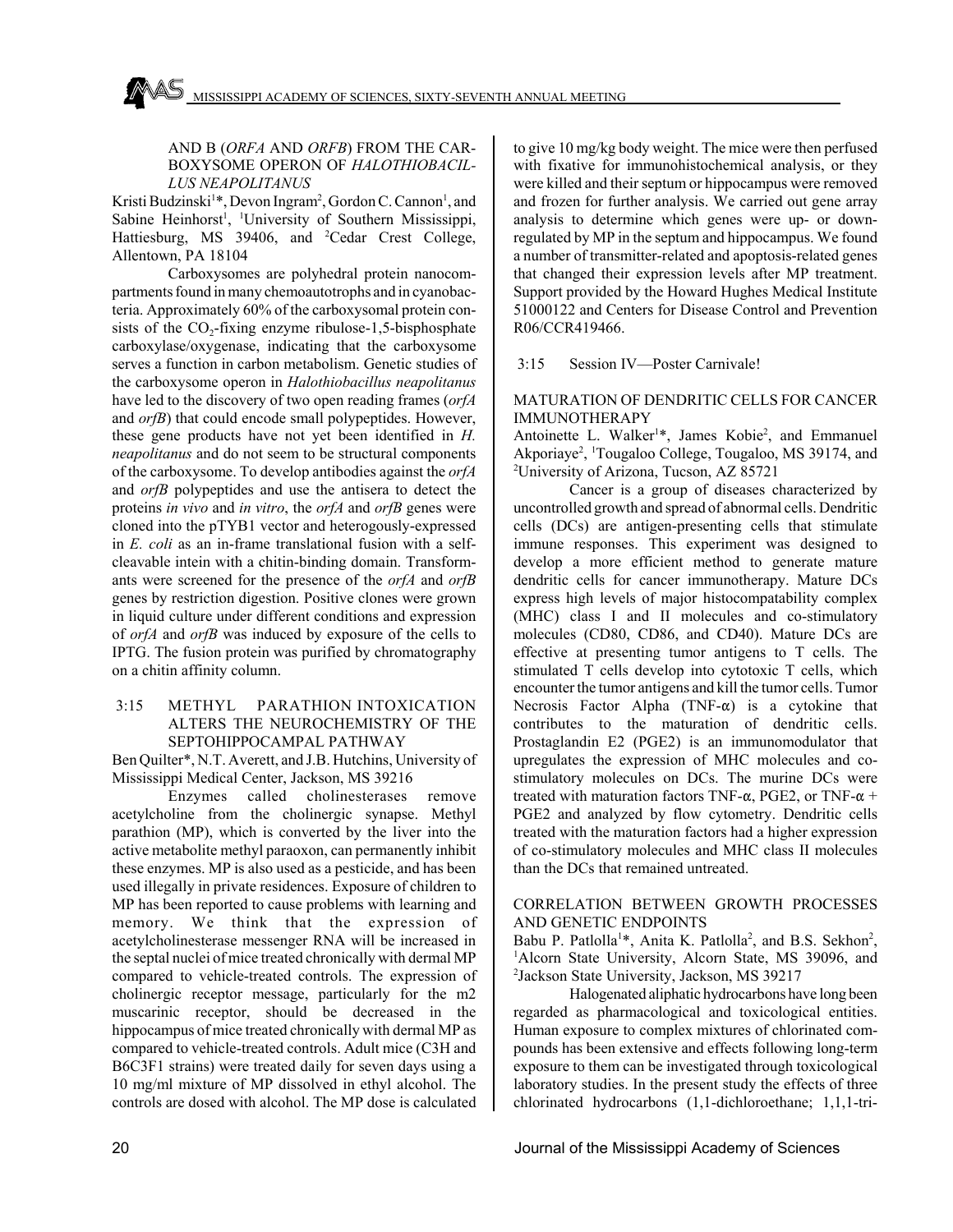### AND B (*ORFA* AND *ORFB*) FROM THE CAR-BOXYSOME OPERON OF *HALOTHIOBACIL-LUS NEAPOLITANUS*

Kristi Budzinski<sup>1</sup>\*, Devon Ingram<sup>2</sup>, Gordon C. Cannon<sup>1</sup>, and Sabine Heinhorst<sup>1</sup>, <sup>1</sup>University of Southern Mississippi, Hattiesburg, MS 39406, and <sup>2</sup>Cedar Crest College, Allentown, PA 18104

Carboxysomes are polyhedral protein nanocompartments found in many chemoautotrophs and in cyanobacteria. Approximately 60% of the carboxysomal protein consists of the  $CO<sub>2</sub>$ -fixing enzyme ribulose-1,5-bisphosphate carboxylase/oxygenase, indicating that the carboxysome serves a function in carbon metabolism. Genetic studies of the carboxysome operon in *Halothiobacillus neapolitanus* have led to the discovery of two open reading frames (*orfA* and *orfB*) that could encode small polypeptides. However, these gene products have not yet been identified in *H. neapolitanus* and do not seem to be structural components of the carboxysome. To develop antibodies against the *orfA* and *orfB* polypeptides and use the antisera to detect the proteins *in vivo* and *in vitro*, the *orfA* and *orfB* genes were cloned into the pTYB1 vector and heterogously-expressed in *E. coli* as an in-frame translational fusion with a selfcleavable intein with a chitin-binding domain. Transformants were screened for the presence of the *orfA* and *orfB* genes by restriction digestion. Positive clones were grown in liquid culture under different conditions and expression of *orfA* and *orfB* was induced by exposure of the cells to IPTG. The fusion protein was purified by chromatography on a chitin affinity column.

### 3:15 METHYL PARATHION INTOXICATION ALTERS THE NEUROCHEMISTRY OF THE SEPTOHIPPOCAMPAL PATHWAY

Ben Quilter\*, N.T. Averett, and J.B. Hutchins, University of Mississippi Medical Center, Jackson, MS 39216

Enzymes called cholinesterases remove acetylcholine from the cholinergic synapse. Methyl parathion (MP), which is converted by the liver into the active metabolite methyl paraoxon, can permanently inhibit these enzymes. MP is also used as a pesticide, and has been used illegally in private residences. Exposure of children to MP has been reported to cause problems with learning and memory. We think that the expression of acetylcholinesterase messenger RNA will be increased in the septal nuclei of mice treated chronically with dermal MP compared to vehicle-treated controls. The expression of cholinergic receptor message, particularly for the m2 muscarinic receptor, should be decreased in the hippocampus of mice treated chronically with dermal MP as compared to vehicle-treated controls. Adult mice (C3H and B6C3F1 strains) were treated daily for seven days using a 10 mg/ml mixture of MP dissolved in ethyl alcohol. The controls are dosed with alcohol. The MP dose is calculated to give 10 mg/kg body weight. The mice were then perfused with fixative for immunohistochemical analysis, or they were killed and their septum or hippocampus were removed and frozen for further analysis. We carried out gene array analysis to determine which genes were up- or downregulated by MP in the septum and hippocampus. We found a number of transmitter-related and apoptosis-related genes that changed their expression levels after MP treatment. Support provided by the Howard Hughes Medical Institute 51000122 and Centers for Disease Control and Prevention R06/CCR419466.

### 3:15 Session IV—Poster Carnivale!

### MATURATION OF DENDRITIC CELLS FOR CANCER IMMUNOTHERAPY

Antoinette L. Walker<sup>1\*</sup>, James Kobie<sup>2</sup>, and Emmanuel Akporiaye<sup>2</sup>, <sup>1</sup>Tougaloo College, Tougaloo, MS 39174, and <sup>2</sup> University of Arizona, Tucson, AZ 85721

Cancer is a group of diseases characterized by uncontrolled growth and spread of abnormal cells. Dendritic cells (DCs) are antigen-presenting cells that stimulate immune responses. This experiment was designed to develop a more efficient method to generate mature dendritic cells for cancer immunotherapy. Mature DCs express high levels of major histocompatability complex (MHC) class I and II molecules and co-stimulatory molecules (CD80, CD86, and CD40). Mature DCs are effective at presenting tumor antigens to T cells. The stimulated T cells develop into cytotoxic T cells, which encounter the tumor antigens and kill the tumor cells. Tumor Necrosis Factor Alpha (TNF- $\alpha$ ) is a cytokine that contributes to the maturation of dendritic cells. Prostaglandin E2 (PGE2) is an immunomodulator that upregulates the expression of MHC molecules and costimulatory molecules on DCs. The murine DCs were treated with maturation factors TNF- $\alpha$ , PGE2, or TNF- $\alpha$  + PGE2 and analyzed by flow cytometry. Dendritic cells treated with the maturation factors had a higher expression of co-stimulatory molecules and MHC class II molecules than the DCs that remained untreated.

### CORRELATION BETWEEN GROWTH PROCESSES AND GENETIC ENDPOINTS

Babu P. Patlolla<sup>1\*</sup>, Anita K. Patlolla<sup>2</sup>, and B.S. Sekhon<sup>2</sup>, <sup>1</sup>Alcorn State University, Alcorn State, MS 39096, and 2 Jackson State University, Jackson, MS 39217

Halogenated aliphatic hydrocarbons have long been regarded as pharmacological and toxicological entities. Human exposure to complex mixtures of chlorinated compounds has been extensive and effects following long-term exposure to them can be investigated through toxicological laboratory studies. In the present study the effects of three chlorinated hydrocarbons (1,1-dichloroethane; 1,1,1-tri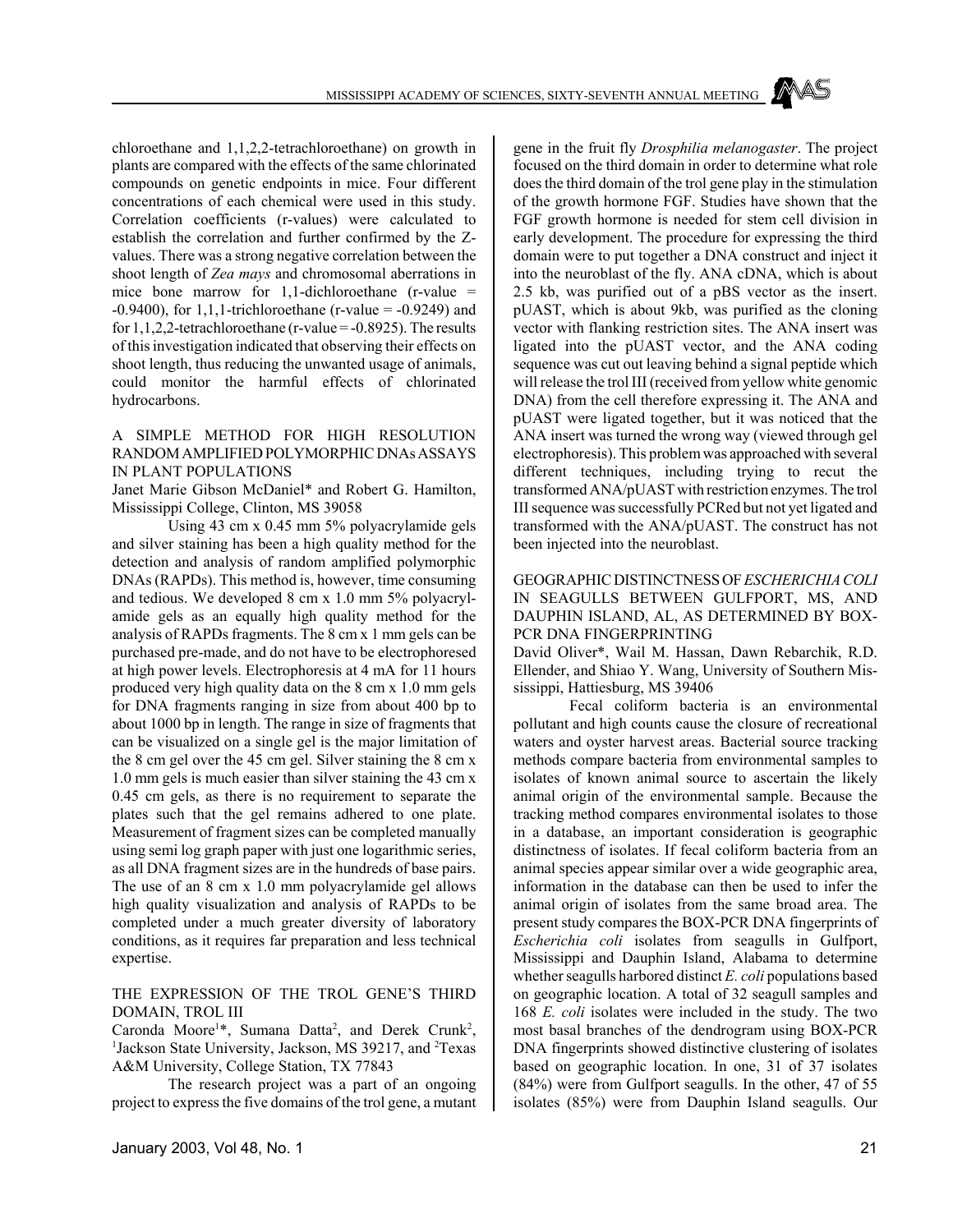chloroethane and 1,1,2,2-tetrachloroethane) on growth in plants are compared with the effects of the same chlorinated compounds on genetic endpoints in mice. Four different concentrations of each chemical were used in this study. Correlation coefficients (r-values) were calculated to establish the correlation and further confirmed by the Zvalues. There was a strong negative correlation between the shoot length of *Zea mays* and chromosomal aberrations in mice bone marrow for 1,1-dichloroethane  $(r-value =$  $-0.9400$ ), for 1,1,1-trichloroethane (r-value =  $-0.9249$ ) and for  $1,1,2,2$ -tetrachloroethane (r-value =  $-0.8925$ ). The results of this investigation indicated that observing their effects on shoot length, thus reducing the unwanted usage of animals, could monitor the harmful effects of chlorinated hydrocarbons.

### A SIMPLE METHOD FOR HIGH RESOLUTION RANDOM AMPLIFIED POLYMORPHIC DNAs ASSAYS IN PLANT POPULATIONS

Janet Marie Gibson McDaniel\* and Robert G. Hamilton, Mississippi College, Clinton, MS 39058

Using 43 cm x 0.45 mm 5% polyacrylamide gels and silver staining has been a high quality method for the detection and analysis of random amplified polymorphic DNAs (RAPDs). This method is, however, time consuming and tedious. We developed 8 cm x 1.0 mm 5% polyacrylamide gels as an equally high quality method for the analysis of RAPDs fragments. The 8 cm x 1 mm gels can be purchased pre-made, and do not have to be electrophoresed at high power levels. Electrophoresis at 4 mA for 11 hours produced very high quality data on the 8 cm x 1.0 mm gels for DNA fragments ranging in size from about 400 bp to about 1000 bp in length. The range in size of fragments that can be visualized on a single gel is the major limitation of the 8 cm gel over the 45 cm gel. Silver staining the 8 cm x 1.0 mm gels is much easier than silver staining the 43 cm x 0.45 cm gels, as there is no requirement to separate the plates such that the gel remains adhered to one plate. Measurement of fragment sizes can be completed manually using semi log graph paper with just one logarithmic series, as all DNA fragment sizes are in the hundreds of base pairs. The use of an 8 cm x 1.0 mm polyacrylamide gel allows high quality visualization and analysis of RAPDs to be completed under a much greater diversity of laboratory conditions, as it requires far preparation and less technical expertise.

### THE EXPRESSION OF THE TROL GENE'S THIRD DOMAIN, TROL III

Caronda Moore<sup>1\*</sup>, Sumana Datta<sup>2</sup>, and Derek Crunk<sup>2</sup>, <sup>1</sup>Jackson State University, Jackson, MS 39217, and <sup>2</sup>Texas A&M University, College Station, TX 77843

The research project was a part of an ongoing project to express the five domains of the trol gene, a mutant

gene in the fruit fly *Drosphilia melanogaster*. The project focused on the third domain in order to determine what role does the third domain of the trol gene play in the stimulation of the growth hormone FGF. Studies have shown that the FGF growth hormone is needed for stem cell division in early development. The procedure for expressing the third domain were to put together a DNA construct and inject it into the neuroblast of the fly. ANA cDNA, which is about 2.5 kb, was purified out of a pBS vector as the insert. pUAST, which is about 9kb, was purified as the cloning vector with flanking restriction sites. The ANA insert was ligated into the pUAST vector, and the ANA coding sequence was cut out leaving behind a signal peptide which will release the trol III (received from yellow white genomic DNA) from the cell therefore expressing it. The ANA and pUAST were ligated together, but it was noticed that the ANA insert was turned the wrong way (viewed through gel electrophoresis). This problem was approached with several different techniques, including trying to recut the transformed ANA/pUAST with restriction enzymes. The trol III sequence was successfully PCRed but not yet ligated and transformed with the ANA/pUAST. The construct has not been injected into the neuroblast.

### GEOGRAPHIC DISTINCTNESS OF *ESCHERICHIA COLI* IN SEAGULLS BETWEEN GULFPORT, MS, AND DAUPHIN ISLAND, AL, AS DETERMINED BY BOX-PCR DNA FINGERPRINTING

David Oliver\*, Wail M. Hassan, Dawn Rebarchik, R.D. Ellender, and Shiao Y. Wang, University of Southern Mississippi, Hattiesburg, MS 39406

Fecal coliform bacteria is an environmental pollutant and high counts cause the closure of recreational waters and oyster harvest areas. Bacterial source tracking methods compare bacteria from environmental samples to isolates of known animal source to ascertain the likely animal origin of the environmental sample. Because the tracking method compares environmental isolates to those in a database, an important consideration is geographic distinctness of isolates. If fecal coliform bacteria from an animal species appear similar over a wide geographic area, information in the database can then be used to infer the animal origin of isolates from the same broad area. The present study compares the BOX-PCR DNA fingerprints of *Escherichia coli* isolates from seagulls in Gulfport, Mississippi and Dauphin Island, Alabama to determine whether seagulls harbored distinct *E. coli* populations based on geographic location. A total of 32 seagull samples and 168 *E. coli* isolates were included in the study. The two most basal branches of the dendrogram using BOX-PCR DNA fingerprints showed distinctive clustering of isolates based on geographic location. In one, 31 of 37 isolates (84%) were from Gulfport seagulls. In the other, 47 of 55 isolates (85%) were from Dauphin Island seagulls. Our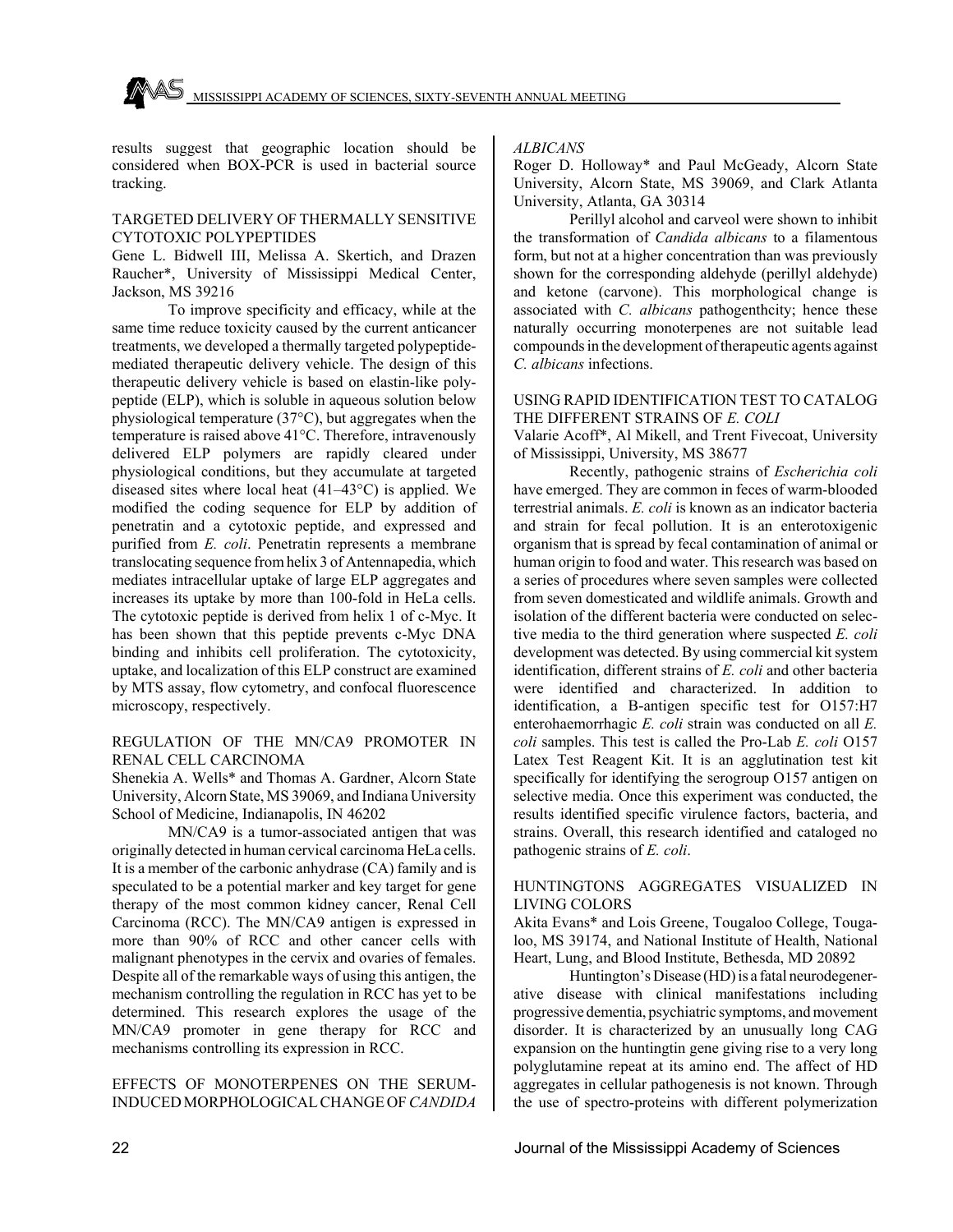

results suggest that geographic location should be considered when BOX-PCR is used in bacterial source tracking.

#### TARGETED DELIVERY OF THERMALLY SENSITIVE CYTOTOXIC POLYPEPTIDES

Gene L. Bidwell III, Melissa A. Skertich, and Drazen Raucher\*, University of Mississippi Medical Center, Jackson, MS 39216

To improve specificity and efficacy, while at the same time reduce toxicity caused by the current anticancer treatments, we developed a thermally targeted polypeptidemediated therapeutic delivery vehicle. The design of this therapeutic delivery vehicle is based on elastin-like polypeptide (ELP), which is soluble in aqueous solution below physiological temperature (37°C), but aggregates when the temperature is raised above 41°C. Therefore, intravenously delivered ELP polymers are rapidly cleared under physiological conditions, but they accumulate at targeted diseased sites where local heat (41–43°C) is applied. We modified the coding sequence for ELP by addition of penetratin and a cytotoxic peptide, and expressed and purified from *E. coli*. Penetratin represents a membrane translocating sequence from helix 3 of Antennapedia, which mediates intracellular uptake of large ELP aggregates and increases its uptake by more than 100-fold in HeLa cells. The cytotoxic peptide is derived from helix 1 of c-Myc. It has been shown that this peptide prevents c-Myc DNA binding and inhibits cell proliferation. The cytotoxicity, uptake, and localization of this ELP construct are examined by MTS assay, flow cytometry, and confocal fluorescence microscopy, respectively.

### REGULATION OF THE MN/CA9 PROMOTER IN RENAL CELL CARCINOMA

Shenekia A. Wells\* and Thomas A. Gardner, Alcorn State University, Alcorn State, MS 39069, and Indiana University School of Medicine, Indianapolis, IN 46202

MN/CA9 is a tumor-associated antigen that was originally detected in human cervical carcinoma HeLa cells. It is a member of the carbonic anhydrase (CA) family and is speculated to be a potential marker and key target for gene therapy of the most common kidney cancer, Renal Cell Carcinoma (RCC). The MN/CA9 antigen is expressed in more than 90% of RCC and other cancer cells with malignant phenotypes in the cervix and ovaries of females. Despite all of the remarkable ways of using this antigen, the mechanism controlling the regulation in RCC has yet to be determined. This research explores the usage of the MN/CA9 promoter in gene therapy for RCC and mechanisms controlling its expression in RCC.

### EFFECTS OF MONOTERPENES ON THE SERUM-INDUCED MORPHOLOGICAL CHANGE OF *CANDIDA*

*ALBICANS*

Roger D. Holloway\* and Paul McGeady, Alcorn State University, Alcorn State, MS 39069, and Clark Atlanta University, Atlanta, GA 30314

Perillyl alcohol and carveol were shown to inhibit the transformation of *Candida albicans* to a filamentous form, but not at a higher concentration than was previously shown for the corresponding aldehyde (perillyl aldehyde) and ketone (carvone). This morphological change is associated with *C. albicans* pathogenthcity; hence these naturally occurring monoterpenes are not suitable lead compounds in the development of therapeutic agents against *C. albicans* infections.

### USING RAPID IDENTIFICATION TEST TO CATALOG THE DIFFERENT STRAINS OF *E. COLI*

Valarie Acoff\*, Al Mikell, and Trent Fivecoat, University of Mississippi, University, MS 38677

Recently, pathogenic strains of *Escherichia coli* have emerged. They are common in feces of warm-blooded terrestrial animals. *E. coli* is known as an indicator bacteria and strain for fecal pollution. It is an enterotoxigenic organism that is spread by fecal contamination of animal or human origin to food and water. This research was based on a series of procedures where seven samples were collected from seven domesticated and wildlife animals. Growth and isolation of the different bacteria were conducted on selective media to the third generation where suspected *E. coli* development was detected. By using commercial kit system identification, different strains of *E. coli* and other bacteria were identified and characterized. In addition to identification, a B-antigen specific test for O157:H7 enterohaemorrhagic *E. coli* strain was conducted on all *E. coli* samples. This test is called the Pro-Lab *E. coli* O157 Latex Test Reagent Kit. It is an agglutination test kit specifically for identifying the serogroup O157 antigen on selective media. Once this experiment was conducted, the results identified specific virulence factors, bacteria, and strains. Overall, this research identified and cataloged no pathogenic strains of *E. coli*.

### HUNTINGTONS AGGREGATES VISUALIZED IN LIVING COLORS

Akita Evans\* and Lois Greene, Tougaloo College, Tougaloo, MS 39174, and National Institute of Health, National Heart, Lung, and Blood Institute, Bethesda, MD 20892

Huntington's Disease (HD) is a fatal neurodegenerative disease with clinical manifestations including progressive dementia, psychiatric symptoms, and movement disorder. It is characterized by an unusually long CAG expansion on the huntingtin gene giving rise to a very long polyglutamine repeat at its amino end. The affect of HD aggregates in cellular pathogenesis is not known. Through the use of spectro-proteins with different polymerization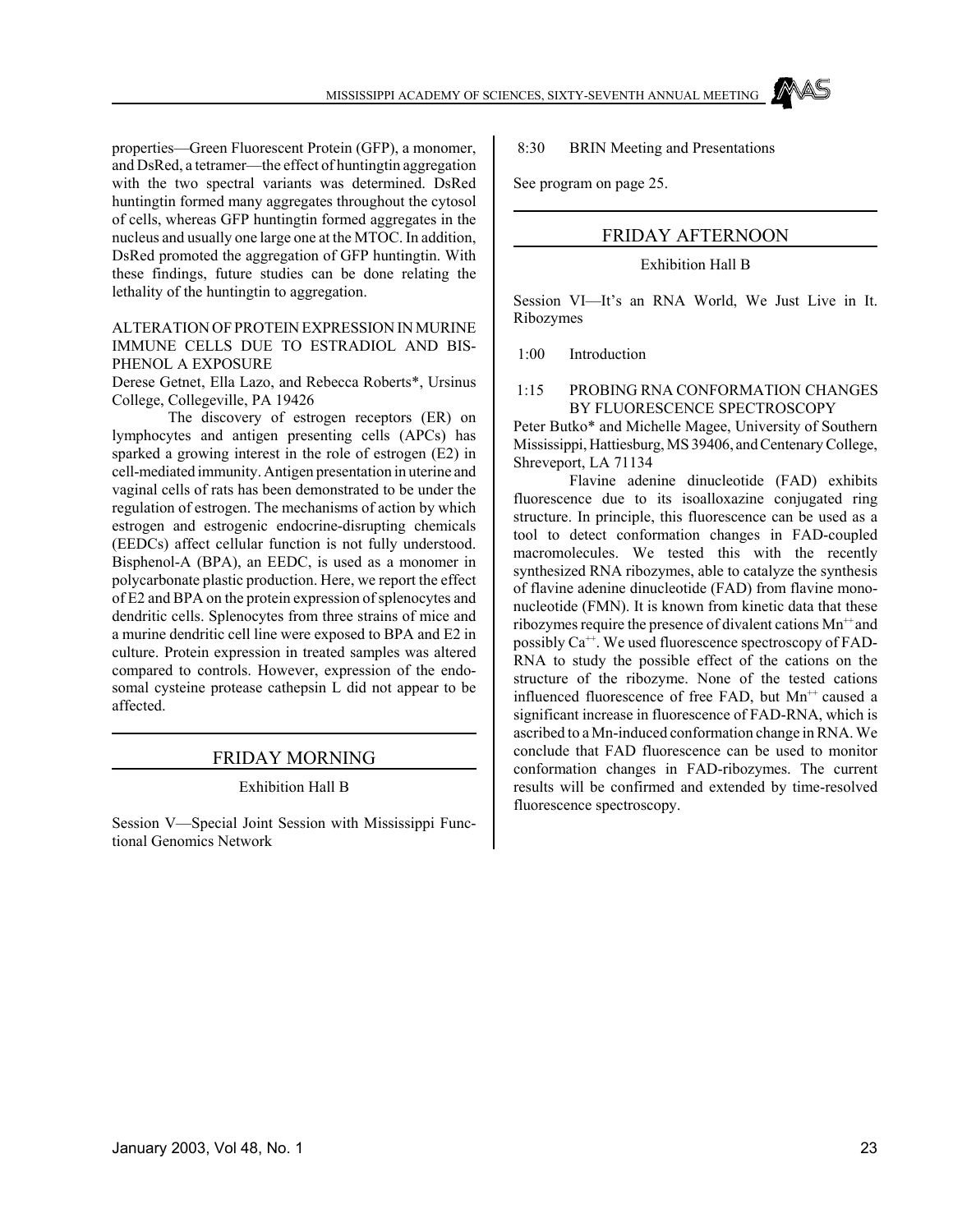properties—Green Fluorescent Protein (GFP), a monomer, and DsRed, a tetramer—the effect of huntingtin aggregation with the two spectral variants was determined. DsRed huntingtin formed many aggregates throughout the cytosol of cells, whereas GFP huntingtin formed aggregates in the nucleus and usually one large one at the MTOC. In addition, DsRed promoted the aggregation of GFP huntingtin. With these findings, future studies can be done relating the lethality of the huntingtin to aggregation.

### ALTERATION OF PROTEIN EXPRESSION IN MURINE IMMUNE CELLS DUE TO ESTRADIOL AND BIS-PHENOL A EXPOSURE

Derese Getnet, Ella Lazo, and Rebecca Roberts\*, Ursinus College, Collegeville, PA 19426

The discovery of estrogen receptors (ER) on lymphocytes and antigen presenting cells (APCs) has sparked a growing interest in the role of estrogen (E2) in cell-mediated immunity. Antigen presentation in uterine and vaginal cells of rats has been demonstrated to be under the regulation of estrogen. The mechanisms of action by which estrogen and estrogenic endocrine-disrupting chemicals (EEDCs) affect cellular function is not fully understood. Bisphenol-A (BPA), an EEDC, is used as a monomer in polycarbonate plastic production. Here, we report the effect of E2 and BPA on the protein expression of splenocytes and dendritic cells. Splenocytes from three strains of mice and a murine dendritic cell line were exposed to BPA and E2 in culture. Protein expression in treated samples was altered compared to controls. However, expression of the endosomal cysteine protease cathepsin L did not appear to be affected.

### FRIDAY MORNING

### Exhibition Hall B

Session V—Special Joint Session with Mississippi Functional Genomics Network

8:30 BRIN Meeting and Presentations

See program on page 25.

### FRIDAY AFTERNOON

### Exhibition Hall B

Session VI—It's an RNA World, We Just Live in It. Ribozymes

1:00 Introduction

#### 1:15 PROBING RNA CONFORMATION CHANGES BY FLUORESCENCE SPECTROSCOPY

Peter Butko\* and Michelle Magee, University of Southern Mississippi, Hattiesburg, MS 39406, and Centenary College, Shreveport, LA 71134

Flavine adenine dinucleotide (FAD) exhibits fluorescence due to its isoalloxazine conjugated ring structure. In principle, this fluorescence can be used as a tool to detect conformation changes in FAD-coupled macromolecules. We tested this with the recently synthesized RNA ribozymes, able to catalyze the synthesis of flavine adenine dinucleotide (FAD) from flavine mononucleotide (FMN). It is known from kinetic data that these ribozymes require the presence of divalent cations  $Mn^{+}$  and possibly  $Ca^{++}$ . We used fluorescence spectroscopy of FAD-RNA to study the possible effect of the cations on the structure of the ribozyme. None of the tested cations influenced fluorescence of free FAD, but  $Mn^{++}$  caused a significant increase in fluorescence of FAD-RNA, which is ascribed to a Mn-induced conformation change in RNA. We conclude that FAD fluorescence can be used to monitor conformation changes in FAD-ribozymes. The current results will be confirmed and extended by time-resolved fluorescence spectroscopy.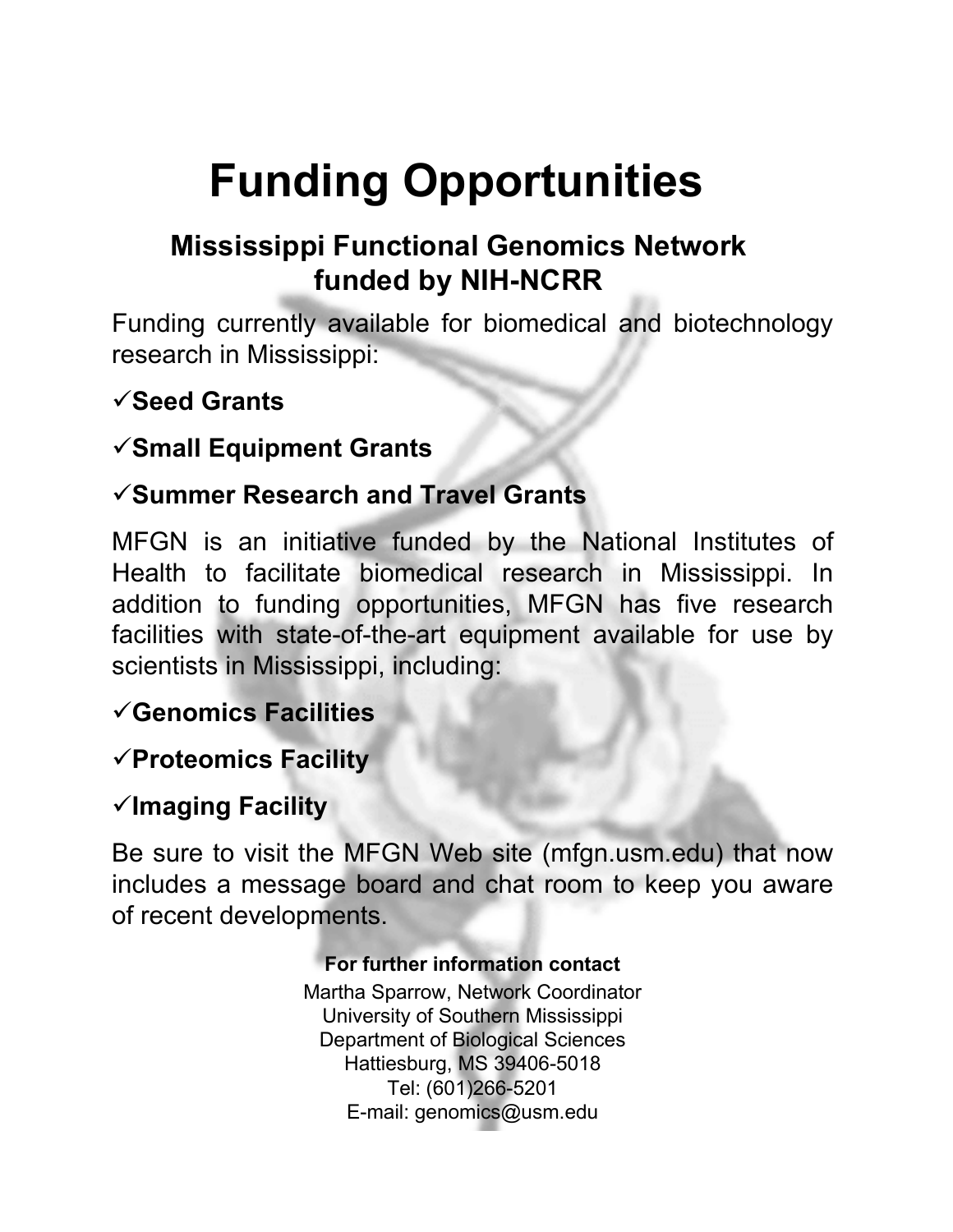# **Funding Opportunities**

# **Mississippi Functional Genomics Network funded by NIH-NCRR**

Funding currently available for biomedical and biotechnology research in Mississippi:

## 9**Seed Grants**

### 9**Small Equipment Grants**

### 9**Summer Research and Travel Grants**

MFGN is an initiative funded by the National Institutes of Health to facilitate biomedical research in Mississippi. In addition to funding opportunities, MFGN has five research facilities with state-of-the-art equipment available for use by scientists in Mississippi, including:

## 9**Genomics Facilities**

### 9**Proteomics Facility**

### 9**Imaging Facility**

Be sure to visit the MFGN Web site (mfgn.usm.edu) that now includes a message board and chat room to keep you aware of recent developments.

### **For further information contact**

Martha Sparrow, Network Coordinator University of Southern Mississippi Department of Biological Sciences Hattiesburg, MS 39406-5018 Tel: (601)266-5201 E-mail: genomics@usm.edu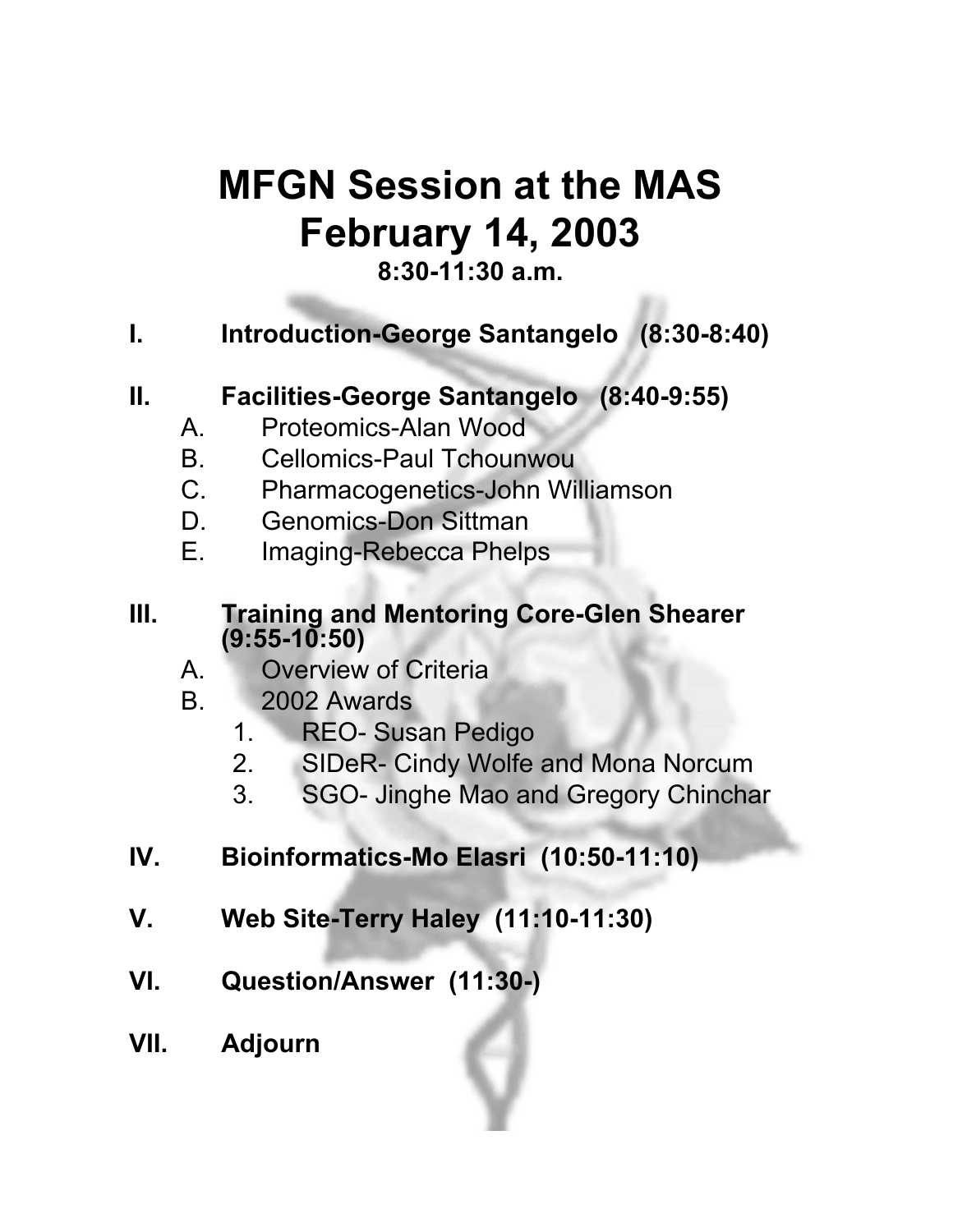# **MFGN Session at the MAS February 14, 2003**

### **8:30-11:30 a.m.**

## **I. Introduction-George Santangelo (8:30-8:40)**

## **II. Facilities-George Santangelo (8:40-9:55)**

- A. Proteomics-Alan Wood
- B. Cellomics-Paul Tchounwou
- C. Pharmacogenetics-John Williamson
- D. Genomics-Don Sittman
- E. Imaging-Rebecca Phelps

### **III. Training and Mentoring Core-Glen Shearer (9:55-10:50)**

- A. Overview of Criteria
- B. 2002 Awards
	- 1. REO- Susan Pedigo
	- 2. SIDeR- Cindy Wolfe and Mona Norcum
	- 3. SGO- Jinghe Mao and Gregory Chinchar
- **IV. Bioinformatics-Mo Elasri (10:50-11:10)**
- **V. Web Site-Terry Haley (11:10-11:30)**
- **VI. Question/Answer (11:30-)**
- **VII. Adjourn**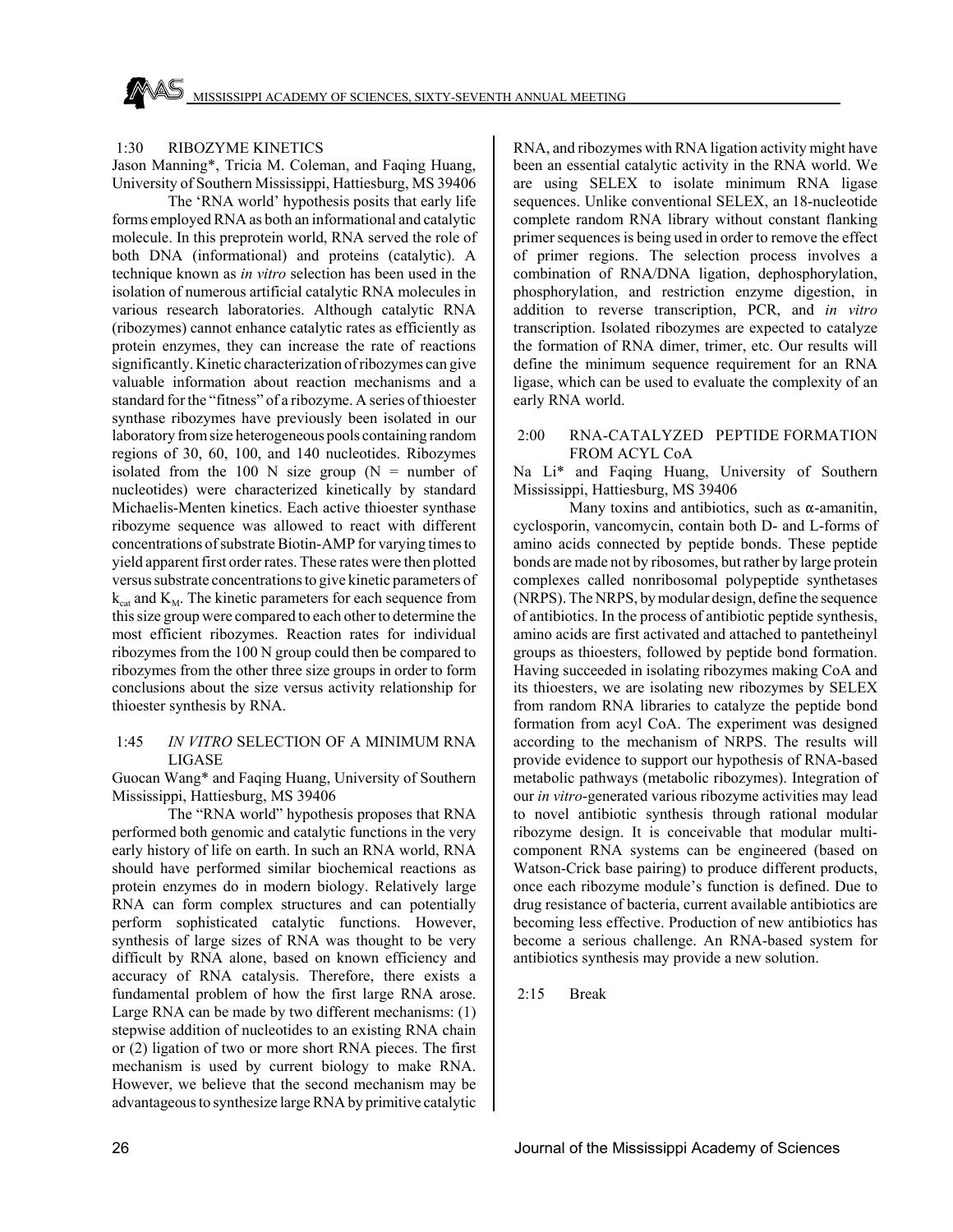### 1:30 RIBOZYME KINETICS

Jason Manning\*, Tricia M. Coleman, and Faqing Huang, University of Southern Mississippi, Hattiesburg, MS 39406

The 'RNA world' hypothesis posits that early life forms employed RNA as both an informational and catalytic molecule. In this preprotein world, RNA served the role of both DNA (informational) and proteins (catalytic). A technique known as *in vitro* selection has been used in the isolation of numerous artificial catalytic RNA molecules in various research laboratories. Although catalytic RNA (ribozymes) cannot enhance catalytic rates as efficiently as protein enzymes, they can increase the rate of reactions significantly. Kinetic characterization of ribozymes can give valuable information about reaction mechanisms and a standard for the "fitness" of a ribozyme. A series of thioester synthase ribozymes have previously been isolated in our laboratory from size heterogeneous pools containing random regions of 30, 60, 100, and 140 nucleotides. Ribozymes isolated from the 100 N size group  $(N =$  number of nucleotides) were characterized kinetically by standard Michaelis-Menten kinetics. Each active thioester synthase ribozyme sequence was allowed to react with different concentrations of substrate Biotin-AMP for varying times to yield apparent first order rates. These rates were then plotted versus substrate concentrations to give kinetic parameters of  $k_{\text{cat}}$  and  $K_{\text{M}}$ . The kinetic parameters for each sequence from this size group were compared to each other to determine the most efficient ribozymes. Reaction rates for individual ribozymes from the 100 N group could then be compared to ribozymes from the other three size groups in order to form conclusions about the size versus activity relationship for thioester synthesis by RNA.

### 1:45 *IN VITRO* SELECTION OF A MINIMUM RNA LIGASE

Guocan Wang\* and Faqing Huang, University of Southern Mississippi, Hattiesburg, MS 39406

The "RNA world" hypothesis proposes that RNA performed both genomic and catalytic functions in the very early history of life on earth. In such an RNA world, RNA should have performed similar biochemical reactions as protein enzymes do in modern biology. Relatively large RNA can form complex structures and can potentially perform sophisticated catalytic functions. However, synthesis of large sizes of RNA was thought to be very difficult by RNA alone, based on known efficiency and accuracy of RNA catalysis. Therefore, there exists a fundamental problem of how the first large RNA arose. Large RNA can be made by two different mechanisms: (1) stepwise addition of nucleotides to an existing RNA chain or (2) ligation of two or more short RNA pieces. The first mechanism is used by current biology to make RNA. However, we believe that the second mechanism may be advantageous to synthesize large RNA by primitive catalytic

RNA, and ribozymes with RNA ligation activity might have been an essential catalytic activity in the RNA world. We are using SELEX to isolate minimum RNA ligase sequences. Unlike conventional SELEX, an 18-nucleotide complete random RNA library without constant flanking primer sequences is being used in order to remove the effect of primer regions. The selection process involves a combination of RNA/DNA ligation, dephosphorylation, phosphorylation, and restriction enzyme digestion, in addition to reverse transcription, PCR, and *in vitro* transcription. Isolated ribozymes are expected to catalyze the formation of RNA dimer, trimer, etc. Our results will define the minimum sequence requirement for an RNA ligase, which can be used to evaluate the complexity of an early RNA world.

### 2:00 RNA-CATALYZED PEPTIDE FORMATION FROM ACYL CoA

Na Li\* and Faqing Huang, University of Southern Mississippi, Hattiesburg, MS 39406

Many toxins and antibiotics, such as  $\alpha$ -amanitin, cyclosporin, vancomycin, contain both D- and L-forms of amino acids connected by peptide bonds. These peptide bonds are made not by ribosomes, but rather by large protein complexes called nonribosomal polypeptide synthetases (NRPS). The NRPS, by modular design, define the sequence of antibiotics. In the process of antibiotic peptide synthesis, amino acids are first activated and attached to pantetheinyl groups as thioesters, followed by peptide bond formation. Having succeeded in isolating ribozymes making CoA and its thioesters, we are isolating new ribozymes by SELEX from random RNA libraries to catalyze the peptide bond formation from acyl CoA. The experiment was designed according to the mechanism of NRPS. The results will provide evidence to support our hypothesis of RNA-based metabolic pathways (metabolic ribozymes). Integration of our *in vitro*-generated various ribozyme activities may lead to novel antibiotic synthesis through rational modular ribozyme design. It is conceivable that modular multicomponent RNA systems can be engineered (based on Watson-Crick base pairing) to produce different products, once each ribozyme module's function is defined. Due to drug resistance of bacteria, current available antibiotics are becoming less effective. Production of new antibiotics has become a serious challenge. An RNA-based system for antibiotics synthesis may provide a new solution.

2:15 Break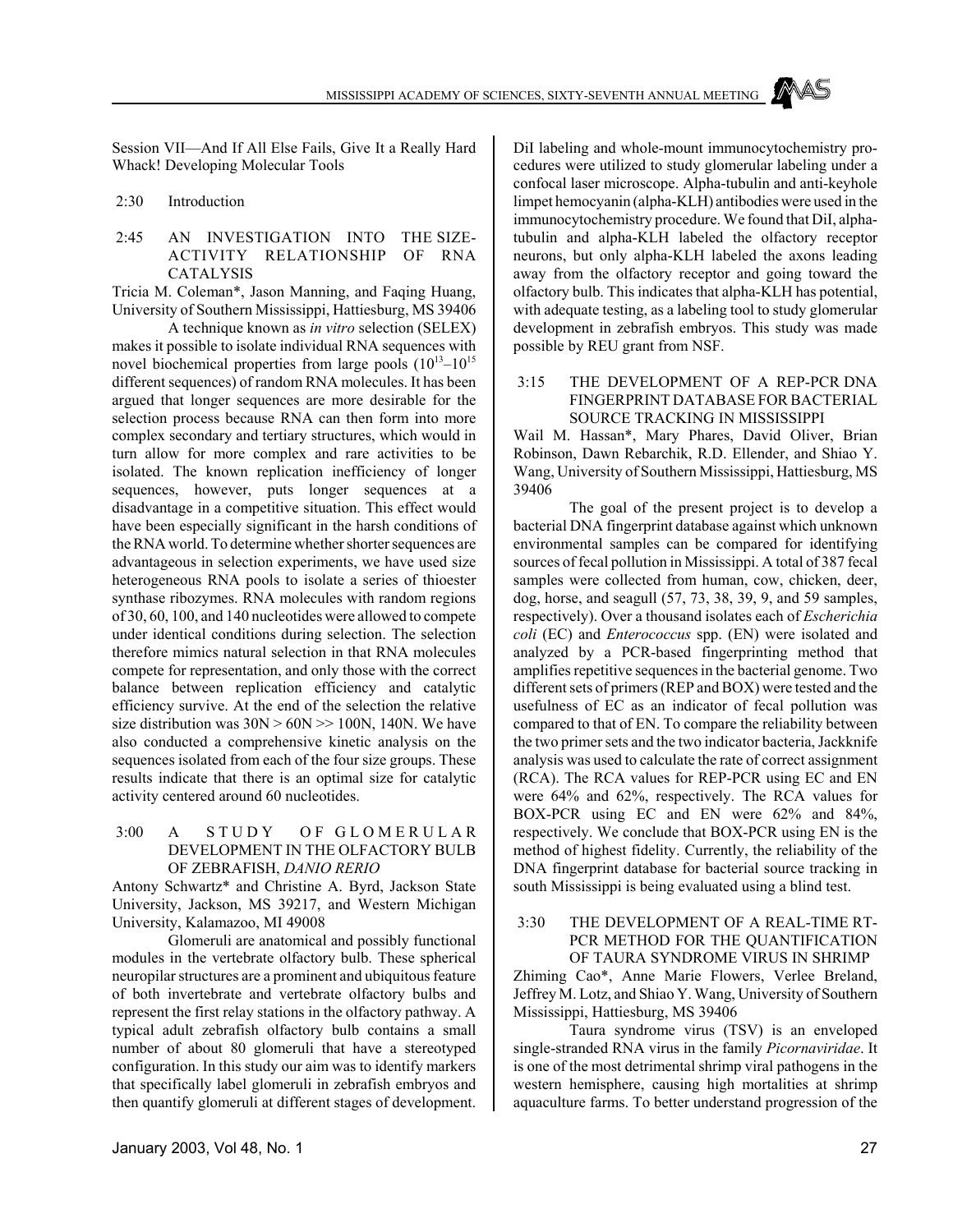Session VII—And If All Else Fails, Give It a Really Hard Whack! Developing Molecular Tools

### 2:30 Introduction

### 2:45 AN INVESTIGATION INTO THE SIZE-ACTIVITY RELATIONSHIP OF RNA CATALYSIS

Tricia M. Coleman\*, Jason Manning, and Faqing Huang, University of Southern Mississippi, Hattiesburg, MS 39406

A technique known as *in vitro* selection (SELEX) makes it possible to isolate individual RNA sequences with novel biochemical properties from large pools  $(10^{13}-10^{15})$ different sequences) of random RNA molecules. It has been argued that longer sequences are more desirable for the selection process because RNA can then form into more complex secondary and tertiary structures, which would in turn allow for more complex and rare activities to be isolated. The known replication inefficiency of longer sequences, however, puts longer sequences at a disadvantage in a competitive situation. This effect would have been especially significant in the harsh conditions of the RNA world. To determine whether shorter sequences are advantageous in selection experiments, we have used size heterogeneous RNA pools to isolate a series of thioester synthase ribozymes. RNA molecules with random regions of 30, 60, 100, and 140 nucleotides were allowed to compete under identical conditions during selection. The selection therefore mimics natural selection in that RNA molecules compete for representation, and only those with the correct balance between replication efficiency and catalytic efficiency survive. At the end of the selection the relative size distribution was  $30N > 60N \gg 100N$ , 140N. We have also conducted a comprehensive kinetic analysis on the sequences isolated from each of the four size groups. These results indicate that there is an optimal size for catalytic activity centered around 60 nucleotides.

### 3:00 A STUDY OF GLOMERULAR DEVELOPMENT IN THE OLFACTORY BULB OF ZEBRAFISH, *DANIO RERIO*

Antony Schwartz\* and Christine A. Byrd, Jackson State University, Jackson, MS 39217, and Western Michigan University, Kalamazoo, MI 49008

Glomeruli are anatomical and possibly functional modules in the vertebrate olfactory bulb. These spherical neuropilar structures are a prominent and ubiquitous feature of both invertebrate and vertebrate olfactory bulbs and represent the first relay stations in the olfactory pathway. A typical adult zebrafish olfactory bulb contains a small number of about 80 glomeruli that have a stereotyped configuration. In this study our aim was to identify markers that specifically label glomeruli in zebrafish embryos and then quantify glomeruli at different stages of development.

DiI labeling and whole-mount immunocytochemistry procedures were utilized to study glomerular labeling under a confocal laser microscope. Alpha-tubulin and anti-keyhole limpet hemocyanin (alpha-KLH) antibodies were used in the immunocytochemistry procedure. We found that DiI, alphatubulin and alpha-KLH labeled the olfactory receptor neurons, but only alpha-KLH labeled the axons leading away from the olfactory receptor and going toward the olfactory bulb. This indicates that alpha-KLH has potential, with adequate testing, as a labeling tool to study glomerular development in zebrafish embryos. This study was made possible by REU grant from NSF.

### 3:15 THE DEVELOPMENT OF A REP-PCR DNA FINGERPRINT DATABASE FOR BACTERIAL SOURCE TRACKING IN MISSISSIPPI

Wail M. Hassan\*, Mary Phares, David Oliver, Brian Robinson, Dawn Rebarchik, R.D. Ellender, and Shiao Y. Wang, University of Southern Mississippi, Hattiesburg, MS 39406

The goal of the present project is to develop a bacterial DNA fingerprint database against which unknown environmental samples can be compared for identifying sources of fecal pollution in Mississippi. A total of 387 fecal samples were collected from human, cow, chicken, deer, dog, horse, and seagull (57, 73, 38, 39, 9, and 59 samples, respectively). Over a thousand isolates each of *Escherichia coli* (EC) and *Enterococcus* spp. (EN) were isolated and analyzed by a PCR-based fingerprinting method that amplifies repetitive sequences in the bacterial genome. Two different sets of primers (REP and BOX) were tested and the usefulness of EC as an indicator of fecal pollution was compared to that of EN. To compare the reliability between the two primer sets and the two indicator bacteria, Jackknife analysis was used to calculate the rate of correct assignment (RCA). The RCA values for REP-PCR using EC and EN were 64% and 62%, respectively. The RCA values for BOX-PCR using EC and EN were 62% and 84%, respectively. We conclude that BOX-PCR using EN is the method of highest fidelity. Currently, the reliability of the DNA fingerprint database for bacterial source tracking in south Mississippi is being evaluated using a blind test.

### 3:30 THE DEVELOPMENT OF A REAL-TIME RT-PCR METHOD FOR THE OUANTIFICATION OF TAURA SYNDROME VIRUS IN SHRIMP

Zhiming Cao\*, Anne Marie Flowers, Verlee Breland, Jeffrey M. Lotz, and Shiao Y. Wang, University of Southern Mississippi, Hattiesburg, MS 39406

Taura syndrome virus (TSV) is an enveloped single-stranded RNA virus in the family *Picornaviridae*. It is one of the most detrimental shrimp viral pathogens in the western hemisphere, causing high mortalities at shrimp aquaculture farms. To better understand progression of the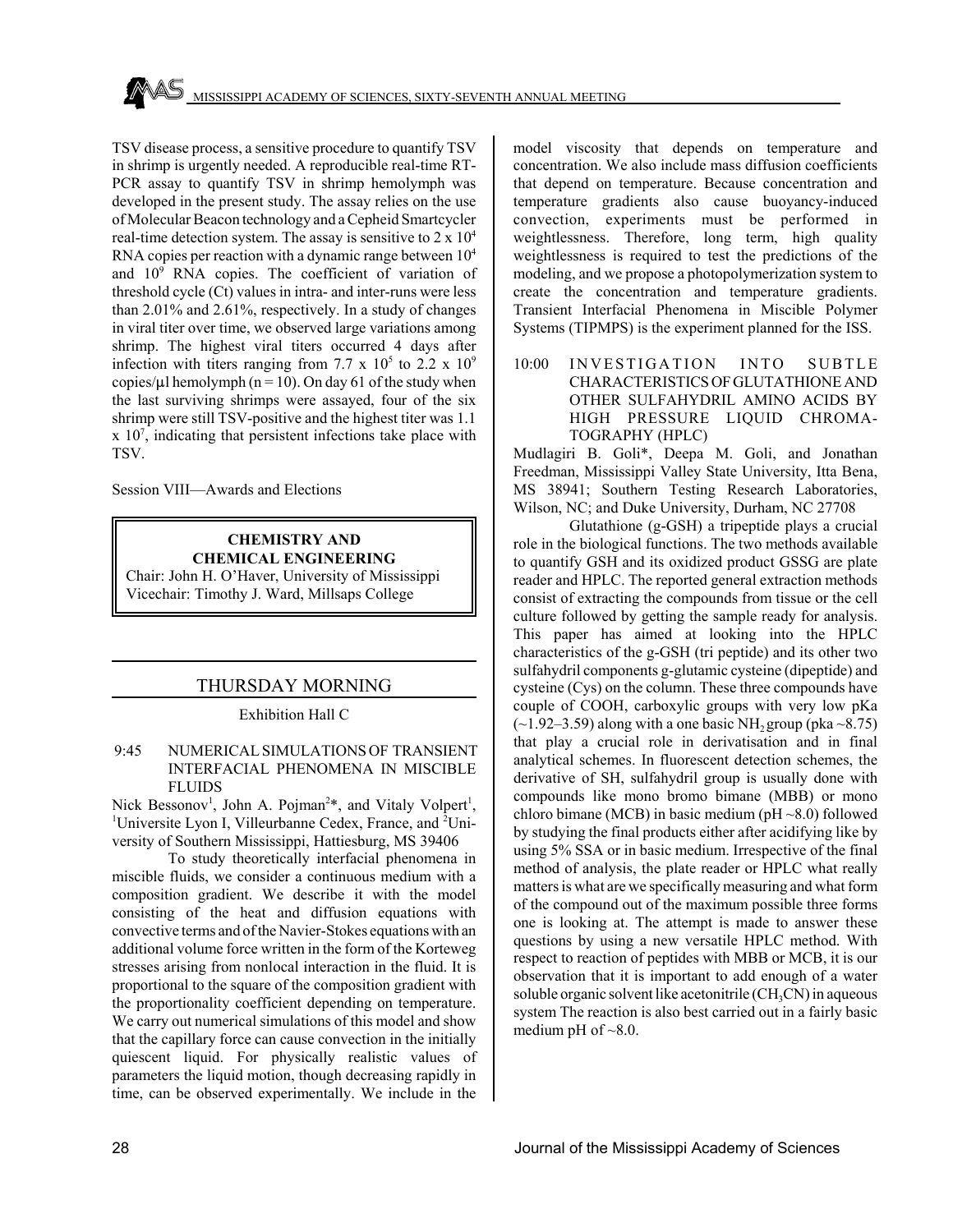TSV disease process, a sensitive procedure to quantify TSV in shrimp is urgently needed. A reproducible real-time RT-PCR assay to quantify TSV in shrimp hemolymph was developed in the present study. The assay relies on the use of Molecular Beacon technology and a Cepheid Smartcycler real-time detection system. The assay is sensitive to  $2 \times 10^4$ RNA copies per reaction with a dynamic range between  $10^4$ and 109 RNA copies. The coefficient of variation of threshold cycle (Ct) values in intra- and inter-runs were less than 2.01% and 2.61%, respectively. In a study of changes in viral titer over time, we observed large variations among shrimp. The highest viral titers occurred 4 days after infection with titers ranging from 7.7 x  $10^5$  to 2.2 x  $10^9$ copies/ $\mu$ l hemolymph (n = 10). On day 61 of the study when the last surviving shrimps were assayed, four of the six shrimp were still TSV-positive and the highest titer was 1.1  $x$  10<sup>7</sup>, indicating that persistent infections take place with TSV.

Session VIII—Awards and Elections

**CHEMISTRY AND CHEMICAL ENGINEERING** Chair: John H. O'Haver, University of Mississippi Vicechair: Timothy J. Ward, Millsaps College

### THURSDAY MORNING

### Exhibition Hall C

### 9:45 NUMERICAL SIMULATIONS OF TRANSIENT INTERFACIAL PHENOMENA IN MISCIBLE FLUIDS

Nick Bessonov<sup>1</sup>, John A. Pojman<sup>2\*</sup>, and Vitaly Volpert<sup>1</sup>, <sup>1</sup>Universite Lyon I, Villeurbanne Cedex, France, and <sup>2</sup>University of Southern Mississippi, Hattiesburg, MS 39406

To study theoretically interfacial phenomena in miscible fluids, we consider a continuous medium with a composition gradient. We describe it with the model consisting of the heat and diffusion equations with convective terms and of the Navier-Stokes equations with an additional volume force written in the form of the Korteweg stresses arising from nonlocal interaction in the fluid. It is proportional to the square of the composition gradient with the proportionality coefficient depending on temperature. We carry out numerical simulations of this model and show that the capillary force can cause convection in the initially quiescent liquid. For physically realistic values of parameters the liquid motion, though decreasing rapidly in time, can be observed experimentally. We include in the

model viscosity that depends on temperature and concentration. We also include mass diffusion coefficients that depend on temperature. Because concentration and temperature gradients also cause buoyancy-induced convection, experiments must be performed in weightlessness. Therefore, long term, high quality weightlessness is required to test the predictions of the modeling, and we propose a photopolymerization system to create the concentration and temperature gradients. Transient Interfacial Phenomena in Miscible Polymer Systems (TIPMPS) is the experiment planned for the ISS.

10:00 INVESTIGATION INTO SUBTLE CHARACTERISTICS OF GLUTATHIONE AND OTHER SULFAHYDRIL AMINO ACIDS BY HIGH PRESSURE LIQUID CHROMA-TOGRAPHY (HPLC)

Mudlagiri B. Goli\*, Deepa M. Goli, and Jonathan Freedman, Mississippi Valley State University, Itta Bena, MS 38941; Southern Testing Research Laboratories, Wilson, NC; and Duke University, Durham, NC 27708

Glutathione (g-GSH) a tripeptide plays a crucial role in the biological functions. The two methods available to quantify GSH and its oxidized product GSSG are plate reader and HPLC. The reported general extraction methods consist of extracting the compounds from tissue or the cell culture followed by getting the sample ready for analysis. This paper has aimed at looking into the HPLC characteristics of the g-GSH (tri peptide) and its other two sulfahydril components g-glutamic cysteine (dipeptide) and cysteine (Cys) on the column. These three compounds have couple of COOH, carboxylic groups with very low pKa  $(-1.92-3.59)$  along with a one basic NH<sub>2</sub> group (pka ~8.75) that play a crucial role in derivatisation and in final analytical schemes. In fluorescent detection schemes, the derivative of SH, sulfahydril group is usually done with compounds like mono bromo bimane (MBB) or mono chloro bimane (MCB) in basic medium ( $pH \sim 8.0$ ) followed by studying the final products either after acidifying like by using 5% SSA or in basic medium. Irrespective of the final method of analysis, the plate reader or HPLC what really matters is what are we specifically measuring and what form of the compound out of the maximum possible three forms one is looking at. The attempt is made to answer these questions by using a new versatile HPLC method. With respect to reaction of peptides with MBB or MCB, it is our observation that it is important to add enough of a water soluble organic solvent like acetonitrile  $(CH_3CN)$  in aqueous system The reaction is also best carried out in a fairly basic medium pH of  $\sim$ 8.0.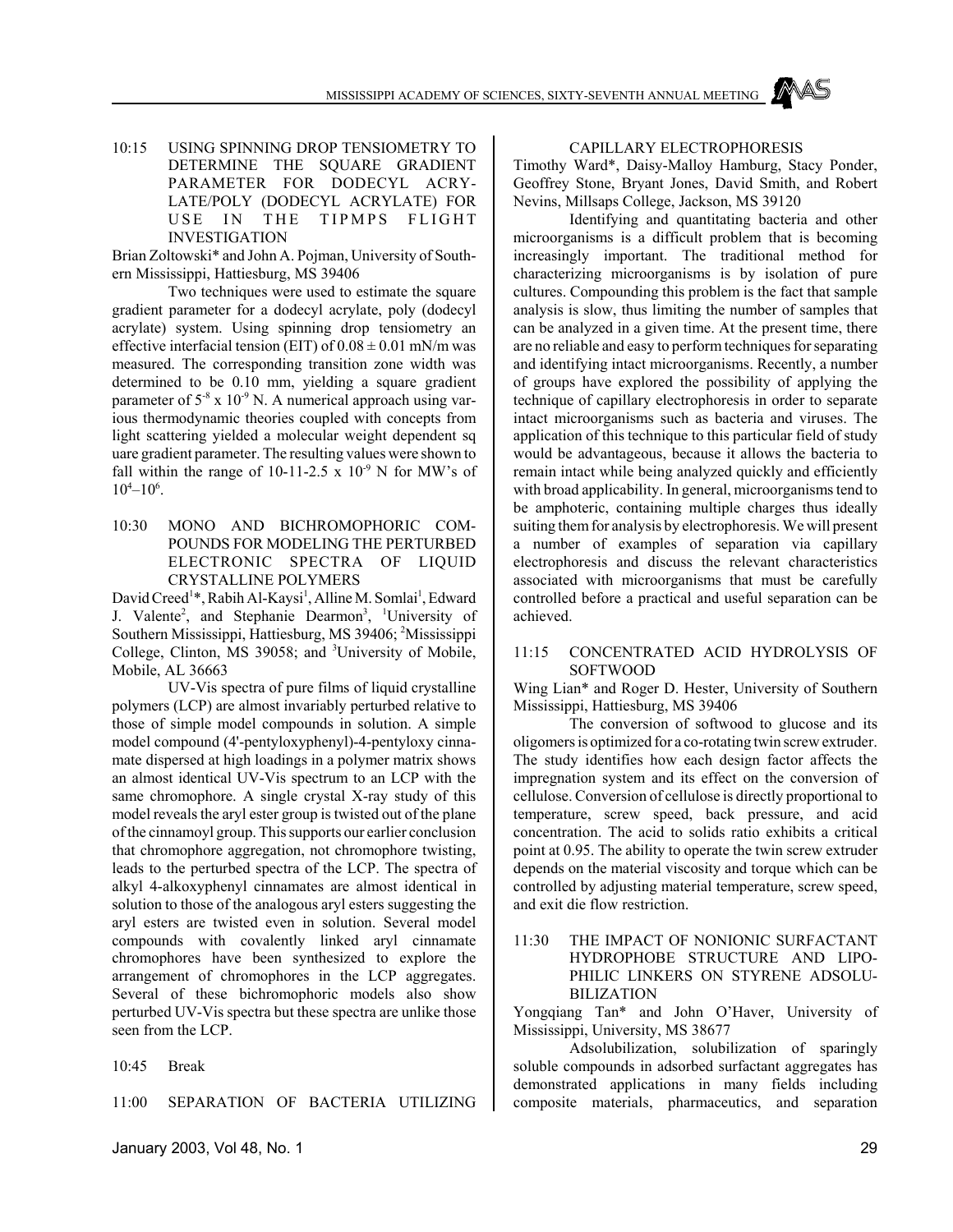10:15 USING SPINNING DROP TENSIOMETRY TO DETERMINE THE SQUARE GRADIENT PARAMETER FOR DODECYL ACRY-LATE/POLY (DODECYL ACRYLATE) FOR USE IN THE TIPMPS FLIGHT INVESTIGATION

Brian Zoltowski\* and John A. Pojman, University of Southern Mississippi, Hattiesburg, MS 39406

Two techniques were used to estimate the square gradient parameter for a dodecyl acrylate, poly (dodecyl acrylate) system. Using spinning drop tensiometry an effective interfacial tension (EIT) of  $0.08 \pm 0.01$  mN/m was measured. The corresponding transition zone width was determined to be 0.10 mm, yielding a square gradient parameter of  $5<sup>-8</sup>$  x 10<sup>-9</sup> N. A numerical approach using various thermodynamic theories coupled with concepts from light scattering yielded a molecular weight dependent sq uare gradient parameter. The resulting values were shown to fall within the range of 10-11-2.5  $\times$  10<sup>-9</sup> N for MW's of  $10^{4}-10^{6}$ .

10:30 MONO AND BICHROMOPHORIC COM-POUNDS FOR MODELING THE PERTURBED ELECTRONIC SPECTRA OF LIQUID CRYSTALLINE POLYMERS

David Creed<sup>1</sup>\*, Rabih Al-Kaysi<sup>1</sup>, Alline M. Somlai<sup>1</sup>, Edward J. Valente<sup>2</sup>, and Stephanie Dearmon<sup>3</sup>, <sup>1</sup>University of Southern Mississippi, Hattiesburg, MS 39406; 2 Mississippi College, Clinton, MS 39058; and <sup>3</sup>University of Mobile, Mobile, AL 36663

UV-Vis spectra of pure films of liquid crystalline polymers (LCP) are almost invariably perturbed relative to those of simple model compounds in solution. A simple model compound (4'-pentyloxyphenyl)-4-pentyloxy cinnamate dispersed at high loadings in a polymer matrix shows an almost identical UV-Vis spectrum to an LCP with the same chromophore. A single crystal X-ray study of this model reveals the aryl ester group is twisted out of the plane of the cinnamoyl group. This supports our earlier conclusion that chromophore aggregation, not chromophore twisting, leads to the perturbed spectra of the LCP. The spectra of alkyl 4-alkoxyphenyl cinnamates are almost identical in solution to those of the analogous aryl esters suggesting the aryl esters are twisted even in solution. Several model compounds with covalently linked aryl cinnamate chromophores have been synthesized to explore the arrangement of chromophores in the LCP aggregates. Several of these bichromophoric models also show perturbed UV-Vis spectra but these spectra are unlike those seen from the LCP.

10:45 Break

11:00 SEPARATION OF BACTERIA UTILIZING

### CAPILLARY ELECTROPHORESIS

Timothy Ward\*, Daisy-Malloy Hamburg, Stacy Ponder, Geoffrey Stone, Bryant Jones, David Smith, and Robert Nevins, Millsaps College, Jackson, MS 39120

Identifying and quantitating bacteria and other microorganisms is a difficult problem that is becoming increasingly important. The traditional method for characterizing microorganisms is by isolation of pure cultures. Compounding this problem is the fact that sample analysis is slow, thus limiting the number of samples that can be analyzed in a given time. At the present time, there are no reliable and easy to perform techniques for separating and identifying intact microorganisms. Recently, a number of groups have explored the possibility of applying the technique of capillary electrophoresis in order to separate intact microorganisms such as bacteria and viruses. The application of this technique to this particular field of study would be advantageous, because it allows the bacteria to remain intact while being analyzed quickly and efficiently with broad applicability. In general, microorganisms tend to be amphoteric, containing multiple charges thus ideally suiting them for analysis by electrophoresis. We will present a number of examples of separation via capillary electrophoresis and discuss the relevant characteristics associated with microorganisms that must be carefully controlled before a practical and useful separation can be achieved.

### 11:15 CONCENTRATED ACID HYDROLYSIS OF SOFTWOOD

Wing Lian\* and Roger D. Hester, University of Southern Mississippi, Hattiesburg, MS 39406

The conversion of softwood to glucose and its oligomers is optimized for a co-rotating twin screw extruder. The study identifies how each design factor affects the impregnation system and its effect on the conversion of cellulose. Conversion of cellulose is directly proportional to temperature, screw speed, back pressure, and acid concentration. The acid to solids ratio exhibits a critical point at 0.95. The ability to operate the twin screw extruder depends on the material viscosity and torque which can be controlled by adjusting material temperature, screw speed, and exit die flow restriction.

11:30 THE IMPACT OF NONIONIC SURFACTANT HYDROPHOBE STRUCTURE AND LIPO-PHILIC LINKERS ON STYRENE ADSOLU-BILIZATION

Yongqiang Tan\* and John O'Haver, University of Mississippi, University, MS 38677

Adsolubilization, solubilization of sparingly soluble compounds in adsorbed surfactant aggregates has demonstrated applications in many fields including composite materials, pharmaceutics, and separation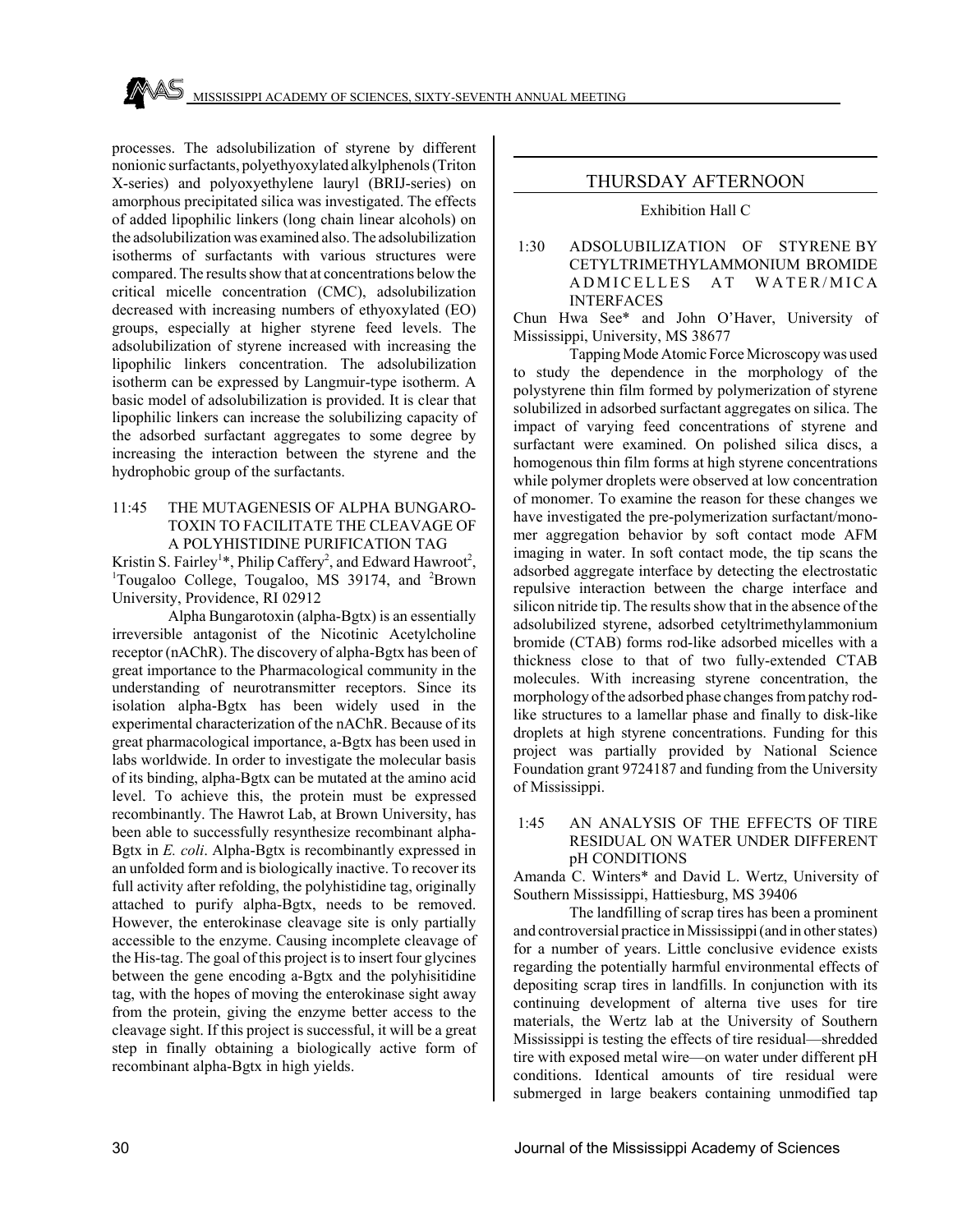processes. The adsolubilization of styrene by different nonionic surfactants, polyethyoxylated alkylphenols (Triton X-series) and polyoxyethylene lauryl (BRIJ-series) on amorphous precipitated silica was investigated. The effects of added lipophilic linkers (long chain linear alcohols) on the adsolubilization was examined also. The adsolubilization isotherms of surfactants with various structures were compared. The results show that at concentrations below the critical micelle concentration (CMC), adsolubilization decreased with increasing numbers of ethyoxylated (EO) groups, especially at higher styrene feed levels. The adsolubilization of styrene increased with increasing the lipophilic linkers concentration. The adsolubilization isotherm can be expressed by Langmuir-type isotherm. A basic model of adsolubilization is provided. It is clear that lipophilic linkers can increase the solubilizing capacity of the adsorbed surfactant aggregates to some degree by increasing the interaction between the styrene and the hydrophobic group of the surfactants.

### 11:45 THE MUTAGENESIS OF ALPHA BUNGARO-TOXIN TO FACILITATE THE CLEAVAGE OF A POLYHISTIDINE PURIFICATION TAG

Kristin S. Fairley<sup>1\*</sup>, Philip Caffery<sup>2</sup>, and Edward Hawroot<sup>2</sup>, <sup>1</sup>Tougaloo College, Tougaloo, MS 39174, and <sup>2</sup>Brown University, Providence, RI 02912

Alpha Bungarotoxin (alpha-Bgtx) is an essentially irreversible antagonist of the Nicotinic Acetylcholine receptor (nAChR). The discovery of alpha-Bgtx has been of great importance to the Pharmacological community in the understanding of neurotransmitter receptors. Since its isolation alpha-Bgtx has been widely used in the experimental characterization of the nAChR. Because of its great pharmacological importance, a-Bgtx has been used in labs worldwide. In order to investigate the molecular basis of its binding, alpha-Bgtx can be mutated at the amino acid level. To achieve this, the protein must be expressed recombinantly. The Hawrot Lab, at Brown University, has been able to successfully resynthesize recombinant alpha-Bgtx in *E. coli*. Alpha-Bgtx is recombinantly expressed in an unfolded form and is biologically inactive. To recover its full activity after refolding, the polyhistidine tag, originally attached to purify alpha-Bgtx, needs to be removed. However, the enterokinase cleavage site is only partially accessible to the enzyme. Causing incomplete cleavage of the His-tag. The goal of this project is to insert four glycines between the gene encoding a-Bgtx and the polyhisitidine tag, with the hopes of moving the enterokinase sight away from the protein, giving the enzyme better access to the cleavage sight. If this project is successful, it will be a great step in finally obtaining a biologically active form of recombinant alpha-Bgtx in high yields.

### THURSDAY AFTERNOON

#### Exhibition Hall C

### 1:30 ADSOLUBILIZATION OF STYRENE BY CETYLTRIMETHYLAMMONIUM BROMIDE ADMICELLES AT WATER/MICA INTERFACES

Chun Hwa See\* and John O'Haver, University of Mississippi, University, MS 38677

Tapping Mode Atomic Force Microscopy was used to study the dependence in the morphology of the polystyrene thin film formed by polymerization of styrene solubilized in adsorbed surfactant aggregates on silica. The impact of varying feed concentrations of styrene and surfactant were examined. On polished silica discs, a homogenous thin film forms at high styrene concentrations while polymer droplets were observed at low concentration of monomer. To examine the reason for these changes we have investigated the pre-polymerization surfactant/monomer aggregation behavior by soft contact mode AFM imaging in water. In soft contact mode, the tip scans the adsorbed aggregate interface by detecting the electrostatic repulsive interaction between the charge interface and silicon nitride tip. The results show that in the absence of the adsolubilized styrene, adsorbed cetyltrimethylammonium bromide (CTAB) forms rod-like adsorbed micelles with a thickness close to that of two fully-extended CTAB molecules. With increasing styrene concentration, the morphology of the adsorbed phase changes from patchy rodlike structures to a lamellar phase and finally to disk-like droplets at high styrene concentrations. Funding for this project was partially provided by National Science Foundation grant 9724187 and funding from the University of Mississippi.

### 1:45 AN ANALYSIS OF THE EFFECTS OF TIRE RESIDUAL ON WATER UNDER DIFFERENT pH CONDITIONS

Amanda C. Winters\* and David L. Wertz, University of Southern Mississippi, Hattiesburg, MS 39406

The landfilling of scrap tires has been a prominent and controversial practice in Mississippi (and in other states) for a number of years. Little conclusive evidence exists regarding the potentially harmful environmental effects of depositing scrap tires in landfills. In conjunction with its continuing development of alterna tive uses for tire materials, the Wertz lab at the University of Southern Mississippi is testing the effects of tire residual—shredded tire with exposed metal wire—on water under different pH conditions. Identical amounts of tire residual were submerged in large beakers containing unmodified tap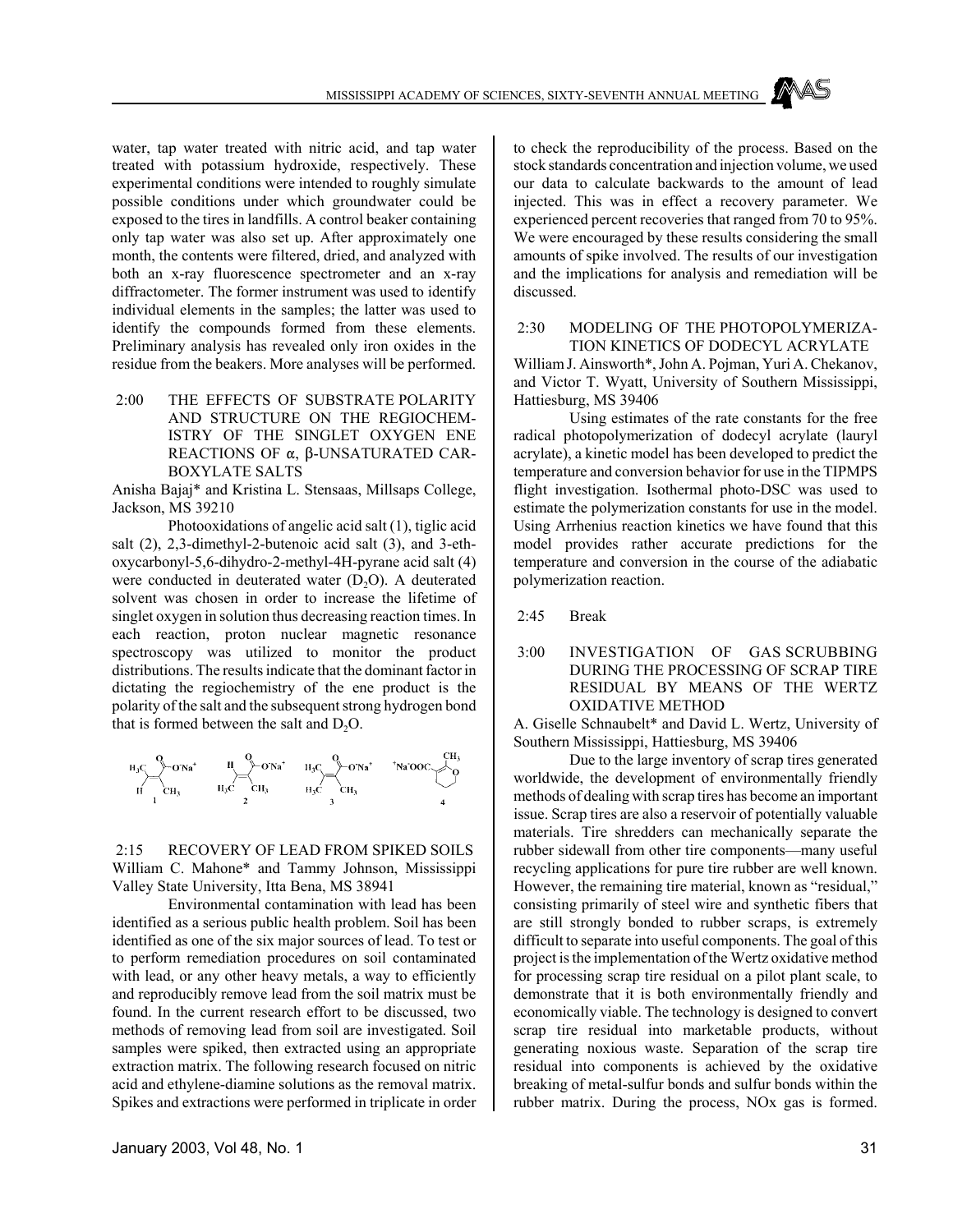water, tap water treated with nitric acid, and tap water treated with potassium hydroxide, respectively. These experimental conditions were intended to roughly simulate possible conditions under which groundwater could be exposed to the tires in landfills. A control beaker containing only tap water was also set up. After approximately one month, the contents were filtered, dried, and analyzed with both an x-ray fluorescence spectrometer and an x-ray diffractometer. The former instrument was used to identify individual elements in the samples; the latter was used to identify the compounds formed from these elements. Preliminary analysis has revealed only iron oxides in the residue from the beakers. More analyses will be performed.

 2:00 THE EFFECTS OF SUBSTRATE POLARITY AND STRUCTURE ON THE REGIOCHEM-ISTRY OF THE SINGLET OXYGEN ENE REACTIONS OF  $\alpha$ ,  $\beta$ -UNSATURATED CAR-BOXYLATE SALTS

Anisha Bajaj\* and Kristina L. Stensaas, Millsaps College, Jackson, MS 39210

Photooxidations of angelic acid salt (1), tiglic acid salt (2), 2,3-dimethyl-2-butenoic acid salt (3), and 3-ethoxycarbonyl-5,6-dihydro-2-methyl-4H-pyrane acid salt (4) were conducted in deuterated water  $(D<sub>2</sub>O)$ . A deuterated solvent was chosen in order to increase the lifetime of singlet oxygen in solution thus decreasing reaction times. In each reaction, proton nuclear magnetic resonance spectroscopy was utilized to monitor the product distributions. The results indicate that the dominant factor in dictating the regiochemistry of the ene product is the polarity of the salt and the subsequent strong hydrogen bond that is formed between the salt and  $D_2O$ .



 2:15 RECOVERY OF LEAD FROM SPIKED SOILS William C. Mahone\* and Tammy Johnson, Mississippi Valley State University, Itta Bena, MS 38941

Environmental contamination with lead has been identified as a serious public health problem. Soil has been identified as one of the six major sources of lead. To test or to perform remediation procedures on soil contaminated with lead, or any other heavy metals, a way to efficiently and reproducibly remove lead from the soil matrix must be found. In the current research effort to be discussed, two methods of removing lead from soil are investigated. Soil samples were spiked, then extracted using an appropriate extraction matrix. The following research focused on nitric acid and ethylene-diamine solutions as the removal matrix. Spikes and extractions were performed in triplicate in order to check the reproducibility of the process. Based on the stock standards concentration and injection volume, we used our data to calculate backwards to the amount of lead injected. This was in effect a recovery parameter. We experienced percent recoveries that ranged from 70 to 95%. We were encouraged by these results considering the small amounts of spike involved. The results of our investigation and the implications for analysis and remediation will be discussed.

 2:30 MODELING OF THE PHOTOPOLYMERIZA-TION KINETICS OF DODECYL ACRYLATE William J. Ainsworth\*, John A. Pojman, Yuri A. Chekanov, and Victor T. Wyatt, University of Southern Mississippi, Hattiesburg, MS 39406

Using estimates of the rate constants for the free radical photopolymerization of dodecyl acrylate (lauryl acrylate), a kinetic model has been developed to predict the temperature and conversion behavior for use in the TIPMPS flight investigation. Isothermal photo-DSC was used to estimate the polymerization constants for use in the model. Using Arrhenius reaction kinetics we have found that this model provides rather accurate predictions for the temperature and conversion in the course of the adiabatic polymerization reaction.

2:45 Break

### 3:00 INVESTIGATION OF GAS SCRUBBING DURING THE PROCESSING OF SCRAP TIRE RESIDUAL BY MEANS OF THE WERTZ OXIDATIVE METHOD

A. Giselle Schnaubelt\* and David L. Wertz, University of Southern Mississippi, Hattiesburg, MS 39406

Due to the large inventory of scrap tires generated worldwide, the development of environmentally friendly methods of dealing with scrap tires has become an important issue. Scrap tires are also a reservoir of potentially valuable materials. Tire shredders can mechanically separate the rubber sidewall from other tire components—many useful recycling applications for pure tire rubber are well known. However, the remaining tire material, known as "residual," consisting primarily of steel wire and synthetic fibers that are still strongly bonded to rubber scraps, is extremely difficult to separate into useful components. The goal of this project is the implementation of the Wertz oxidative method for processing scrap tire residual on a pilot plant scale, to demonstrate that it is both environmentally friendly and economically viable. The technology is designed to convert scrap tire residual into marketable products, without generating noxious waste. Separation of the scrap tire residual into components is achieved by the oxidative breaking of metal-sulfur bonds and sulfur bonds within the rubber matrix. During the process, NOx gas is formed.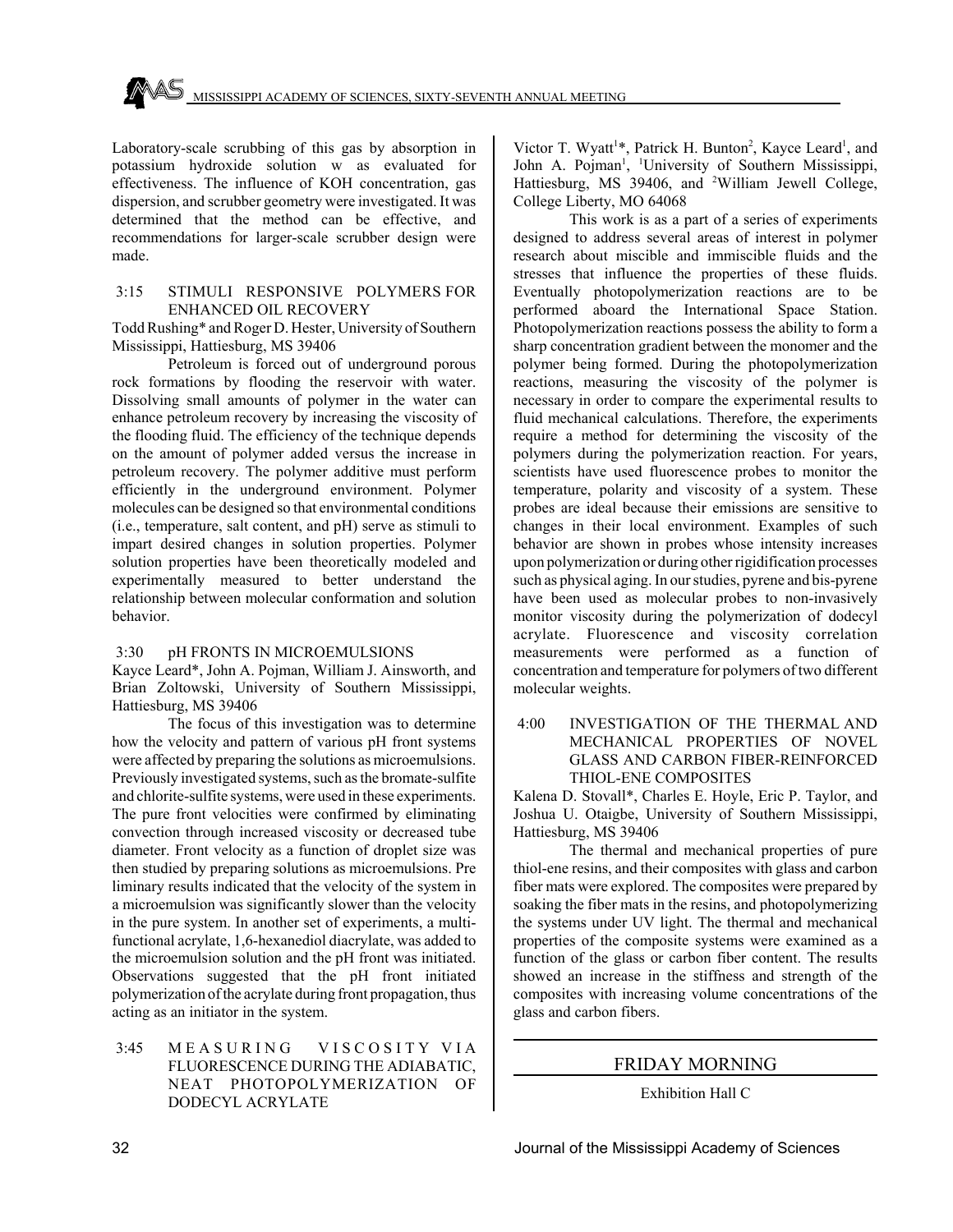Laboratory-scale scrubbing of this gas by absorption in potassium hydroxide solution w as evaluated for effectiveness. The influence of KOH concentration, gas dispersion, and scrubber geometry were investigated. It was determined that the method can be effective, and recommendations for larger-scale scrubber design were made.

### 3:15 STIMULI RESPONSIVE POLYMERS FOR ENHANCED OIL RECOVERY

Todd Rushing\* and Roger D. Hester, University of Southern Mississippi, Hattiesburg, MS 39406

Petroleum is forced out of underground porous rock formations by flooding the reservoir with water. Dissolving small amounts of polymer in the water can enhance petroleum recovery by increasing the viscosity of the flooding fluid. The efficiency of the technique depends on the amount of polymer added versus the increase in petroleum recovery. The polymer additive must perform efficiently in the underground environment. Polymer molecules can be designed so that environmental conditions (i.e., temperature, salt content, and pH) serve as stimuli to impart desired changes in solution properties. Polymer solution properties have been theoretically modeled and experimentally measured to better understand the relationship between molecular conformation and solution behavior.

### 3:30 pH FRONTS IN MICROEMULSIONS

Kayce Leard\*, John A. Pojman, William J. Ainsworth, and Brian Zoltowski, University of Southern Mississippi, Hattiesburg, MS 39406

The focus of this investigation was to determine how the velocity and pattern of various pH front systems were affected by preparing the solutions as microemulsions. Previously investigated systems, such as the bromate-sulfite and chlorite-sulfite systems, were used in these experiments. The pure front velocities were confirmed by eliminating convection through increased viscosity or decreased tube diameter. Front velocity as a function of droplet size was then studied by preparing solutions as microemulsions. Pre liminary results indicated that the velocity of the system in a microemulsion was significantly slower than the velocity in the pure system. In another set of experiments, a multifunctional acrylate, 1,6-hexanediol diacrylate, was added to the microemulsion solution and the pH front was initiated. Observations suggested that the pH front initiated polymerization of the acrylate during front propagation, thus acting as an initiator in the system.

### 3:45 MEASURING VISCOSITY VIA FLUORESCENCE DURING THE ADIABATIC, NEAT PHOTOPOLYMERIZATION OF DODECYL ACRYLATE

Victor T. Wyatt<sup>1\*</sup>, Patrick H. Bunton<sup>2</sup>, Kayce Leard<sup>1</sup>, and John A. Pojman<sup>1</sup>, <sup>1</sup>University of Southern Mississippi, Hattiesburg, MS 39406, and <sup>2</sup>William Jewell College, College Liberty, MO 64068

This work is as a part of a series of experiments designed to address several areas of interest in polymer research about miscible and immiscible fluids and the stresses that influence the properties of these fluids. Eventually photopolymerization reactions are to be performed aboard the International Space Station. Photopolymerization reactions possess the ability to form a sharp concentration gradient between the monomer and the polymer being formed. During the photopolymerization reactions, measuring the viscosity of the polymer is necessary in order to compare the experimental results to fluid mechanical calculations. Therefore, the experiments require a method for determining the viscosity of the polymers during the polymerization reaction. For years, scientists have used fluorescence probes to monitor the temperature, polarity and viscosity of a system. These probes are ideal because their emissions are sensitive to changes in their local environment. Examples of such behavior are shown in probes whose intensity increases upon polymerization or during other rigidification processes such as physical aging. In our studies, pyrene and bis-pyrene have been used as molecular probes to non-invasively monitor viscosity during the polymerization of dodecyl acrylate. Fluorescence and viscosity correlation measurements were performed as a function of concentration and temperature for polymers of two different molecular weights.

### 4:00 INVESTIGATION OF THE THERMAL AND MECHANICAL PROPERTIES OF NOVEL GLASS AND CARBON FIBER-REINFORCED THIOL-ENE COMPOSITES

Kalena D. Stovall\*, Charles E. Hoyle, Eric P. Taylor, and Joshua U. Otaigbe, University of Southern Mississippi, Hattiesburg, MS 39406

The thermal and mechanical properties of pure thiol-ene resins, and their composites with glass and carbon fiber mats were explored. The composites were prepared by soaking the fiber mats in the resins, and photopolymerizing the systems under UV light. The thermal and mechanical properties of the composite systems were examined as a function of the glass or carbon fiber content. The results showed an increase in the stiffness and strength of the composites with increasing volume concentrations of the glass and carbon fibers.

### FRIDAY MORNING

Exhibition Hall C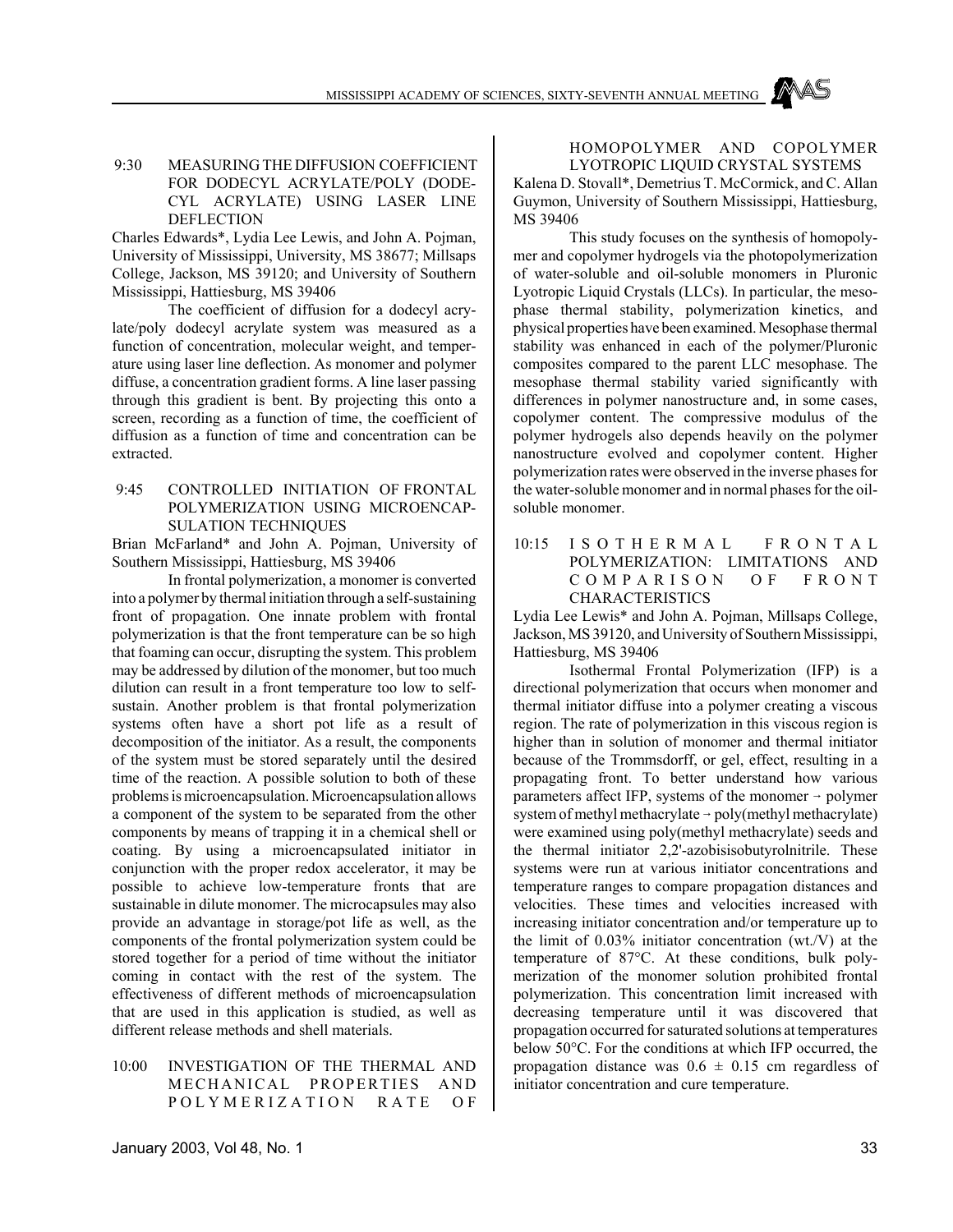MISSISSIPPI ACADEMY OF SCIENCES, SIXTY-SEVENTH ANNUAL MEETING

### 9:30 MEASURING THE DIFFUSION COEFFICIENT FOR DODECYL ACRYLATE/POLY (DODE-CYL ACRYLATE) USING LASER LINE DEFLECTION

Charles Edwards\*, Lydia Lee Lewis, and John A. Pojman, University of Mississippi, University, MS 38677; Millsaps College, Jackson, MS 39120; and University of Southern Mississippi, Hattiesburg, MS 39406

The coefficient of diffusion for a dodecyl acrylate/poly dodecyl acrylate system was measured as a function of concentration, molecular weight, and temperature using laser line deflection. As monomer and polymer diffuse, a concentration gradient forms. A line laser passing through this gradient is bent. By projecting this onto a screen, recording as a function of time, the coefficient of diffusion as a function of time and concentration can be extracted.

### 9:45 CONTROLLED INITIATION OF FRONTAL POLYMERIZATION USING MICROENCAP-SULATION TECHNIQUES

Brian McFarland\* and John A. Pojman, University of Southern Mississippi, Hattiesburg, MS 39406

In frontal polymerization, a monomer is converted into a polymer by thermal initiation through a self-sustaining front of propagation. One innate problem with frontal polymerization is that the front temperature can be so high that foaming can occur, disrupting the system. This problem may be addressed by dilution of the monomer, but too much dilution can result in a front temperature too low to selfsustain. Another problem is that frontal polymerization systems often have a short pot life as a result of decomposition of the initiator. As a result, the components of the system must be stored separately until the desired time of the reaction. A possible solution to both of these problems is microencapsulation. Microencapsulation allows a component of the system to be separated from the other components by means of trapping it in a chemical shell or coating. By using a microencapsulated initiator in conjunction with the proper redox accelerator, it may be possible to achieve low-temperature fronts that are sustainable in dilute monomer. The microcapsules may also provide an advantage in storage/pot life as well, as the components of the frontal polymerization system could be stored together for a period of time without the initiator coming in contact with the rest of the system. The effectiveness of different methods of microencapsulation that are used in this application is studied, as well as different release methods and shell materials.

10:00 INVESTIGATION OF THE THERMAL AND MECHANICAL PROPERTIES AND POLYMERIZATION RATE OF

### HOMOPOLYMER AND COPOLYMER LYOTROPIC LIQUID CRYSTAL SYSTEMS

Kalena D. Stovall\*, Demetrius T. McCormick, and C. Allan Guymon, University of Southern Mississippi, Hattiesburg, MS 39406

This study focuses on the synthesis of homopolymer and copolymer hydrogels via the photopolymerization of water-soluble and oil-soluble monomers in Pluronic Lyotropic Liquid Crystals (LLCs). In particular, the mesophase thermal stability, polymerization kinetics, and physical properties have been examined. Mesophase thermal stability was enhanced in each of the polymer/Pluronic composites compared to the parent LLC mesophase. The mesophase thermal stability varied significantly with differences in polymer nanostructure and, in some cases, copolymer content. The compressive modulus of the polymer hydrogels also depends heavily on the polymer nanostructure evolved and copolymer content. Higher polymerization rates were observed in the inverse phases for the water-soluble monomer and in normal phases for the oilsoluble monomer.

10:15 I S O T H E R M A L F R O N T A L POLYMERIZATION: LIMITATIONS AND COMPARISON OF FRONT CHARACTERISTICS

Lydia Lee Lewis\* and John A. Pojman, Millsaps College, Jackson, MS 39120, and University of Southern Mississippi, Hattiesburg, MS 39406

Isothermal Frontal Polymerization (IFP) is a directional polymerization that occurs when monomer and thermal initiator diffuse into a polymer creating a viscous region. The rate of polymerization in this viscous region is higher than in solution of monomer and thermal initiator because of the Trommsdorff, or gel, effect, resulting in a propagating front. To better understand how various parameters affect IFP, systems of the monomer  $\rightarrow$  polymer system of methyl methacrylate  $\rightarrow$  poly(methyl methacrylate) were examined using poly(methyl methacrylate) seeds and the thermal initiator 2,2'-azobisisobutyrolnitrile. These systems were run at various initiator concentrations and temperature ranges to compare propagation distances and velocities. These times and velocities increased with increasing initiator concentration and/or temperature up to the limit of 0.03% initiator concentration (wt./V) at the temperature of 87°C. At these conditions, bulk polymerization of the monomer solution prohibited frontal polymerization. This concentration limit increased with decreasing temperature until it was discovered that propagation occurred for saturated solutions at temperatures below 50°C. For the conditions at which IFP occurred, the propagation distance was  $0.6 \pm 0.15$  cm regardless of initiator concentration and cure temperature.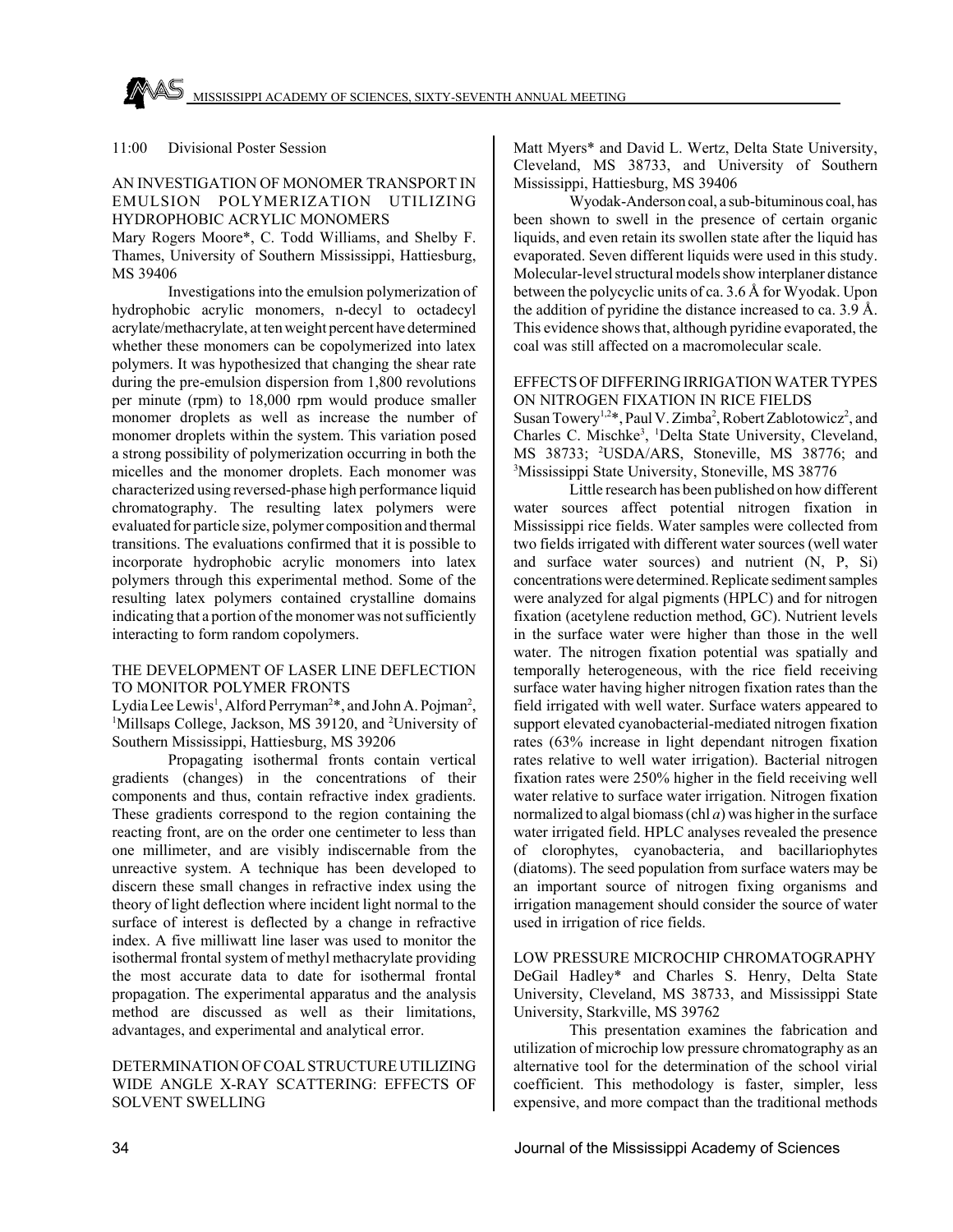### 11:00 Divisional Poster Session

### AN INVESTIGATION OF MONOMER TRANSPORT IN EMULSION POLYMERIZATION UTILIZING HYDROPHOBIC ACRYLIC MONOMERS

Mary Rogers Moore\*, C. Todd Williams, and Shelby F. Thames, University of Southern Mississippi, Hattiesburg, MS 39406

Investigations into the emulsion polymerization of hydrophobic acrylic monomers, n-decyl to octadecyl acrylate/methacrylate, at ten weight percent have determined whether these monomers can be copolymerized into latex polymers. It was hypothesized that changing the shear rate during the pre-emulsion dispersion from 1,800 revolutions per minute (rpm) to 18,000 rpm would produce smaller monomer droplets as well as increase the number of monomer droplets within the system. This variation posed a strong possibility of polymerization occurring in both the micelles and the monomer droplets. Each monomer was characterized using reversed-phase high performance liquid chromatography. The resulting latex polymers were evaluated for particle size, polymer composition and thermal transitions. The evaluations confirmed that it is possible to incorporate hydrophobic acrylic monomers into latex polymers through this experimental method. Some of the resulting latex polymers contained crystalline domains indicating that a portion of the monomer was not sufficiently interacting to form random copolymers.

### THE DEVELOPMENT OF LASER LINE DEFLECTION TO MONITOR POLYMER FRONTS

Lydia Lee Lewis<sup>1</sup>, Alford Perryman<sup>2\*</sup>, and John A. Pojman<sup>2</sup>, <sup>1</sup>Millsaps College, Jackson, MS 39120, and <sup>2</sup>University of Southern Mississippi, Hattiesburg, MS 39206

Propagating isothermal fronts contain vertical gradients (changes) in the concentrations of their components and thus, contain refractive index gradients. These gradients correspond to the region containing the reacting front, are on the order one centimeter to less than one millimeter, and are visibly indiscernable from the unreactive system. A technique has been developed to discern these small changes in refractive index using the theory of light deflection where incident light normal to the surface of interest is deflected by a change in refractive index. A five milliwatt line laser was used to monitor the isothermal frontal system of methyl methacrylate providing the most accurate data to date for isothermal frontal propagation. The experimental apparatus and the analysis method are discussed as well as their limitations, advantages, and experimental and analytical error.

### DETERMINATION OF COAL STRUCTURE UTILIZING WIDE ANGLE X-RAY SCATTERING: EFFECTS OF SOLVENT SWELLING

Matt Myers\* and David L. Wertz, Delta State University, Cleveland, MS 38733, and University of Southern Mississippi, Hattiesburg, MS 39406

Wyodak-Anderson coal, a sub-bituminous coal, has been shown to swell in the presence of certain organic liquids, and even retain its swollen state after the liquid has evaporated. Seven different liquids were used in this study. Molecular-level structural models show interplaner distance between the polycyclic units of ca. 3.6 Å for Wyodak. Upon the addition of pyridine the distance increased to ca. 3.9 Å. This evidence shows that, although pyridine evaporated, the coal was still affected on a macromolecular scale.

### EFFECTS OF DIFFERING IRRIGATION WATER TYPES ON NITROGEN FIXATION IN RICE FIELDS

Susan Towery<sup>1,2\*</sup>, Paul V. Zimba<sup>2</sup>, Robert Zablotowicz<sup>2</sup>, and Charles C. Mischke<sup>3</sup>, <sup>1</sup>Delta State University, Cleveland, MS 38733; <sup>2</sup>USDA/ARS, Stoneville, MS 38776; and <sup>3</sup>Mississippi State University, Stoneville, MS 38776

Little research has been published on how different water sources affect potential nitrogen fixation in Mississippi rice fields. Water samples were collected from two fields irrigated with different water sources (well water and surface water sources) and nutrient (N, P, Si) concentrations were determined. Replicate sediment samples were analyzed for algal pigments (HPLC) and for nitrogen fixation (acetylene reduction method, GC). Nutrient levels in the surface water were higher than those in the well water. The nitrogen fixation potential was spatially and temporally heterogeneous, with the rice field receiving surface water having higher nitrogen fixation rates than the field irrigated with well water. Surface waters appeared to support elevated cyanobacterial-mediated nitrogen fixation rates (63% increase in light dependant nitrogen fixation rates relative to well water irrigation). Bacterial nitrogen fixation rates were 250% higher in the field receiving well water relative to surface water irrigation. Nitrogen fixation normalized to algal biomass (chl *a*) was higher in the surface water irrigated field. HPLC analyses revealed the presence of clorophytes, cyanobacteria, and bacillariophytes (diatoms). The seed population from surface waters may be an important source of nitrogen fixing organisms and irrigation management should consider the source of water used in irrigation of rice fields.

LOW PRESSURE MICROCHIP CHROMATOGRAPHY DeGail Hadley\* and Charles S. Henry, Delta State University, Cleveland, MS 38733, and Mississippi State University, Starkville, MS 39762

This presentation examines the fabrication and utilization of microchip low pressure chromatography as an alternative tool for the determination of the school virial coefficient. This methodology is faster, simpler, less expensive, and more compact than the traditional methods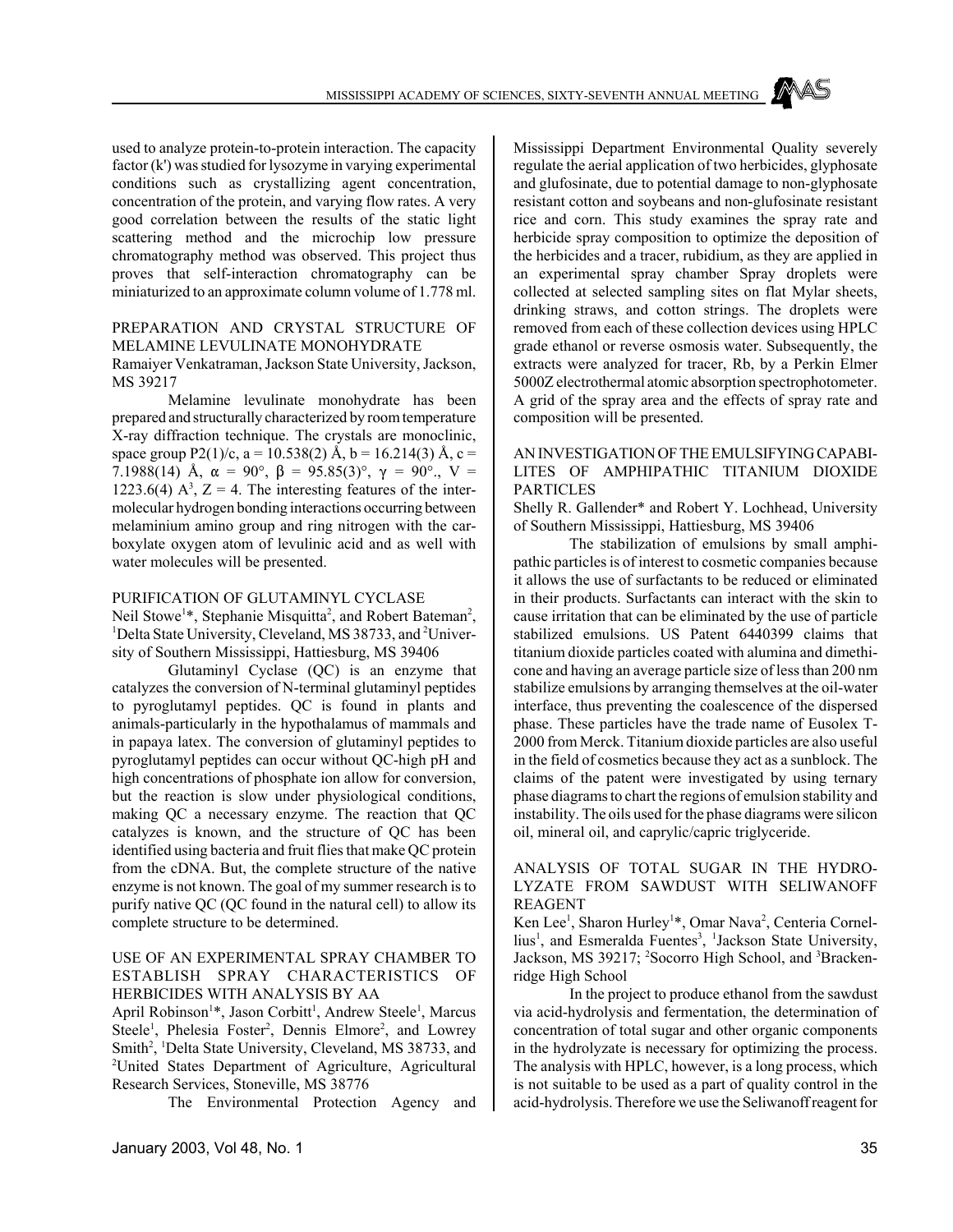used to analyze protein-to-protein interaction. The capacity factor (k') was studied for lysozyme in varying experimental conditions such as crystallizing agent concentration, concentration of the protein, and varying flow rates. A very good correlation between the results of the static light scattering method and the microchip low pressure chromatography method was observed. This project thus proves that self-interaction chromatography can be miniaturized to an approximate column volume of 1.778 ml.

### PREPARATION AND CRYSTAL STRUCTURE OF MELAMINE LEVULINATE MONOHYDRATE

### Ramaiyer Venkatraman, Jackson State University, Jackson, MS 39217

Melamine levulinate monohydrate has been prepared and structurally characterized by room temperature X-ray diffraction technique. The crystals are monoclinic, space group P2(1)/c, a = 10.538(2) Å, b = 16.214(3) Å, c = 7.1988(14) Å,  $\alpha = 90^{\circ}$ ,  $\beta = 95.85(3)^{\circ}$ ,  $\gamma = 90^{\circ}$ ,  $V =$ 1223.6(4)  $A^3$ , Z = 4. The interesting features of the intermolecular hydrogen bonding interactions occurring between melaminium amino group and ring nitrogen with the carboxylate oxygen atom of levulinic acid and as well with water molecules will be presented.

### PURIFICATION OF GLUTAMINYL CYCLASE

Neil Stowe<sup>1\*</sup>, Stephanie Misquitta<sup>2</sup>, and Robert Bateman<sup>2</sup>, <sup>1</sup>Delta State University, Cleveland, MS 38733, and <sup>2</sup>University of Southern Mississippi, Hattiesburg, MS 39406

Glutaminyl Cyclase (QC) is an enzyme that catalyzes the conversion of N-terminal glutaminyl peptides to pyroglutamyl peptides. QC is found in plants and animals-particularly in the hypothalamus of mammals and in papaya latex. The conversion of glutaminyl peptides to pyroglutamyl peptides can occur without QC-high pH and high concentrations of phosphate ion allow for conversion, but the reaction is slow under physiological conditions, making QC a necessary enzyme. The reaction that QC catalyzes is known, and the structure of QC has been identified using bacteria and fruit flies that make QC protein from the cDNA. But, the complete structure of the native enzyme is not known. The goal of my summer research is to purify native QC (QC found in the natural cell) to allow its complete structure to be determined.

### USE OF AN EXPERIMENTAL SPRAY CHAMBER TO ESTABLISH SPRAY CHARACTERISTICS OF HERBICIDES WITH ANALYSIS BY AA

April Robinson<sup>1</sup>\*, Jason Corbitt<sup>1</sup>, Andrew Steele<sup>1</sup>, Marcus Steele<sup>1</sup>, Phelesia Foster<sup>2</sup>, Dennis Elmore<sup>2</sup>, and Lowrey Smith<sup>2</sup>, <sup>1</sup>Delta State University, Cleveland, MS 38733, and <sup>2</sup>United States Department of Agriculture, Agricultural Research Services, Stoneville, MS 38776

The Environmental Protection Agency and

Mississippi Department Environmental Quality severely regulate the aerial application of two herbicides, glyphosate and glufosinate, due to potential damage to non-glyphosate resistant cotton and soybeans and non-glufosinate resistant rice and corn. This study examines the spray rate and herbicide spray composition to optimize the deposition of the herbicides and a tracer, rubidium, as they are applied in an experimental spray chamber Spray droplets were collected at selected sampling sites on flat Mylar sheets, drinking straws, and cotton strings. The droplets were removed from each of these collection devices using HPLC grade ethanol or reverse osmosis water. Subsequently, the extracts were analyzed for tracer, Rb, by a Perkin Elmer 5000Z electrothermal atomic absorption spectrophotometer. A grid of the spray area and the effects of spray rate and composition will be presented.

### AN INVESTIGATION OF THE EMULSIFYING CAPABI-LITES OF AMPHIPATHIC TITANIUM DIOXIDE PARTICLES

Shelly R. Gallender\* and Robert Y. Lochhead, University of Southern Mississippi, Hattiesburg, MS 39406

The stabilization of emulsions by small amphipathic particles is of interest to cosmetic companies because it allows the use of surfactants to be reduced or eliminated in their products. Surfactants can interact with the skin to cause irritation that can be eliminated by the use of particle stabilized emulsions. US Patent 6440399 claims that titanium dioxide particles coated with alumina and dimethicone and having an average particle size of less than 200 nm stabilize emulsions by arranging themselves at the oil-water interface, thus preventing the coalescence of the dispersed phase. These particles have the trade name of Eusolex T-2000 from Merck. Titanium dioxide particles are also useful in the field of cosmetics because they act as a sunblock. The claims of the patent were investigated by using ternary phase diagrams to chart the regions of emulsion stability and instability. The oils used for the phase diagrams were silicon oil, mineral oil, and caprylic/capric triglyceride.

### ANALYSIS OF TOTAL SUGAR IN THE HYDRO-LYZATE FROM SAWDUST WITH SELIWANOFF REAGENT

Ken Lee<sup>1</sup>, Sharon Hurley<sup>1\*</sup>, Omar Nava<sup>2</sup>, Centeria Cornellius<sup>1</sup>, and Esmeralda Fuentes<sup>3</sup>, <sup>1</sup>Jackson State University, Jackson, MS 39217; <sup>2</sup>Socorro High School, and <sup>3</sup>Brackenridge High School

In the project to produce ethanol from the sawdust via acid-hydrolysis and fermentation, the determination of concentration of total sugar and other organic components in the hydrolyzate is necessary for optimizing the process. The analysis with HPLC, however, is a long process, which is not suitable to be used as a part of quality control in the acid-hydrolysis. Therefore we use the Seliwanoff reagent for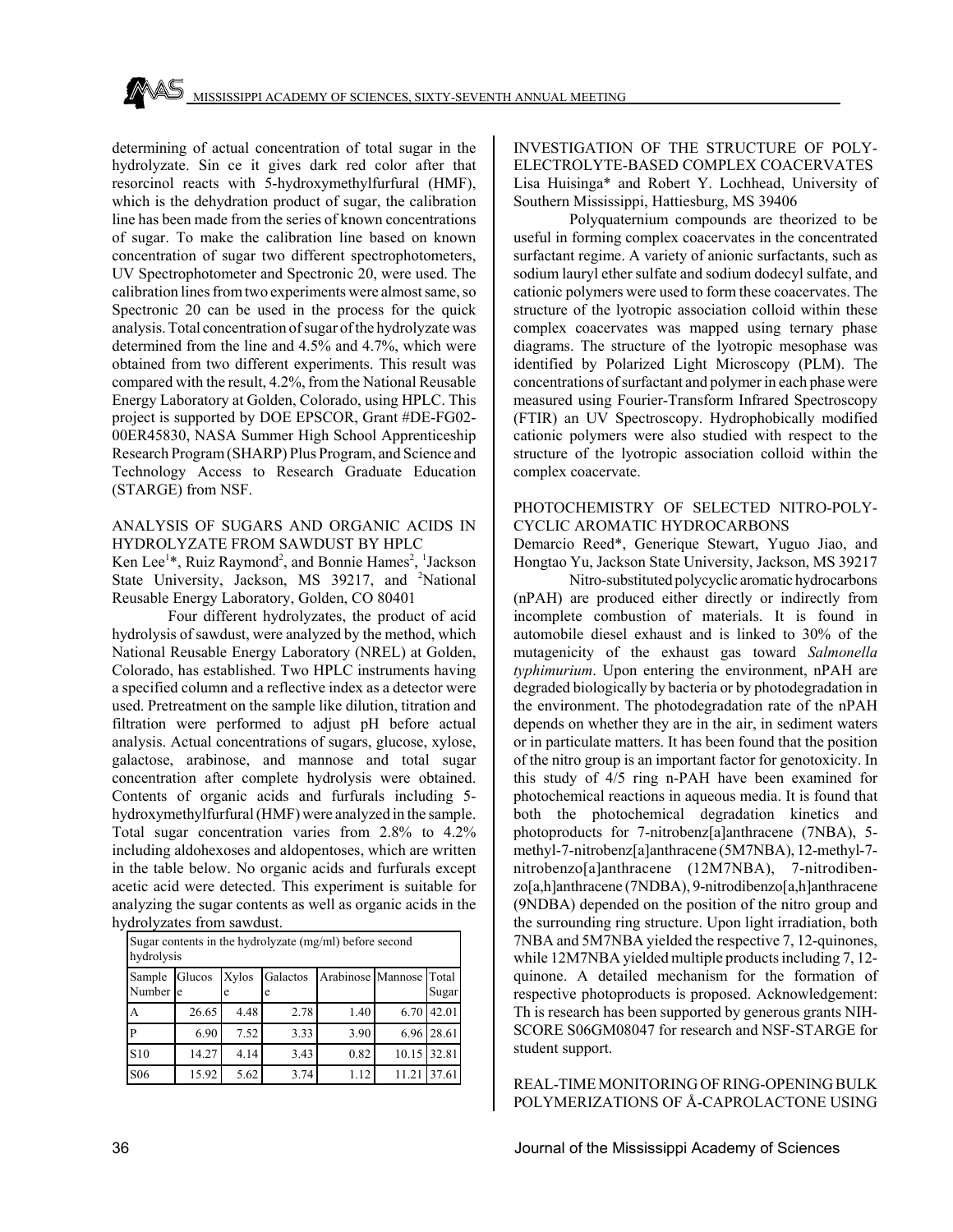determining of actual concentration of total sugar in the hydrolyzate. Sin ce it gives dark red color after that resorcinol reacts with 5-hydroxymethylfurfural (HMF), which is the dehydration product of sugar, the calibration line has been made from the series of known concentrations of sugar. To make the calibration line based on known concentration of sugar two different spectrophotometers, UV Spectrophotometer and Spectronic 20, were used. The calibration lines from two experiments were almost same, so Spectronic 20 can be used in the process for the quick analysis. Total concentration of sugar of the hydrolyzate was determined from the line and 4.5% and 4.7%, which were obtained from two different experiments. This result was compared with the result, 4.2%, from the National Reusable Energy Laboratory at Golden, Colorado, using HPLC. This project is supported by DOE EPSCOR, Grant #DE-FG02- 00ER45830, NASA Summer High School Apprenticeship Research Program (SHARP) Plus Program, and Science and Technology Access to Research Graduate Education (STARGE) from NSF.

### ANALYSIS OF SUGARS AND ORGANIC ACIDS IN HYDROLYZATE FROM SAWDUST BY HPLC

Ken Lee<sup>1\*</sup>, Ruiz Raymond<sup>2</sup>, and Bonnie Hames<sup>2</sup>, <sup>1</sup>Jackson State University, Jackson, MS 39217, and <sup>2</sup>National Reusable Energy Laboratory, Golden, CO 80401

Four different hydrolyzates, the product of acid hydrolysis of sawdust, were analyzed by the method, which National Reusable Energy Laboratory (NREL) at Golden, Colorado, has established. Two HPLC instruments having a specified column and a reflective index as a detector were used. Pretreatment on the sample like dilution, titration and filtration were performed to adjust pH before actual analysis. Actual concentrations of sugars, glucose, xylose, galactose, arabinose, and mannose and total sugar concentration after complete hydrolysis were obtained. Contents of organic acids and furfurals including 5 hydroxymethylfurfural (HMF) were analyzed in the sample. Total sugar concentration varies from 2.8% to 4.2% including aldohexoses and aldopentoses, which are written in the table below. No organic acids and furfurals except acetic acid were detected. This experiment is suitable for analyzing the sugar contents as well as organic acids in the hydrolyzates from sawdust.

| Sugar contents in the hydrolyzate (mg/ml) before second<br>hydrolysis |        |            |               |                         |             |            |  |  |  |
|-----------------------------------------------------------------------|--------|------------|---------------|-------------------------|-------------|------------|--|--|--|
| Sample<br>Number e                                                    | Glucos | Xylos<br>e | Galactos<br>e | Arabinose Mannose Total |             | Sugar      |  |  |  |
| А                                                                     | 26.65  | 4.48       | 2.78          | 1.40                    | 6.70        | 42.01      |  |  |  |
| P                                                                     | 6.90   | 7.52       | 3.33          | 3.90                    |             | 6.96 28.61 |  |  |  |
| S <sub>10</sub>                                                       | 14.27  | 4.14       | 3.43          | 0.82                    | 10.15 32.81 |            |  |  |  |
| S <sub>06</sub>                                                       | 15.92  | 5.62       | 3.74          | 1.12                    | 11.21       | 37.61      |  |  |  |

INVESTIGATION OF THE STRUCTURE OF POLY-ELECTROLYTE-BASED COMPLEX COACERVATES Lisa Huisinga\* and Robert Y. Lochhead, University of Southern Mississippi, Hattiesburg, MS 39406

Polyquaternium compounds are theorized to be useful in forming complex coacervates in the concentrated surfactant regime. A variety of anionic surfactants, such as sodium lauryl ether sulfate and sodium dodecyl sulfate, and cationic polymers were used to form these coacervates. The structure of the lyotropic association colloid within these complex coacervates was mapped using ternary phase diagrams. The structure of the lyotropic mesophase was identified by Polarized Light Microscopy (PLM). The concentrations of surfactant and polymer in each phase were measured using Fourier-Transform Infrared Spectroscopy (FTIR) an UV Spectroscopy. Hydrophobically modified cationic polymers were also studied with respect to the structure of the lyotropic association colloid within the complex coacervate.

### PHOTOCHEMISTRY OF SELECTED NITRO-POLY-CYCLIC AROMATIC HYDROCARBONS

Demarcio Reed\*, Generique Stewart, Yuguo Jiao, and Hongtao Yu, Jackson State University, Jackson, MS 39217

Nitro-substituted polycyclic aromatic hydrocarbons (nPAH) are produced either directly or indirectly from incomplete combustion of materials. It is found in automobile diesel exhaust and is linked to 30% of the mutagenicity of the exhaust gas toward *Salmonella typhimurium*. Upon entering the environment, nPAH are degraded biologically by bacteria or by photodegradation in the environment. The photodegradation rate of the nPAH depends on whether they are in the air, in sediment waters or in particulate matters. It has been found that the position of the nitro group is an important factor for genotoxicity. In this study of 4/5 ring n-PAH have been examined for photochemical reactions in aqueous media. It is found that both the photochemical degradation kinetics and photoproducts for 7-nitrobenz[a]anthracene (7NBA), 5 methyl-7-nitrobenz[a]anthracene (5M7NBA), 12-methyl-7 nitrobenzo[a]anthracene (12M7NBA), 7-nitrodibenzo[a,h]anthracene (7NDBA), 9-nitrodibenzo[a,h]anthracene (9NDBA) depended on the position of the nitro group and the surrounding ring structure. Upon light irradiation, both 7NBA and 5M7NBA yielded the respective 7, 12-quinones, while 12M7NBA yielded multiple products including 7, 12 quinone. A detailed mechanism for the formation of respective photoproducts is proposed. Acknowledgement: Th is research has been supported by generous grants NIH-SCORE S06GM08047 for research and NSF-STARGE for student support.

REAL-TIME MONITORING OF RING-OPENING BULK POLYMERIZATIONS OF Å-CAPROLACTONE USING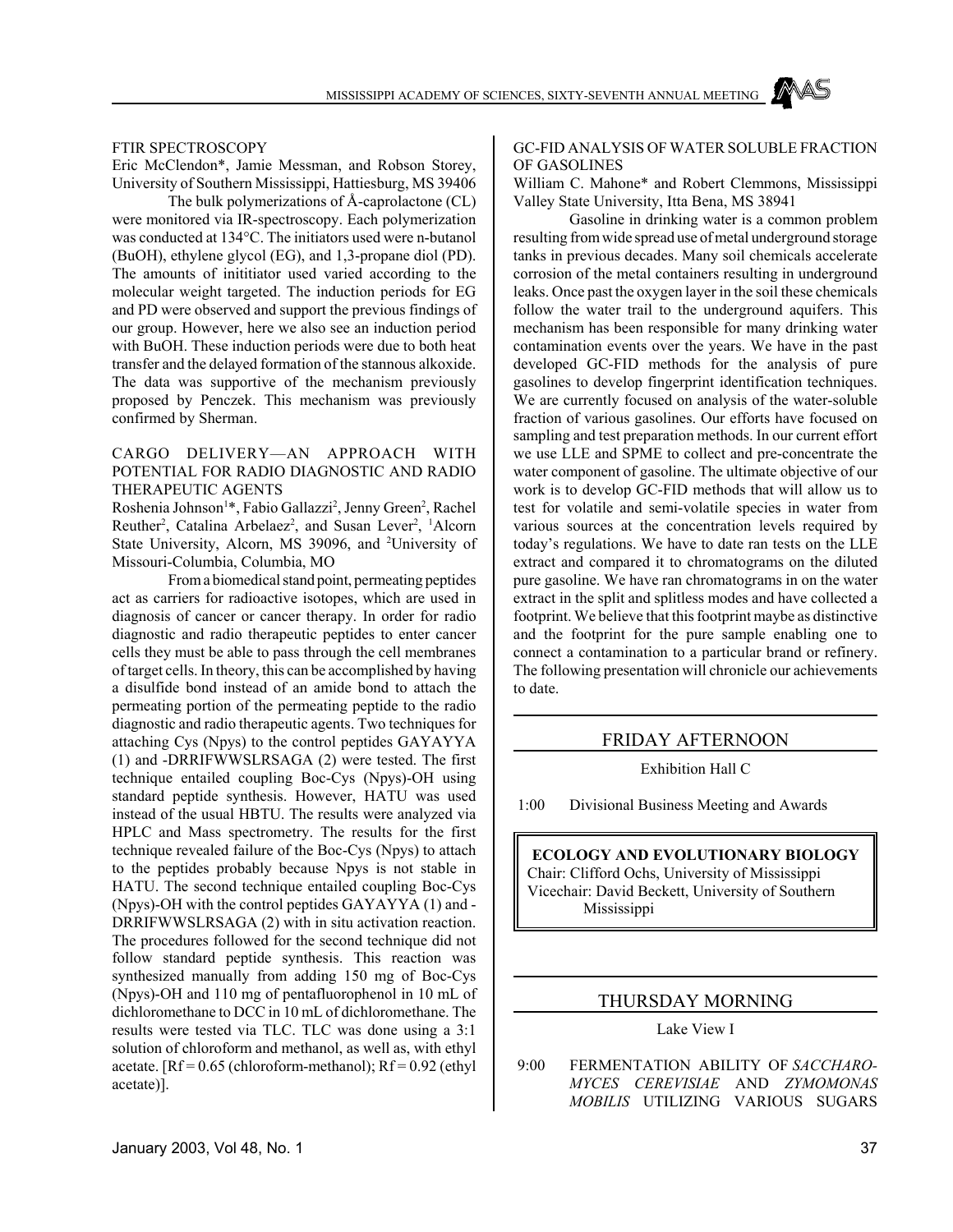#### FTIR SPECTROSCOPY

Eric McClendon\*, Jamie Messman, and Robson Storey, University of Southern Mississippi, Hattiesburg, MS 39406

The bulk polymerizations of Å-caprolactone (CL) were monitored via IR-spectroscopy. Each polymerization was conducted at 134°C. The initiators used were n-butanol (BuOH), ethylene glycol (EG), and 1,3-propane diol (PD). The amounts of inititiator used varied according to the molecular weight targeted. The induction periods for EG and PD were observed and support the previous findings of our group. However, here we also see an induction period with BuOH. These induction periods were due to both heat transfer and the delayed formation of the stannous alkoxide. The data was supportive of the mechanism previously proposed by Penczek. This mechanism was previously confirmed by Sherman.

## CARGO DELIVERY—AN APPROACH WITH POTENTIAL FOR RADIO DIAGNOSTIC AND RADIO THERAPEUTIC AGENTS

Roshenia Johnson<sup>1</sup>\*, Fabio Gallazzi<sup>2</sup>, Jenny Green<sup>2</sup>, Rachel Reuther<sup>2</sup>, Catalina Arbelaez<sup>2</sup>, and Susan Lever<sup>2</sup>, <sup>1</sup>Alcorn State University, Alcorn, MS 39096, and <sup>2</sup>University of Missouri-Columbia, Columbia, MO

From a biomedical stand point, permeating peptides act as carriers for radioactive isotopes, which are used in diagnosis of cancer or cancer therapy. In order for radio diagnostic and radio therapeutic peptides to enter cancer cells they must be able to pass through the cell membranes of target cells. In theory, this can be accomplished by having a disulfide bond instead of an amide bond to attach the permeating portion of the permeating peptide to the radio diagnostic and radio therapeutic agents. Two techniques for attaching Cys (Npys) to the control peptides GAYAYYA (1) and -DRRIFWWSLRSAGA (2) were tested. The first technique entailed coupling Boc-Cys (Npys)-OH using standard peptide synthesis. However, HATU was used instead of the usual HBTU. The results were analyzed via HPLC and Mass spectrometry. The results for the first technique revealed failure of the Boc-Cys (Npys) to attach to the peptides probably because Npys is not stable in HATU. The second technique entailed coupling Boc-Cys (Npys)-OH with the control peptides GAYAYYA (1) and - DRRIFWWSLRSAGA (2) with in situ activation reaction. The procedures followed for the second technique did not follow standard peptide synthesis. This reaction was synthesized manually from adding 150 mg of Boc-Cys (Npys)-OH and 110 mg of pentafluorophenol in 10 mL of dichloromethane to DCC in 10 mL of dichloromethane. The results were tested via TLC. TLC was done using a 3:1 solution of chloroform and methanol, as well as, with ethyl acetate.  $[RF = 0.65$  (chloroform-methanol);  $Rf = 0.92$  (ethyl) acetate)].

#### GC-FID ANALYSIS OF WATER SOLUBLE FRACTION OF GASOLINES

William C. Mahone\* and Robert Clemmons, Mississippi Valley State University, Itta Bena, MS 38941

Gasoline in drinking water is a common problem resulting from wide spread use of metal underground storage tanks in previous decades. Many soil chemicals accelerate corrosion of the metal containers resulting in underground leaks. Once past the oxygen layer in the soil these chemicals follow the water trail to the underground aquifers. This mechanism has been responsible for many drinking water contamination events over the years. We have in the past developed GC-FID methods for the analysis of pure gasolines to develop fingerprint identification techniques. We are currently focused on analysis of the water-soluble fraction of various gasolines. Our efforts have focused on sampling and test preparation methods. In our current effort we use LLE and SPME to collect and pre-concentrate the water component of gasoline. The ultimate objective of our work is to develop GC-FID methods that will allow us to test for volatile and semi-volatile species in water from various sources at the concentration levels required by today's regulations. We have to date ran tests on the LLE extract and compared it to chromatograms on the diluted pure gasoline. We have ran chromatograms in on the water extract in the split and splitless modes and have collected a footprint. We believe that this footprint maybe as distinctive and the footprint for the pure sample enabling one to connect a contamination to a particular brand or refinery. The following presentation will chronicle our achievements to date.

#### FRIDAY AFTERNOON

Exhibition Hall C

1:00 Divisional Business Meeting and Awards

## **ECOLOGY AND EVOLUTIONARY BIOLOGY** Chair: Clifford Ochs, University of Mississippi Vicechair: David Beckett, University of Southern Mississippi

## THURSDAY MORNING

Lake View I

 9:00 FERMENTATION ABILITY OF *SACCHARO-MYCES CEREVISIAE* AND *ZYMOMONAS MOBILIS* UTILIZING VARIOUS SUGARS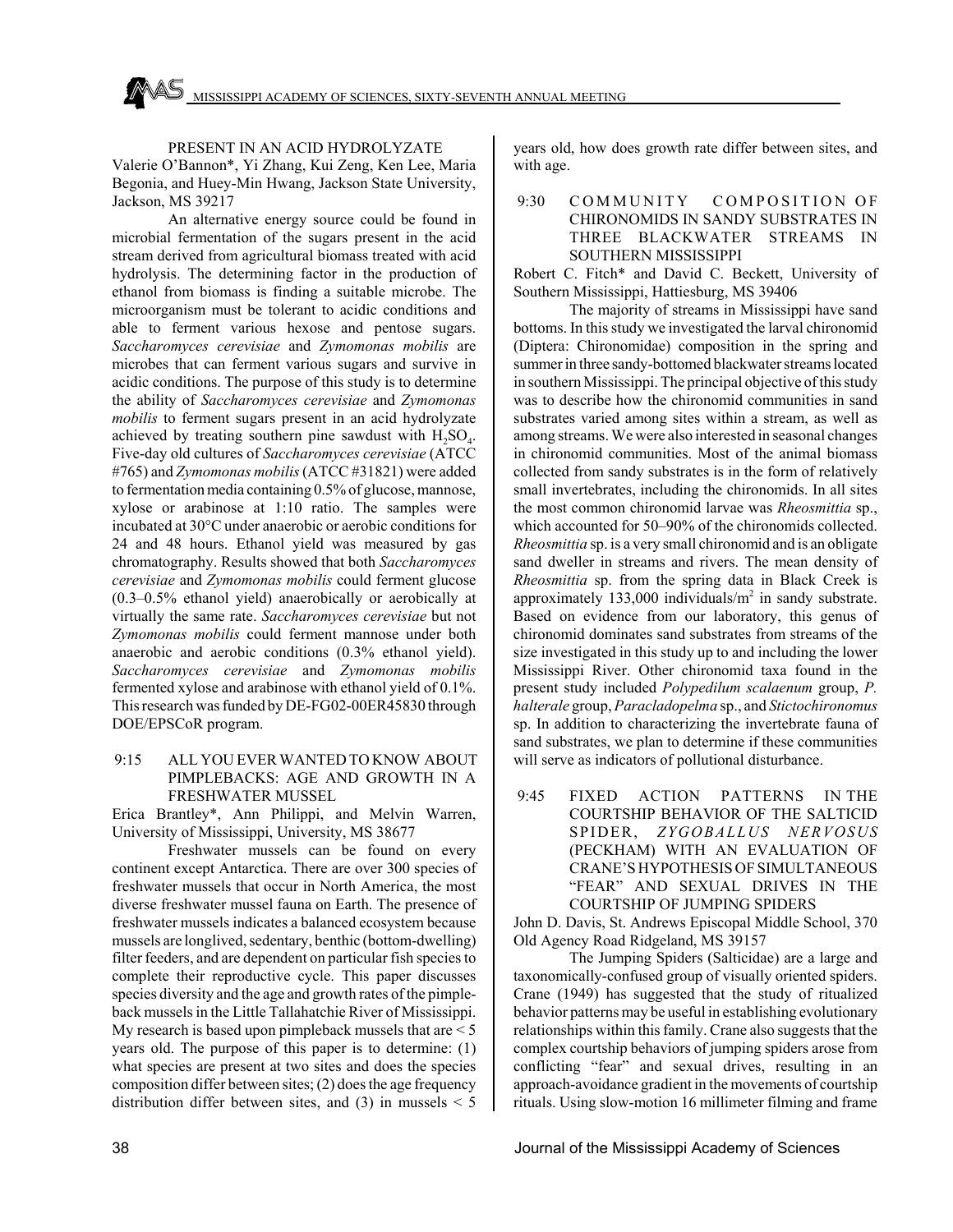#### PRESENT IN AN ACID HYDROLYZATE

Valerie O'Bannon\*, Yi Zhang, Kui Zeng, Ken Lee, Maria Begonia, and Huey-Min Hwang, Jackson State University, Jackson, MS 39217

An alternative energy source could be found in microbial fermentation of the sugars present in the acid stream derived from agricultural biomass treated with acid hydrolysis. The determining factor in the production of ethanol from biomass is finding a suitable microbe. The microorganism must be tolerant to acidic conditions and able to ferment various hexose and pentose sugars. *Saccharomyces cerevisiae* and *Zymomonas mobilis* are microbes that can ferment various sugars and survive in acidic conditions. The purpose of this study is to determine the ability of *Saccharomyces cerevisiae* and *Zymomonas mobilis* to ferment sugars present in an acid hydrolyzate achieved by treating southern pine sawdust with  $H_2SO_4$ . Five-day old cultures of *Saccharomyces cerevisiae* (ATCC #765) and *Zymomonas mobilis* (ATCC #31821) were added to fermentation media containing 0.5% of glucose, mannose, xylose or arabinose at 1:10 ratio. The samples were incubated at 30°C under anaerobic or aerobic conditions for 24 and 48 hours. Ethanol yield was measured by gas chromatography. Results showed that both *Saccharomyces cerevisiae* and *Zymomonas mobilis* could ferment glucose (0.3–0.5% ethanol yield) anaerobically or aerobically at virtually the same rate. *Saccharomyces cerevisiae* but not *Zymomonas mobilis* could ferment mannose under both anaerobic and aerobic conditions (0.3% ethanol yield). *Saccharomyces cerevisiae* and *Zymomonas mobilis* fermented xylose and arabinose with ethanol yield of 0.1%. This research was funded by DE-FG02-00ER45830 through DOE/EPSCoR program.

## 9:15 ALL YOU EVER WANTED TO KNOW ABOUT PIMPLEBACKS: AGE AND GROWTH IN A FRESHWATER MUSSEL

Erica Brantley\*, Ann Philippi, and Melvin Warren, University of Mississippi, University, MS 38677

Freshwater mussels can be found on every continent except Antarctica. There are over 300 species of freshwater mussels that occur in North America, the most diverse freshwater mussel fauna on Earth. The presence of freshwater mussels indicates a balanced ecosystem because mussels are longlived, sedentary, benthic (bottom-dwelling) filter feeders, and are dependent on particular fish species to complete their reproductive cycle. This paper discusses species diversity and the age and growth rates of the pimpleback mussels in the Little Tallahatchie River of Mississippi. My research is based upon pimpleback mussels that are < 5 years old. The purpose of this paper is to determine: (1) what species are present at two sites and does the species composition differ between sites; (2) does the age frequency distribution differ between sites, and (3) in mussels  $\leq$  5 years old, how does growth rate differ between sites, and with age.

## 9:30 COMMUNITY COMPOSITION OF CHIRONOMIDS IN SANDY SUBSTRATES IN THREE BLACKWATER STREAMS IN SOUTHERN MISSISSIPPI

Robert C. Fitch\* and David C. Beckett, University of Southern Mississippi, Hattiesburg, MS 39406

The majority of streams in Mississippi have sand bottoms. In this study we investigated the larval chironomid (Diptera: Chironomidae) composition in the spring and summer in three sandy-bottomed blackwater streams located in southern Mississippi. The principal objective of this study was to describe how the chironomid communities in sand substrates varied among sites within a stream, as well as among streams. We were also interested in seasonal changes in chironomid communities. Most of the animal biomass collected from sandy substrates is in the form of relatively small invertebrates, including the chironomids. In all sites the most common chironomid larvae was *Rheosmittia* sp., which accounted for 50–90% of the chironomids collected. *Rheosmittia* sp. is a very small chironomid and is an obligate sand dweller in streams and rivers. The mean density of *Rheosmittia* sp. from the spring data in Black Creek is approximately 133,000 individuals/ $m<sup>2</sup>$  in sandy substrate. Based on evidence from our laboratory, this genus of chironomid dominates sand substrates from streams of the size investigated in this study up to and including the lower Mississippi River. Other chironomid taxa found in the present study included *Polypedilum scalaenum* group, *P. halterale* group, *Paracladopelma* sp., and *Stictochironomus* sp. In addition to characterizing the invertebrate fauna of sand substrates, we plan to determine if these communities will serve as indicators of pollutional disturbance.

 9:45 FIXED ACTION PATTERNS IN THE COURTSHIP BEHAVIOR OF THE SALTICID SPIDER, *ZYGOBALLUS NERVOSUS* (PECKHAM) WITH AN EVALUATION OF CRANE'S HYPOTHESIS OF SIMULTANEOUS "FEAR" AND SEXUAL DRIVES IN THE COURTSHIP OF JUMPING SPIDERS

John D. Davis, St. Andrews Episcopal Middle School, 370 Old Agency Road Ridgeland, MS 39157

The Jumping Spiders (Salticidae) are a large and taxonomically-confused group of visually oriented spiders. Crane (1949) has suggested that the study of ritualized behavior patterns may be useful in establishing evolutionary relationships within this family. Crane also suggests that the complex courtship behaviors of jumping spiders arose from conflicting "fear" and sexual drives, resulting in an approach-avoidance gradient in the movements of courtship rituals. Using slow-motion 16 millimeter filming and frame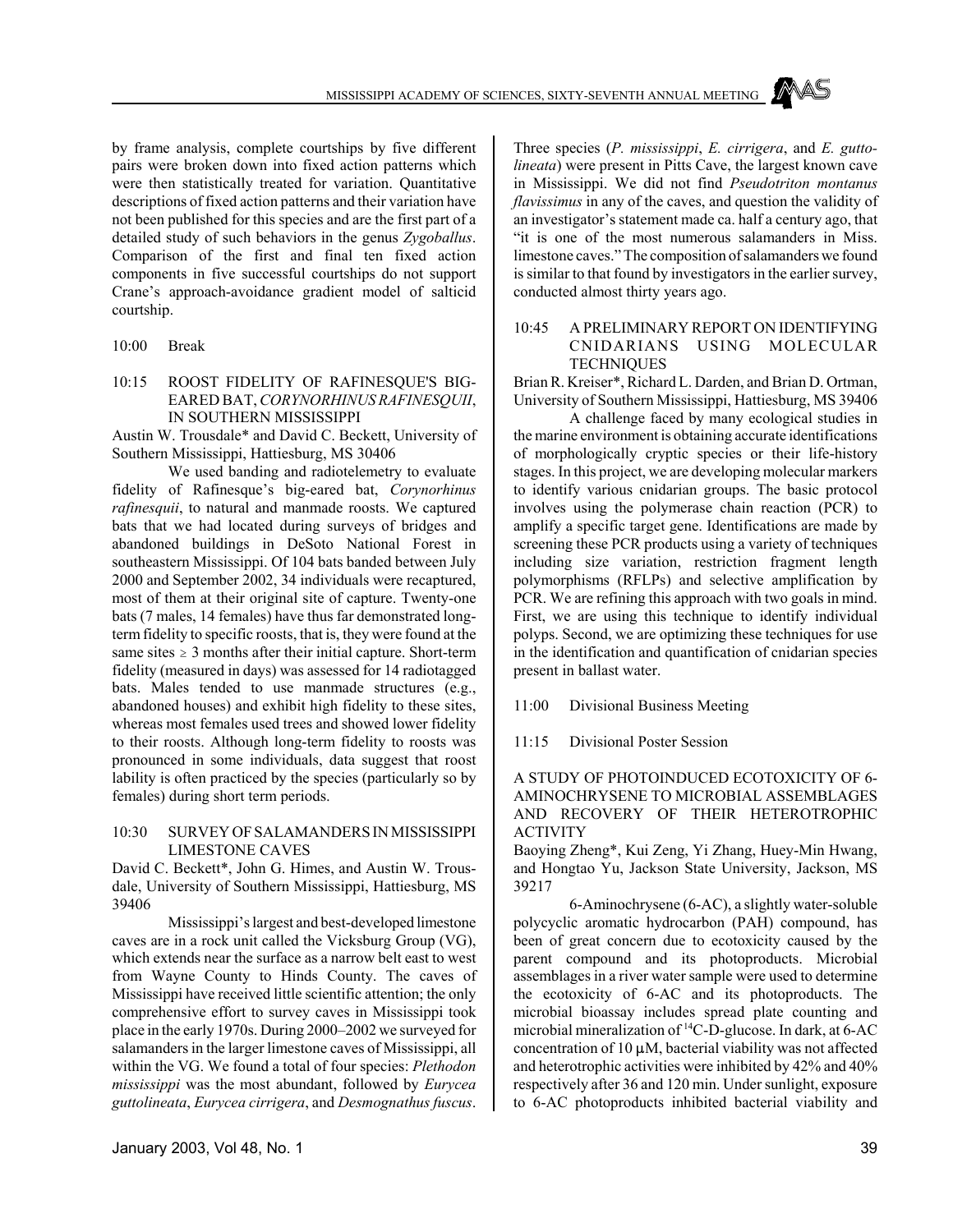by frame analysis, complete courtships by five different pairs were broken down into fixed action patterns which were then statistically treated for variation. Quantitative descriptions of fixed action patterns and their variation have not been published for this species and are the first part of a detailed study of such behaviors in the genus *Zygoballus*. Comparison of the first and final ten fixed action components in five successful courtships do not support Crane's approach-avoidance gradient model of salticid courtship.

#### 10:00 Break

## 10:15 ROOST FIDELITY OF RAFINESQUE'S BIG-EARED BAT, *CORYNORHINUS RAFINESQUII*, IN SOUTHERN MISSISSIPPI

Austin W. Trousdale\* and David C. Beckett, University of Southern Mississippi, Hattiesburg, MS 30406

We used banding and radiotelemetry to evaluate fidelity of Rafinesque's big-eared bat, *Corynorhinus rafinesquii*, to natural and manmade roosts. We captured bats that we had located during surveys of bridges and abandoned buildings in DeSoto National Forest in southeastern Mississippi. Of 104 bats banded between July 2000 and September 2002, 34 individuals were recaptured, most of them at their original site of capture. Twenty-one bats (7 males, 14 females) have thus far demonstrated longterm fidelity to specific roosts, that is, they were found at the same sites  $\geq 3$  months after their initial capture. Short-term fidelity (measured in days) was assessed for 14 radiotagged bats. Males tended to use manmade structures (e.g., abandoned houses) and exhibit high fidelity to these sites, whereas most females used trees and showed lower fidelity to their roosts. Although long-term fidelity to roosts was pronounced in some individuals, data suggest that roost lability is often practiced by the species (particularly so by females) during short term periods.

## 10:30 SURVEY OF SALAMANDERS IN MISSISSIPPI LIMESTONE CAVES

David C. Beckett\*, John G. Himes, and Austin W. Trousdale, University of Southern Mississippi, Hattiesburg, MS 39406

Mississippi's largest and best-developed limestone caves are in a rock unit called the Vicksburg Group (VG), which extends near the surface as a narrow belt east to west from Wayne County to Hinds County. The caves of Mississippi have received little scientific attention; the only comprehensive effort to survey caves in Mississippi took place in the early 1970s. During 2000–2002 we surveyed for salamanders in the larger limestone caves of Mississippi, all within the VG. We found a total of four species: *Plethodon mississippi* was the most abundant, followed by *Eurycea guttolineata*, *Eurycea cirrigera*, and *Desmognathus fuscus*.

Three species (*P. mississippi*, *E. cirrigera*, and *E. guttolineata*) were present in Pitts Cave, the largest known cave in Mississippi. We did not find *Pseudotriton montanus flavissimus* in any of the caves, and question the validity of an investigator's statement made ca. half a century ago, that "it is one of the most numerous salamanders in Miss. limestone caves." The composition of salamanders we found is similar to that found by investigators in the earlier survey, conducted almost thirty years ago.

## 10:45 A PRELIMINARY REPORT ON IDENTIFYING CNIDARIANS USING MOLECULAR **TECHNIQUES**

Brian R. Kreiser\*, Richard L. Darden, and Brian D. Ortman, University of Southern Mississippi, Hattiesburg, MS 39406

A challenge faced by many ecological studies in the marine environment is obtaining accurate identifications of morphologically cryptic species or their life-history stages. In this project, we are developing molecular markers to identify various cnidarian groups. The basic protocol involves using the polymerase chain reaction (PCR) to amplify a specific target gene. Identifications are made by screening these PCR products using a variety of techniques including size variation, restriction fragment length polymorphisms (RFLPs) and selective amplification by PCR. We are refining this approach with two goals in mind. First, we are using this technique to identify individual polyps. Second, we are optimizing these techniques for use in the identification and quantification of cnidarian species present in ballast water.

11:00 Divisional Business Meeting

11:15 Divisional Poster Session

## A STUDY OF PHOTOINDUCED ECOTOXICITY OF 6- AMINOCHRYSENE TO MICROBIAL ASSEMBLAGES AND RECOVERY OF THEIR HETEROTROPHIC ACTIVITY

Baoying Zheng\*, Kui Zeng, Yi Zhang, Huey-Min Hwang, and Hongtao Yu, Jackson State University, Jackson, MS 39217

6-Aminochrysene (6-AC), a slightly water-soluble polycyclic aromatic hydrocarbon (PAH) compound, has been of great concern due to ecotoxicity caused by the parent compound and its photoproducts. Microbial assemblages in a river water sample were used to determine the ecotoxicity of 6-AC and its photoproducts. The microbial bioassay includes spread plate counting and microbial mineralization of 14C-D-glucose. In dark, at 6-AC concentration of  $10 \mu M$ , bacterial viability was not affected and heterotrophic activities were inhibited by 42% and 40% respectively after 36 and 120 min. Under sunlight, exposure to 6-AC photoproducts inhibited bacterial viability and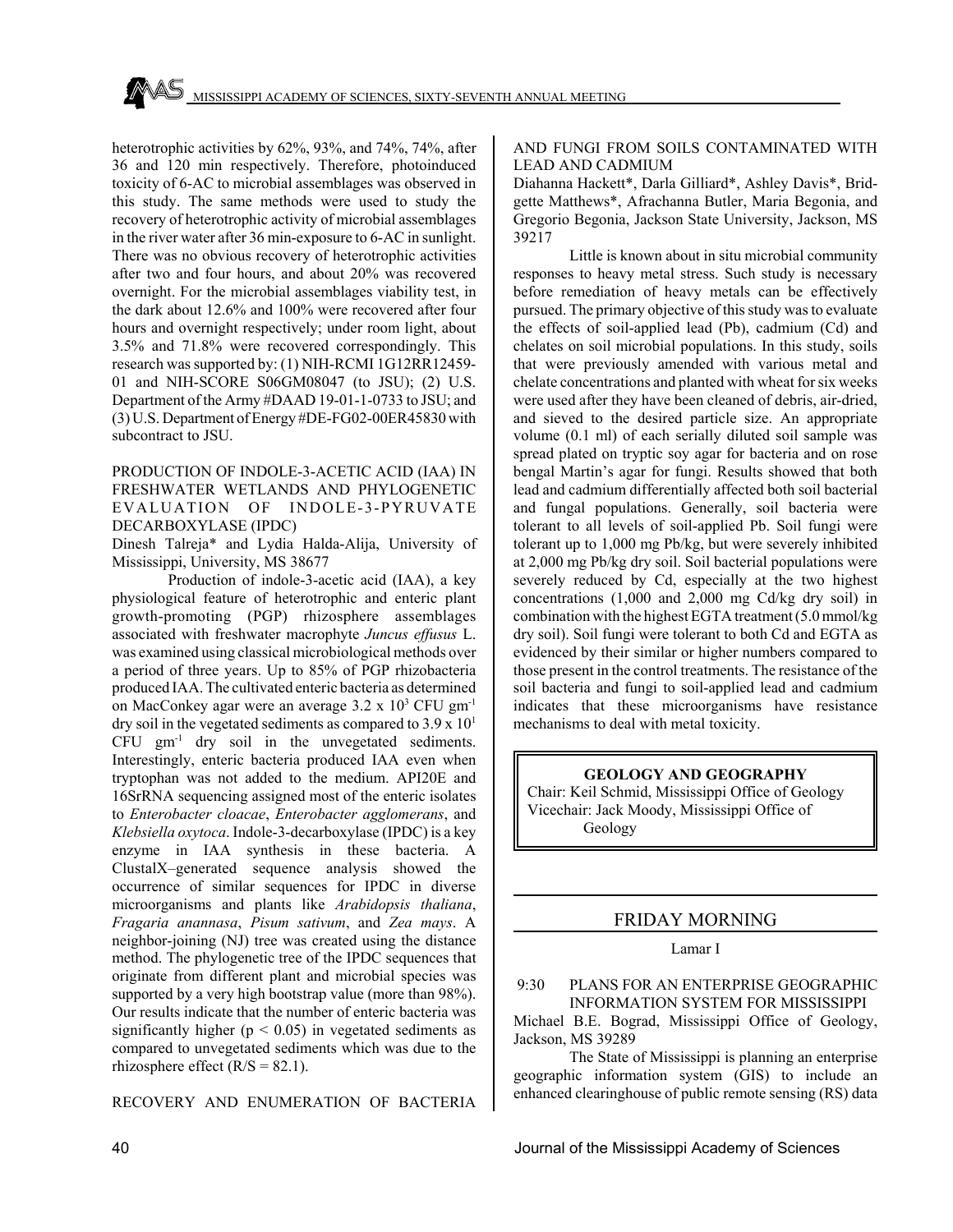heterotrophic activities by 62%, 93%, and 74%, 74%, after 36 and 120 min respectively. Therefore, photoinduced toxicity of 6-AC to microbial assemblages was observed in this study. The same methods were used to study the recovery of heterotrophic activity of microbial assemblages in the river water after 36 min-exposure to 6-AC in sunlight. There was no obvious recovery of heterotrophic activities after two and four hours, and about 20% was recovered overnight. For the microbial assemblages viability test, in the dark about 12.6% and 100% were recovered after four hours and overnight respectively; under room light, about 3.5% and 71.8% were recovered correspondingly. This research was supported by: (1) NIH-RCMI 1G12RR12459- 01 and NIH-SCORE S06GM08047 (to JSU); (2) U.S. Department of the Army #DAAD 19-01-1-0733 to JSU; and (3) U.S. Department of Energy #DE-FG02-00ER45830 with subcontract to JSU.

## PRODUCTION OF INDOLE-3-ACETIC ACID (IAA) IN FRESHWATER WETLANDS AND PHYLOGENETIC EVALUATION OF INDOLE-3-PYRUVATE DECARBOXYLASE (IPDC)

Dinesh Talreja\* and Lydia Halda-Alija, University of Mississippi, University, MS 38677

Production of indole-3-acetic acid (IAA), a key physiological feature of heterotrophic and enteric plant growth-promoting (PGP) rhizosphere assemblages associated with freshwater macrophyte *Juncus effusus* L. was examined using classical microbiological methods over a period of three years. Up to 85% of PGP rhizobacteria produced IAA. The cultivated enteric bacteria as determined on MacConkey agar were an average 3.2 x 10<sup>3</sup> CFU gm<sup>-1</sup> dry soil in the vegetated sediments as compared to  $3.9 \times 10^{1}$  $CFU \text{ gm}^{-1}$  dry soil in the unvegetated sediments. Interestingly, enteric bacteria produced IAA even when tryptophan was not added to the medium. API20E and 16SrRNA sequencing assigned most of the enteric isolates to *Enterobacter cloacae*, *Enterobacter agglomerans*, and *Klebsiella oxytoca*. Indole-3-decarboxylase (IPDC) is a key enzyme in IAA synthesis in these bacteria. A ClustalX–generated sequence analysis showed the occurrence of similar sequences for IPDC in diverse microorganisms and plants like *Arabidopsis thaliana*, *Fragaria anannasa*, *Pisum sativum*, and *Zea mays*. A neighbor-joining (NJ) tree was created using the distance method. The phylogenetic tree of the IPDC sequences that originate from different plant and microbial species was supported by a very high bootstrap value (more than 98%). Our results indicate that the number of enteric bacteria was significantly higher ( $p < 0.05$ ) in vegetated sediments as compared to unvegetated sediments which was due to the rhizosphere effect  $(R/S = 82.1)$ .

#### RECOVERY AND ENUMERATION OF BACTERIA

## AND FUNGI FROM SOILS CONTAMINATED WITH LEAD AND CADMIUM

Diahanna Hackett\*, Darla Gilliard\*, Ashley Davis\*, Bridgette Matthews\*, Afrachanna Butler, Maria Begonia, and Gregorio Begonia, Jackson State University, Jackson, MS 39217

Little is known about in situ microbial community responses to heavy metal stress. Such study is necessary before remediation of heavy metals can be effectively pursued. The primary objective of this study was to evaluate the effects of soil-applied lead (Pb), cadmium (Cd) and chelates on soil microbial populations. In this study, soils that were previously amended with various metal and chelate concentrations and planted with wheat for six weeks were used after they have been cleaned of debris, air-dried, and sieved to the desired particle size. An appropriate volume (0.1 ml) of each serially diluted soil sample was spread plated on tryptic soy agar for bacteria and on rose bengal Martin's agar for fungi. Results showed that both lead and cadmium differentially affected both soil bacterial and fungal populations. Generally, soil bacteria were tolerant to all levels of soil-applied Pb. Soil fungi were tolerant up to 1,000 mg Pb/kg, but were severely inhibited at 2,000 mg Pb/kg dry soil. Soil bacterial populations were severely reduced by Cd, especially at the two highest concentrations (1,000 and 2,000 mg Cd/kg dry soil) in combination with the highest EGTA treatment (5.0 mmol/kg dry soil). Soil fungi were tolerant to both Cd and EGTA as evidenced by their similar or higher numbers compared to those present in the control treatments. The resistance of the soil bacteria and fungi to soil-applied lead and cadmium indicates that these microorganisms have resistance mechanisms to deal with metal toxicity.

# **GEOLOGY AND GEOGRAPHY** Chair: Keil Schmid, Mississippi Office of Geology

Vicechair: Jack Moody, Mississippi Office of Geology

## FRIDAY MORNING

## Lamar I

 9:30 PLANS FOR AN ENTERPRISE GEOGRAPHIC INFORMATION SYSTEM FOR MISSISSIPPI

Michael B.E. Bograd, Mississippi Office of Geology, Jackson, MS 39289

The State of Mississippi is planning an enterprise geographic information system (GIS) to include an enhanced clearinghouse of public remote sensing (RS) data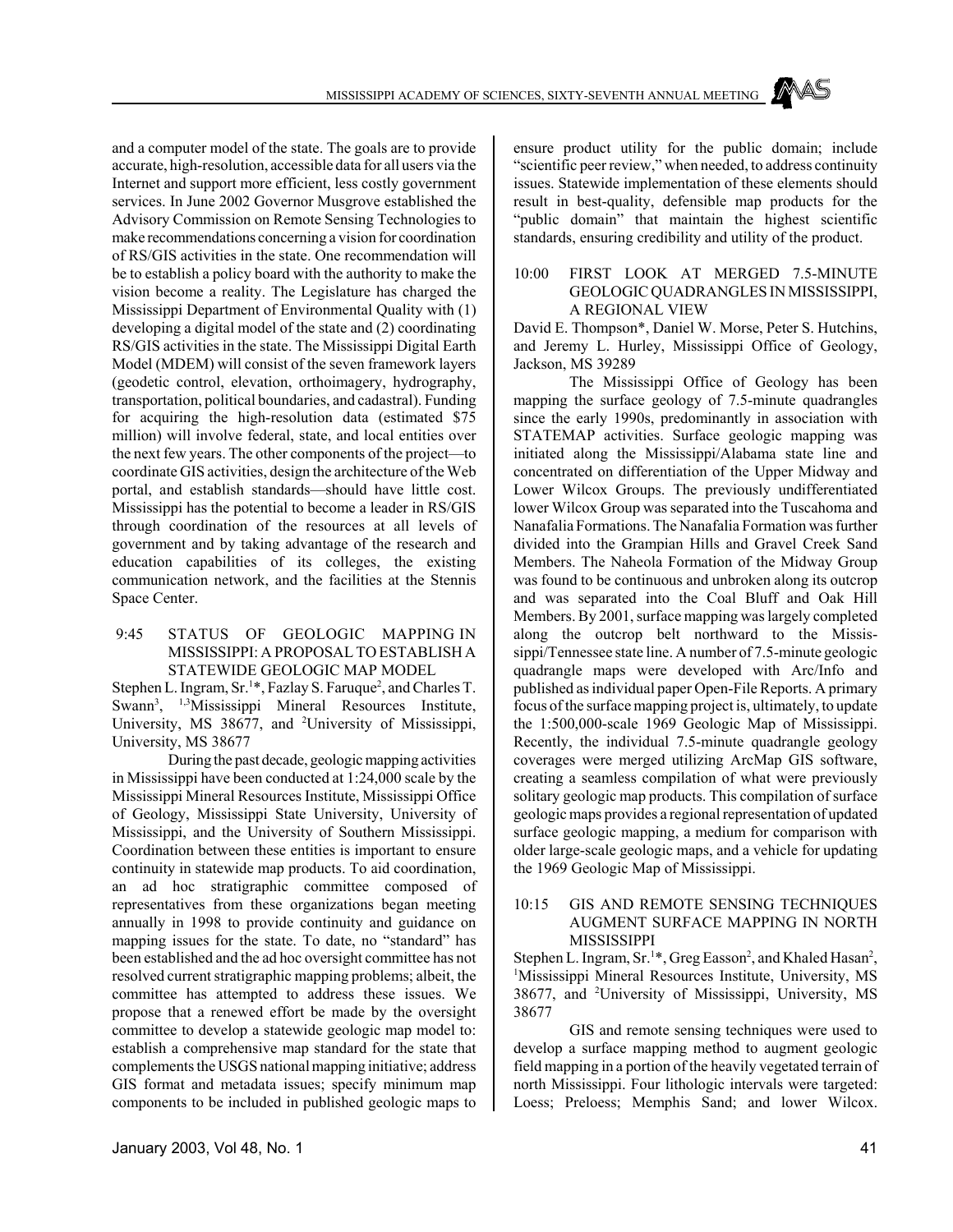and a computer model of the state. The goals are to provide accurate, high-resolution, accessible data for all users via the Internet and support more efficient, less costly government services. In June 2002 Governor Musgrove established the Advisory Commission on Remote Sensing Technologies to make recommendations concerning a vision for coordination of RS/GIS activities in the state. One recommendation will be to establish a policy board with the authority to make the vision become a reality. The Legislature has charged the Mississippi Department of Environmental Quality with (1) developing a digital model of the state and (2) coordinating RS/GIS activities in the state. The Mississippi Digital Earth Model (MDEM) will consist of the seven framework layers (geodetic control, elevation, orthoimagery, hydrography, transportation, political boundaries, and cadastral). Funding for acquiring the high-resolution data (estimated \$75 million) will involve federal, state, and local entities over the next few years. The other components of the project—to coordinate GIS activities, design the architecture of the Web portal, and establish standards—should have little cost. Mississippi has the potential to become a leader in RS/GIS through coordination of the resources at all levels of government and by taking advantage of the research and education capabilities of its colleges, the existing communication network, and the facilities at the Stennis Space Center.

#### 9:45 STATUS OF GEOLOGIC MAPPING IN MISSISSIPPI: A PROPOSAL TO ESTABLISH A STATEWIDE GEOLOGIC MAP MODEL

Stephen L. Ingram, Sr.<sup>1\*</sup>, Fazlay S. Faruque<sup>2</sup>, and Charles T. Swann<sup>3</sup>, <sup>1,3</sup>Mississippi Mineral Resources Institute, University, MS 38677, and <sup>2</sup>University of Mississippi, University, MS 38677

During the past decade, geologic mapping activities in Mississippi have been conducted at 1:24,000 scale by the Mississippi Mineral Resources Institute, Mississippi Office of Geology, Mississippi State University, University of Mississippi, and the University of Southern Mississippi. Coordination between these entities is important to ensure continuity in statewide map products. To aid coordination, an ad hoc stratigraphic committee composed of representatives from these organizations began meeting annually in 1998 to provide continuity and guidance on mapping issues for the state. To date, no "standard" has been established and the ad hoc oversight committee has not resolved current stratigraphic mapping problems; albeit, the committee has attempted to address these issues. We propose that a renewed effort be made by the oversight committee to develop a statewide geologic map model to: establish a comprehensive map standard for the state that complements the USGS national mapping initiative; address GIS format and metadata issues; specify minimum map components to be included in published geologic maps to ensure product utility for the public domain; include "scientific peer review," when needed, to address continuity issues. Statewide implementation of these elements should result in best-quality, defensible map products for the "public domain" that maintain the highest scientific standards, ensuring credibility and utility of the product.

## 10:00 FIRST LOOK AT MERGED 7.5-MINUTE GEOLOGIC QUADRANGLES IN MISSISSIPPI, A REGIONAL VIEW

David E. Thompson\*, Daniel W. Morse, Peter S. Hutchins, and Jeremy L. Hurley, Mississippi Office of Geology, Jackson, MS 39289

The Mississippi Office of Geology has been mapping the surface geology of 7.5-minute quadrangles since the early 1990s, predominantly in association with STATEMAP activities. Surface geologic mapping was initiated along the Mississippi/Alabama state line and concentrated on differentiation of the Upper Midway and Lower Wilcox Groups. The previously undifferentiated lower Wilcox Group was separated into the Tuscahoma and Nanafalia Formations. The Nanafalia Formation was further divided into the Grampian Hills and Gravel Creek Sand Members. The Naheola Formation of the Midway Group was found to be continuous and unbroken along its outcrop and was separated into the Coal Bluff and Oak Hill Members. By 2001, surface mapping was largely completed along the outcrop belt northward to the Mississippi/Tennessee state line. A number of 7.5-minute geologic quadrangle maps were developed with Arc/Info and published as individual paper Open-File Reports. A primary focus of the surface mapping project is, ultimately, to update the 1:500,000-scale 1969 Geologic Map of Mississippi. Recently, the individual 7.5-minute quadrangle geology coverages were merged utilizing ArcMap GIS software, creating a seamless compilation of what were previously solitary geologic map products. This compilation of surface geologic maps provides a regional representation of updated surface geologic mapping, a medium for comparison with older large-scale geologic maps, and a vehicle for updating the 1969 Geologic Map of Mississippi.

#### 10:15 GIS AND REMOTE SENSING TECHNIQUES AUGMENT SURFACE MAPPING IN NORTH **MISSISSIPPI**

Stephen L. Ingram, Sr.<sup>1\*</sup>, Greg Easson<sup>2</sup>, and Khaled Hasan<sup>2</sup>, <sup>1</sup>Mississippi Mineral Resources Institute, University, MS 38677, and <sup>2</sup>University of Mississippi, University, MS 38677

GIS and remote sensing techniques were used to develop a surface mapping method to augment geologic field mapping in a portion of the heavily vegetated terrain of north Mississippi. Four lithologic intervals were targeted: Loess; Preloess; Memphis Sand; and lower Wilcox.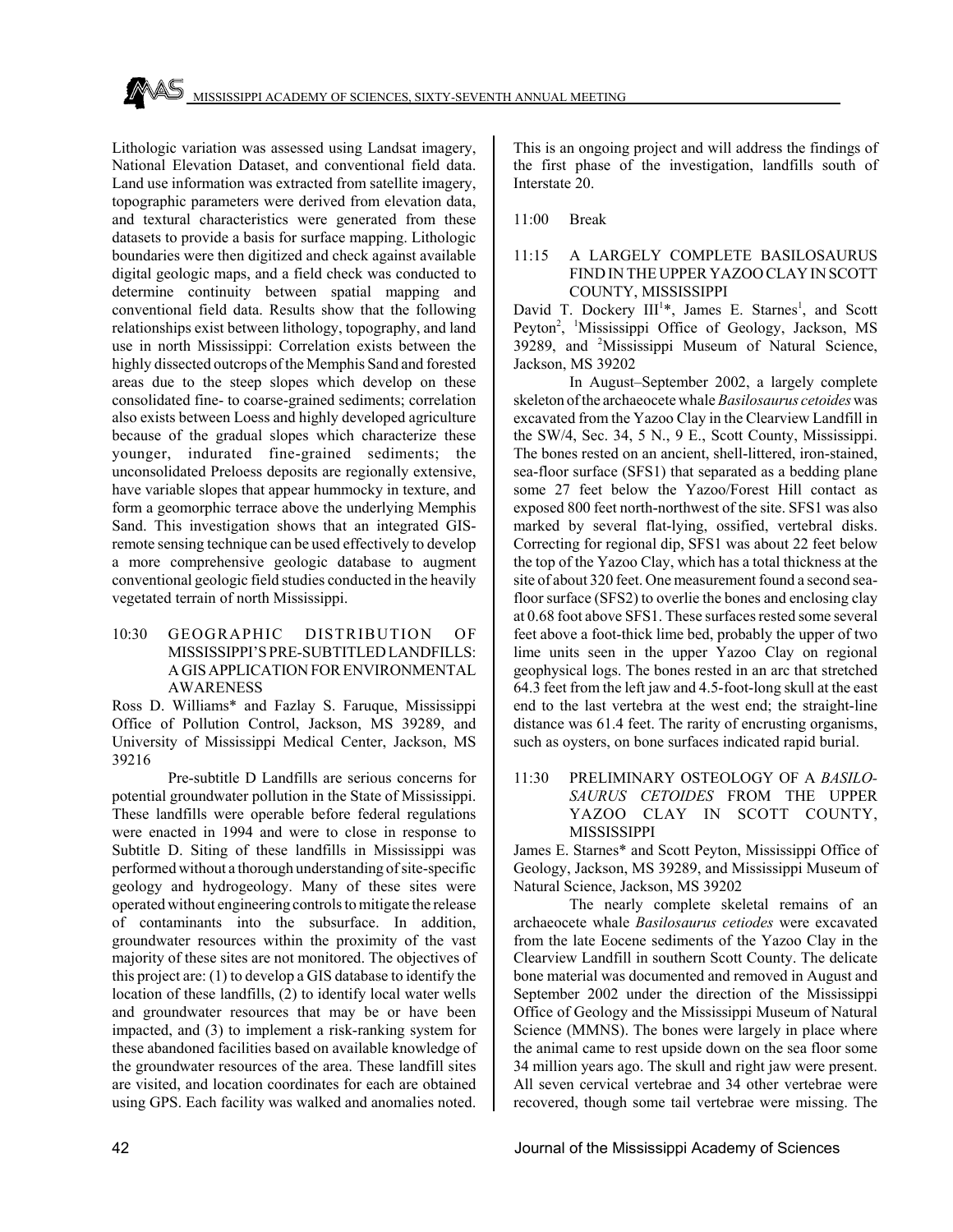Lithologic variation was assessed using Landsat imagery, National Elevation Dataset, and conventional field data. Land use information was extracted from satellite imagery, topographic parameters were derived from elevation data, and textural characteristics were generated from these datasets to provide a basis for surface mapping. Lithologic boundaries were then digitized and check against available digital geologic maps, and a field check was conducted to determine continuity between spatial mapping and conventional field data. Results show that the following relationships exist between lithology, topography, and land use in north Mississippi: Correlation exists between the highly dissected outcrops of the Memphis Sand and forested areas due to the steep slopes which develop on these consolidated fine- to coarse-grained sediments; correlation also exists between Loess and highly developed agriculture because of the gradual slopes which characterize these younger, indurated fine-grained sediments; the unconsolidated Preloess deposits are regionally extensive, have variable slopes that appear hummocky in texture, and form a geomorphic terrace above the underlying Memphis Sand. This investigation shows that an integrated GISremote sensing technique can be used effectively to develop a more comprehensive geologic database to augment conventional geologic field studies conducted in the heavily vegetated terrain of north Mississippi.

## 10:30 GEOGRAPHIC DISTRIBUTION OF MISSISSIPPI'S PRE-SUBTITLED LANDFILLS: A GIS APPLICATION FOR ENVIRONMENTAL AWARENESS

Ross D. Williams\* and Fazlay S. Faruque, Mississippi Office of Pollution Control, Jackson, MS 39289, and University of Mississippi Medical Center, Jackson, MS 39216

Pre-subtitle D Landfills are serious concerns for potential groundwater pollution in the State of Mississippi. These landfills were operable before federal regulations were enacted in 1994 and were to close in response to Subtitle D. Siting of these landfills in Mississippi was performed without a thorough understanding of site-specific geology and hydrogeology. Many of these sites were operated without engineering controls to mitigate the release of contaminants into the subsurface. In addition, groundwater resources within the proximity of the vast majority of these sites are not monitored. The objectives of this project are: (1) to develop a GIS database to identify the location of these landfills, (2) to identify local water wells and groundwater resources that may be or have been impacted, and (3) to implement a risk-ranking system for these abandoned facilities based on available knowledge of the groundwater resources of the area. These landfill sites are visited, and location coordinates for each are obtained using GPS. Each facility was walked and anomalies noted.

This is an ongoing project and will address the findings of the first phase of the investigation, landfills south of Interstate 20.

11:00 Break

## 11:15 A LARGELY COMPLETE BASILOSAURUS FIND IN THE UPPER YAZOO CLAY IN SCOTT COUNTY, MISSISSIPPI

David T. Dockery III<sup>1</sup>\*, James E. Starnes<sup>1</sup>, and Scott Peyton<sup>2</sup>, <sup>1</sup>Mississippi Office of Geology, Jackson, MS 39289, and <sup>2</sup>Mississippi Museum of Natural Science, Jackson, MS 39202

In August–September 2002, a largely complete skeleton of the archaeocete whale *Basilosaurus cetoides* was excavated from the Yazoo Clay in the Clearview Landfill in the SW/4, Sec. 34, 5 N., 9 E., Scott County, Mississippi. The bones rested on an ancient, shell-littered, iron-stained, sea-floor surface (SFS1) that separated as a bedding plane some 27 feet below the Yazoo/Forest Hill contact as exposed 800 feet north-northwest of the site. SFS1 was also marked by several flat-lying, ossified, vertebral disks. Correcting for regional dip, SFS1 was about 22 feet below the top of the Yazoo Clay, which has a total thickness at the site of about 320 feet. One measurement found a second seafloor surface (SFS2) to overlie the bones and enclosing clay at 0.68 foot above SFS1. These surfaces rested some several feet above a foot-thick lime bed, probably the upper of two lime units seen in the upper Yazoo Clay on regional geophysical logs. The bones rested in an arc that stretched 64.3 feet from the left jaw and 4.5-foot-long skull at the east end to the last vertebra at the west end; the straight-line distance was 61.4 feet. The rarity of encrusting organisms, such as oysters, on bone surfaces indicated rapid burial.

11:30 PRELIMINARY OSTEOLOGY OF A *BASILO-SAURUS CETOIDES* FROM THE UPPER YAZOO CLAY IN SCOTT COUNTY, MISSISSIPPI

James E. Starnes\* and Scott Peyton, Mississippi Office of Geology, Jackson, MS 39289, and Mississippi Museum of Natural Science, Jackson, MS 39202

The nearly complete skeletal remains of an archaeocete whale *Basilosaurus cetiodes* were excavated from the late Eocene sediments of the Yazoo Clay in the Clearview Landfill in southern Scott County. The delicate bone material was documented and removed in August and September 2002 under the direction of the Mississippi Office of Geology and the Mississippi Museum of Natural Science (MMNS). The bones were largely in place where the animal came to rest upside down on the sea floor some 34 million years ago. The skull and right jaw were present. All seven cervical vertebrae and 34 other vertebrae were recovered, though some tail vertebrae were missing. The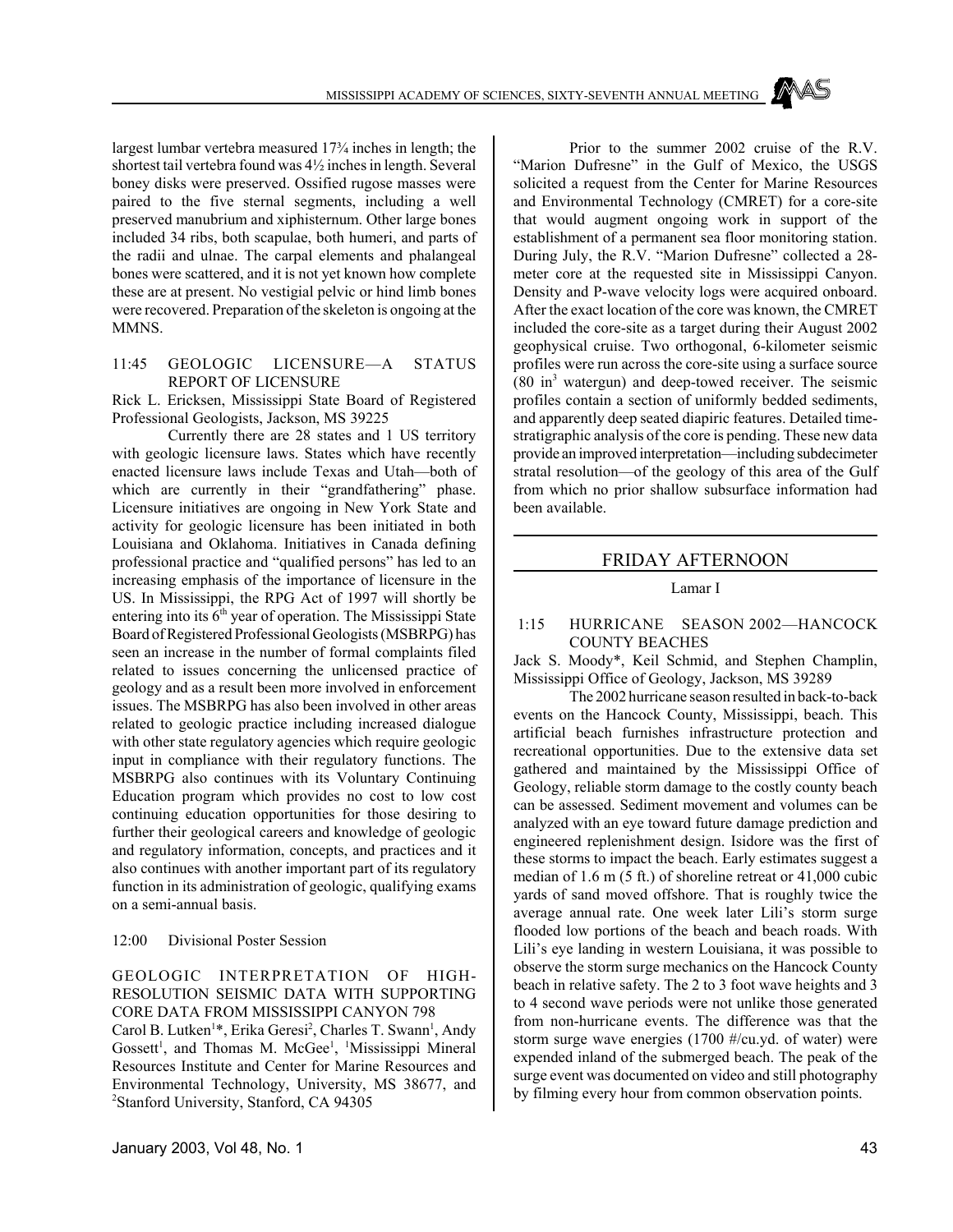largest lumbar vertebra measured 17¾ inches in length; the shortest tail vertebra found was 4½ inches in length. Several boney disks were preserved. Ossified rugose masses were paired to the five sternal segments, including a well preserved manubrium and xiphisternum. Other large bones included 34 ribs, both scapulae, both humeri, and parts of the radii and ulnae. The carpal elements and phalangeal bones were scattered, and it is not yet known how complete these are at present. No vestigial pelvic or hind limb bones were recovered. Preparation of the skeleton is ongoing at the MMNS.

## 11:45 GEOLOGIC LICENSURE—A STATUS REPORT OF LICENSURE

Rick L. Ericksen, Mississippi State Board of Registered Professional Geologists, Jackson, MS 39225

Currently there are 28 states and 1 US territory with geologic licensure laws. States which have recently enacted licensure laws include Texas and Utah—both of which are currently in their "grandfathering" phase. Licensure initiatives are ongoing in New York State and activity for geologic licensure has been initiated in both Louisiana and Oklahoma. Initiatives in Canada defining professional practice and "qualified persons" has led to an increasing emphasis of the importance of licensure in the US. In Mississippi, the RPG Act of 1997 will shortly be entering into its 6<sup>th</sup> year of operation. The Mississippi State Board of Registered Professional Geologists (MSBRPG) has seen an increase in the number of formal complaints filed related to issues concerning the unlicensed practice of geology and as a result been more involved in enforcement issues. The MSBRPG has also been involved in other areas related to geologic practice including increased dialogue with other state regulatory agencies which require geologic input in compliance with their regulatory functions. The MSBRPG also continues with its Voluntary Continuing Education program which provides no cost to low cost continuing education opportunities for those desiring to further their geological careers and knowledge of geologic and regulatory information, concepts, and practices and it also continues with another important part of its regulatory function in its administration of geologic, qualifying exams on a semi-annual basis.

12:00 Divisional Poster Session

## GEOLOGIC INTERPRETATION OF HIGH-RESOLUTION SEISMIC DATA WITH SUPPORTING CORE DATA FROM MISSISSIPPI CANYON 798

Carol B. Lutken<sup>1\*</sup>, Erika Geresi<sup>2</sup>, Charles T. Swann<sup>1</sup>, Andy Gossett<sup>1</sup>, and Thomas M. McGee<sup>1</sup>, <sup>1</sup>Mississippi Mineral Resources Institute and Center for Marine Resources and Environmental Technology, University, MS 38677, and 2 Stanford University, Stanford, CA 94305

Prior to the summer 2002 cruise of the R.V. "Marion Dufresne" in the Gulf of Mexico, the USGS solicited a request from the Center for Marine Resources and Environmental Technology (CMRET) for a core-site that would augment ongoing work in support of the establishment of a permanent sea floor monitoring station. During July, the R.V. "Marion Dufresne" collected a 28 meter core at the requested site in Mississippi Canyon. Density and P-wave velocity logs were acquired onboard. After the exact location of the core was known, the CMRET included the core-site as a target during their August 2002 geophysical cruise. Two orthogonal, 6-kilometer seismic profiles were run across the core-site using a surface source (80 in<sup>3</sup> watergun) and deep-towed receiver. The seismic profiles contain a section of uniformly bedded sediments, and apparently deep seated diapiric features. Detailed timestratigraphic analysis of the core is pending. These new data provide an improved interpretation—including subdecimeter stratal resolution—of the geology of this area of the Gulf from which no prior shallow subsurface information had been available.

## FRIDAY AFTERNOON

## Lamar I

## 1:15 HURRICANE SEASON 2002—HANCOCK COUNTY BEACHES

Jack S. Moody\*, Keil Schmid, and Stephen Champlin, Mississippi Office of Geology, Jackson, MS 39289

The 2002 hurricane season resulted in back-to-back events on the Hancock County, Mississippi, beach. This artificial beach furnishes infrastructure protection and recreational opportunities. Due to the extensive data set gathered and maintained by the Mississippi Office of Geology, reliable storm damage to the costly county beach can be assessed. Sediment movement and volumes can be analyzed with an eye toward future damage prediction and engineered replenishment design. Isidore was the first of these storms to impact the beach. Early estimates suggest a median of 1.6 m (5 ft.) of shoreline retreat or 41,000 cubic yards of sand moved offshore. That is roughly twice the average annual rate. One week later Lili's storm surge flooded low portions of the beach and beach roads. With Lili's eye landing in western Louisiana, it was possible to observe the storm surge mechanics on the Hancock County beach in relative safety. The 2 to 3 foot wave heights and 3 to 4 second wave periods were not unlike those generated from non-hurricane events. The difference was that the storm surge wave energies (1700 #/cu.yd. of water) were expended inland of the submerged beach. The peak of the surge event was documented on video and still photography by filming every hour from common observation points.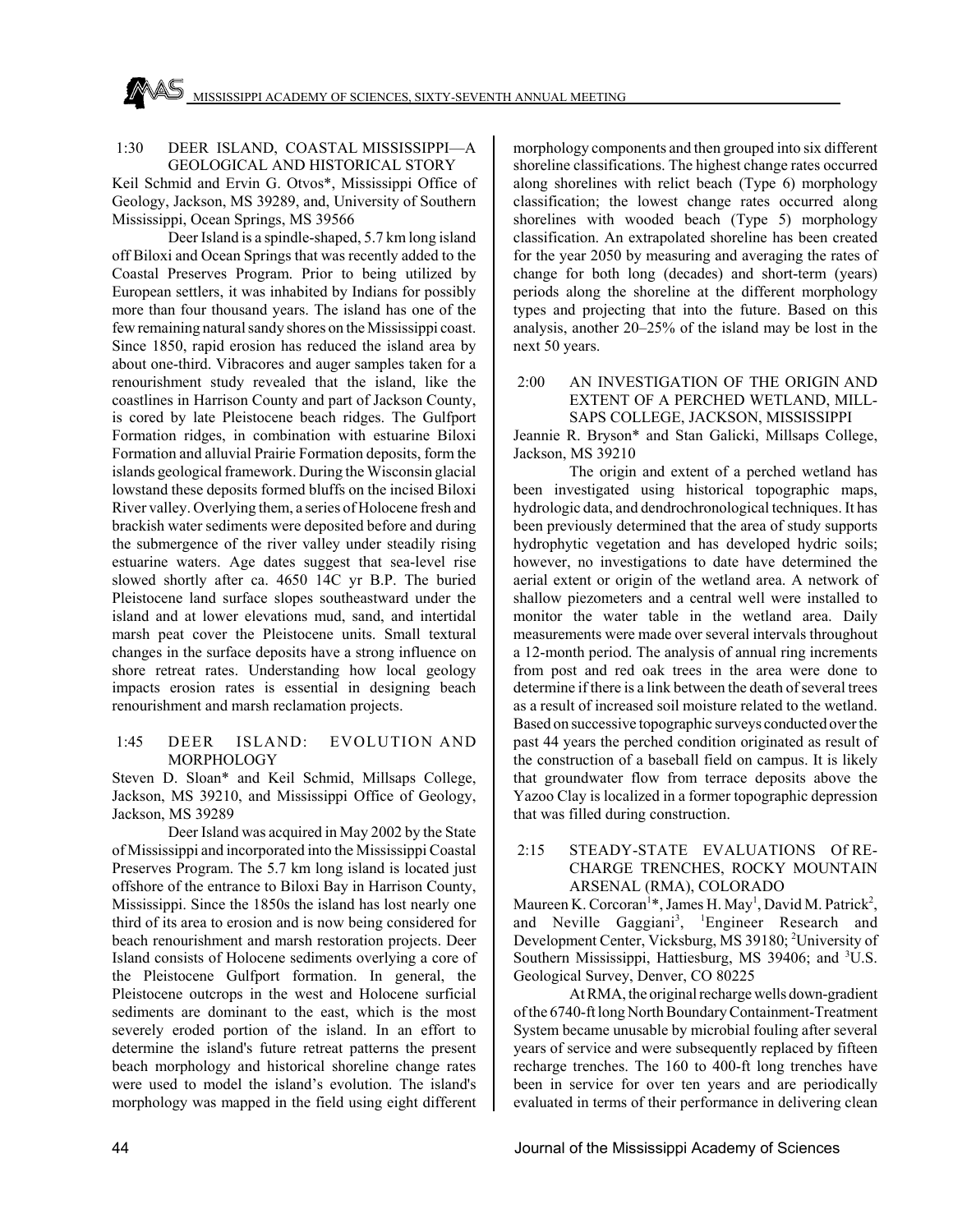## 1:30 DEER ISLAND, COASTAL MISSISSIPPI—A GEOLOGICAL AND HISTORICAL STORY

Keil Schmid and Ervin G. Otvos\*, Mississippi Office of Geology, Jackson, MS 39289, and, University of Southern Mississippi, Ocean Springs, MS 39566

Deer Island is a spindle-shaped, 5.7 km long island off Biloxi and Ocean Springs that was recently added to the Coastal Preserves Program. Prior to being utilized by European settlers, it was inhabited by Indians for possibly more than four thousand years. The island has one of the few remaining natural sandy shores on the Mississippi coast. Since 1850, rapid erosion has reduced the island area by about one-third. Vibracores and auger samples taken for a renourishment study revealed that the island, like the coastlines in Harrison County and part of Jackson County, is cored by late Pleistocene beach ridges. The Gulfport Formation ridges, in combination with estuarine Biloxi Formation and alluvial Prairie Formation deposits, form the islands geological framework. During the Wisconsin glacial lowstand these deposits formed bluffs on the incised Biloxi River valley. Overlying them, a series of Holocene fresh and brackish water sediments were deposited before and during the submergence of the river valley under steadily rising estuarine waters. Age dates suggest that sea-level rise slowed shortly after ca. 4650 14C yr B.P. The buried Pleistocene land surface slopes southeastward under the island and at lower elevations mud, sand, and intertidal marsh peat cover the Pleistocene units. Small textural changes in the surface deposits have a strong influence on shore retreat rates. Understanding how local geology impacts erosion rates is essential in designing beach renourishment and marsh reclamation projects.

## 1:45 DEER ISLAND: EVOLUTION AND **MORPHOLOGY**

Steven D. Sloan\* and Keil Schmid, Millsaps College, Jackson, MS 39210, and Mississippi Office of Geology, Jackson, MS 39289

Deer Island was acquired in May 2002 by the State of Mississippi and incorporated into the Mississippi Coastal Preserves Program. The 5.7 km long island is located just offshore of the entrance to Biloxi Bay in Harrison County, Mississippi. Since the 1850s the island has lost nearly one third of its area to erosion and is now being considered for beach renourishment and marsh restoration projects. Deer Island consists of Holocene sediments overlying a core of the Pleistocene Gulfport formation. In general, the Pleistocene outcrops in the west and Holocene surficial sediments are dominant to the east, which is the most severely eroded portion of the island. In an effort to determine the island's future retreat patterns the present beach morphology and historical shoreline change rates were used to model the island's evolution. The island's morphology was mapped in the field using eight different

morphology components and then grouped into six different shoreline classifications. The highest change rates occurred along shorelines with relict beach (Type 6) morphology classification; the lowest change rates occurred along shorelines with wooded beach (Type 5) morphology classification. An extrapolated shoreline has been created for the year 2050 by measuring and averaging the rates of change for both long (decades) and short-term (years) periods along the shoreline at the different morphology types and projecting that into the future. Based on this analysis, another 20–25% of the island may be lost in the next 50 years.

#### 2:00 AN INVESTIGATION OF THE ORIGIN AND EXTENT OF A PERCHED WETLAND, MILL-SAPS COLLEGE, JACKSON, MISSISSIPPI

Jeannie R. Bryson\* and Stan Galicki, Millsaps College, Jackson, MS 39210

The origin and extent of a perched wetland has been investigated using historical topographic maps, hydrologic data, and dendrochronological techniques. It has been previously determined that the area of study supports hydrophytic vegetation and has developed hydric soils; however, no investigations to date have determined the aerial extent or origin of the wetland area. A network of shallow piezometers and a central well were installed to monitor the water table in the wetland area. Daily measurements were made over several intervals throughout a 12-month period. The analysis of annual ring increments from post and red oak trees in the area were done to determine if there is a link between the death of several trees as a result of increased soil moisture related to the wetland. Based on successive topographic surveys conducted over the past 44 years the perched condition originated as result of the construction of a baseball field on campus. It is likely that groundwater flow from terrace deposits above the Yazoo Clay is localized in a former topographic depression that was filled during construction.

#### 2:15 STEADY-STATE EVALUATIONS Of RE-CHARGE TRENCHES, ROCKY MOUNTAIN ARSENAL (RMA), COLORADO

Maureen K. Corcoran<sup>1\*</sup>, James H. May<sup>1</sup>, David M. Patrick<sup>2</sup>, and Neville Gaggiani<sup>3</sup>, <sup>1</sup>Engineer Research and Development Center, Vicksburg, MS 39180; <sup>2</sup>University of Southern Mississippi, Hattiesburg, MS 39406; and <sup>3</sup>U.S. Geological Survey, Denver, CO 80225

At RMA, the original recharge wells down-gradient of the 6740-ft long North Boundary Containment-Treatment System became unusable by microbial fouling after several years of service and were subsequently replaced by fifteen recharge trenches. The 160 to 400-ft long trenches have been in service for over ten years and are periodically evaluated in terms of their performance in delivering clean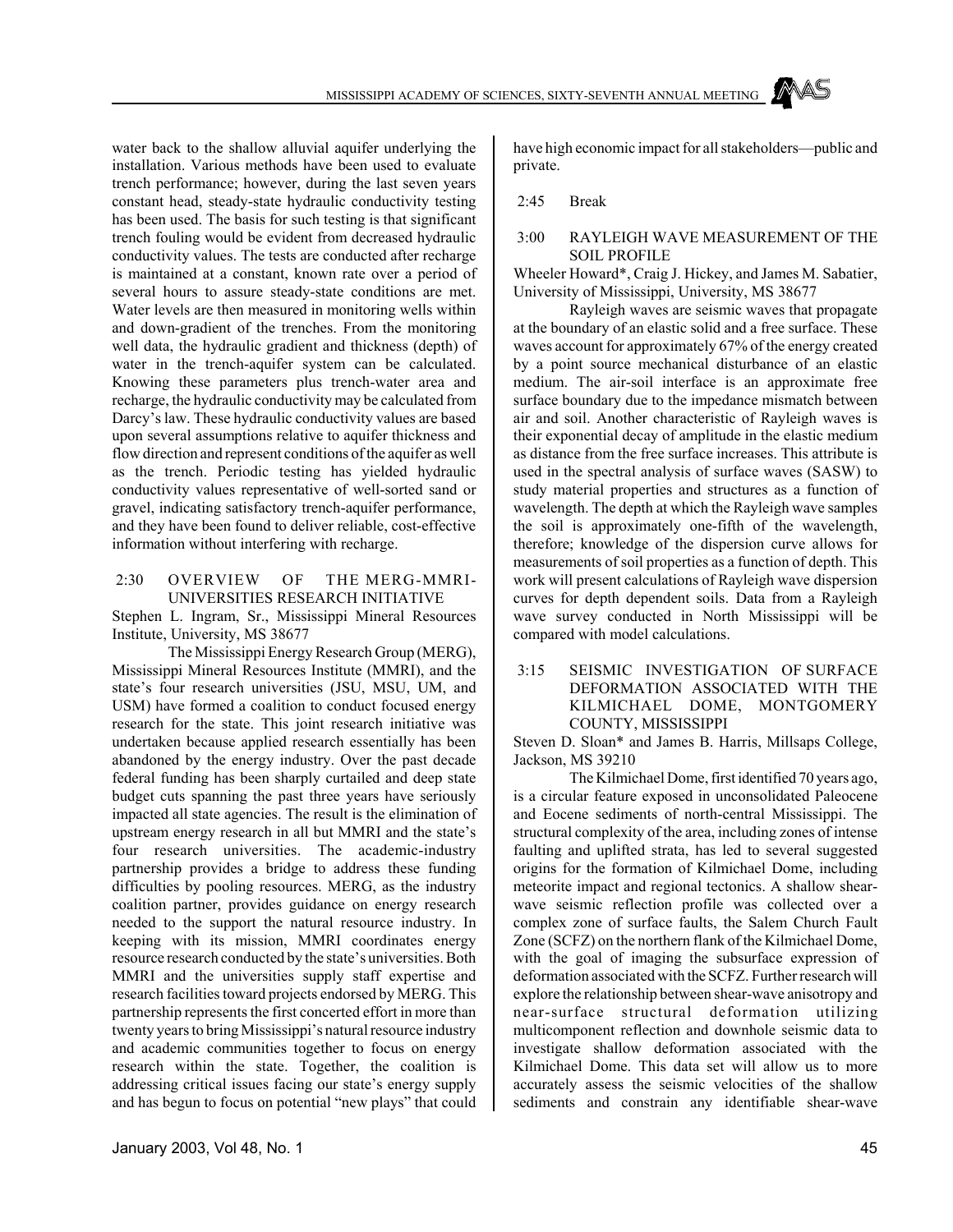water back to the shallow alluvial aquifer underlying the installation. Various methods have been used to evaluate trench performance; however, during the last seven years constant head, steady-state hydraulic conductivity testing has been used. The basis for such testing is that significant trench fouling would be evident from decreased hydraulic conductivity values. The tests are conducted after recharge is maintained at a constant, known rate over a period of several hours to assure steady-state conditions are met. Water levels are then measured in monitoring wells within and down-gradient of the trenches. From the monitoring well data, the hydraulic gradient and thickness (depth) of water in the trench-aquifer system can be calculated. Knowing these parameters plus trench-water area and recharge, the hydraulic conductivity may be calculated from Darcy's law. These hydraulic conductivity values are based upon several assumptions relative to aquifer thickness and flow direction and represent conditions of the aquifer as well as the trench. Periodic testing has yielded hydraulic conductivity values representative of well-sorted sand or gravel, indicating satisfactory trench-aquifer performance, and they have been found to deliver reliable, cost-effective information without interfering with recharge.

## 2:30 OVERVIEW OF THE MERG-MMRI-UNIVERSITIES RESEARCH INITIATIVE

Stephen L. Ingram, Sr., Mississippi Mineral Resources Institute, University, MS 38677

The Mississippi Energy Research Group (MERG), Mississippi Mineral Resources Institute (MMRI), and the state's four research universities (JSU, MSU, UM, and USM) have formed a coalition to conduct focused energy research for the state. This joint research initiative was undertaken because applied research essentially has been abandoned by the energy industry. Over the past decade federal funding has been sharply curtailed and deep state budget cuts spanning the past three years have seriously impacted all state agencies. The result is the elimination of upstream energy research in all but MMRI and the state's four research universities. The academic-industry partnership provides a bridge to address these funding difficulties by pooling resources. MERG, as the industry coalition partner, provides guidance on energy research needed to the support the natural resource industry. In keeping with its mission, MMRI coordinates energy resource research conducted by the state's universities. Both MMRI and the universities supply staff expertise and research facilities toward projects endorsed by MERG. This partnership represents the first concerted effort in more than twenty years to bring Mississippi's natural resource industry and academic communities together to focus on energy research within the state. Together, the coalition is addressing critical issues facing our state's energy supply and has begun to focus on potential "new plays" that could have high economic impact for all stakeholders—public and private.

## 2:45 Break

## 3:00 RAYLEIGH WAVE MEASUREMENT OF THE SOIL PROFILE

Wheeler Howard\*, Craig J. Hickey, and James M. Sabatier, University of Mississippi, University, MS 38677

Rayleigh waves are seismic waves that propagate at the boundary of an elastic solid and a free surface. These waves account for approximately 67% of the energy created by a point source mechanical disturbance of an elastic medium. The air-soil interface is an approximate free surface boundary due to the impedance mismatch between air and soil. Another characteristic of Rayleigh waves is their exponential decay of amplitude in the elastic medium as distance from the free surface increases. This attribute is used in the spectral analysis of surface waves (SASW) to study material properties and structures as a function of wavelength. The depth at which the Rayleigh wave samples the soil is approximately one-fifth of the wavelength, therefore; knowledge of the dispersion curve allows for measurements of soil properties as a function of depth. This work will present calculations of Rayleigh wave dispersion curves for depth dependent soils. Data from a Rayleigh wave survey conducted in North Mississippi will be compared with model calculations.

 3:15 SEISMIC INVESTIGATION OF SURFACE DEFORMATION ASSOCIATED WITH THE KILMICHAEL DOME, MONTGOMERY COUNTY, MISSISSIPPI

Steven D. Sloan\* and James B. Harris, Millsaps College, Jackson, MS 39210

The Kilmichael Dome, first identified 70 years ago, is a circular feature exposed in unconsolidated Paleocene and Eocene sediments of north-central Mississippi. The structural complexity of the area, including zones of intense faulting and uplifted strata, has led to several suggested origins for the formation of Kilmichael Dome, including meteorite impact and regional tectonics. A shallow shearwave seismic reflection profile was collected over a complex zone of surface faults, the Salem Church Fault Zone (SCFZ) on the northern flank of the Kilmichael Dome, with the goal of imaging the subsurface expression of deformation associated with the SCFZ. Further research will explore the relationship between shear-wave anisotropy and near-surface structural deformation utilizing multicomponent reflection and downhole seismic data to investigate shallow deformation associated with the Kilmichael Dome. This data set will allow us to more accurately assess the seismic velocities of the shallow sediments and constrain any identifiable shear-wave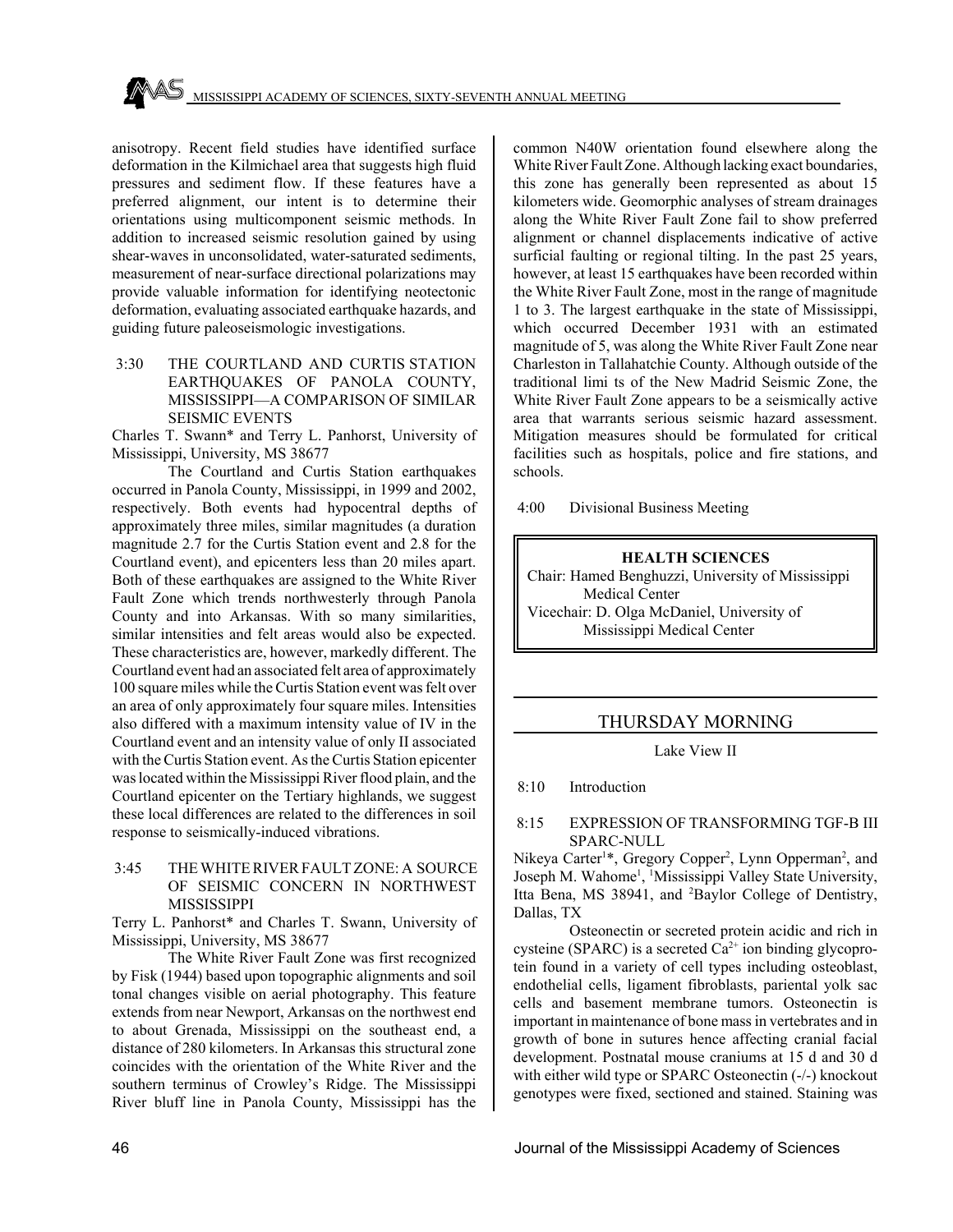anisotropy. Recent field studies have identified surface deformation in the Kilmichael area that suggests high fluid pressures and sediment flow. If these features have a preferred alignment, our intent is to determine their orientations using multicomponent seismic methods. In addition to increased seismic resolution gained by using shear-waves in unconsolidated, water-saturated sediments, measurement of near-surface directional polarizations may provide valuable information for identifying neotectonic deformation, evaluating associated earthquake hazards, and guiding future paleoseismologic investigations.

 3:30 THE COURTLAND AND CURTIS STATION EARTHQUAKES OF PANOLA COUNTY, MISSISSIPPI—A COMPARISON OF SIMILAR SEISMIC EVENTS

Charles T. Swann\* and Terry L. Panhorst, University of Mississippi, University, MS 38677

The Courtland and Curtis Station earthquakes occurred in Panola County, Mississippi, in 1999 and 2002, respectively. Both events had hypocentral depths of approximately three miles, similar magnitudes (a duration magnitude 2.7 for the Curtis Station event and 2.8 for the Courtland event), and epicenters less than 20 miles apart. Both of these earthquakes are assigned to the White River Fault Zone which trends northwesterly through Panola County and into Arkansas. With so many similarities, similar intensities and felt areas would also be expected. These characteristics are, however, markedly different. The Courtland event had an associated felt area of approximately 100 square miles while the Curtis Station event was felt over an area of only approximately four square miles. Intensities also differed with a maximum intensity value of IV in the Courtland event and an intensity value of only II associated with the Curtis Station event. As the Curtis Station epicenter was located within the Mississippi River flood plain, and the Courtland epicenter on the Tertiary highlands, we suggest these local differences are related to the differences in soil response to seismically-induced vibrations.

 3:45 THE WHITE RIVER FAULT ZONE: A SOURCE OF SEISMIC CONCERN IN NORTHWEST **MISSISSIPPI** 

Terry L. Panhorst\* and Charles T. Swann, University of Mississippi, University, MS 38677

The White River Fault Zone was first recognized by Fisk (1944) based upon topographic alignments and soil tonal changes visible on aerial photography. This feature extends from near Newport, Arkansas on the northwest end to about Grenada, Mississippi on the southeast end, a distance of 280 kilometers. In Arkansas this structural zone coincides with the orientation of the White River and the southern terminus of Crowley's Ridge. The Mississippi River bluff line in Panola County, Mississippi has the

common N40W orientation found elsewhere along the White River Fault Zone. Although lacking exact boundaries, this zone has generally been represented as about 15 kilometers wide. Geomorphic analyses of stream drainages along the White River Fault Zone fail to show preferred alignment or channel displacements indicative of active surficial faulting or regional tilting. In the past 25 years, however, at least 15 earthquakes have been recorded within the White River Fault Zone, most in the range of magnitude 1 to 3. The largest earthquake in the state of Mississippi, which occurred December 1931 with an estimated magnitude of 5, was along the White River Fault Zone near Charleston in Tallahatchie County. Although outside of the traditional limi ts of the New Madrid Seismic Zone, the White River Fault Zone appears to be a seismically active area that warrants serious seismic hazard assessment. Mitigation measures should be formulated for critical facilities such as hospitals, police and fire stations, and schools.

4:00 Divisional Business Meeting

#### **HEALTH SCIENCES**

Chair: Hamed Benghuzzi, University of Mississippi Medical Center Vicechair: D. Olga McDaniel, University of Mississippi Medical Center

## THURSDAY MORNING

Lake View II

8:10 Introduction

#### 8:15 EXPRESSION OF TRANSFORMING TGF-B III SPARC-NULL

Nikeya Carter<sup>1\*</sup>, Gregory Copper<sup>2</sup>, Lynn Opperman<sup>2</sup>, and Joseph M. Wahome<sup>1</sup>, <sup>1</sup>Mississippi Valley State University, Itta Bena, MS 38941, and <sup>2</sup>Baylor College of Dentistry, Dallas, TX

Osteonectin or secreted protein acidic and rich in cysteine (SPARC) is a secreted  $Ca^{2+}$  ion binding glycoprotein found in a variety of cell types including osteoblast, endothelial cells, ligament fibroblasts, pariental yolk sac cells and basement membrane tumors. Osteonectin is important in maintenance of bone mass in vertebrates and in growth of bone in sutures hence affecting cranial facial development. Postnatal mouse craniums at 15 d and 30 d with either wild type or SPARC Osteonectin  $(-/-)$  knockout genotypes were fixed, sectioned and stained. Staining was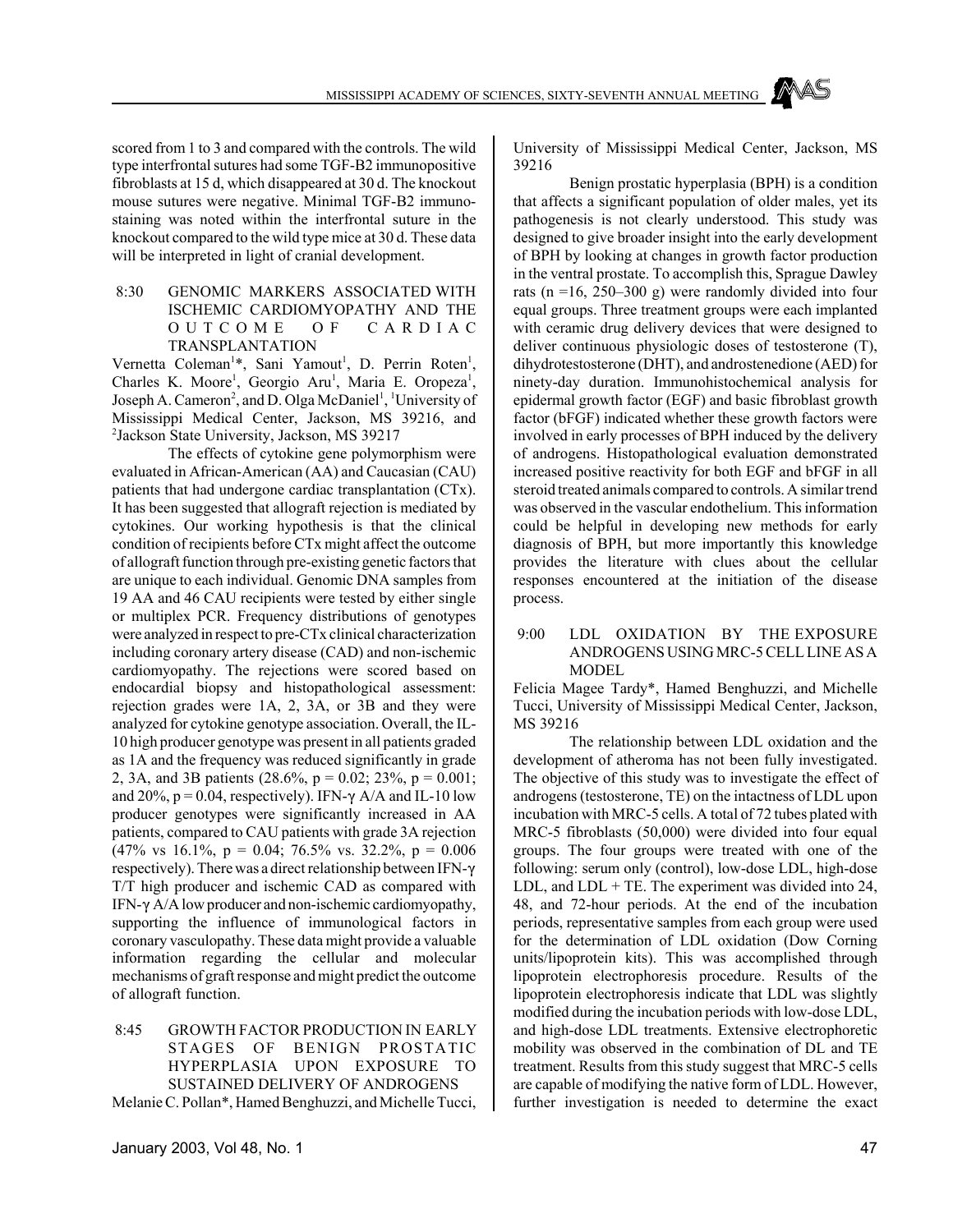scored from 1 to 3 and compared with the controls. The wild type interfrontal sutures had some TGF-B2 immunopositive fibroblasts at 15 d, which disappeared at 30 d. The knockout mouse sutures were negative. Minimal TGF-B2 immunostaining was noted within the interfrontal suture in the knockout compared to the wild type mice at 30 d. These data will be interpreted in light of cranial development.

## 8:30 GENOMIC MARKERS ASSOCIATED WITH ISCHEMIC CARDIOMYOPATHY AND THE OUTCOME OF CARDIAC TRANSPLANTATION

Vernetta Coleman<sup>1\*</sup>, Sani Yamout<sup>1</sup>, D. Perrin Roten<sup>1</sup>, Charles K. Moore<sup>1</sup>, Georgio Aru<sup>1</sup>, Maria E. Oropeza<sup>1</sup>, Joseph A. Cameron<sup>2</sup>, and D. Olga McDaniel<sup>1</sup>, <sup>1</sup>University of Mississippi Medical Center, Jackson, MS 39216, and 2 Jackson State University, Jackson, MS 39217

The effects of cytokine gene polymorphism were evaluated in African-American (AA) and Caucasian (CAU) patients that had undergone cardiac transplantation (CTx). It has been suggested that allograft rejection is mediated by cytokines. Our working hypothesis is that the clinical condition of recipients before CTx might affect the outcome of allograft function through pre-existing genetic factors that are unique to each individual. Genomic DNA samples from 19 AA and 46 CAU recipients were tested by either single or multiplex PCR. Frequency distributions of genotypes were analyzed in respect to pre-CTx clinical characterization including coronary artery disease (CAD) and non-ischemic cardiomyopathy. The rejections were scored based on endocardial biopsy and histopathological assessment: rejection grades were 1A, 2, 3A, or 3B and they were analyzed for cytokine genotype association. Overall, the IL-10 high producer genotype was present in all patients graded as 1A and the frequency was reduced significantly in grade 2, 3A, and 3B patients (28.6%, p = 0.02; 23%, p = 0.001; and 20%,  $p = 0.04$ , respectively). IFN- $\gamma$  A/A and IL-10 low producer genotypes were significantly increased in AA patients, compared to CAU patients with grade 3A rejection  $(47\% \text{ vs } 16.1\%, \text{ p} = 0.04; 76.5\% \text{ vs. } 32.2\%, \text{ p} = 0.006)$ respectively). There was a direct relationship between IFN- $\gamma$ T/T high producer and ischemic CAD as compared with IFN- $\gamma$  A/A low producer and non-ischemic cardiomyopathy, supporting the influence of immunological factors in coronary vasculopathy. These data might provide a valuable information regarding the cellular and molecular mechanisms of graft response and might predict the outcome of allograft function.

 8:45 GROWTH FACTOR PRODUCTION IN EARLY STAGES OF BENIGN PROSTATIC HYPERPLASIA UPON EXPOSURE TO SUSTAINED DELIVERY OF ANDROGENS Melanie C. Pollan\*, Hamed Benghuzzi, and Michelle Tucci, University of Mississippi Medical Center, Jackson, MS 39216

Benign prostatic hyperplasia (BPH) is a condition that affects a significant population of older males, yet its pathogenesis is not clearly understood. This study was designed to give broader insight into the early development of BPH by looking at changes in growth factor production in the ventral prostate. To accomplish this, Sprague Dawley rats ( $n = 16$ , 250–300 g) were randomly divided into four equal groups. Three treatment groups were each implanted with ceramic drug delivery devices that were designed to deliver continuous physiologic doses of testosterone (T), dihydrotestosterone (DHT), and androstenedione (AED) for ninety-day duration. Immunohistochemical analysis for epidermal growth factor (EGF) and basic fibroblast growth factor (bFGF) indicated whether these growth factors were involved in early processes of BPH induced by the delivery of androgens. Histopathological evaluation demonstrated increased positive reactivity for both EGF and bFGF in all steroid treated animals compared to controls. A similar trend was observed in the vascular endothelium. This information could be helpful in developing new methods for early diagnosis of BPH, but more importantly this knowledge provides the literature with clues about the cellular responses encountered at the initiation of the disease process.

## 9:00 LDL OXIDATION BY THE EXPOSURE ANDROGENS USING MRC-5 CELL LINE AS A MODEL

Felicia Magee Tardy\*, Hamed Benghuzzi, and Michelle Tucci, University of Mississippi Medical Center, Jackson, MS 39216

The relationship between LDL oxidation and the development of atheroma has not been fully investigated. The objective of this study was to investigate the effect of androgens (testosterone, TE) on the intactness of LDL upon incubation with MRC-5 cells. A total of 72 tubes plated with MRC-5 fibroblasts (50,000) were divided into four equal groups. The four groups were treated with one of the following: serum only (control), low-dose LDL, high-dose LDL, and LDL + TE. The experiment was divided into  $24$ , 48, and 72-hour periods. At the end of the incubation periods, representative samples from each group were used for the determination of LDL oxidation (Dow Corning units/lipoprotein kits). This was accomplished through lipoprotein electrophoresis procedure. Results of the lipoprotein electrophoresis indicate that LDL was slightly modified during the incubation periods with low-dose LDL, and high-dose LDL treatments. Extensive electrophoretic mobility was observed in the combination of DL and TE treatment. Results from this study suggest that MRC-5 cells are capable of modifying the native form of LDL. However, further investigation is needed to determine the exact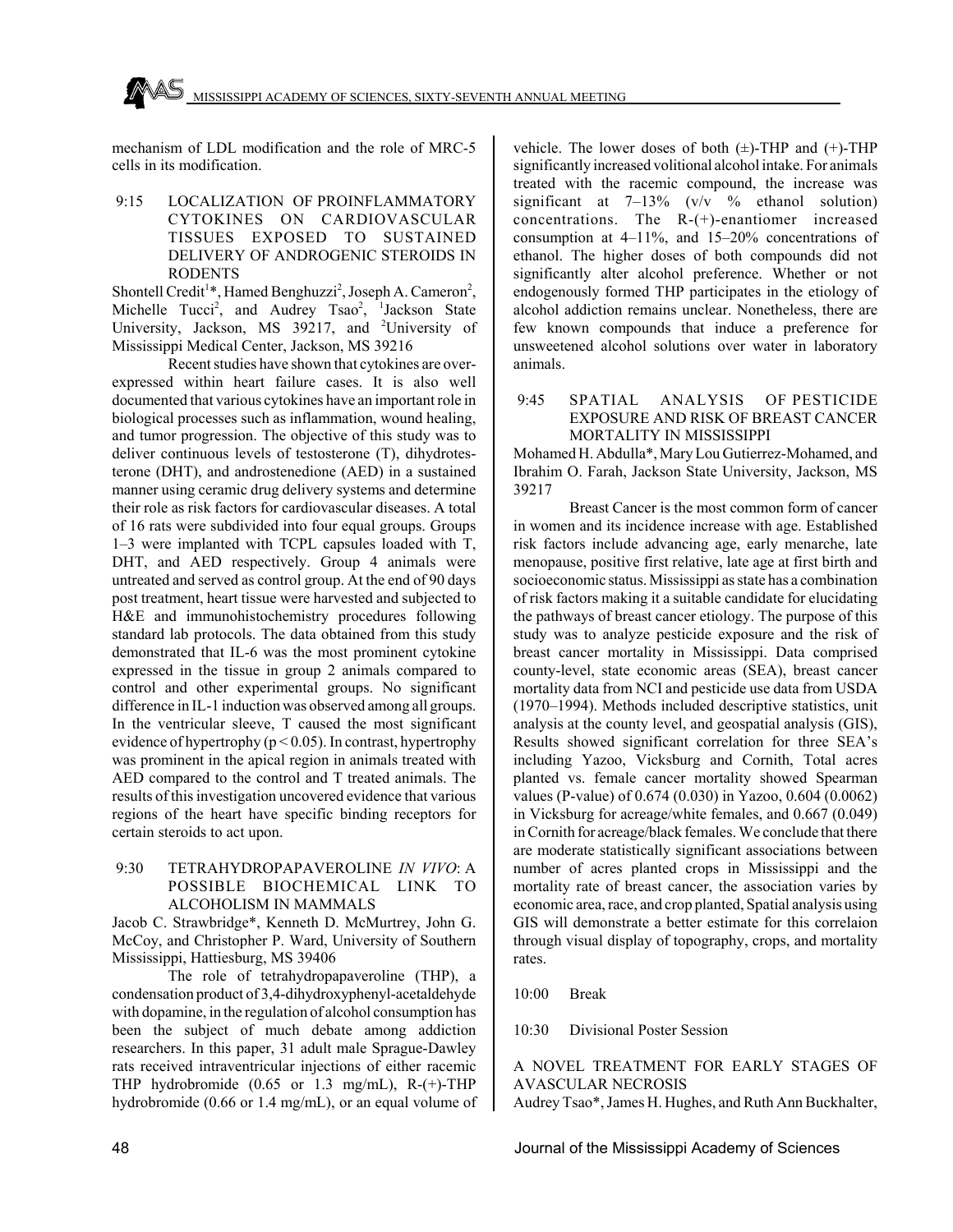mechanism of LDL modification and the role of MRC-5 cells in its modification.

 9:15 LOCALIZATION OF PROINFLAMMATORY CYTOKINES ON CARDIOVASCULAR TISSUES EXPOSED TO SUSTAINED DELIVERY OF ANDROGENIC STEROIDS IN RODENTS

Shontell Credit<sup>1\*</sup>, Hamed Benghuzzi<sup>2</sup>, Joseph A. Cameron<sup>2</sup>, Michelle Tucci<sup>2</sup>, and Audrey Tsao<sup>2</sup>, <sup>1</sup>Jackson State University, Jackson, MS 39217, and <sup>2</sup>University of Mississippi Medical Center, Jackson, MS 39216

Recent studies have shown that cytokines are overexpressed within heart failure cases. It is also well documented that various cytokines have an important role in biological processes such as inflammation, wound healing, and tumor progression. The objective of this study was to deliver continuous levels of testosterone (T), dihydrotesterone (DHT), and androstenedione (AED) in a sustained manner using ceramic drug delivery systems and determine their role as risk factors for cardiovascular diseases. A total of 16 rats were subdivided into four equal groups. Groups 1–3 were implanted with TCPL capsules loaded with T, DHT, and AED respectively. Group 4 animals were untreated and served as control group. At the end of 90 days post treatment, heart tissue were harvested and subjected to H&E and immunohistochemistry procedures following standard lab protocols. The data obtained from this study demonstrated that IL-6 was the most prominent cytokine expressed in the tissue in group 2 animals compared to control and other experimental groups. No significant difference in IL-1 induction was observed among all groups. In the ventricular sleeve, T caused the most significant evidence of hypertrophy ( $p < 0.05$ ). In contrast, hypertrophy was prominent in the apical region in animals treated with AED compared to the control and T treated animals. The results of this investigation uncovered evidence that various regions of the heart have specific binding receptors for certain steroids to act upon.

## 9:30 TETRAHYDROPAPAVEROLINE *IN VIVO*: A POSSIBLE BIOCHEMICAL LINK TO ALCOHOLISM IN MAMMALS

Jacob C. Strawbridge\*, Kenneth D. McMurtrey, John G. McCoy, and Christopher P. Ward, University of Southern Mississippi, Hattiesburg, MS 39406

The role of tetrahydropapaveroline (THP), a condensation product of 3,4-dihydroxyphenyl-acetaldehyde with dopamine, in the regulation of alcohol consumption has been the subject of much debate among addiction researchers. In this paper, 31 adult male Sprague-Dawley rats received intraventricular injections of either racemic THP hydrobromide (0.65 or 1.3 mg/mL), R-(+)-THP hydrobromide (0.66 or 1.4 mg/mL), or an equal volume of

vehicle. The lower doses of both  $(\pm)$ -THP and  $(\pm)$ -THP significantly increased volitional alcohol intake. For animals treated with the racemic compound, the increase was significant at  $7-13\%$  (v/v  $\%$  ethanol solution) concentrations. The R-(+)-enantiomer increased consumption at 4–11%, and 15–20% concentrations of ethanol. The higher doses of both compounds did not significantly alter alcohol preference. Whether or not endogenously formed THP participates in the etiology of alcohol addiction remains unclear. Nonetheless, there are few known compounds that induce a preference for unsweetened alcohol solutions over water in laboratory animals.

#### 9:45 SPATIAL ANALYSIS OF PESTICIDE EXPOSURE AND RISK OF BREAST CANCER MORTALITY IN MISSISSIPPI

Mohamed H. Abdulla\*, Mary Lou Gutierrez-Mohamed, and Ibrahim O. Farah, Jackson State University, Jackson, MS 39217

Breast Cancer is the most common form of cancer in women and its incidence increase with age. Established risk factors include advancing age, early menarche, late menopause, positive first relative, late age at first birth and socioeconomic status. Mississippi as state has a combination of risk factors making it a suitable candidate for elucidating the pathways of breast cancer etiology. The purpose of this study was to analyze pesticide exposure and the risk of breast cancer mortality in Mississippi. Data comprised county-level, state economic areas (SEA), breast cancer mortality data from NCI and pesticide use data from USDA (1970–1994). Methods included descriptive statistics, unit analysis at the county level, and geospatial analysis (GIS), Results showed significant correlation for three SEA's including Yazoo, Vicksburg and Cornith, Total acres planted vs. female cancer mortality showed Spearman values (P-value) of 0.674 (0.030) in Yazoo, 0.604 (0.0062) in Vicksburg for acreage/white females, and 0.667 (0.049) in Cornith for acreage/black females. We conclude that there are moderate statistically significant associations between number of acres planted crops in Mississippi and the mortality rate of breast cancer, the association varies by economic area, race, and crop planted, Spatial analysis using GIS will demonstrate a better estimate for this correlaion through visual display of topography, crops, and mortality rates.

10:00 Break

10:30 Divisional Poster Session

## A NOVEL TREATMENT FOR EARLY STAGES OF AVASCULAR NECROSIS

Audrey Tsao\*, James H. Hughes, and Ruth Ann Buckhalter,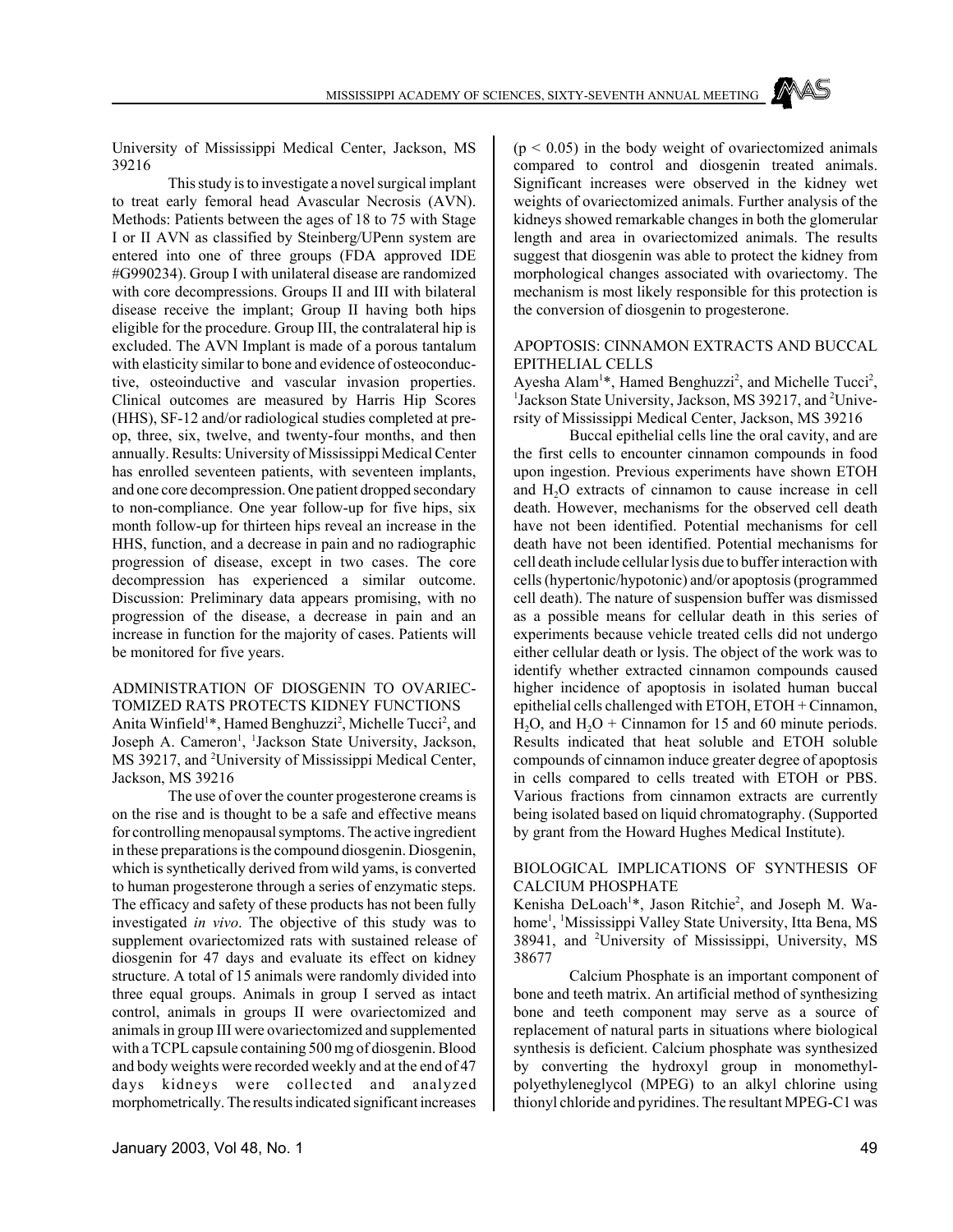University of Mississippi Medical Center, Jackson, MS 39216

This study is to investigate a novel surgical implant to treat early femoral head Avascular Necrosis (AVN). Methods: Patients between the ages of 18 to 75 with Stage I or II AVN as classified by Steinberg/UPenn system are entered into one of three groups (FDA approved IDE #G990234). Group I with unilateral disease are randomized with core decompressions. Groups II and III with bilateral disease receive the implant; Group II having both hips eligible for the procedure. Group III, the contralateral hip is excluded. The AVN Implant is made of a porous tantalum with elasticity similar to bone and evidence of osteoconductive, osteoinductive and vascular invasion properties. Clinical outcomes are measured by Harris Hip Scores (HHS), SF-12 and/or radiological studies completed at preop, three, six, twelve, and twenty-four months, and then annually. Results: University of Mississippi Medical Center has enrolled seventeen patients, with seventeen implants, and one core decompression. One patient dropped secondary to non-compliance. One year follow-up for five hips, six month follow-up for thirteen hips reveal an increase in the HHS, function, and a decrease in pain and no radiographic progression of disease, except in two cases. The core decompression has experienced a similar outcome. Discussion: Preliminary data appears promising, with no progression of the disease, a decrease in pain and an increase in function for the majority of cases. Patients will be monitored for five years.

## ADMINISTRATION OF DIOSGENIN TO OVARIEC-TOMIZED RATS PROTECTS KIDNEY FUNCTIONS Anita Winfield<sup>1\*</sup>, Hamed Benghuzzi<sup>2</sup>, Michelle Tucci<sup>2</sup>, and

Joseph A. Cameron<sup>1</sup>, <sup>1</sup>Jackson State University, Jackson, MS 39217, and <sup>2</sup>University of Mississippi Medical Center, Jackson, MS 39216

The use of over the counter progesterone creams is on the rise and is thought to be a safe and effective means for controlling menopausal symptoms. The active ingredient in these preparations is the compound diosgenin. Diosgenin, which is synthetically derived from wild yams, is converted to human progesterone through a series of enzymatic steps. The efficacy and safety of these products has not been fully investigated *in vivo*. The objective of this study was to supplement ovariectomized rats with sustained release of diosgenin for 47 days and evaluate its effect on kidney structure. A total of 15 animals were randomly divided into three equal groups. Animals in group I served as intact control, animals in groups II were ovariectomized and animals in group III were ovariectomized and supplemented with a TCPL capsule containing 500 mg of diosgenin. Blood and body weights were recorded weekly and at the end of 47 days kidneys were collected and analyzed morphometrically. The results indicated significant increases  $(p < 0.05)$  in the body weight of ovariectomized animals compared to control and diosgenin treated animals. Significant increases were observed in the kidney wet weights of ovariectomized animals. Further analysis of the kidneys showed remarkable changes in both the glomerular length and area in ovariectomized animals. The results suggest that diosgenin was able to protect the kidney from morphological changes associated with ovariectomy. The mechanism is most likely responsible for this protection is the conversion of diosgenin to progesterone.

#### APOPTOSIS: CINNAMON EXTRACTS AND BUCCAL EPITHELIAL CELLS

Ayesha Alam<sup>1\*</sup>, Hamed Benghuzzi<sup>2</sup>, and Michelle Tucci<sup>2</sup>, <sup>1</sup>Jackson State University, Jackson, MS 39217, and <sup>2</sup>University of Mississippi Medical Center, Jackson, MS 39216

Buccal epithelial cells line the oral cavity, and are the first cells to encounter cinnamon compounds in food upon ingestion. Previous experiments have shown ETOH and H<sub>2</sub>O extracts of cinnamon to cause increase in cell death. However, mechanisms for the observed cell death have not been identified. Potential mechanisms for cell death have not been identified. Potential mechanisms for cell death include cellular lysis due to buffer interaction with cells (hypertonic/hypotonic) and/or apoptosis (programmed cell death). The nature of suspension buffer was dismissed as a possible means for cellular death in this series of experiments because vehicle treated cells did not undergo either cellular death or lysis. The object of the work was to identify whether extracted cinnamon compounds caused higher incidence of apoptosis in isolated human buccal epithelial cells challenged with ETOH, ETOH + Cinnamon, H<sub>2</sub>O, and H<sub>2</sub>O + Cinnamon for 15 and 60 minute periods. Results indicated that heat soluble and ETOH soluble compounds of cinnamon induce greater degree of apoptosis in cells compared to cells treated with ETOH or PBS. Various fractions from cinnamon extracts are currently being isolated based on liquid chromatography. (Supported by grant from the Howard Hughes Medical Institute).

## BIOLOGICAL IMPLICATIONS OF SYNTHESIS OF CALCIUM PHOSPHATE

Kenisha DeLoach<sup>1\*</sup>, Jason Ritchie<sup>2</sup>, and Joseph M. Wahome<sup>1</sup>, <sup>1</sup>Mississippi Valley State University, Itta Bena, MS 38941, and <sup>2</sup>University of Mississippi, University, MS 38677

Calcium Phosphate is an important component of bone and teeth matrix. An artificial method of synthesizing bone and teeth component may serve as a source of replacement of natural parts in situations where biological synthesis is deficient. Calcium phosphate was synthesized by converting the hydroxyl group in monomethylpolyethyleneglycol (MPEG) to an alkyl chlorine using thionyl chloride and pyridines. The resultant MPEG-C1 was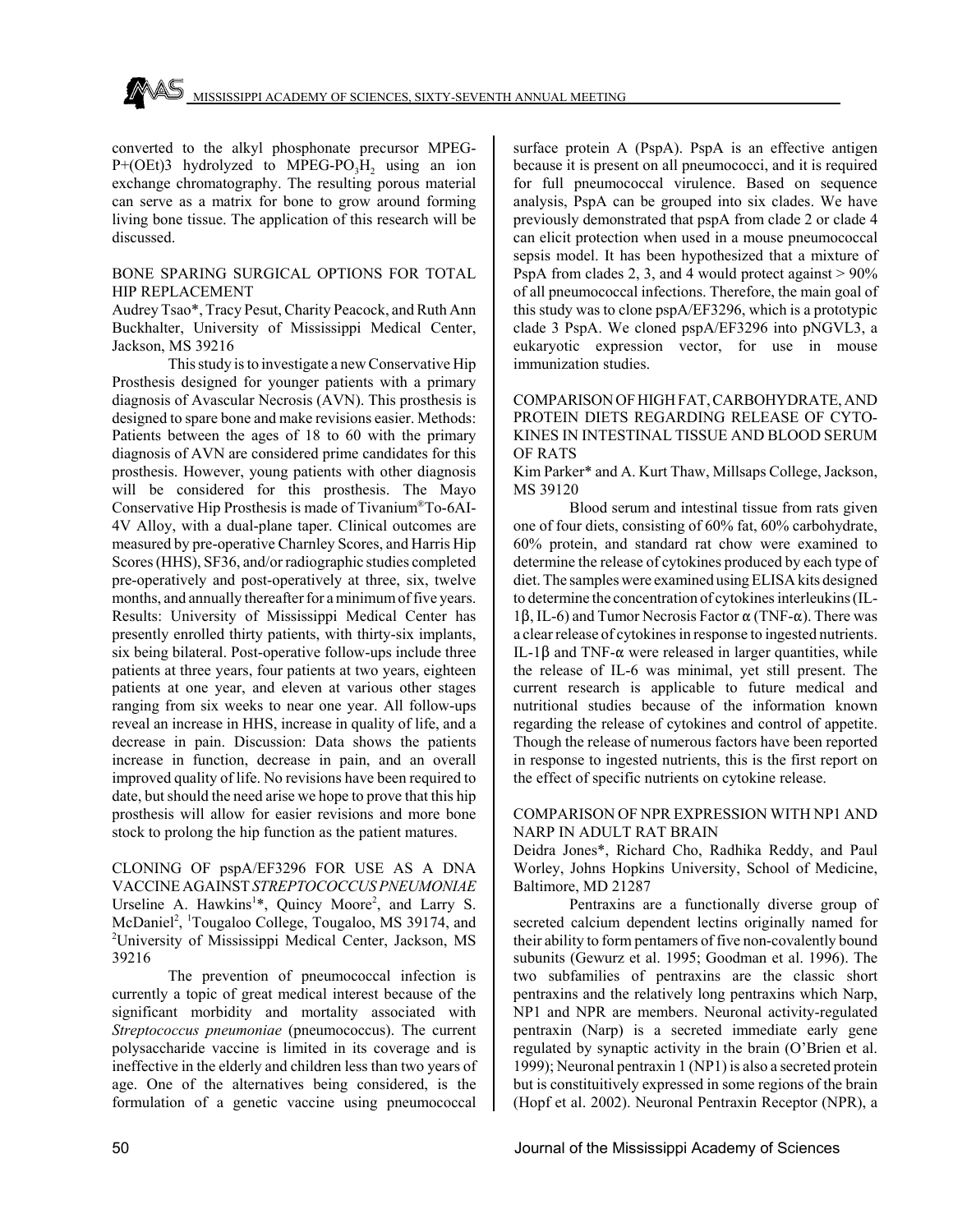

converted to the alkyl phosphonate precursor MPEG- $P+(OEt)3$  hydrolyzed to MPEG-PO<sub>3</sub>H<sub>2</sub> using an ion exchange chromatography. The resulting porous material can serve as a matrix for bone to grow around forming living bone tissue. The application of this research will be discussed.

#### BONE SPARING SURGICAL OPTIONS FOR TOTAL HIP REPLACEMENT

Audrey Tsao\*, Tracy Pesut, Charity Peacock, and Ruth Ann Buckhalter, University of Mississippi Medical Center, Jackson, MS 39216

This study is to investigate a new Conservative Hip Prosthesis designed for younger patients with a primary diagnosis of Avascular Necrosis (AVN). This prosthesis is designed to spare bone and make revisions easier. Methods: Patients between the ages of 18 to 60 with the primary diagnosis of AVN are considered prime candidates for this prosthesis. However, young patients with other diagnosis will be considered for this prosthesis. The Mayo Conservative Hip Prosthesis is made of Tivanium®To-6AI-4V Alloy, with a dual-plane taper. Clinical outcomes are measured by pre-operative Charnley Scores, and Harris Hip Scores (HHS), SF36, and/or radiographic studies completed pre-operatively and post-operatively at three, six, twelve months, and annually thereafter for a minimum of five years. Results: University of Mississippi Medical Center has presently enrolled thirty patients, with thirty-six implants, six being bilateral. Post-operative follow-ups include three patients at three years, four patients at two years, eighteen patients at one year, and eleven at various other stages ranging from six weeks to near one year. All follow-ups reveal an increase in HHS, increase in quality of life, and a decrease in pain. Discussion: Data shows the patients increase in function, decrease in pain, and an overall improved quality of life. No revisions have been required to date, but should the need arise we hope to prove that this hip prosthesis will allow for easier revisions and more bone stock to prolong the hip function as the patient matures.

CLONING OF pspA/EF3296 FOR USE AS A DNA VACCINE AGAINST *STREPTOCOCCUS PNEUMONIAE* Urseline A. Hawkins<sup>1\*</sup>, Quincy Moore<sup>2</sup>, and Larry S. McDaniel<sup>2</sup>, <sup>1</sup>Tougaloo College, Tougaloo, MS 39174, and 2 University of Mississippi Medical Center, Jackson, MS 39216

The prevention of pneumococcal infection is currently a topic of great medical interest because of the significant morbidity and mortality associated with *Streptococcus pneumoniae* (pneumococcus). The current polysaccharide vaccine is limited in its coverage and is ineffective in the elderly and children less than two years of age. One of the alternatives being considered, is the formulation of a genetic vaccine using pneumococcal

surface protein A (PspA). PspA is an effective antigen because it is present on all pneumococci, and it is required for full pneumococcal virulence. Based on sequence analysis, PspA can be grouped into six clades. We have previously demonstrated that pspA from clade 2 or clade 4 can elicit protection when used in a mouse pneumococcal sepsis model. It has been hypothesized that a mixture of PspA from clades 2, 3, and 4 would protect against  $> 90\%$ of all pneumococcal infections. Therefore, the main goal of this study was to clone pspA/EF3296, which is a prototypic clade 3 PspA. We cloned pspA/EF3296 into pNGVL3, a eukaryotic expression vector, for use in mouse immunization studies.

## COMPARISON OF HIGH FAT, CARBOHYDRATE, AND PROTEIN DIETS REGARDING RELEASE OF CYTO-KINES IN INTESTINAL TISSUE AND BLOOD SERUM OF RATS

Kim Parker\* and A. Kurt Thaw, Millsaps College, Jackson, MS 39120

Blood serum and intestinal tissue from rats given one of four diets, consisting of 60% fat, 60% carbohydrate, 60% protein, and standard rat chow were examined to determine the release of cytokines produced by each type of diet. The samples were examined using ELISA kits designed to determine the concentration of cytokines interleukins (IL-1 $\beta$ , IL-6) and Tumor Necrosis Factor  $\alpha$  (TNF- $\alpha$ ). There was a clear release of cytokines in response to ingested nutrients. IL-1 $\beta$  and TNF- $\alpha$  were released in larger quantities, while the release of IL-6 was minimal, yet still present. The current research is applicable to future medical and nutritional studies because of the information known regarding the release of cytokines and control of appetite. Though the release of numerous factors have been reported in response to ingested nutrients, this is the first report on the effect of specific nutrients on cytokine release.

#### COMPARISON OF NPR EXPRESSION WITH NP1 AND NARP IN ADULT RAT BRAIN

Deidra Jones\*, Richard Cho, Radhika Reddy, and Paul Worley, Johns Hopkins University, School of Medicine, Baltimore, MD 21287

Pentraxins are a functionally diverse group of secreted calcium dependent lectins originally named for their ability to form pentamers of five non-covalently bound subunits (Gewurz et al. 1995; Goodman et al. 1996). The two subfamilies of pentraxins are the classic short pentraxins and the relatively long pentraxins which Narp, NP1 and NPR are members. Neuronal activity-regulated pentraxin (Narp) is a secreted immediate early gene regulated by synaptic activity in the brain (O'Brien et al. 1999); Neuronal pentraxin 1 (NP1) is also a secreted protein but is constituitively expressed in some regions of the brain (Hopf et al. 2002). Neuronal Pentraxin Receptor (NPR), a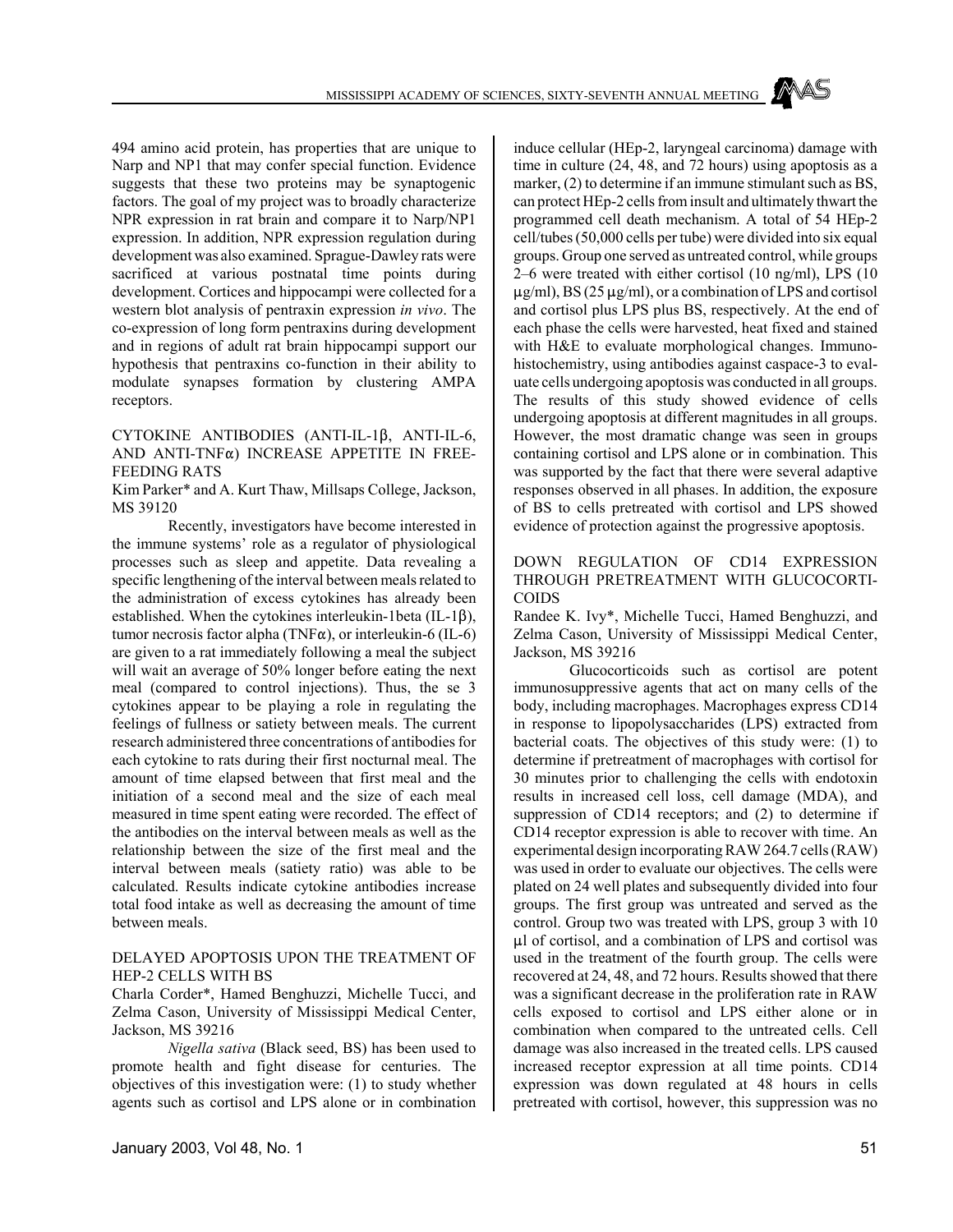494 amino acid protein, has properties that are unique to Narp and NP1 that may confer special function. Evidence suggests that these two proteins may be synaptogenic factors. The goal of my project was to broadly characterize NPR expression in rat brain and compare it to Narp/NP1 expression. In addition, NPR expression regulation during development was also examined. Sprague-Dawley rats were sacrificed at various postnatal time points during development. Cortices and hippocampi were collected for a western blot analysis of pentraxin expression *in vivo*. The co-expression of long form pentraxins during development and in regions of adult rat brain hippocampi support our hypothesis that pentraxins co-function in their ability to modulate synapses formation by clustering AMPA receptors.

## CYTOKINE ANTIBODIES (ANTI-IL-1 $\beta$ , ANTI-IL-6, AND ANTI-TNF $\alpha$ ) INCREASE APPETITE IN FREE-FEEDING RATS

Kim Parker\* and A. Kurt Thaw, Millsaps College, Jackson, MS 39120

Recently, investigators have become interested in the immune systems' role as a regulator of physiological processes such as sleep and appetite. Data revealing a specific lengthening of the interval between meals related to the administration of excess cytokines has already been established. When the cytokines interleukin-1beta (IL-1 $\beta$ ), tumor necrosis factor alpha (TNF $\alpha$ ), or interleukin-6 (IL-6) are given to a rat immediately following a meal the subject will wait an average of 50% longer before eating the next meal (compared to control injections). Thus, the se 3 cytokines appear to be playing a role in regulating the feelings of fullness or satiety between meals. The current research administered three concentrations of antibodies for each cytokine to rats during their first nocturnal meal. The amount of time elapsed between that first meal and the initiation of a second meal and the size of each meal measured in time spent eating were recorded. The effect of the antibodies on the interval between meals as well as the relationship between the size of the first meal and the interval between meals (satiety ratio) was able to be calculated. Results indicate cytokine antibodies increase total food intake as well as decreasing the amount of time between meals.

#### DELAYED APOPTOSIS UPON THE TREATMENT OF HEP-2 CELLS WITH BS

Charla Corder\*, Hamed Benghuzzi, Michelle Tucci, and Zelma Cason, University of Mississippi Medical Center, Jackson, MS 39216

*Nigella sativa* (Black seed, BS) has been used to promote health and fight disease for centuries. The objectives of this investigation were: (1) to study whether agents such as cortisol and LPS alone or in combination induce cellular (HEp-2, laryngeal carcinoma) damage with time in culture (24, 48, and 72 hours) using apoptosis as a marker, (2) to determine if an immune stimulant such as BS, can protect HEp-2 cells from insult and ultimately thwart the programmed cell death mechanism. A total of 54 HEp-2 cell/tubes (50,000 cells per tube) were divided into six equal groups. Group one served as untreated control, while groups 2–6 were treated with either cortisol (10 ng/ml), LPS (10  $\mu$ g/ml), BS (25  $\mu$ g/ml), or a combination of LPS and cortisol and cortisol plus LPS plus BS, respectively. At the end of each phase the cells were harvested, heat fixed and stained with H&E to evaluate morphological changes. Immunohistochemistry, using antibodies against caspace-3 to evaluate cells undergoing apoptosis was conducted in all groups. The results of this study showed evidence of cells undergoing apoptosis at different magnitudes in all groups. However, the most dramatic change was seen in groups containing cortisol and LPS alone or in combination. This was supported by the fact that there were several adaptive responses observed in all phases. In addition, the exposure of BS to cells pretreated with cortisol and LPS showed evidence of protection against the progressive apoptosis.

## DOWN REGULATION OF CD14 EXPRESSION THROUGH PRETREATMENT WITH GLUCOCORTI-**COIDS**

Randee K. Ivy\*, Michelle Tucci, Hamed Benghuzzi, and Zelma Cason, University of Mississippi Medical Center, Jackson, MS 39216

Glucocorticoids such as cortisol are potent immunosuppressive agents that act on many cells of the body, including macrophages. Macrophages express CD14 in response to lipopolysaccharides (LPS) extracted from bacterial coats. The objectives of this study were: (1) to determine if pretreatment of macrophages with cortisol for 30 minutes prior to challenging the cells with endotoxin results in increased cell loss, cell damage (MDA), and suppression of CD14 receptors; and (2) to determine if CD14 receptor expression is able to recover with time. An experimental design incorporating RAW 264.7 cells (RAW) was used in order to evaluate our objectives. The cells were plated on 24 well plates and subsequently divided into four groups. The first group was untreated and served as the control. Group two was treated with LPS, group 3 with 10  $\mu$ l of cortisol, and a combination of LPS and cortisol was used in the treatment of the fourth group. The cells were recovered at 24, 48, and 72 hours. Results showed that there was a significant decrease in the proliferation rate in RAW cells exposed to cortisol and LPS either alone or in combination when compared to the untreated cells. Cell damage was also increased in the treated cells. LPS caused increased receptor expression at all time points. CD14 expression was down regulated at 48 hours in cells pretreated with cortisol, however, this suppression was no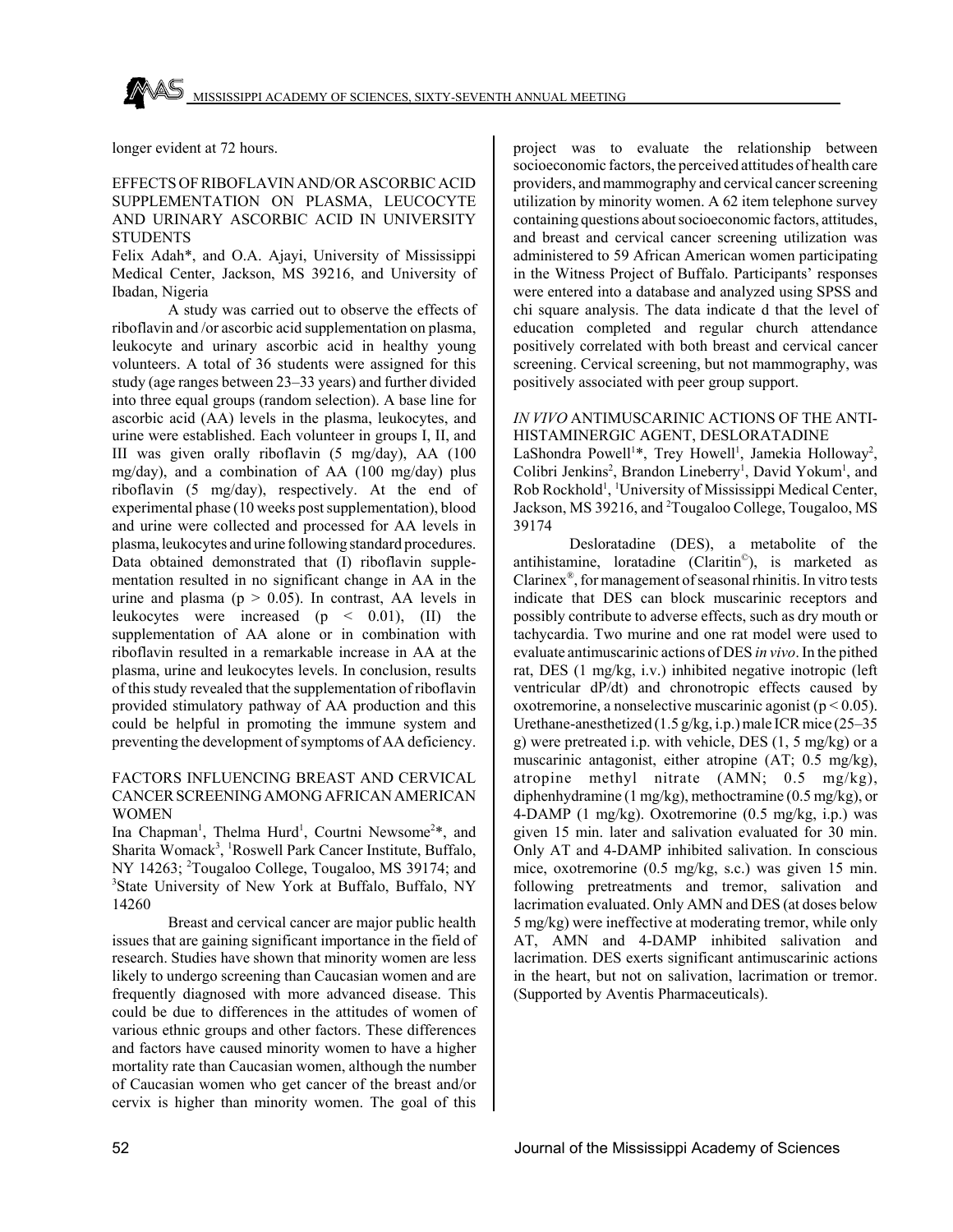longer evident at 72 hours.

## EFFECTS OF RIBOFLAVIN AND/OR ASCORBIC ACID SUPPLEMENTATION ON PLASMA, LEUCOCYTE AND URINARY ASCORBIC ACID IN UNIVERSITY **STUDENTS**

Felix Adah\*, and O.A. Ajayi, University of Mississippi Medical Center, Jackson, MS 39216, and University of Ibadan, Nigeria

A study was carried out to observe the effects of riboflavin and /or ascorbic acid supplementation on plasma, leukocyte and urinary ascorbic acid in healthy young volunteers. A total of 36 students were assigned for this study (age ranges between 23–33 years) and further divided into three equal groups (random selection). A base line for ascorbic acid (AA) levels in the plasma, leukocytes, and urine were established. Each volunteer in groups I, II, and III was given orally riboflavin (5 mg/day), AA (100 mg/day), and a combination of AA (100 mg/day) plus riboflavin (5 mg/day), respectively. At the end of experimental phase (10 weeks post supplementation), blood and urine were collected and processed for AA levels in plasma, leukocytes and urine following standard procedures. Data obtained demonstrated that (I) riboflavin supplementation resulted in no significant change in AA in the urine and plasma ( $p > 0.05$ ). In contrast, AA levels in leukocytes were increased (p < 0.01), (II) the supplementation of AA alone or in combination with riboflavin resulted in a remarkable increase in AA at the plasma, urine and leukocytes levels. In conclusion, results of this study revealed that the supplementation of riboflavin provided stimulatory pathway of AA production and this could be helpful in promoting the immune system and preventing the development of symptoms of AA deficiency.

## FACTORS INFLUENCING BREAST AND CERVICAL CANCER SCREENING AMONG AFRICAN AMERICAN WOMEN

Ina Chapman<sup>1</sup>, Thelma Hurd<sup>1</sup>, Courtni Newsome<sup>2\*</sup>, and Sharita Womack<sup>3</sup>, <sup>1</sup>Roswell Park Cancer Institute, Buffalo, NY 14263; <sup>2</sup>Tougaloo College, Tougaloo, MS 39174; and 3 State University of New York at Buffalo, Buffalo, NY 14260

Breast and cervical cancer are major public health issues that are gaining significant importance in the field of research. Studies have shown that minority women are less likely to undergo screening than Caucasian women and are frequently diagnosed with more advanced disease. This could be due to differences in the attitudes of women of various ethnic groups and other factors. These differences and factors have caused minority women to have a higher mortality rate than Caucasian women, although the number of Caucasian women who get cancer of the breast and/or cervix is higher than minority women. The goal of this project was to evaluate the relationship between socioeconomic factors, the perceived attitudes of health care providers, and mammography and cervical cancer screening utilization by minority women. A 62 item telephone survey containing questions about socioeconomic factors, attitudes, and breast and cervical cancer screening utilization was administered to 59 African American women participating in the Witness Project of Buffalo. Participants' responses were entered into a database and analyzed using SPSS and chi square analysis. The data indicate d that the level of education completed and regular church attendance positively correlated with both breast and cervical cancer screening. Cervical screening, but not mammography, was positively associated with peer group support.

## *IN VIVO* ANTIMUSCARINIC ACTIONS OF THE ANTI-HISTAMINERGIC AGENT, DESLORATADINE

LaShondra Powell<sup>1\*</sup>, Trey Howell<sup>1</sup>, Jamekia Holloway<sup>2</sup>, Colibri Jenkins<sup>2</sup>, Brandon Lineberry<sup>1</sup>, David Yokum<sup>1</sup>, and Rob Rockhold<sup>1</sup>, <sup>1</sup>University of Mississippi Medical Center, Jackson, MS 39216, and <sup>2</sup>Tougaloo College, Tougaloo, MS 39174

Desloratadine (DES), a metabolite of the antihistamine, loratadine (Claritin©), is marketed as Clarinex®, for management of seasonal rhinitis. In vitro tests indicate that DES can block muscarinic receptors and possibly contribute to adverse effects, such as dry mouth or tachycardia. Two murine and one rat model were used to evaluate antimuscarinic actions of DES *in vivo*. In the pithed rat, DES (1 mg/kg, i.v.) inhibited negative inotropic (left ventricular dP/dt) and chronotropic effects caused by oxotremorine, a nonselective muscarinic agonist ( $p < 0.05$ ). Urethane-anesthetized (1.5 g/kg, i.p.) male ICR mice (25–35 g) were pretreated i.p. with vehicle, DES (1, 5 mg/kg) or a muscarinic antagonist, either atropine (AT; 0.5 mg/kg), atropine methyl nitrate (AMN; 0.5 mg/kg), diphenhydramine (1 mg/kg), methoctramine (0.5 mg/kg), or 4-DAMP (1 mg/kg). Oxotremorine (0.5 mg/kg, i.p.) was given 15 min. later and salivation evaluated for 30 min. Only AT and 4-DAMP inhibited salivation. In conscious mice, oxotremorine (0.5 mg/kg, s.c.) was given 15 min. following pretreatments and tremor, salivation and lacrimation evaluated. Only AMN and DES (at doses below 5 mg/kg) were ineffective at moderating tremor, while only AT, AMN and 4-DAMP inhibited salivation and lacrimation. DES exerts significant antimuscarinic actions in the heart, but not on salivation, lacrimation or tremor. (Supported by Aventis Pharmaceuticals).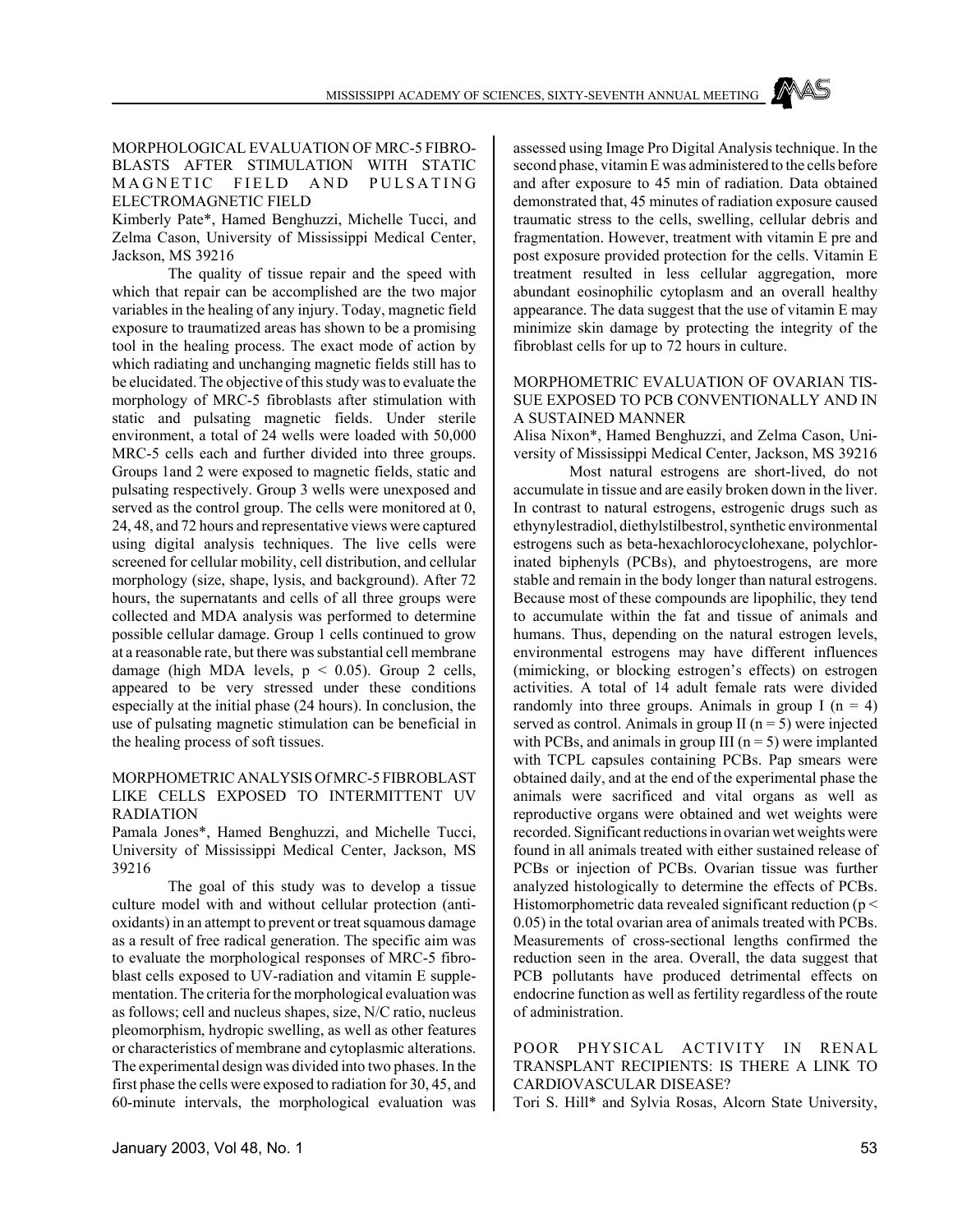## MORPHOLOGICAL EVALUATION OF MRC-5 FIBRO-BLASTS AFTER STIMULATION WITH STATIC MAGNETIC FIELD AND PULSATING ELECTROMAGNETIC FIELD

Kimberly Pate\*, Hamed Benghuzzi, Michelle Tucci, and Zelma Cason, University of Mississippi Medical Center, Jackson, MS 39216

The quality of tissue repair and the speed with which that repair can be accomplished are the two major variables in the healing of any injury. Today, magnetic field exposure to traumatized areas has shown to be a promising tool in the healing process. The exact mode of action by which radiating and unchanging magnetic fields still has to be elucidated. The objective of this study was to evaluate the morphology of MRC-5 fibroblasts after stimulation with static and pulsating magnetic fields. Under sterile environment, a total of 24 wells were loaded with 50,000 MRC-5 cells each and further divided into three groups. Groups 1and 2 were exposed to magnetic fields, static and pulsating respectively. Group 3 wells were unexposed and served as the control group. The cells were monitored at 0, 24, 48, and 72 hours and representative views were captured using digital analysis techniques. The live cells were screened for cellular mobility, cell distribution, and cellular morphology (size, shape, lysis, and background). After 72 hours, the supernatants and cells of all three groups were collected and MDA analysis was performed to determine possible cellular damage. Group 1 cells continued to grow at a reasonable rate, but there was substantial cell membrane damage (high MDA levels,  $p \le 0.05$ ). Group 2 cells, appeared to be very stressed under these conditions especially at the initial phase (24 hours). In conclusion, the use of pulsating magnetic stimulation can be beneficial in the healing process of soft tissues.

## MORPHOMETRIC ANALYSIS Of MRC-5 FIBROBLAST LIKE CELLS EXPOSED TO INTERMITTENT UV RADIATION

Pamala Jones\*, Hamed Benghuzzi, and Michelle Tucci, University of Mississippi Medical Center, Jackson, MS 39216

The goal of this study was to develop a tissue culture model with and without cellular protection (antioxidants) in an attempt to prevent or treat squamous damage as a result of free radical generation. The specific aim was to evaluate the morphological responses of MRC-5 fibroblast cells exposed to UV-radiation and vitamin E supplementation. The criteria for the morphological evaluation was as follows; cell and nucleus shapes, size, N/C ratio, nucleus pleomorphism, hydropic swelling, as well as other features or characteristics of membrane and cytoplasmic alterations. The experimental design was divided into two phases. In the first phase the cells were exposed to radiation for 30, 45, and 60-minute intervals, the morphological evaluation was

assessed using Image Pro Digital Analysis technique. In the second phase, vitamin E was administered to the cells before and after exposure to 45 min of radiation. Data obtained demonstrated that, 45 minutes of radiation exposure caused traumatic stress to the cells, swelling, cellular debris and fragmentation. However, treatment with vitamin E pre and post exposure provided protection for the cells. Vitamin E treatment resulted in less cellular aggregation, more abundant eosinophilic cytoplasm and an overall healthy appearance. The data suggest that the use of vitamin E may minimize skin damage by protecting the integrity of the fibroblast cells for up to 72 hours in culture.

## MORPHOMETRIC EVALUATION OF OVARIAN TIS-SUE EXPOSED TO PCB CONVENTIONALLY AND IN A SUSTAINED MANNER

Alisa Nixon\*, Hamed Benghuzzi, and Zelma Cason, University of Mississippi Medical Center, Jackson, MS 39216

Most natural estrogens are short-lived, do not accumulate in tissue and are easily broken down in the liver. In contrast to natural estrogens, estrogenic drugs such as ethynylestradiol, diethylstilbestrol, synthetic environmental estrogens such as beta-hexachlorocyclohexane, polychlorinated biphenyls (PCBs), and phytoestrogens, are more stable and remain in the body longer than natural estrogens. Because most of these compounds are lipophilic, they tend to accumulate within the fat and tissue of animals and humans. Thus, depending on the natural estrogen levels, environmental estrogens may have different influences (mimicking, or blocking estrogen's effects) on estrogen activities. A total of 14 adult female rats were divided randomly into three groups. Animals in group I ( $n = 4$ ) served as control. Animals in group II ( $n = 5$ ) were injected with PCBs, and animals in group III ( $n = 5$ ) were implanted with TCPL capsules containing PCBs. Pap smears were obtained daily, and at the end of the experimental phase the animals were sacrificed and vital organs as well as reproductive organs were obtained and wet weights were recorded. Significant reductions in ovarian wet weights were found in all animals treated with either sustained release of PCBs or injection of PCBs. Ovarian tissue was further analyzed histologically to determine the effects of PCBs. Histomorphometric data revealed significant reduction ( $p <$ 0.05) in the total ovarian area of animals treated with PCBs. Measurements of cross-sectional lengths confirmed the reduction seen in the area. Overall, the data suggest that PCB pollutants have produced detrimental effects on endocrine function as well as fertility regardless of the route of administration.

# POOR PHYSICAL ACTIVITY IN RENAL TRANSPLANT RECIPIENTS: IS THERE A LINK TO CARDIOVASCULAR DISEASE?

Tori S. Hill\* and Sylvia Rosas, Alcorn State University,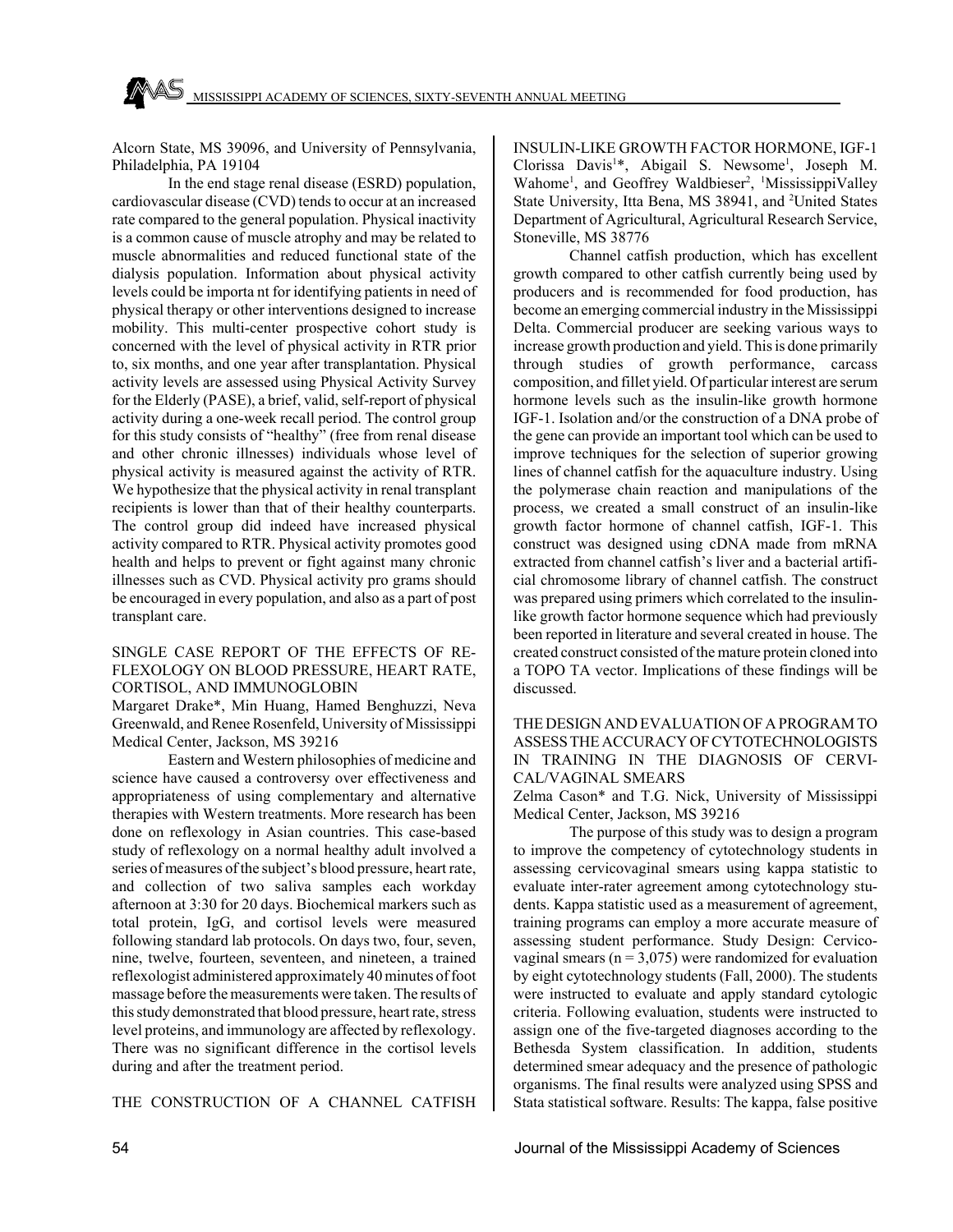Alcorn State, MS 39096, and University of Pennsylvania, Philadelphia, PA 19104

In the end stage renal disease (ESRD) population, cardiovascular disease (CVD) tends to occur at an increased rate compared to the general population. Physical inactivity is a common cause of muscle atrophy and may be related to muscle abnormalities and reduced functional state of the dialysis population. Information about physical activity levels could be importa nt for identifying patients in need of physical therapy or other interventions designed to increase mobility. This multi-center prospective cohort study is concerned with the level of physical activity in RTR prior to, six months, and one year after transplantation. Physical activity levels are assessed using Physical Activity Survey for the Elderly (PASE), a brief, valid, self-report of physical activity during a one-week recall period. The control group for this study consists of "healthy" (free from renal disease and other chronic illnesses) individuals whose level of physical activity is measured against the activity of RTR. We hypothesize that the physical activity in renal transplant recipients is lower than that of their healthy counterparts. The control group did indeed have increased physical activity compared to RTR. Physical activity promotes good health and helps to prevent or fight against many chronic illnesses such as CVD. Physical activity pro grams should be encouraged in every population, and also as a part of post transplant care.

## SINGLE CASE REPORT OF THE EFFECTS OF RE-FLEXOLOGY ON BLOOD PRESSURE, HEART RATE, CORTISOL, AND IMMUNOGLOBIN

Margaret Drake\*, Min Huang, Hamed Benghuzzi, Neva Greenwald, and Renee Rosenfeld, University of Mississippi Medical Center, Jackson, MS 39216

Eastern and Western philosophies of medicine and science have caused a controversy over effectiveness and appropriateness of using complementary and alternative therapies with Western treatments. More research has been done on reflexology in Asian countries. This case-based study of reflexology on a normal healthy adult involved a series of measures of the subject's blood pressure, heart rate, and collection of two saliva samples each workday afternoon at 3:30 for 20 days. Biochemical markers such as total protein, IgG, and cortisol levels were measured following standard lab protocols. On days two, four, seven, nine, twelve, fourteen, seventeen, and nineteen, a trained reflexologist administered approximately 40 minutes of foot massage before the measurements were taken. The results of this study demonstrated that blood pressure, heart rate, stress level proteins, and immunology are affected by reflexology. There was no significant difference in the cortisol levels during and after the treatment period.

THE CONSTRUCTION OF A CHANNEL CATFISH

INSULIN-LIKE GROWTH FACTOR HORMONE, IGF-1 Clorissa Davis<sup>1</sup>\*, Abigail S. Newsome<sup>1</sup>, Joseph M. Wahome<sup>1</sup>, and Geoffrey Waldbieser<sup>2</sup>, <sup>1</sup>MississippiValley State University, Itta Bena, MS 38941, and <sup>2</sup>United States Department of Agricultural, Agricultural Research Service, Stoneville, MS 38776

Channel catfish production, which has excellent growth compared to other catfish currently being used by producers and is recommended for food production, has become an emerging commercial industry in the Mississippi Delta. Commercial producer are seeking various ways to increase growth production and yield. This is done primarily through studies of growth performance, carcass composition, and fillet yield. Of particular interest are serum hormone levels such as the insulin-like growth hormone IGF-1. Isolation and/or the construction of a DNA probe of the gene can provide an important tool which can be used to improve techniques for the selection of superior growing lines of channel catfish for the aquaculture industry. Using the polymerase chain reaction and manipulations of the process, we created a small construct of an insulin-like growth factor hormone of channel catfish, IGF-1. This construct was designed using cDNA made from mRNA extracted from channel catfish's liver and a bacterial artificial chromosome library of channel catfish. The construct was prepared using primers which correlated to the insulinlike growth factor hormone sequence which had previously been reported in literature and several created in house. The created construct consisted of the mature protein cloned into a TOPO TA vector. Implications of these findings will be discussed.

## THE DESIGN AND EVALUATION OF A PROGRAM TO ASSESS THE ACCURACY OF CYTOTECHNOLOGISTS IN TRAINING IN THE DIAGNOSIS OF CERVI-CAL/VAGINAL SMEARS

Zelma Cason\* and T.G. Nick, University of Mississippi Medical Center, Jackson, MS 39216

The purpose of this study was to design a program to improve the competency of cytotechnology students in assessing cervicovaginal smears using kappa statistic to evaluate inter-rater agreement among cytotechnology students. Kappa statistic used as a measurement of agreement, training programs can employ a more accurate measure of assessing student performance. Study Design: Cervicovaginal smears ( $n = 3.075$ ) were randomized for evaluation by eight cytotechnology students (Fall, 2000). The students were instructed to evaluate and apply standard cytologic criteria. Following evaluation, students were instructed to assign one of the five-targeted diagnoses according to the Bethesda System classification. In addition, students determined smear adequacy and the presence of pathologic organisms. The final results were analyzed using SPSS and Stata statistical software. Results: The kappa, false positive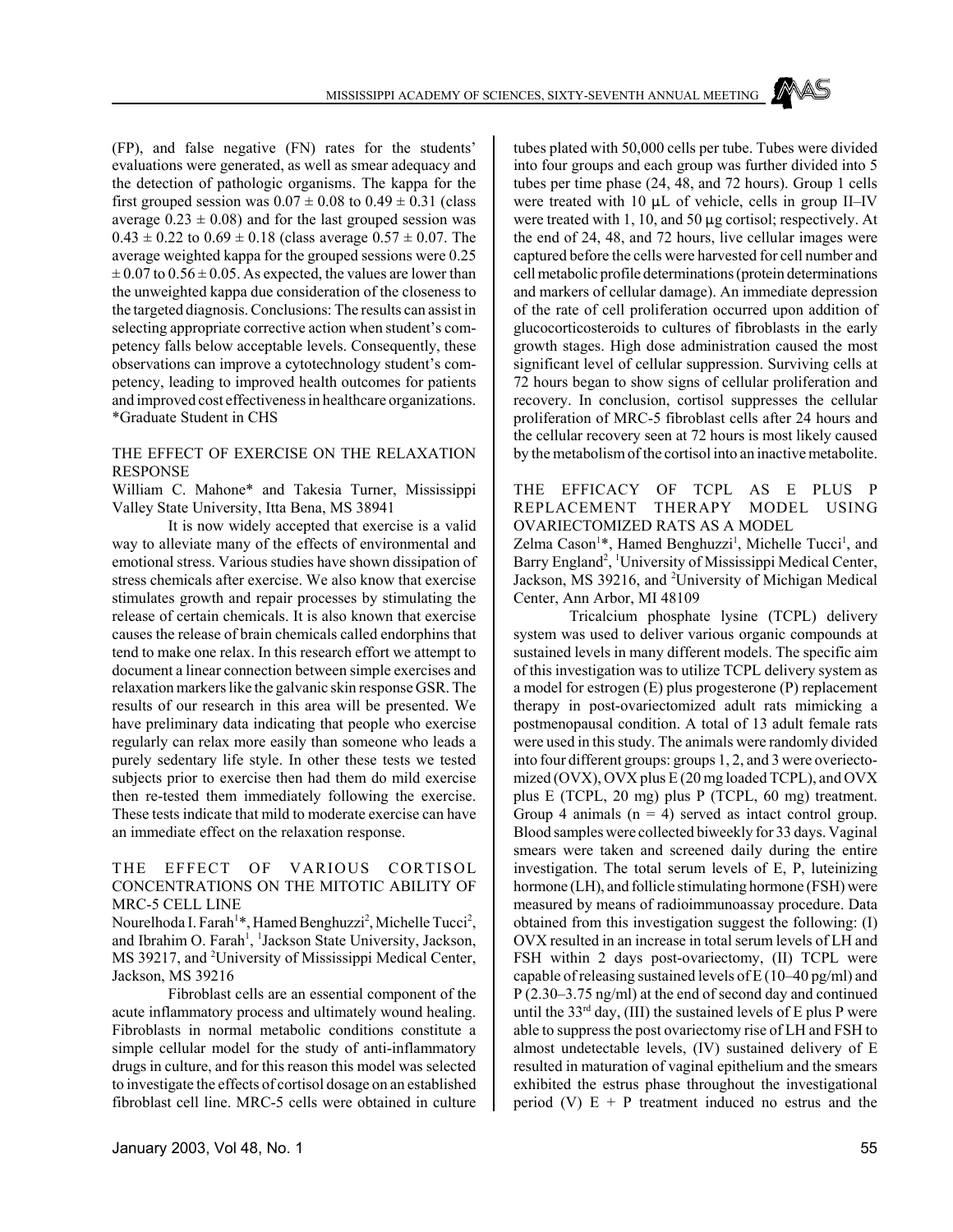(FP), and false negative (FN) rates for the students' evaluations were generated, as well as smear adequacy and the detection of pathologic organisms. The kappa for the first grouped session was  $0.07 \pm 0.08$  to  $0.49 \pm 0.31$  (class average  $0.23 \pm 0.08$ ) and for the last grouped session was  $0.43 \pm 0.22$  to  $0.69 \pm 0.18$  (class average  $0.57 \pm 0.07$ . The average weighted kappa for the grouped sessions were 0.25  $\pm 0.07$  to  $0.56 \pm 0.05$ . As expected, the values are lower than the unweighted kappa due consideration of the closeness to the targeted diagnosis. Conclusions: The results can assist in selecting appropriate corrective action when student's competency falls below acceptable levels. Consequently, these observations can improve a cytotechnology student's competency, leading to improved health outcomes for patients and improved cost effectiveness in healthcare organizations. \*Graduate Student in CHS

## THE EFFECT OF EXERCISE ON THE RELAXATION RESPONSE

William C. Mahone\* and Takesia Turner, Mississippi Valley State University, Itta Bena, MS 38941

It is now widely accepted that exercise is a valid way to alleviate many of the effects of environmental and emotional stress. Various studies have shown dissipation of stress chemicals after exercise. We also know that exercise stimulates growth and repair processes by stimulating the release of certain chemicals. It is also known that exercise causes the release of brain chemicals called endorphins that tend to make one relax. In this research effort we attempt to document a linear connection between simple exercises and relaxation markers like the galvanic skin response GSR. The results of our research in this area will be presented. We have preliminary data indicating that people who exercise regularly can relax more easily than someone who leads a purely sedentary life style. In other these tests we tested subjects prior to exercise then had them do mild exercise then re-tested them immediately following the exercise. These tests indicate that mild to moderate exercise can have an immediate effect on the relaxation response.

#### THE EFFECT OF VARIOUS CORTISOL CONCENTRATIONS ON THE MITOTIC ABILITY OF MRC-5 CELL LINE

Nourelhoda I. Farah<sup>1\*</sup>, Hamed Benghuzzi<sup>2</sup>, Michelle Tucci<sup>2</sup>, and Ibrahim O. Farah<sup>1</sup>, <sup>1</sup>Jackson State University, Jackson, MS 39217, and <sup>2</sup>University of Mississippi Medical Center, Jackson, MS 39216

Fibroblast cells are an essential component of the acute inflammatory process and ultimately wound healing. Fibroblasts in normal metabolic conditions constitute a simple cellular model for the study of anti-inflammatory drugs in culture, and for this reason this model was selected to investigate the effects of cortisol dosage on an established fibroblast cell line. MRC-5 cells were obtained in culture

January 2003, Vol 48, No. 1 55

tubes plated with 50,000 cells per tube. Tubes were divided into four groups and each group was further divided into 5 tubes per time phase (24, 48, and 72 hours). Group 1 cells were treated with 10  $\mu$ L of vehicle, cells in group II–IV were treated with 1, 10, and 50  $\mu$ g cortisol; respectively. At the end of 24, 48, and 72 hours, live cellular images were captured before the cells were harvested for cell number and cell metabolic profile determinations (protein determinations and markers of cellular damage). An immediate depression of the rate of cell proliferation occurred upon addition of glucocorticosteroids to cultures of fibroblasts in the early growth stages. High dose administration caused the most significant level of cellular suppression. Surviving cells at 72 hours began to show signs of cellular proliferation and recovery. In conclusion, cortisol suppresses the cellular proliferation of MRC-5 fibroblast cells after 24 hours and the cellular recovery seen at 72 hours is most likely caused by the metabolism of the cortisol into an inactive metabolite.

## THE EFFICACY OF TCPL AS E PLUS P REPLACEMENT THERAPY MODEL USING OVARIECTOMIZED RATS AS A MODEL

Zelma Cason<sup>1\*</sup>, Hamed Benghuzzi<sup>1</sup>, Michelle Tucci<sup>1</sup>, and Barry England<sup>2</sup>, <sup>1</sup>University of Mississippi Medical Center, Jackson, MS 39216, and <sup>2</sup>University of Michigan Medical Center, Ann Arbor, MI 48109

Tricalcium phosphate lysine (TCPL) delivery system was used to deliver various organic compounds at sustained levels in many different models. The specific aim of this investigation was to utilize TCPL delivery system as a model for estrogen (E) plus progesterone (P) replacement therapy in post-ovariectomized adult rats mimicking a postmenopausal condition. A total of 13 adult female rats were used in this study. The animals were randomly divided into four different groups: groups 1, 2, and 3 were overiectomized (OVX), OVX plus E (20 mg loaded TCPL), and OVX plus E (TCPL, 20 mg) plus P (TCPL, 60 mg) treatment. Group 4 animals  $(n = 4)$  served as intact control group. Blood samples were collected biweekly for 33 days. Vaginal smears were taken and screened daily during the entire investigation. The total serum levels of E, P, luteinizing hormone (LH), and follicle stimulating hormone (FSH) were measured by means of radioimmunoassay procedure. Data obtained from this investigation suggest the following: (I) OVX resulted in an increase in total serum levels of LH and FSH within 2 days post-ovariectomy, (II) TCPL were capable of releasing sustained levels of E (10–40 pg/ml) and P (2.30–3.75 ng/ml) at the end of second day and continued until the  $33<sup>rd</sup>$  day, (III) the sustained levels of E plus P were able to suppress the post ovariectomy rise of LH and FSH to almost undetectable levels, (IV) sustained delivery of E resulted in maturation of vaginal epithelium and the smears exhibited the estrus phase throughout the investigational period (V)  $E + P$  treatment induced no estrus and the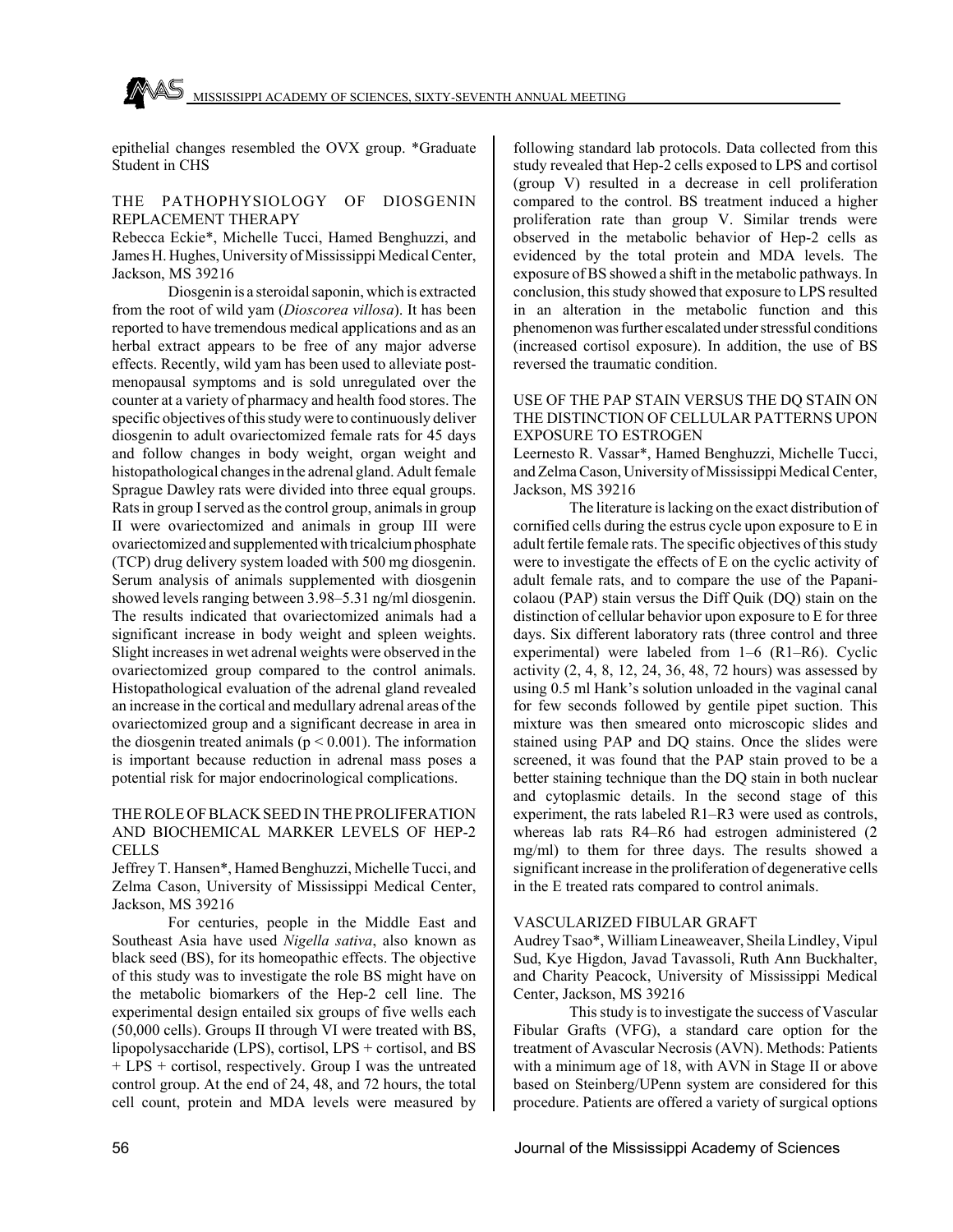epithelial changes resembled the OVX group. \*Graduate Student in CHS

#### THE PATHOPHYSIOLOGY OF DIOSGENIN REPLACEMENT THERAPY

Rebecca Eckie\*, Michelle Tucci, Hamed Benghuzzi, and James H. Hughes, University of Mississippi Medical Center, Jackson, MS 39216

Diosgenin is a steroidal saponin, which is extracted from the root of wild yam (*Dioscorea villosa*). It has been reported to have tremendous medical applications and as an herbal extract appears to be free of any major adverse effects. Recently, wild yam has been used to alleviate postmenopausal symptoms and is sold unregulated over the counter at a variety of pharmacy and health food stores. The specific objectives of this study were to continuously deliver diosgenin to adult ovariectomized female rats for 45 days and follow changes in body weight, organ weight and histopathological changes in the adrenal gland. Adult female Sprague Dawley rats were divided into three equal groups. Rats in group I served as the control group, animals in group II were ovariectomized and animals in group III were ovariectomized and supplemented with tricalcium phosphate (TCP) drug delivery system loaded with 500 mg diosgenin. Serum analysis of animals supplemented with diosgenin showed levels ranging between 3.98–5.31 ng/ml diosgenin. The results indicated that ovariectomized animals had a significant increase in body weight and spleen weights. Slight increases in wet adrenal weights were observed in the ovariectomized group compared to the control animals. Histopathological evaluation of the adrenal gland revealed an increase in the cortical and medullary adrenal areas of the ovariectomized group and a significant decrease in area in the diosgenin treated animals ( $p < 0.001$ ). The information is important because reduction in adrenal mass poses a potential risk for major endocrinological complications.

## THE ROLE OF BLACK SEED IN THE PROLIFERATION AND BIOCHEMICAL MARKER LEVELS OF HEP-2 CELLS

Jeffrey T. Hansen\*, Hamed Benghuzzi, Michelle Tucci, and Zelma Cason, University of Mississippi Medical Center, Jackson, MS 39216

For centuries, people in the Middle East and Southeast Asia have used *Nigella sativa*, also known as black seed (BS), for its homeopathic effects. The objective of this study was to investigate the role BS might have on the metabolic biomarkers of the Hep-2 cell line. The experimental design entailed six groups of five wells each (50,000 cells). Groups II through VI were treated with BS, lipopolysaccharide (LPS), cortisol, LPS + cortisol, and BS + LPS + cortisol, respectively. Group I was the untreated control group. At the end of 24, 48, and 72 hours, the total cell count, protein and MDA levels were measured by

following standard lab protocols. Data collected from this study revealed that Hep-2 cells exposed to LPS and cortisol (group V) resulted in a decrease in cell proliferation compared to the control. BS treatment induced a higher proliferation rate than group V. Similar trends were observed in the metabolic behavior of Hep-2 cells as evidenced by the total protein and MDA levels. The exposure of BS showed a shift in the metabolic pathways. In conclusion, this study showed that exposure to LPS resulted in an alteration in the metabolic function and this phenomenon was further escalated under stressful conditions (increased cortisol exposure). In addition, the use of BS reversed the traumatic condition.

#### USE OF THE PAP STAIN VERSUS THE DQ STAIN ON THE DISTINCTION OF CELLULAR PATTERNS UPON EXPOSURE TO ESTROGEN

Leernesto R. Vassar\*, Hamed Benghuzzi, Michelle Tucci, and Zelma Cason, University of Mississippi Medical Center, Jackson, MS 39216

The literature is lacking on the exact distribution of cornified cells during the estrus cycle upon exposure to E in adult fertile female rats. The specific objectives of this study were to investigate the effects of E on the cyclic activity of adult female rats, and to compare the use of the Papanicolaou (PAP) stain versus the Diff Quik (DQ) stain on the distinction of cellular behavior upon exposure to E for three days. Six different laboratory rats (three control and three experimental) were labeled from 1–6 (R1–R6). Cyclic activity (2, 4, 8, 12, 24, 36, 48, 72 hours) was assessed by using 0.5 ml Hank's solution unloaded in the vaginal canal for few seconds followed by gentile pipet suction. This mixture was then smeared onto microscopic slides and stained using PAP and DQ stains. Once the slides were screened, it was found that the PAP stain proved to be a better staining technique than the DQ stain in both nuclear and cytoplasmic details. In the second stage of this experiment, the rats labeled R1–R3 were used as controls, whereas lab rats R4–R6 had estrogen administered (2 mg/ml) to them for three days. The results showed a significant increase in the proliferation of degenerative cells in the E treated rats compared to control animals.

#### VASCULARIZED FIBULAR GRAFT

Audrey Tsao\*, William Lineaweaver, Sheila Lindley, Vipul Sud, Kye Higdon, Javad Tavassoli, Ruth Ann Buckhalter, and Charity Peacock, University of Mississippi Medical Center, Jackson, MS 39216

This study is to investigate the success of Vascular Fibular Grafts (VFG), a standard care option for the treatment of Avascular Necrosis (AVN). Methods: Patients with a minimum age of 18, with AVN in Stage II or above based on Steinberg/UPenn system are considered for this procedure. Patients are offered a variety of surgical options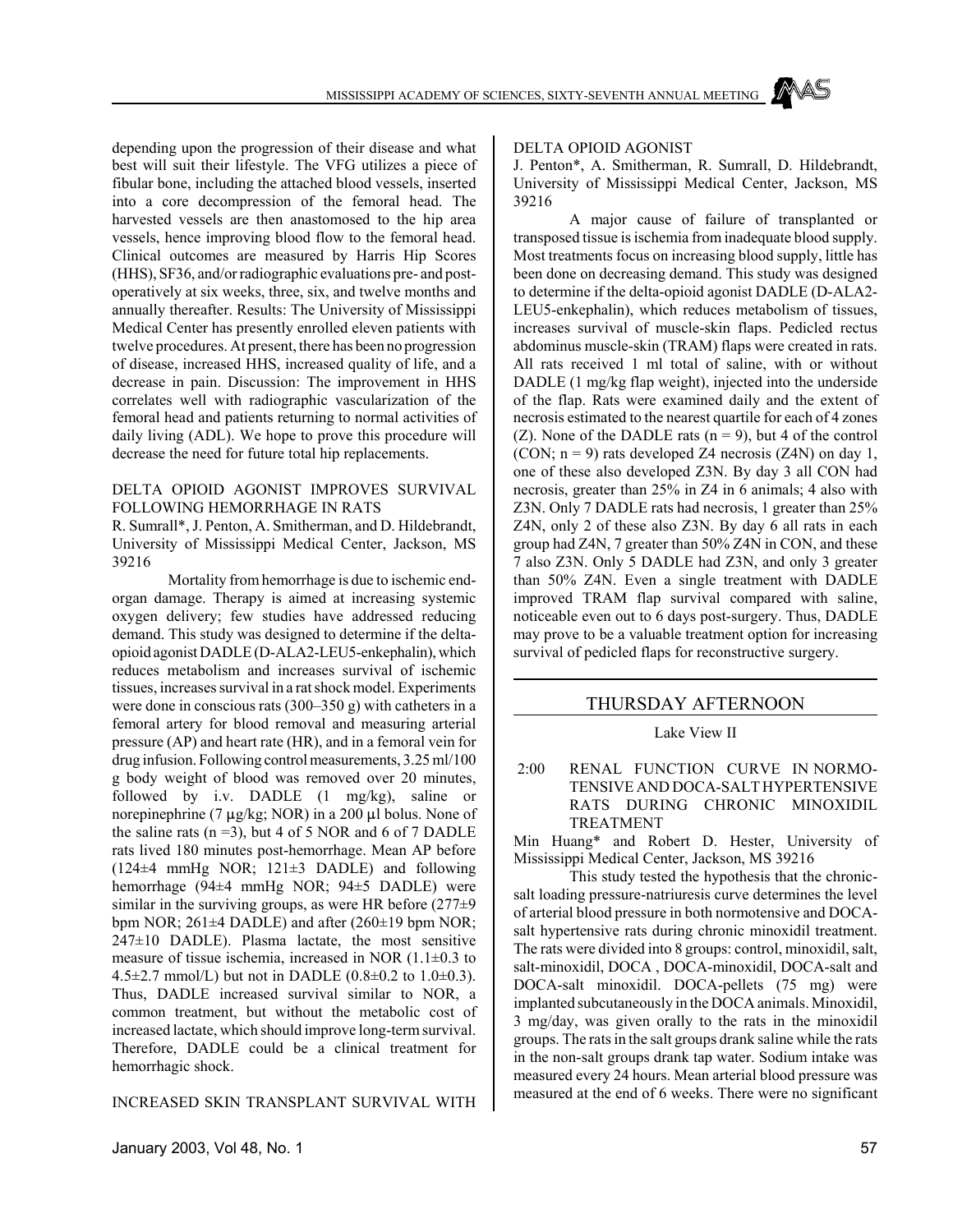depending upon the progression of their disease and what best will suit their lifestyle. The VFG utilizes a piece of fibular bone, including the attached blood vessels, inserted into a core decompression of the femoral head. The harvested vessels are then anastomosed to the hip area vessels, hence improving blood flow to the femoral head. Clinical outcomes are measured by Harris Hip Scores (HHS), SF36, and/or radiographic evaluations pre- and postoperatively at six weeks, three, six, and twelve months and annually thereafter. Results: The University of Mississippi Medical Center has presently enrolled eleven patients with twelve procedures. At present, there has been no progression of disease, increased HHS, increased quality of life, and a decrease in pain. Discussion: The improvement in HHS correlates well with radiographic vascularization of the femoral head and patients returning to normal activities of daily living (ADL). We hope to prove this procedure will decrease the need for future total hip replacements.

#### DELTA OPIOID AGONIST IMPROVES SURVIVAL FOLLOWING HEMORRHAGE IN RATS

R. Sumrall\*, J. Penton, A. Smitherman, and D. Hildebrandt, University of Mississippi Medical Center, Jackson, MS 39216

Mortality from hemorrhage is due to ischemic endorgan damage. Therapy is aimed at increasing systemic oxygen delivery; few studies have addressed reducing demand. This study was designed to determine if the deltaopioid agonist DADLE (D-ALA2-LEU5-enkephalin), which reduces metabolism and increases survival of ischemic tissues, increases survival in a rat shock model. Experiments were done in conscious rats (300–350 g) with catheters in a femoral artery for blood removal and measuring arterial pressure (AP) and heart rate (HR), and in a femoral vein for drug infusion. Following control measurements, 3.25 ml/100 g body weight of blood was removed over 20 minutes, followed by i.v. DADLE (1 mg/kg), saline or norepinephrine (7  $\mu$ g/kg; NOR) in a 200  $\mu$ l bolus. None of the saline rats  $(n=3)$ , but 4 of 5 NOR and 6 of 7 DADLE rats lived 180 minutes post-hemorrhage. Mean AP before (124±4 mmHg NOR; 121±3 DADLE) and following hemorrhage (94±4 mmHg NOR; 94±5 DADLE) were similar in the surviving groups, as were HR before  $(277±9)$ bpm NOR; 261±4 DADLE) and after (260±19 bpm NOR;  $247\pm10$  DADLE). Plasma lactate, the most sensitive measure of tissue ischemia, increased in NOR (1.1±0.3 to 4.5 $\pm$ 2.7 mmol/L) but not in DADLE (0.8 $\pm$ 0.2 to 1.0 $\pm$ 0.3). Thus, DADLE increased survival similar to NOR, a common treatment, but without the metabolic cost of increased lactate, which should improve long-term survival. Therefore, DADLE could be a clinical treatment for hemorrhagic shock.

INCREASED SKIN TRANSPLANT SURVIVAL WITH

#### DELTA OPIOID AGONIST

J. Penton\*, A. Smitherman, R. Sumrall, D. Hildebrandt, University of Mississippi Medical Center, Jackson, MS 39216

A major cause of failure of transplanted or transposed tissue is ischemia from inadequate blood supply. Most treatments focus on increasing blood supply, little has been done on decreasing demand. This study was designed to determine if the delta-opioid agonist DADLE (D-ALA2- LEU5-enkephalin), which reduces metabolism of tissues, increases survival of muscle-skin flaps. Pedicled rectus abdominus muscle-skin (TRAM) flaps were created in rats. All rats received 1 ml total of saline, with or without DADLE (1 mg/kg flap weight), injected into the underside of the flap. Rats were examined daily and the extent of necrosis estimated to the nearest quartile for each of 4 zones (Z). None of the DADLE rats  $(n = 9)$ , but 4 of the control (CON;  $n = 9$ ) rats developed Z4 necrosis (Z4N) on day 1, one of these also developed Z3N. By day 3 all CON had necrosis, greater than 25% in Z4 in 6 animals; 4 also with Z3N. Only 7 DADLE rats had necrosis, 1 greater than 25% Z4N, only 2 of these also Z3N. By day 6 all rats in each group had Z4N, 7 greater than 50% Z4N in CON, and these 7 also Z3N. Only 5 DADLE had Z3N, and only 3 greater than 50% Z4N. Even a single treatment with DADLE improved TRAM flap survival compared with saline, noticeable even out to 6 days post-surgery. Thus, DADLE may prove to be a valuable treatment option for increasing survival of pedicled flaps for reconstructive surgery.

## THURSDAY AFTERNOON

#### Lake View II

## 2:00 RENAL FUNCTION CURVE IN NORMO-TENSIVE AND DOCA-SALT HYPERTENSIVE RATS DURING CHRONIC MINOXIDIL TREATMENT

Min Huang\* and Robert D. Hester, University of Mississippi Medical Center, Jackson, MS 39216

This study tested the hypothesis that the chronicsalt loading pressure-natriuresis curve determines the level of arterial blood pressure in both normotensive and DOCAsalt hypertensive rats during chronic minoxidil treatment. The rats were divided into 8 groups: control, minoxidil, salt, salt-minoxidil, DOCA , DOCA-minoxidil, DOCA-salt and DOCA-salt minoxidil. DOCA-pellets (75 mg) were implanted subcutaneously in the DOCA animals. Minoxidil, 3 mg/day, was given orally to the rats in the minoxidil groups. The rats in the salt groups drank saline while the rats in the non-salt groups drank tap water. Sodium intake was measured every 24 hours. Mean arterial blood pressure was measured at the end of 6 weeks. There were no significant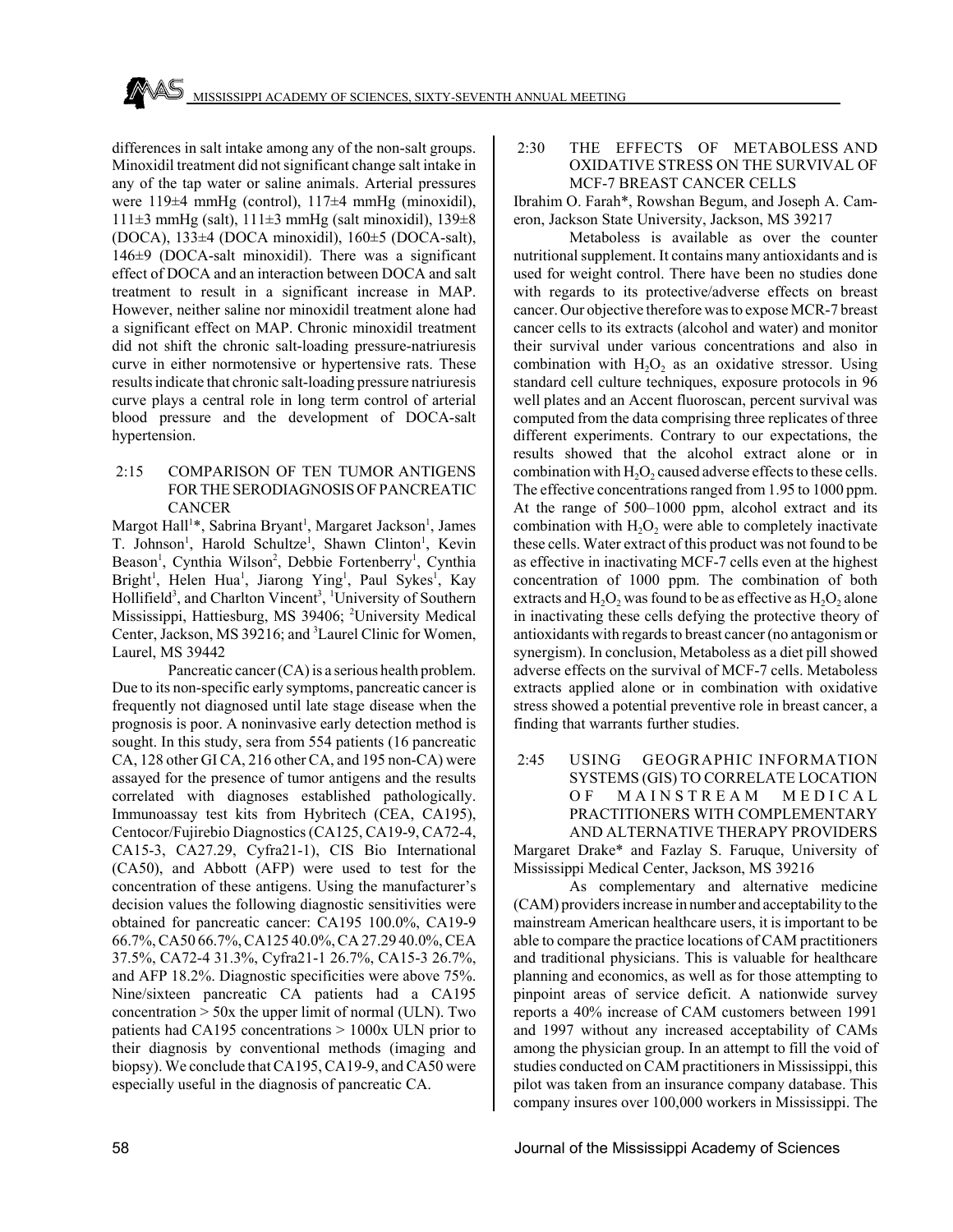differences in salt intake among any of the non-salt groups. Minoxidil treatment did not significant change salt intake in any of the tap water or saline animals. Arterial pressures were 119±4 mmHg (control), 117±4 mmHg (minoxidil), 111 $\pm$ 3 mmHg (salt), 111 $\pm$ 3 mmHg (salt minoxidil), 139 $\pm$ 8 (DOCA), 133±4 (DOCA minoxidil), 160±5 (DOCA-salt), 146±9 (DOCA-salt minoxidil). There was a significant effect of DOCA and an interaction between DOCA and salt treatment to result in a significant increase in MAP. However, neither saline nor minoxidil treatment alone had a significant effect on MAP. Chronic minoxidil treatment did not shift the chronic salt-loading pressure-natriuresis curve in either normotensive or hypertensive rats. These results indicate that chronic salt-loading pressure natriuresis curve plays a central role in long term control of arterial blood pressure and the development of DOCA-salt hypertension.

## 2:15 COMPARISON OF TEN TUMOR ANTIGENS FOR THE SERODIAGNOSIS OF PANCREATIC CANCER

Margot Hall<sup>1\*</sup>, Sabrina Bryant<sup>1</sup>, Margaret Jackson<sup>1</sup>, James T. Johnson<sup>1</sup>, Harold Schultze<sup>1</sup>, Shawn Clinton<sup>1</sup>, Kevin Beason<sup>1</sup>, Cynthia Wilson<sup>2</sup>, Debbie Fortenberry<sup>1</sup>, Cynthia Bright<sup>1</sup>, Helen Hua<sup>1</sup>, Jiarong Ying<sup>1</sup>, Paul Sykes<sup>1</sup>, Kay Hollifield<sup>3</sup>, and Charlton Vincent<sup>3</sup>, <sup>1</sup>University of Southern Mississippi, Hattiesburg, MS 39406; <sup>2</sup>University Medical Center, Jackson, MS 39216; and <sup>3</sup> Laurel Clinic for Women, Laurel, MS 39442

Pancreatic cancer (CA) is a serious health problem. Due to its non-specific early symptoms, pancreatic cancer is frequently not diagnosed until late stage disease when the prognosis is poor. A noninvasive early detection method is sought. In this study, sera from 554 patients (16 pancreatic CA, 128 other GI CA, 216 other CA, and 195 non-CA) were assayed for the presence of tumor antigens and the results correlated with diagnoses established pathologically. Immunoassay test kits from Hybritech (CEA, CA195), Centocor/Fujirebio Diagnostics (CA125, CA19-9, CA72-4, CA15-3, CA27.29, Cyfra21-1), CIS Bio International (CA50), and Abbott (AFP) were used to test for the concentration of these antigens. Using the manufacturer's decision values the following diagnostic sensitivities were obtained for pancreatic cancer: CA195 100.0%, CA19-9 66.7%, CA50 66.7%, CA125 40.0%, CA 27.29 40.0%, CEA 37.5%, CA72-4 31.3%, Cyfra21-1 26.7%, CA15-3 26.7%, and AFP 18.2%. Diagnostic specificities were above 75%. Nine/sixteen pancreatic CA patients had a CA195 concentration  $> 50x$  the upper limit of normal (ULN). Two patients had CA195 concentrations > 1000x ULN prior to their diagnosis by conventional methods (imaging and biopsy). We conclude that CA195, CA19-9, and CA50 were especially useful in the diagnosis of pancreatic CA.

#### 2:30 THE EFFECTS OF METABOLESS AND OXIDATIVE STRESS ON THE SURVIVAL OF MCF-7 BREAST CANCER CELLS

Ibrahim O. Farah\*, Rowshan Begum, and Joseph A. Cameron, Jackson State University, Jackson, MS 39217

Metaboless is available as over the counter nutritional supplement. It contains many antioxidants and is used for weight control. There have been no studies done with regards to its protective/adverse effects on breast cancer. Our objective therefore was to expose MCR-7 breast cancer cells to its extracts (alcohol and water) and monitor their survival under various concentrations and also in combination with  $H_2O_2$  as an oxidative stressor. Using standard cell culture techniques, exposure protocols in 96 well plates and an Accent fluoroscan, percent survival was computed from the data comprising three replicates of three different experiments. Contrary to our expectations, the results showed that the alcohol extract alone or in combination with  $H_2O_2$  caused adverse effects to these cells. The effective concentrations ranged from 1.95 to 1000 ppm. At the range of 500–1000 ppm, alcohol extract and its combination with  $H_2O_2$  were able to completely inactivate these cells. Water extract of this product was not found to be as effective in inactivating MCF-7 cells even at the highest concentration of 1000 ppm. The combination of both extracts and  $H_2O_2$  was found to be as effective as  $H_2O_2$  alone in inactivating these cells defying the protective theory of antioxidants with regards to breast cancer (no antagonism or synergism). In conclusion, Metaboless as a diet pill showed adverse effects on the survival of MCF-7 cells. Metaboless extracts applied alone or in combination with oxidative stress showed a potential preventive role in breast cancer, a finding that warrants further studies.

# 2:45 USING GEOGRAPHIC INFORMATION SYSTEMS (GIS) TO CORRELATE LOCATION OF MAINSTREAM MEDICAL PRACTITIONERS WITH COMPLEMENTARY AND ALTERNATIVE THERAPY PROVIDERS

Margaret Drake\* and Fazlay S. Faruque, University of Mississippi Medical Center, Jackson, MS 39216

As complementary and alternative medicine (CAM) providers increase in number and acceptability to the mainstream American healthcare users, it is important to be able to compare the practice locations of CAM practitioners and traditional physicians. This is valuable for healthcare planning and economics, as well as for those attempting to pinpoint areas of service deficit. A nationwide survey reports a 40% increase of CAM customers between 1991 and 1997 without any increased acceptability of CAMs among the physician group. In an attempt to fill the void of studies conducted on CAM practitioners in Mississippi, this pilot was taken from an insurance company database. This company insures over 100,000 workers in Mississippi. The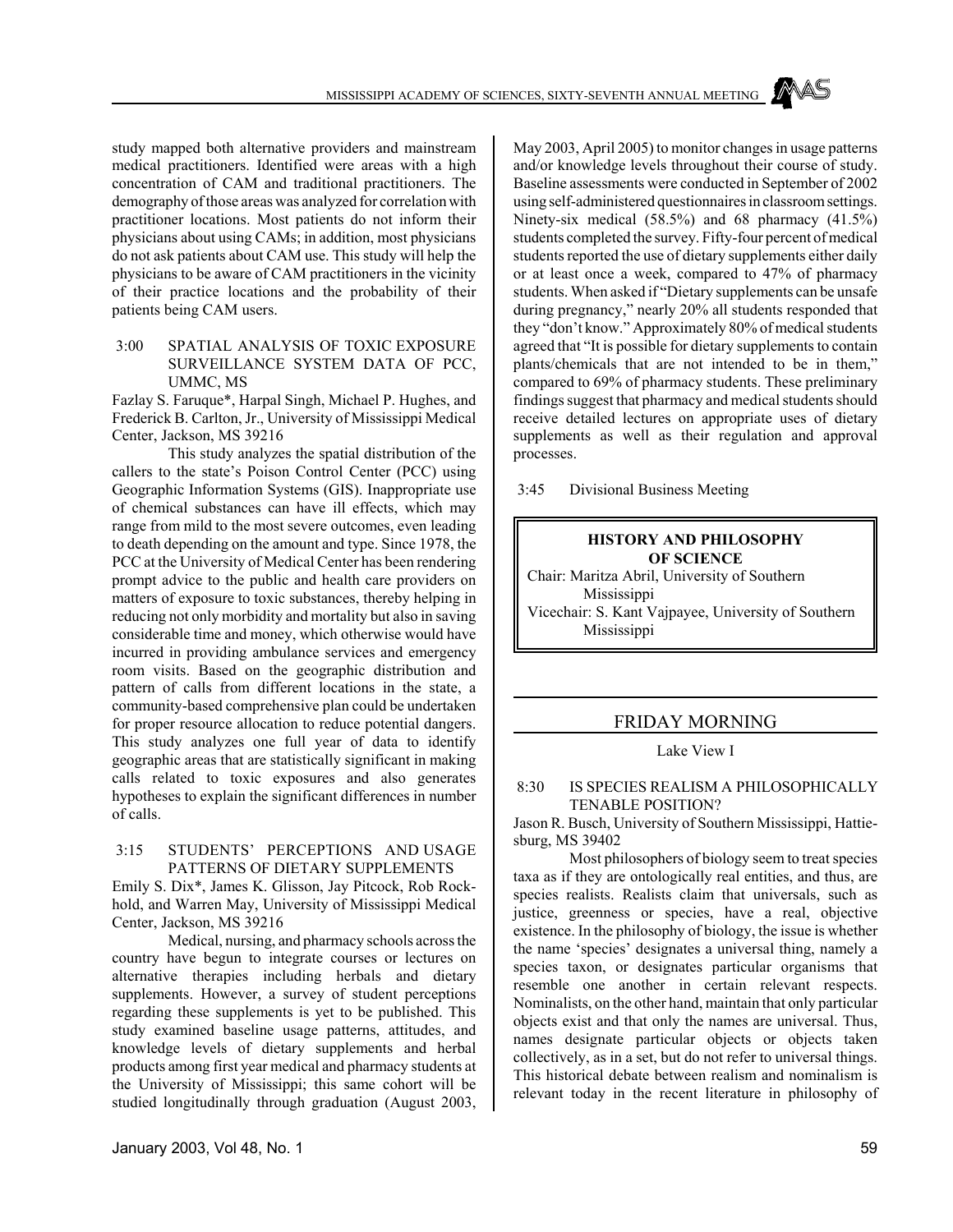study mapped both alternative providers and mainstream medical practitioners. Identified were areas with a high concentration of CAM and traditional practitioners. The demography of those areas was analyzed for correlation with practitioner locations. Most patients do not inform their physicians about using CAMs; in addition, most physicians do not ask patients about CAM use. This study will help the physicians to be aware of CAM practitioners in the vicinity of their practice locations and the probability of their patients being CAM users.

## 3:00 SPATIAL ANALYSIS OF TOXIC EXPOSURE SURVEILLANCE SYSTEM DATA OF PCC, UMMC, MS

Fazlay S. Faruque\*, Harpal Singh, Michael P. Hughes, and Frederick B. Carlton, Jr., University of Mississippi Medical Center, Jackson, MS 39216

This study analyzes the spatial distribution of the callers to the state's Poison Control Center (PCC) using Geographic Information Systems (GIS). Inappropriate use of chemical substances can have ill effects, which may range from mild to the most severe outcomes, even leading to death depending on the amount and type. Since 1978, the PCC at the University of Medical Center has been rendering prompt advice to the public and health care providers on matters of exposure to toxic substances, thereby helping in reducing not only morbidity and mortality but also in saving considerable time and money, which otherwise would have incurred in providing ambulance services and emergency room visits. Based on the geographic distribution and pattern of calls from different locations in the state, a community-based comprehensive plan could be undertaken for proper resource allocation to reduce potential dangers. This study analyzes one full year of data to identify geographic areas that are statistically significant in making calls related to toxic exposures and also generates hypotheses to explain the significant differences in number of calls.

## 3:15 STUDENTS' PERCEPTIONS AND USAGE PATTERNS OF DIETARY SUPPLEMENTS

Emily S. Dix\*, James K. Glisson, Jay Pitcock, Rob Rockhold, and Warren May, University of Mississippi Medical Center, Jackson, MS 39216

Medical, nursing, and pharmacy schools across the country have begun to integrate courses or lectures on alternative therapies including herbals and dietary supplements. However, a survey of student perceptions regarding these supplements is yet to be published. This study examined baseline usage patterns, attitudes, and knowledge levels of dietary supplements and herbal products among first year medical and pharmacy students at the University of Mississippi; this same cohort will be studied longitudinally through graduation (August 2003,

May 2003, April 2005) to monitor changes in usage patterns and/or knowledge levels throughout their course of study. Baseline assessments were conducted in September of 2002 using self-administered questionnaires in classroom settings. Ninety-six medical (58.5%) and 68 pharmacy (41.5%) students completed the survey. Fifty-four percent of medical students reported the use of dietary supplements either daily or at least once a week, compared to 47% of pharmacy students. When asked if "Dietary supplements can be unsafe during pregnancy," nearly 20% all students responded that they "don't know." Approximately 80% of medical students agreed that "It is possible for dietary supplements to contain plants/chemicals that are not intended to be in them," compared to 69% of pharmacy students. These preliminary findings suggest that pharmacy and medical students should receive detailed lectures on appropriate uses of dietary supplements as well as their regulation and approval processes.

3:45 Divisional Business Meeting

## **HISTORY AND PHILOSOPHY OF SCIENCE**

Chair: Maritza Abril, University of Southern Mississippi Vicechair: S. Kant Vajpayee, University of Southern Mississippi

# FRIDAY MORNING

Lake View I

#### 8:30 IS SPECIES REALISM A PHILOSOPHICALLY TENABLE POSITION?

Jason R. Busch, University of Southern Mississippi, Hattiesburg, MS 39402

Most philosophers of biology seem to treat species taxa as if they are ontologically real entities, and thus, are species realists. Realists claim that universals, such as justice, greenness or species, have a real, objective existence. In the philosophy of biology, the issue is whether the name 'species' designates a universal thing, namely a species taxon, or designates particular organisms that resemble one another in certain relevant respects. Nominalists, on the other hand, maintain that only particular objects exist and that only the names are universal. Thus, names designate particular objects or objects taken collectively, as in a set, but do not refer to universal things. This historical debate between realism and nominalism is relevant today in the recent literature in philosophy of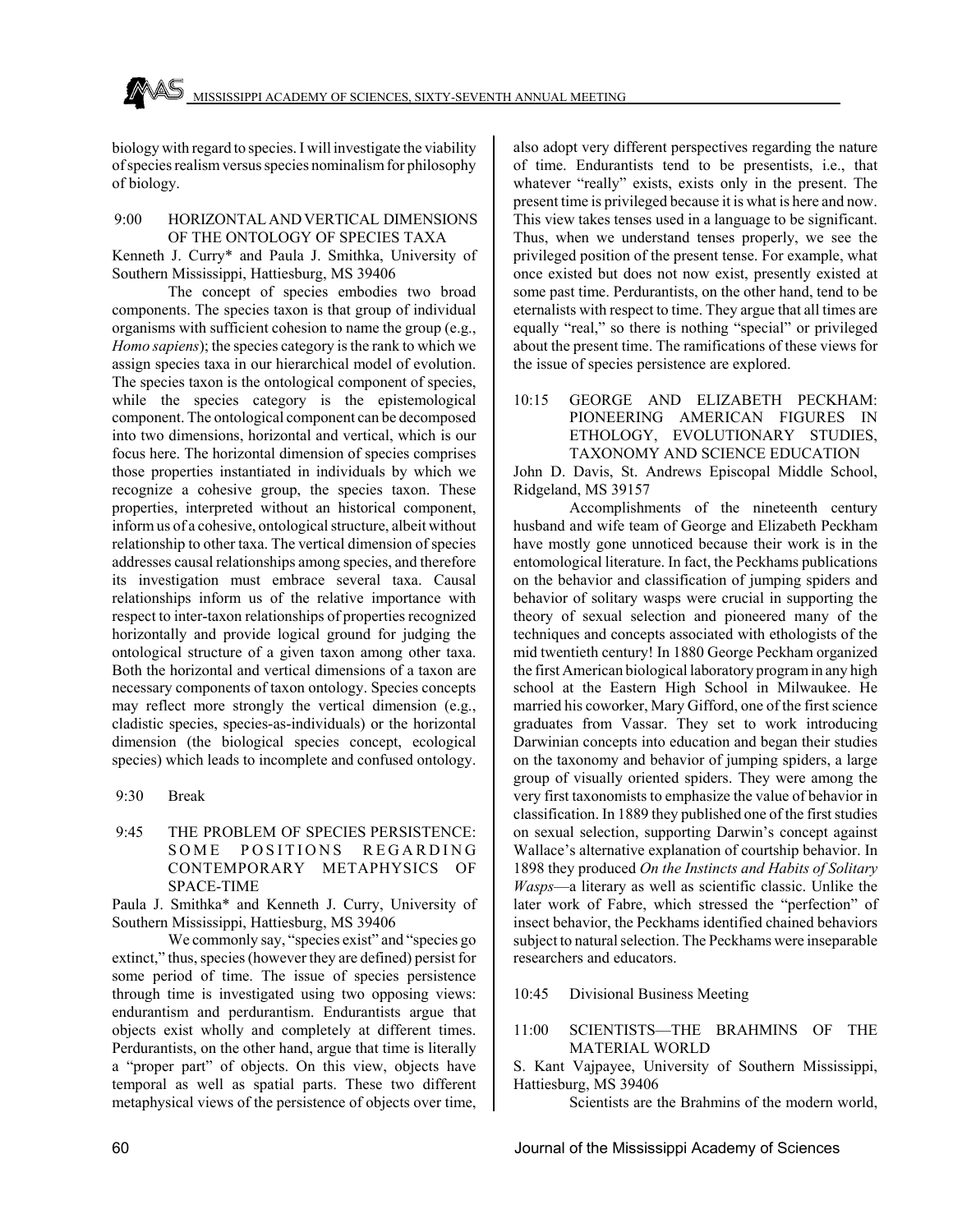

biology with regard to species. I will investigate the viability of species realism versus species nominalism for philosophy of biology.

#### 9:00 HORIZONTAL AND VERTICAL DIMENSIONS OF THE ONTOLOGY OF SPECIES TAXA

Kenneth J. Curry\* and Paula J. Smithka, University of Southern Mississippi, Hattiesburg, MS 39406

The concept of species embodies two broad components. The species taxon is that group of individual organisms with sufficient cohesion to name the group (e.g., *Homo sapiens*); the species category is the rank to which we assign species taxa in our hierarchical model of evolution. The species taxon is the ontological component of species, while the species category is the epistemological component. The ontological component can be decomposed into two dimensions, horizontal and vertical, which is our focus here. The horizontal dimension of species comprises those properties instantiated in individuals by which we recognize a cohesive group, the species taxon. These properties, interpreted without an historical component, inform us of a cohesive, ontological structure, albeit without relationship to other taxa. The vertical dimension of species addresses causal relationships among species, and therefore its investigation must embrace several taxa. Causal relationships inform us of the relative importance with respect to inter-taxon relationships of properties recognized horizontally and provide logical ground for judging the ontological structure of a given taxon among other taxa. Both the horizontal and vertical dimensions of a taxon are necessary components of taxon ontology. Species concepts may reflect more strongly the vertical dimension (e.g., cladistic species, species-as-individuals) or the horizontal dimension (the biological species concept, ecological species) which leads to incomplete and confused ontology.

- 9:30 Break
- 9:45 THE PROBLEM OF SPECIES PERSISTENCE: SOME POSITIONS REGARDING CONTEMPORARY METAPHYSICS OF SPACE-TIME

Paula J. Smithka\* and Kenneth J. Curry, University of Southern Mississippi, Hattiesburg, MS 39406

We commonly say, "species exist" and "species go extinct," thus, species (however they are defined) persist for some period of time. The issue of species persistence through time is investigated using two opposing views: endurantism and perdurantism. Endurantists argue that objects exist wholly and completely at different times. Perdurantists, on the other hand, argue that time is literally a "proper part" of objects. On this view, objects have temporal as well as spatial parts. These two different metaphysical views of the persistence of objects over time,

also adopt very different perspectives regarding the nature of time. Endurantists tend to be presentists, i.e., that whatever "really" exists, exists only in the present. The present time is privileged because it is what is here and now. This view takes tenses used in a language to be significant. Thus, when we understand tenses properly, we see the privileged position of the present tense. For example, what once existed but does not now exist, presently existed at some past time. Perdurantists, on the other hand, tend to be eternalists with respect to time. They argue that all times are equally "real," so there is nothing "special" or privileged about the present time. The ramifications of these views for the issue of species persistence are explored.

## 10:15 GEORGE AND ELIZABETH PECKHAM: PIONEERING AMERICAN FIGURES IN ETHOLOGY, EVOLUTIONARY STUDIES, TAXONOMY AND SCIENCE EDUCATION

John D. Davis, St. Andrews Episcopal Middle School, Ridgeland, MS 39157

Accomplishments of the nineteenth century husband and wife team of George and Elizabeth Peckham have mostly gone unnoticed because their work is in the entomological literature. In fact, the Peckhams publications on the behavior and classification of jumping spiders and behavior of solitary wasps were crucial in supporting the theory of sexual selection and pioneered many of the techniques and concepts associated with ethologists of the mid twentieth century! In 1880 George Peckham organized the first American biological laboratory program in any high school at the Eastern High School in Milwaukee. He married his coworker, Mary Gifford, one of the first science graduates from Vassar. They set to work introducing Darwinian concepts into education and began their studies on the taxonomy and behavior of jumping spiders, a large group of visually oriented spiders. They were among the very first taxonomists to emphasize the value of behavior in classification. In 1889 they published one of the first studies on sexual selection, supporting Darwin's concept against Wallace's alternative explanation of courtship behavior. In 1898 they produced *On the Instincts and Habits of Solitary Wasps*—a literary as well as scientific classic. Unlike the later work of Fabre, which stressed the "perfection" of insect behavior, the Peckhams identified chained behaviors subject to natural selection. The Peckhams were inseparable researchers and educators.

10:45 Divisional Business Meeting

11:00 SCIENTISTS—THE BRAHMINS OF THE MATERIAL WORLD

S. Kant Vajpayee, University of Southern Mississippi, Hattiesburg, MS 39406

Scientists are the Brahmins of the modern world,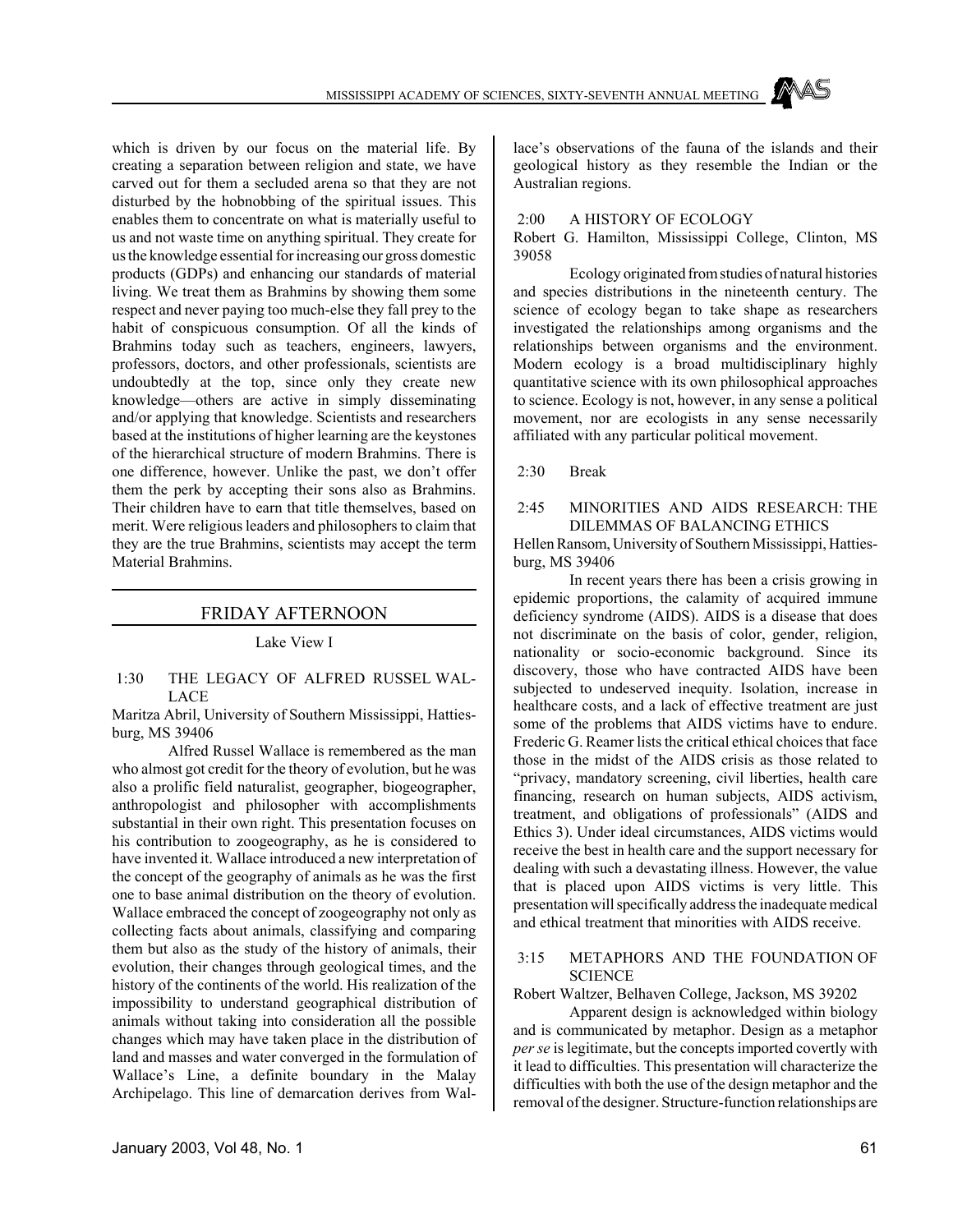which is driven by our focus on the material life. By creating a separation between religion and state, we have carved out for them a secluded arena so that they are not disturbed by the hobnobbing of the spiritual issues. This enables them to concentrate on what is materially useful to us and not waste time on anything spiritual. They create for us the knowledge essential for increasing our gross domestic products (GDPs) and enhancing our standards of material living. We treat them as Brahmins by showing them some respect and never paying too much-else they fall prey to the habit of conspicuous consumption. Of all the kinds of Brahmins today such as teachers, engineers, lawyers, professors, doctors, and other professionals, scientists are undoubtedly at the top, since only they create new knowledge—others are active in simply disseminating and/or applying that knowledge. Scientists and researchers based at the institutions of higher learning are the keystones of the hierarchical structure of modern Brahmins. There is one difference, however. Unlike the past, we don't offer them the perk by accepting their sons also as Brahmins. Their children have to earn that title themselves, based on merit. Were religious leaders and philosophers to claim that they are the true Brahmins, scientists may accept the term Material Brahmins.

# FRIDAY AFTERNOON

#### Lake View I

## 1:30 THE LEGACY OF ALFRED RUSSEL WAL-LACE

Maritza Abril, University of Southern Mississippi, Hattiesburg, MS 39406

Alfred Russel Wallace is remembered as the man who almost got credit for the theory of evolution, but he was also a prolific field naturalist, geographer, biogeographer, anthropologist and philosopher with accomplishments substantial in their own right. This presentation focuses on his contribution to zoogeography, as he is considered to have invented it. Wallace introduced a new interpretation of the concept of the geography of animals as he was the first one to base animal distribution on the theory of evolution. Wallace embraced the concept of zoogeography not only as collecting facts about animals, classifying and comparing them but also as the study of the history of animals, their evolution, their changes through geological times, and the history of the continents of the world. His realization of the impossibility to understand geographical distribution of animals without taking into consideration all the possible changes which may have taken place in the distribution of land and masses and water converged in the formulation of Wallace's Line, a definite boundary in the Malay Archipelago. This line of demarcation derives from Wallace's observations of the fauna of the islands and their geological history as they resemble the Indian or the Australian regions.

#### 2:00 A HISTORY OF ECOLOGY

Robert G. Hamilton, Mississippi College, Clinton, MS 39058

Ecology originated from studies of natural histories and species distributions in the nineteenth century. The science of ecology began to take shape as researchers investigated the relationships among organisms and the relationships between organisms and the environment. Modern ecology is a broad multidisciplinary highly quantitative science with its own philosophical approaches to science. Ecology is not, however, in any sense a political movement, nor are ecologists in any sense necessarily affiliated with any particular political movement.

2:30 Break

## 2:45 MINORITIES AND AIDS RESEARCH: THE DILEMMAS OF BALANCING ETHICS

Hellen Ransom, University of Southern Mississippi, Hattiesburg, MS 39406

In recent years there has been a crisis growing in epidemic proportions, the calamity of acquired immune deficiency syndrome (AIDS). AIDS is a disease that does not discriminate on the basis of color, gender, religion, nationality or socio-economic background. Since its discovery, those who have contracted AIDS have been subjected to undeserved inequity. Isolation, increase in healthcare costs, and a lack of effective treatment are just some of the problems that AIDS victims have to endure. Frederic G. Reamer lists the critical ethical choices that face those in the midst of the AIDS crisis as those related to "privacy, mandatory screening, civil liberties, health care financing, research on human subjects, AIDS activism, treatment, and obligations of professionals" (AIDS and Ethics 3). Under ideal circumstances, AIDS victims would receive the best in health care and the support necessary for dealing with such a devastating illness. However, the value that is placed upon AIDS victims is very little. This presentation will specifically address the inadequate medical and ethical treatment that minorities with AIDS receive.

#### 3:15 METAPHORS AND THE FOUNDATION OF **SCIENCE**

Robert Waltzer, Belhaven College, Jackson, MS 39202

Apparent design is acknowledged within biology and is communicated by metaphor. Design as a metaphor *per se* is legitimate, but the concepts imported covertly with it lead to difficulties. This presentation will characterize the difficulties with both the use of the design metaphor and the removal of the designer. Structure-function relationships are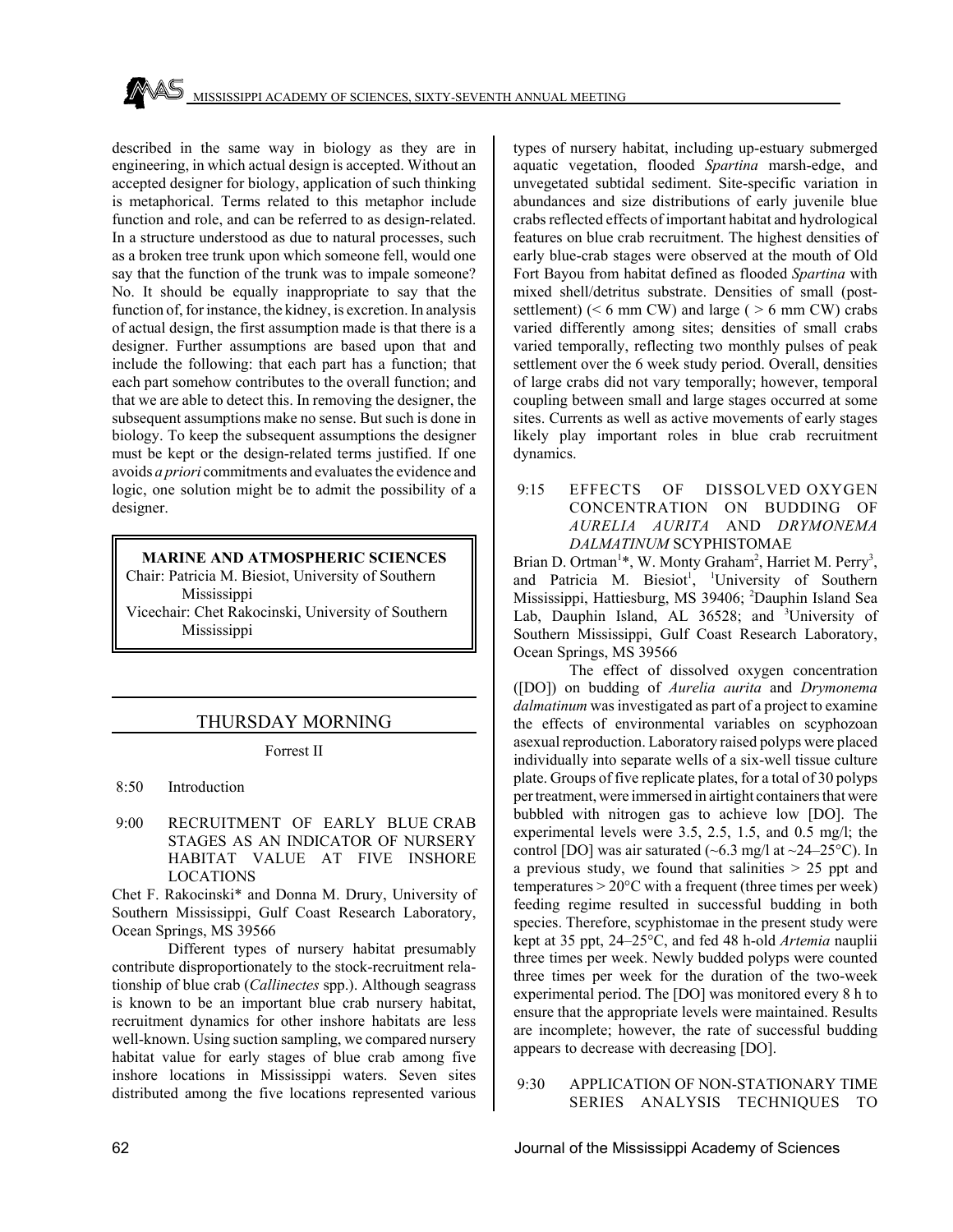described in the same way in biology as they are in engineering, in which actual design is accepted. Without an accepted designer for biology, application of such thinking is metaphorical. Terms related to this metaphor include function and role, and can be referred to as design-related. In a structure understood as due to natural processes, such as a broken tree trunk upon which someone fell, would one say that the function of the trunk was to impale someone? No. It should be equally inappropriate to say that the function of, for instance, the kidney, is excretion. In analysis of actual design, the first assumption made is that there is a designer. Further assumptions are based upon that and include the following: that each part has a function; that each part somehow contributes to the overall function; and that we are able to detect this. In removing the designer, the subsequent assumptions make no sense. But such is done in biology. To keep the subsequent assumptions the designer must be kept or the design-related terms justified. If one avoids *a priori* commitments and evaluates the evidence and logic, one solution might be to admit the possibility of a designer.

## **MARINE AND ATMOSPHERIC SCIENCES**

Chair: Patricia M. Biesiot, University of Southern Mississippi Vicechair: Chet Rakocinski, University of Southern Mississippi

# THURSDAY MORNING

#### Forrest II

8:50 Introduction

 9:00 RECRUITMENT OF EARLY BLUE CRAB STAGES AS AN INDICATOR OF NURSERY HABITAT VALUE AT FIVE INSHORE LOCATIONS

Chet F. Rakocinski\* and Donna M. Drury, University of Southern Mississippi, Gulf Coast Research Laboratory, Ocean Springs, MS 39566

Different types of nursery habitat presumably contribute disproportionately to the stock-recruitment relationship of blue crab (*Callinectes* spp.). Although seagrass is known to be an important blue crab nursery habitat, recruitment dynamics for other inshore habitats are less well-known. Using suction sampling, we compared nursery habitat value for early stages of blue crab among five inshore locations in Mississippi waters. Seven sites distributed among the five locations represented various types of nursery habitat, including up-estuary submerged aquatic vegetation, flooded *Spartina* marsh-edge, and unvegetated subtidal sediment. Site-specific variation in abundances and size distributions of early juvenile blue crabs reflected effects of important habitat and hydrological features on blue crab recruitment. The highest densities of early blue-crab stages were observed at the mouth of Old Fort Bayou from habitat defined as flooded *Spartina* with mixed shell/detritus substrate. Densities of small (postsettlement) ( $\leq 6$  mm CW) and large ( $\geq 6$  mm CW) crabs varied differently among sites; densities of small crabs varied temporally, reflecting two monthly pulses of peak settlement over the 6 week study period. Overall, densities of large crabs did not vary temporally; however, temporal coupling between small and large stages occurred at some sites. Currents as well as active movements of early stages likely play important roles in blue crab recruitment dynamics.

9:15 EFFECTS OF DISSOLVED OXYGEN CONCENTRATION ON BUDDING OF *AURELIA AURITA* AND *DRYMONEMA DALMATINUM* SCYPHISTOMAE

Brian D. Ortman<sup>1\*</sup>, W. Monty Graham<sup>2</sup>, Harriet M. Perry<sup>3</sup>, and Patricia M. Biesiot<sup>1</sup>, <sup>1</sup>University of Southern Mississippi, Hattiesburg, MS 39406; <sup>2</sup>Dauphin Island Sea Lab, Dauphin Island, AL 36528; and <sup>3</sup>University of Southern Mississippi, Gulf Coast Research Laboratory, Ocean Springs, MS 39566

The effect of dissolved oxygen concentration ([DO]) on budding of *Aurelia aurita* and *Drymonema dalmatinum* was investigated as part of a project to examine the effects of environmental variables on scyphozoan asexual reproduction. Laboratory raised polyps were placed individually into separate wells of a six-well tissue culture plate. Groups of five replicate plates, for a total of 30 polyps per treatment, were immersed in airtight containers that were bubbled with nitrogen gas to achieve low [DO]. The experimental levels were 3.5, 2.5, 1.5, and 0.5 mg/l; the control [DO] was air saturated ( $\sim 6.3$  mg/l at  $\sim 24-25$ °C). In a previous study, we found that salinities  $> 25$  ppt and temperatures  $> 20^{\circ}$ C with a frequent (three times per week) feeding regime resulted in successful budding in both species. Therefore, scyphistomae in the present study were kept at 35 ppt, 24–25°C, and fed 48 h-old *Artemia* nauplii three times per week. Newly budded polyps were counted three times per week for the duration of the two-week experimental period. The [DO] was monitored every 8 h to ensure that the appropriate levels were maintained. Results are incomplete; however, the rate of successful budding appears to decrease with decreasing [DO].

 9:30 APPLICATION OF NON-STATIONARY TIME SERIES ANALYSIS TECHNIQUES TO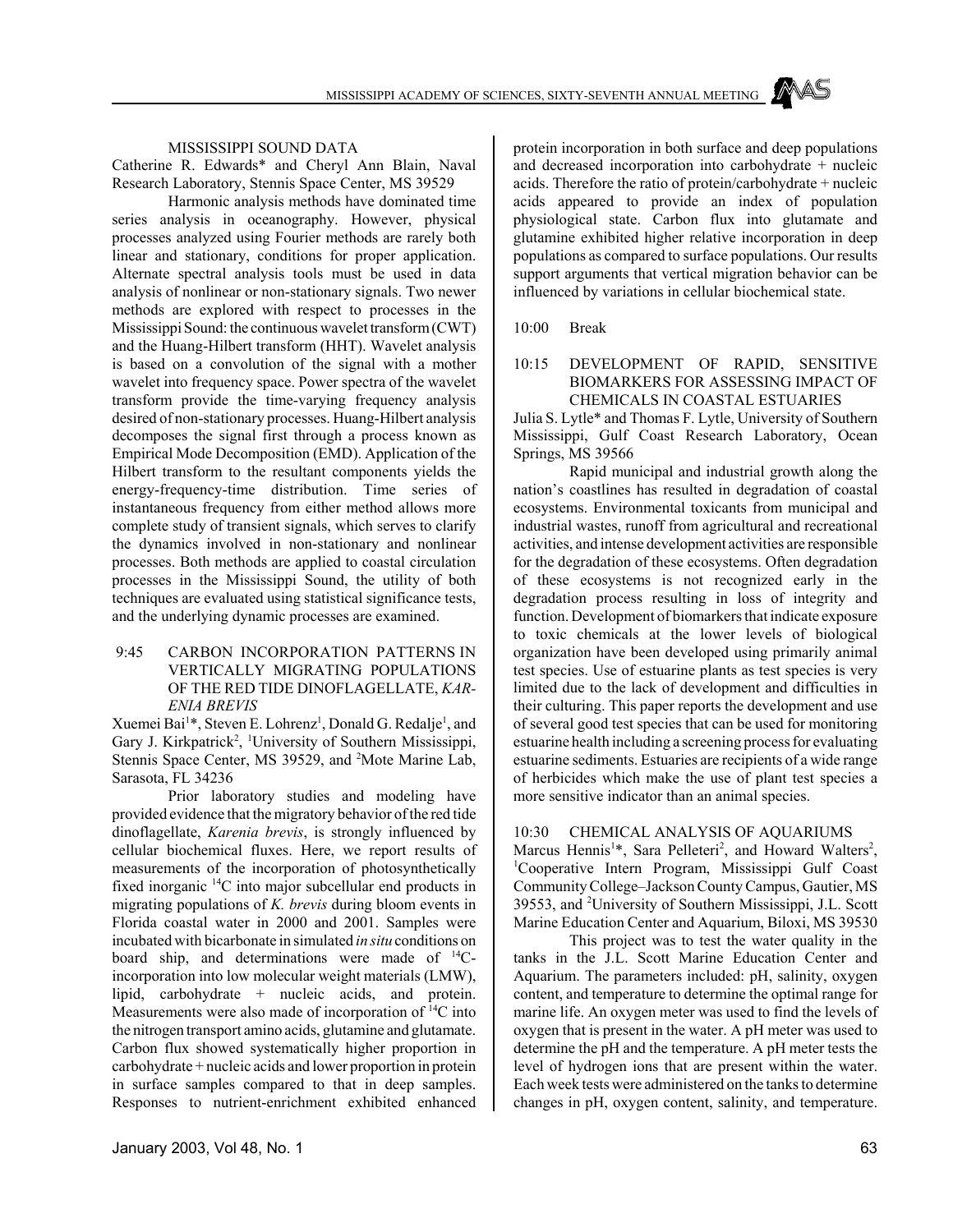MISSISSIPPI SOUND DATA

Catherine R. Edwards\* and Cheryl Ann Blain, Naval Research Laboratory, Stennis Space Center, MS 39529

Harmonic analysis methods have dominated time series analysis in oceanography. However, physical processes analyzed using Fourier methods are rarely both linear and stationary, conditions for proper application. Alternate spectral analysis tools must be used in data analysis of nonlinear or non-stationary signals. Two newer methods are explored with respect to processes in the Mississippi Sound: the continuous wavelet transform (CWT) and the Huang-Hilbert transform (HHT). Wavelet analysis is based on a convolution of the signal with a mother wavelet into frequency space. Power spectra of the wavelet transform provide the time-varying frequency analysis desired of non-stationary processes. Huang-Hilbert analysis decomposes the signal first through a process known as Empirical Mode Decomposition (EMD). Application of the Hilbert transform to the resultant components yields the energy-frequency-time distribution. Time series of instantaneous frequency from either method allows more complete study of transient signals, which serves to clarify the dynamics involved in non-stationary and nonlinear processes. Both methods are applied to coastal circulation processes in the Mississippi Sound, the utility of both techniques are evaluated using statistical significance tests, and the underlying dynamic processes are examined.

## 9:45 CARBON INCORPORATION PATTERNS IN VERTICALLY MIGRATING POPULATIONS OF THE RED TIDE DINOFLAGELLATE, *KAR-ENIA BREVIS*

Xuemei Bai<sup>1\*</sup>, Steven E. Lohrenz<sup>1</sup>, Donald G. Redalje<sup>1</sup>, and Gary J. Kirkpatrick<sup>2</sup>, <sup>1</sup>University of Southern Mississippi, Stennis Space Center, MS 39529, and <sup>2</sup>Mote Marine Lab, Sarasota, FL 34236

Prior laboratory studies and modeling have provided evidence that the migratory behavior of the red tide dinoflagellate, *Karenia brevis*, is strongly influenced by cellular biochemical fluxes. Here, we report results of measurements of the incorporation of photosynthetically fixed inorganic 14C into major subcellular end products in migrating populations of *K. brevis* during bloom events in Florida coastal water in 2000 and 2001. Samples were incubated with bicarbonate in simulated *in situ* conditions on board ship, and determinations were made of  $^{14}C$ incorporation into low molecular weight materials (LMW), lipid, carbohydrate + nucleic acids, and protein. Measurements were also made of incorporation of <sup>14</sup>C into the nitrogen transport amino acids, glutamine and glutamate. Carbon flux showed systematically higher proportion in carbohydrate + nucleic acids and lower proportion in protein in surface samples compared to that in deep samples. Responses to nutrient-enrichment exhibited enhanced

protein incorporation in both surface and deep populations and decreased incorporation into carbohydrate + nucleic acids. Therefore the ratio of protein/carbohydrate + nucleic acids appeared to provide an index of population physiological state. Carbon flux into glutamate and glutamine exhibited higher relative incorporation in deep populations as compared to surface populations. Our results support arguments that vertical migration behavior can be influenced by variations in cellular biochemical state.

10:00 Break

## 10:15 DEVELOPMENT OF RAPID, SENSITIVE BIOMARKERS FOR ASSESSING IMPACT OF CHEMICALS IN COASTAL ESTUARIES

Julia S. Lytle\* and Thomas F. Lytle, University of Southern Mississippi, Gulf Coast Research Laboratory, Ocean Springs, MS 39566

Rapid municipal and industrial growth along the nation's coastlines has resulted in degradation of coastal ecosystems. Environmental toxicants from municipal and industrial wastes, runoff from agricultural and recreational activities, and intense development activities are responsible for the degradation of these ecosystems. Often degradation of these ecosystems is not recognized early in the degradation process resulting in loss of integrity and function. Development of biomarkers that indicate exposure to toxic chemicals at the lower levels of biological organization have been developed using primarily animal test species. Use of estuarine plants as test species is very limited due to the lack of development and difficulties in their culturing. This paper reports the development and use of several good test species that can be used for monitoring estuarine health including a screening process for evaluating estuarine sediments. Estuaries are recipients of a wide range of herbicides which make the use of plant test species a more sensitive indicator than an animal species.

## 10:30 CHEMICAL ANALYSIS OF AQUARIUMS

Marcus Hennis<sup>1\*</sup>, Sara Pelleteri<sup>2</sup>, and Howard Walters<sup>2</sup>, 1 Cooperative Intern Program, Mississippi Gulf Coast Community College–Jackson County Campus, Gautier, MS 39553, and <sup>2</sup>University of Southern Mississippi, J.L. Scott Marine Education Center and Aquarium, Biloxi, MS 39530

This project was to test the water quality in the tanks in the J.L. Scott Marine Education Center and Aquarium. The parameters included: pH, salinity, oxygen content, and temperature to determine the optimal range for marine life. An oxygen meter was used to find the levels of oxygen that is present in the water. A pH meter was used to determine the pH and the temperature. A pH meter tests the level of hydrogen ions that are present within the water. Each week tests were administered on the tanks to determine changes in pH, oxygen content, salinity, and temperature.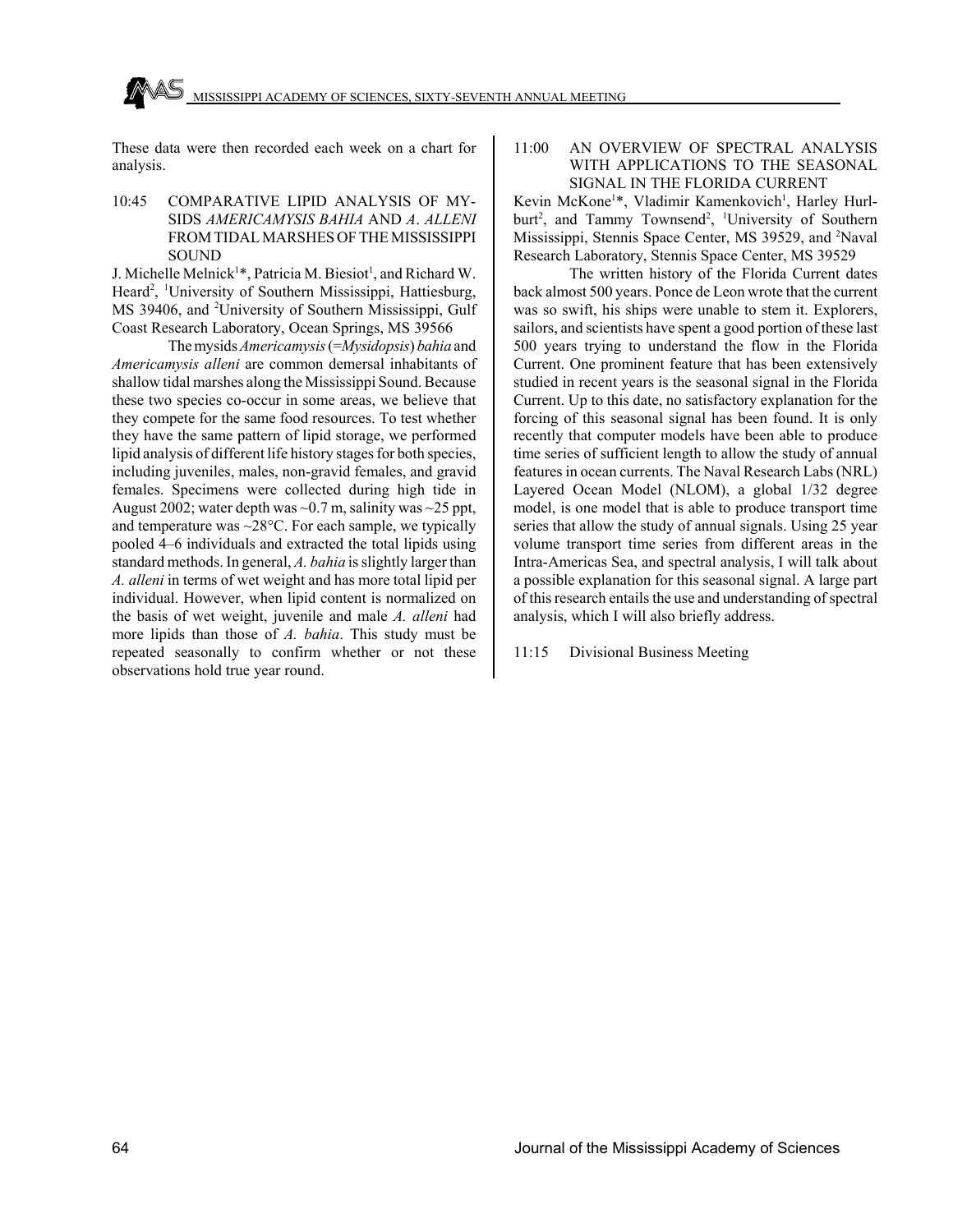These data were then recorded each week on a chart for analysis.

10:45 COMPARATIVE LIPID ANALYSIS OF MY-SIDS *AMERICAMYSIS BAHIA* AND *A*. *ALLENI* FROM TIDAL MARSHES OF THE MISSISSIPPI **SOUND** 

J. Michelle Melnick<sup>1\*</sup>, Patricia M. Biesiot<sup>1</sup>, and Richard W. Heard<sup>2</sup>, <sup>1</sup>University of Southern Mississippi, Hattiesburg, MS 39406, and <sup>2</sup>University of Southern Mississippi, Gulf Coast Research Laboratory, Ocean Springs, MS 39566

The mysids *Americamysis* (=*Mysidopsis*) *bahia* and *Americamysis alleni* are common demersal inhabitants of shallow tidal marshes along the Mississippi Sound. Because these two species co-occur in some areas, we believe that they compete for the same food resources. To test whether they have the same pattern of lipid storage, we performed lipid analysis of different life history stages for both species, including juveniles, males, non-gravid females, and gravid females. Specimens were collected during high tide in August 2002; water depth was  $\sim 0.7$  m, salinity was  $\sim 25$  ppt, and temperature was  $\sim$ 28 $\degree$ C. For each sample, we typically pooled 4–6 individuals and extracted the total lipids using standard methods. In general, *A. bahia* is slightly larger than *A. alleni* in terms of wet weight and has more total lipid per individual. However, when lipid content is normalized on the basis of wet weight, juvenile and male *A. alleni* had more lipids than those of *A. bahia*. This study must be repeated seasonally to confirm whether or not these observations hold true year round.

#### 11:00 AN OVERVIEW OF SPECTRAL ANALYSIS WITH APPLICATIONS TO THE SEASONAL SIGNAL IN THE FLORIDA CURRENT

Kevin McKone<sup>1\*</sup>, Vladimir Kamenkovich<sup>1</sup>, Harley Hurlburt<sup>2</sup>, and Tammy Townsend<sup>2</sup>, <sup>1</sup>University of Southern Mississippi, Stennis Space Center, MS 39529, and <sup>2</sup>Naval Research Laboratory, Stennis Space Center, MS 39529

The written history of the Florida Current dates back almost 500 years. Ponce de Leon wrote that the current was so swift, his ships were unable to stem it. Explorers, sailors, and scientists have spent a good portion of these last 500 years trying to understand the flow in the Florida Current. One prominent feature that has been extensively studied in recent years is the seasonal signal in the Florida Current. Up to this date, no satisfactory explanation for the forcing of this seasonal signal has been found. It is only recently that computer models have been able to produce time series of sufficient length to allow the study of annual features in ocean currents. The Naval Research Labs (NRL) Layered Ocean Model (NLOM), a global 1/32 degree model, is one model that is able to produce transport time series that allow the study of annual signals. Using 25 year volume transport time series from different areas in the Intra-Americas Sea, and spectral analysis, I will talk about a possible explanation for this seasonal signal. A large part of this research entails the use and understanding of spectral analysis, which I will also briefly address.

11:15 Divisional Business Meeting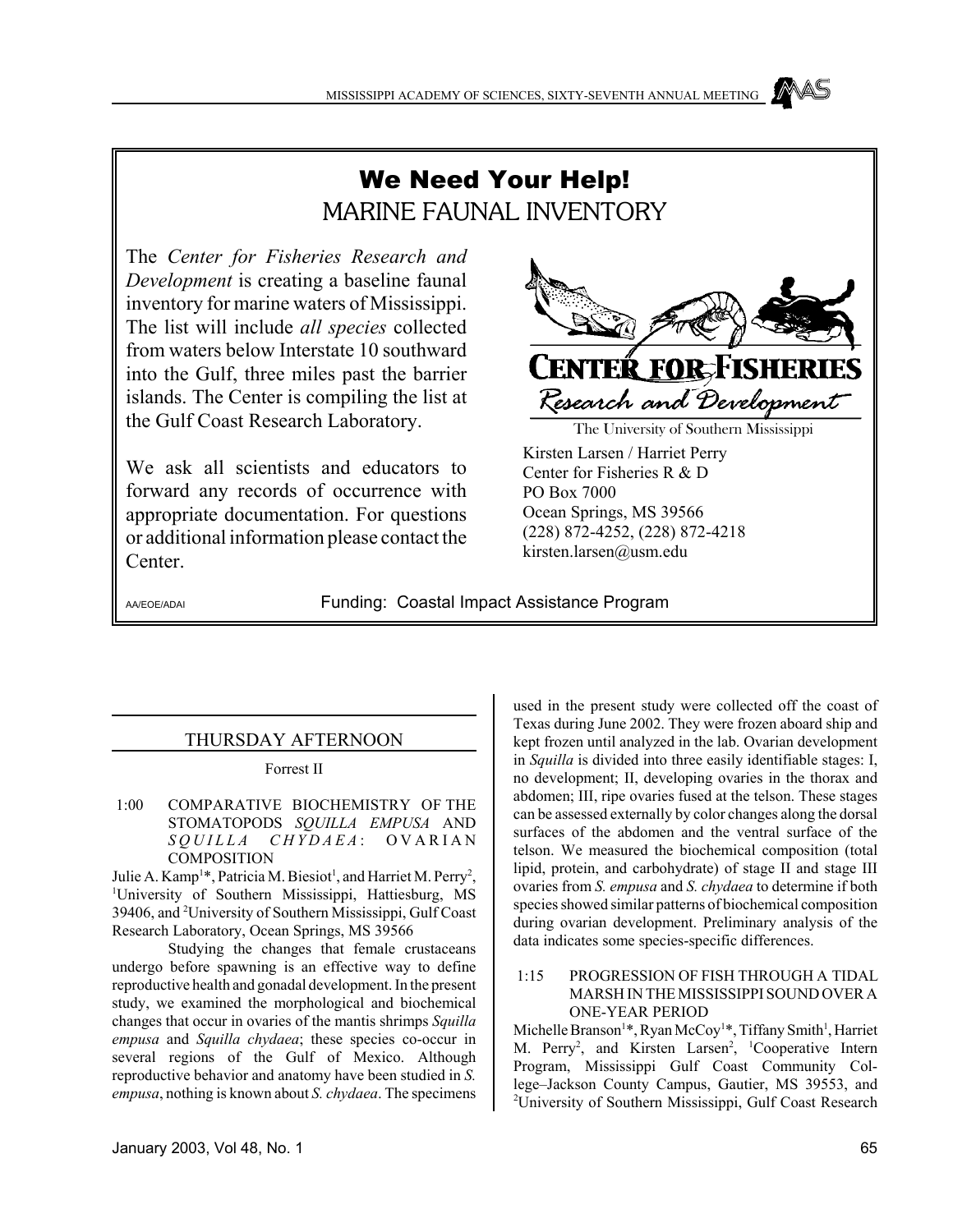# We Need Your Help! MARINE FAUNAL INVENTORY

The *Center for Fisheries Research and Development* is creating a baseline faunal inventory for marine waters of Mississippi. The list will include *all species* collected from waters below Interstate 10 southward into the Gulf, three miles past the barrier islands. The Center is compiling the list at the Gulf Coast Research Laboratory.

We ask all scientists and educators to forward any records of occurrence with appropriate documentation. For questions or additional information please contact the Center.



The University of Southern Mississippi

Kirsten Larsen / Harriet Perry Center for Fisheries R & D PO Box 7000 Ocean Springs, MS 39566 (228) 872-4252, (228) 872-4218 kirsten.larsen@usm.edu

AA/EOE/ADAI Funding: Coastal Impact Assistance Program

# THURSDAY AFTERNOON

Forrest II

 1:00 COMPARATIVE BIOCHEMISTRY OF THE STOMATOPODS *SQUILLA EMPUSA* AND *SQUILLA CHYDAEA* : OVARIAN **COMPOSITION** 

Julie A. Kamp<sup>1\*</sup>, Patricia M. Biesiot<sup>1</sup>, and Harriet M. Perry<sup>2</sup>, <sup>1</sup>University of Southern Mississippi, Hattiesburg, MS 39406, and <sup>2</sup>University of Southern Mississippi, Gulf Coast Research Laboratory, Ocean Springs, MS 39566

Studying the changes that female crustaceans undergo before spawning is an effective way to define reproductive health and gonadal development. In the present study, we examined the morphological and biochemical changes that occur in ovaries of the mantis shrimps *Squilla empusa* and *Squilla chydaea*; these species co-occur in several regions of the Gulf of Mexico. Although reproductive behavior and anatomy have been studied in *S. empusa*, nothing is known about *S. chydaea*. The specimens

used in the present study were collected off the coast of Texas during June 2002. They were frozen aboard ship and kept frozen until analyzed in the lab. Ovarian development in *Squilla* is divided into three easily identifiable stages: I, no development; II, developing ovaries in the thorax and abdomen; III, ripe ovaries fused at the telson. These stages can be assessed externally by color changes along the dorsal surfaces of the abdomen and the ventral surface of the telson. We measured the biochemical composition (total lipid, protein, and carbohydrate) of stage II and stage III ovaries from *S. empusa* and *S. chydaea* to determine if both species showed similar patterns of biochemical composition during ovarian development. Preliminary analysis of the data indicates some species-specific differences.

## 1:15 PROGRESSION OF FISH THROUGH A TIDAL MARSH IN THE MISSISSIPPI SOUND OVER A ONE-YEAR PERIOD

Michelle Branson<sup>1</sup>\*, Ryan McCoy<sup>1</sup>\*, Tiffany Smith<sup>1</sup>, Harriet M. Perry<sup>2</sup>, and Kirsten Larsen<sup>2</sup>, <sup>1</sup>Cooperative Intern Program, Mississippi Gulf Coast Community College–Jackson County Campus, Gautier, MS 39553, and <sup>2</sup>University of Southern Mississippi, Gulf Coast Research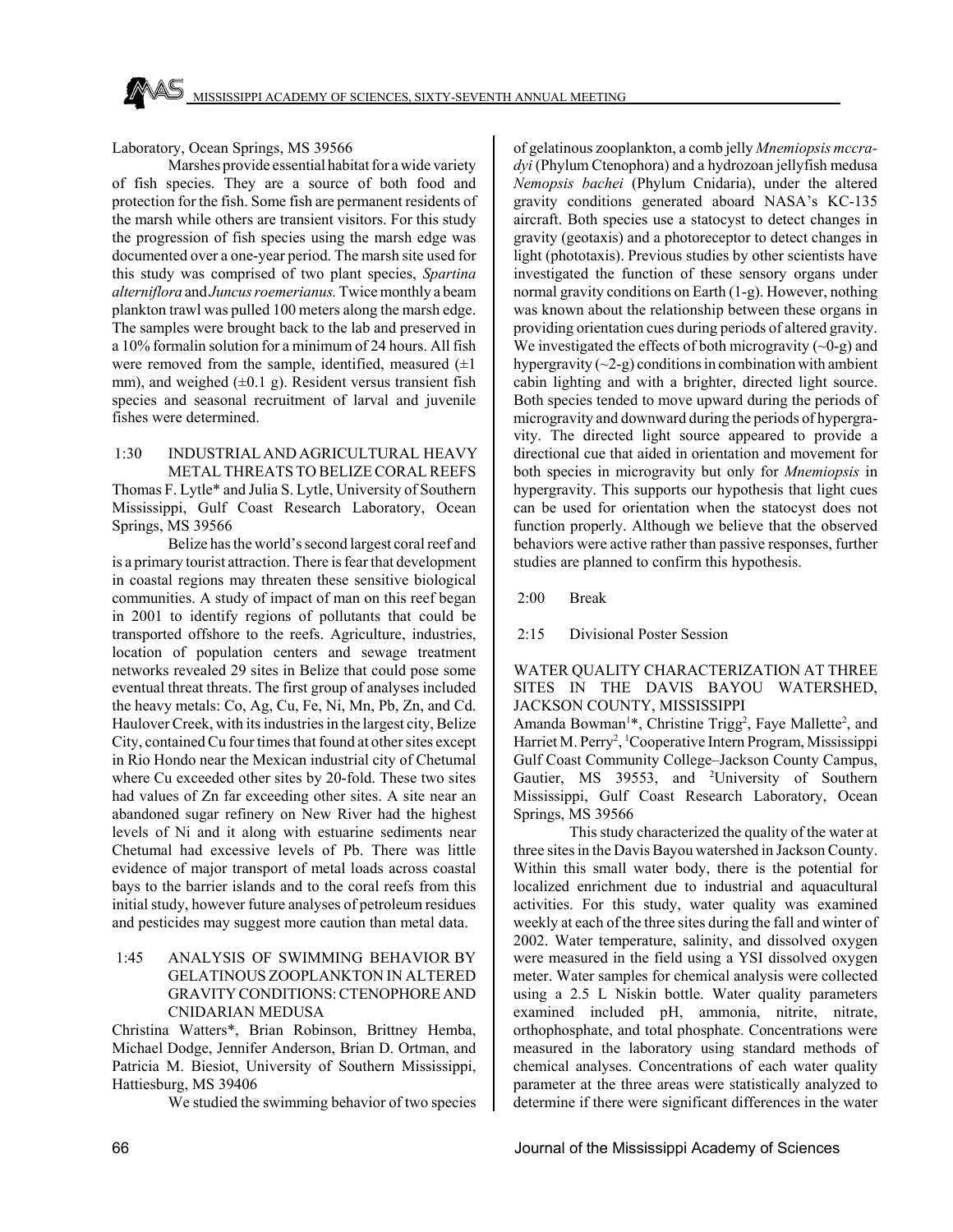## Laboratory, Ocean Springs, MS 39566

Marshes provide essential habitat for a wide variety of fish species. They are a source of both food and protection for the fish. Some fish are permanent residents of the marsh while others are transient visitors. For this study the progression of fish species using the marsh edge was documented over a one-year period. The marsh site used for this study was comprised of two plant species, *Spartina alterniflora* and *Juncus roemerianus.* Twice monthly a beam plankton trawl was pulled 100 meters along the marsh edge. The samples were brought back to the lab and preserved in a 10% formalin solution for a minimum of 24 hours. All fish were removed from the sample, identified, measured  $(\pm 1)$ mm), and weighed  $(\pm 0.1 \text{ g})$ . Resident versus transient fish species and seasonal recruitment of larval and juvenile fishes were determined.

 1:30 INDUSTRIAL AND AGRICULTURAL HEAVY METAL THREATS TO BELIZE CORAL REEFS Thomas F. Lytle\* and Julia S. Lytle, University of Southern Mississippi, Gulf Coast Research Laboratory, Ocean Springs, MS 39566

Belize has the world's second largest coral reef and is a primary tourist attraction. There is fear that development in coastal regions may threaten these sensitive biological communities. A study of impact of man on this reef began in 2001 to identify regions of pollutants that could be transported offshore to the reefs. Agriculture, industries, location of population centers and sewage treatment networks revealed 29 sites in Belize that could pose some eventual threat threats. The first group of analyses included the heavy metals: Co, Ag, Cu, Fe, Ni, Mn, Pb, Zn, and Cd. Haulover Creek, with its industries in the largest city, Belize City, contained Cu four times that found at other sites except in Rio Hondo near the Mexican industrial city of Chetumal where Cu exceeded other sites by 20-fold. These two sites had values of Zn far exceeding other sites. A site near an abandoned sugar refinery on New River had the highest levels of Ni and it along with estuarine sediments near Chetumal had excessive levels of Pb. There was little evidence of major transport of metal loads across coastal bays to the barrier islands and to the coral reefs from this initial study, however future analyses of petroleum residues and pesticides may suggest more caution than metal data.

## 1:45 ANALYSIS OF SWIMMING BEHAVIOR BY GELATINOUS ZOOPLANKTON IN ALTERED GRAVITY CONDITIONS: CTENOPHORE AND CNIDARIAN MEDUSA

Christina Watters\*, Brian Robinson, Brittney Hemba, Michael Dodge, Jennifer Anderson, Brian D. Ortman, and Patricia M. Biesiot, University of Southern Mississippi, Hattiesburg, MS 39406

We studied the swimming behavior of two species

of gelatinous zooplankton, a comb jelly *Mnemiopsis mccradyi* (Phylum Ctenophora) and a hydrozoan jellyfish medusa *Nemopsis bachei* (Phylum Cnidaria), under the altered gravity conditions generated aboard NASA's KC-135 aircraft. Both species use a statocyst to detect changes in gravity (geotaxis) and a photoreceptor to detect changes in light (phototaxis). Previous studies by other scientists have investigated the function of these sensory organs under normal gravity conditions on Earth (1-g). However, nothing was known about the relationship between these organs in providing orientation cues during periods of altered gravity. We investigated the effects of both microgravity  $(-0)$ -g) and hypergravity  $(\sim 2-\alpha)$  conditions in combination with ambient cabin lighting and with a brighter, directed light source. Both species tended to move upward during the periods of microgravity and downward during the periods of hypergravity. The directed light source appeared to provide a directional cue that aided in orientation and movement for both species in microgravity but only for *Mnemiopsis* in hypergravity. This supports our hypothesis that light cues can be used for orientation when the statocyst does not function properly. Although we believe that the observed behaviors were active rather than passive responses, further studies are planned to confirm this hypothesis.

2:00 Break

2:15 Divisional Poster Session

## WATER QUALITY CHARACTERIZATION AT THREE SITES IN THE DAVIS BAYOU WATERSHED, JACKSON COUNTY, MISSISSIPPI

Amanda Bowman<sup>1\*</sup>, Christine Trigg<sup>2</sup>, Faye Mallette<sup>2</sup>, and Harriet M. Perry<sup>2</sup>, <sup>1</sup>Cooperative Intern Program, Mississippi Gulf Coast Community College–Jackson County Campus, Gautier, MS 39553, and <sup>2</sup>University of Southern Mississippi, Gulf Coast Research Laboratory, Ocean Springs, MS 39566

This study characterized the quality of the water at three sites in the Davis Bayou watershed in Jackson County. Within this small water body, there is the potential for localized enrichment due to industrial and aquacultural activities. For this study, water quality was examined weekly at each of the three sites during the fall and winter of 2002. Water temperature, salinity, and dissolved oxygen were measured in the field using a YSI dissolved oxygen meter. Water samples for chemical analysis were collected using a 2.5 L Niskin bottle. Water quality parameters examined included pH, ammonia, nitrite, nitrate, orthophosphate, and total phosphate. Concentrations were measured in the laboratory using standard methods of chemical analyses. Concentrations of each water quality parameter at the three areas were statistically analyzed to determine if there were significant differences in the water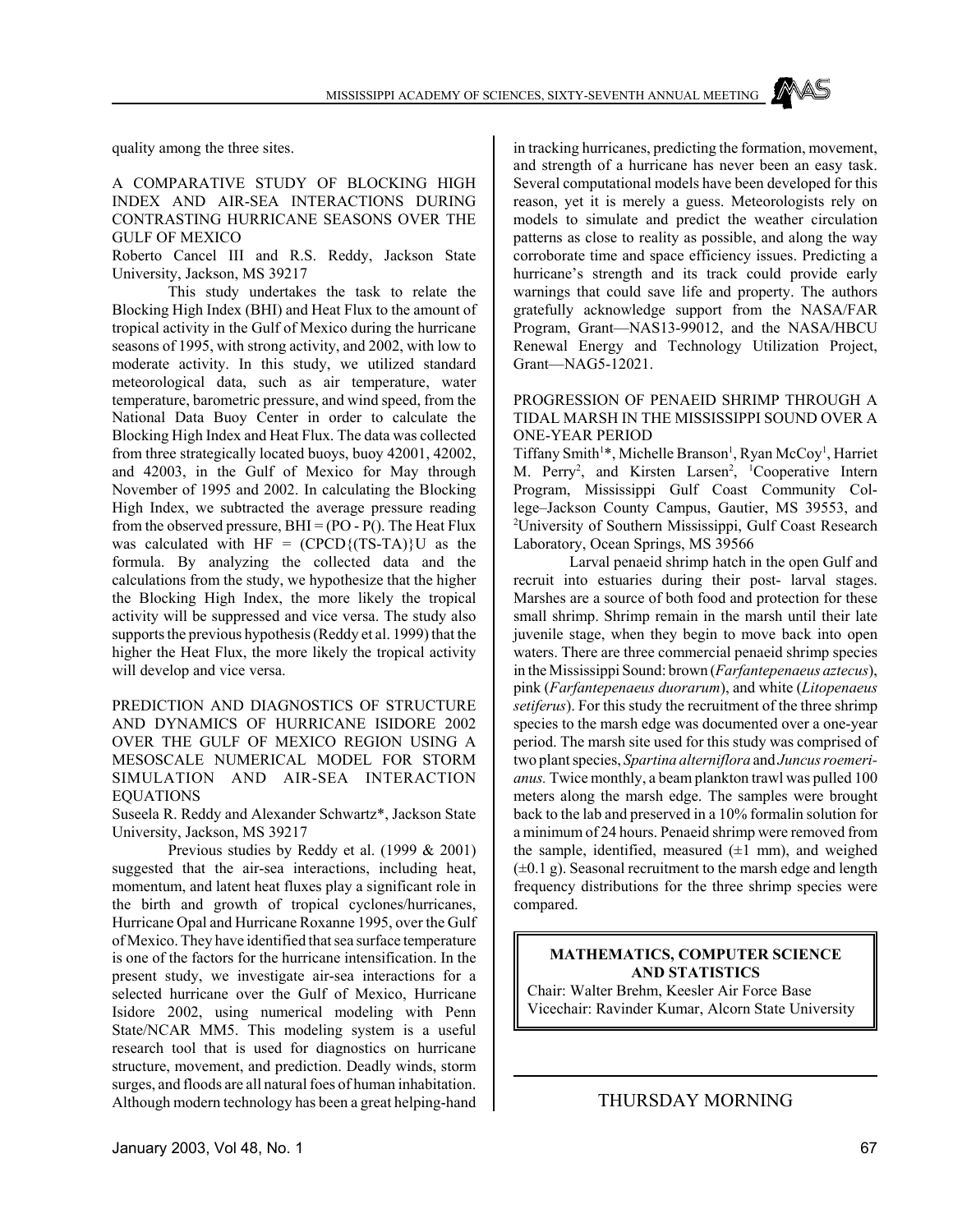quality among the three sites.

#### A COMPARATIVE STUDY OF BLOCKING HIGH INDEX AND AIR-SEA INTERACTIONS DURING CONTRASTING HURRICANE SEASONS OVER THE GULF OF MEXICO

Roberto Cancel III and R.S. Reddy, Jackson State University, Jackson, MS 39217

This study undertakes the task to relate the Blocking High Index (BHI) and Heat Flux to the amount of tropical activity in the Gulf of Mexico during the hurricane seasons of 1995, with strong activity, and 2002, with low to moderate activity. In this study, we utilized standard meteorological data, such as air temperature, water temperature, barometric pressure, and wind speed, from the National Data Buoy Center in order to calculate the Blocking High Index and Heat Flux. The data was collected from three strategically located buoys, buoy 42001, 42002, and 42003, in the Gulf of Mexico for May through November of 1995 and 2002. In calculating the Blocking High Index, we subtracted the average pressure reading from the observed pressure,  $BHI = (PO - P()$ . The Heat Flux was calculated with  $HF = (CPCD \{ (TS-TA) \} U$  as the formula. By analyzing the collected data and the calculations from the study, we hypothesize that the higher the Blocking High Index, the more likely the tropical activity will be suppressed and vice versa. The study also supports the previous hypothesis (Reddy et al. 1999) that the higher the Heat Flux, the more likely the tropical activity will develop and vice versa.

## PREDICTION AND DIAGNOSTICS OF STRUCTURE AND DYNAMICS OF HURRICANE ISIDORE 2002 OVER THE GULF OF MEXICO REGION USING A MESOSCALE NUMERICAL MODEL FOR STORM SIMULATION AND AIR-SEA INTERACTION EQUATIONS

Suseela R. Reddy and Alexander Schwartz\*, Jackson State University, Jackson, MS 39217

Previous studies by Reddy et al. (1999 & 2001) suggested that the air-sea interactions, including heat, momentum, and latent heat fluxes play a significant role in the birth and growth of tropical cyclones/hurricanes, Hurricane Opal and Hurricane Roxanne 1995, over the Gulf of Mexico. They have identified that sea surface temperature is one of the factors for the hurricane intensification. In the present study, we investigate air-sea interactions for a selected hurricane over the Gulf of Mexico, Hurricane Isidore 2002, using numerical modeling with Penn State/NCAR MM5. This modeling system is a useful research tool that is used for diagnostics on hurricane structure, movement, and prediction. Deadly winds, storm surges, and floods are all natural foes of human inhabitation. Although modern technology has been a great helping-hand

in tracking hurricanes, predicting the formation, movement, and strength of a hurricane has never been an easy task. Several computational models have been developed for this reason, yet it is merely a guess. Meteorologists rely on models to simulate and predict the weather circulation patterns as close to reality as possible, and along the way corroborate time and space efficiency issues. Predicting a hurricane's strength and its track could provide early warnings that could save life and property. The authors gratefully acknowledge support from the NASA/FAR Program, Grant—NAS13-99012, and the NASA/HBCU Renewal Energy and Technology Utilization Project, Grant—NAG5-12021.

## PROGRESSION OF PENAEID SHRIMP THROUGH A TIDAL MARSH IN THE MISSISSIPPI SOUND OVER A ONE-YEAR PERIOD

Tiffany Smith<sup>1\*</sup>, Michelle Branson<sup>1</sup>, Ryan McCoy<sup>1</sup>, Harriet M. Perry<sup>2</sup>, and Kirsten Larsen<sup>2</sup>, <sup>1</sup>Cooperative Intern Program, Mississippi Gulf Coast Community College–Jackson County Campus, Gautier, MS 39553, and 2 University of Southern Mississippi, Gulf Coast Research Laboratory, Ocean Springs, MS 39566

Larval penaeid shrimp hatch in the open Gulf and recruit into estuaries during their post- larval stages. Marshes are a source of both food and protection for these small shrimp. Shrimp remain in the marsh until their late juvenile stage, when they begin to move back into open waters. There are three commercial penaeid shrimp species in the Mississippi Sound: brown (*Farfantepenaeus aztecus*), pink (*Farfantepenaeus duorarum*), and white (*Litopenaeus setiferus*). For this study the recruitment of the three shrimp species to the marsh edge was documented over a one-year period. The marsh site used for this study was comprised of two plant species, *Spartina alterniflora* and *Juncus roemerianus.* Twice monthly, a beam plankton trawl was pulled 100 meters along the marsh edge. The samples were brought back to the lab and preserved in a 10% formalin solution for a minimum of 24 hours. Penaeid shrimp were removed from the sample, identified, measured  $(\pm 1 \text{ mm})$ , and weighed  $(\pm 0.1 \text{ g})$ . Seasonal recruitment to the marsh edge and length frequency distributions for the three shrimp species were compared.

## **MATHEMATICS, COMPUTER SCIENCE AND STATISTICS**

Chair: Walter Brehm, Keesler Air Force Base Vicechair: Ravinder Kumar, Alcorn State University

# THURSDAY MORNING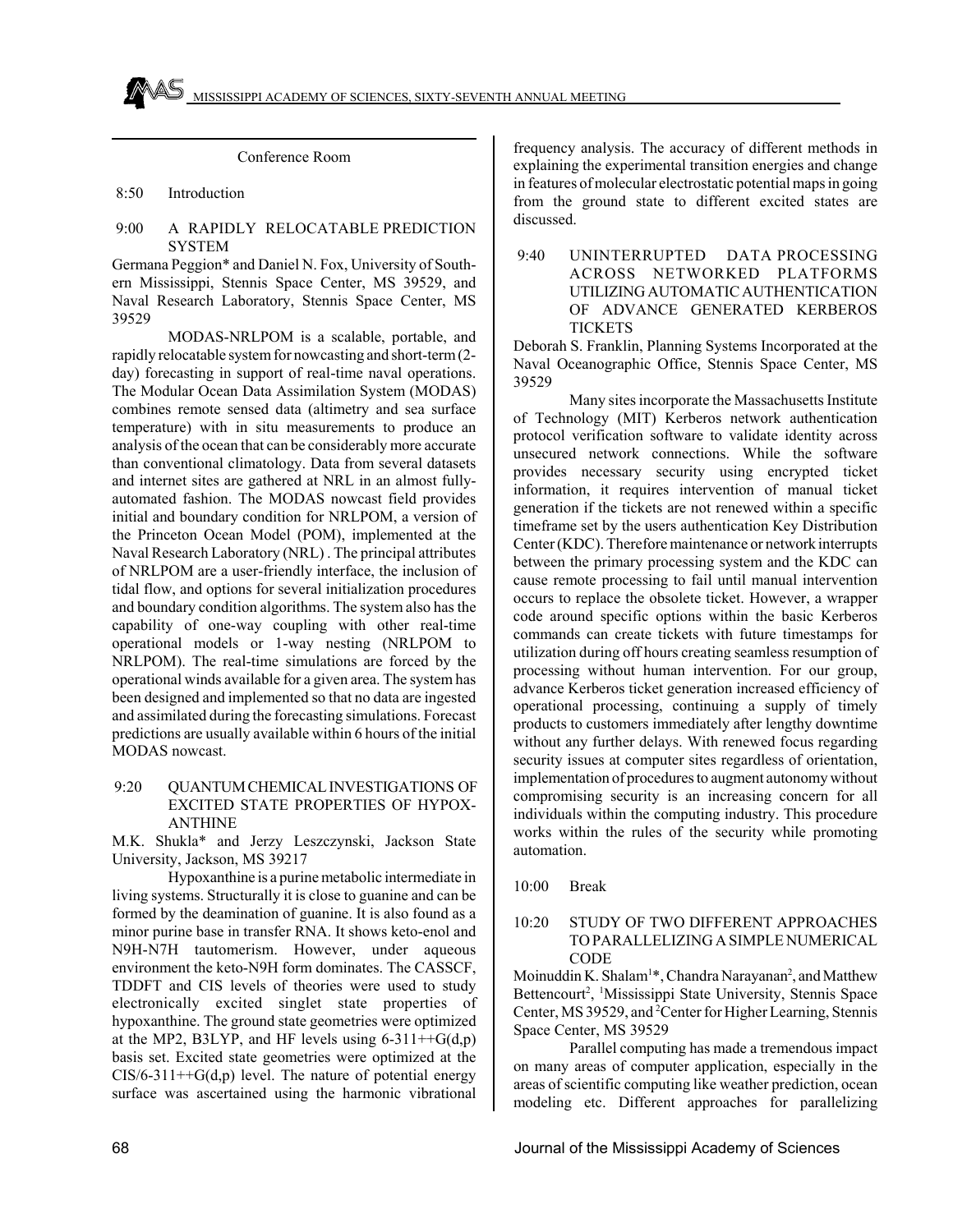Conference Room

8:50 Introduction

## 9:00 A RAPIDLY RELOCATABLE PREDICTION **SYSTEM**

Germana Peggion\* and Daniel N. Fox, University of Southern Mississippi, Stennis Space Center, MS 39529, and Naval Research Laboratory, Stennis Space Center, MS 39529

MODAS-NRLPOM is a scalable, portable, and rapidly relocatable system for nowcasting and short-term (2 day) forecasting in support of real-time naval operations. The Modular Ocean Data Assimilation System (MODAS) combines remote sensed data (altimetry and sea surface temperature) with in situ measurements to produce an analysis of the ocean that can be considerably more accurate than conventional climatology. Data from several datasets and internet sites are gathered at NRL in an almost fullyautomated fashion. The MODAS nowcast field provides initial and boundary condition for NRLPOM, a version of the Princeton Ocean Model (POM), implemented at the Naval Research Laboratory (NRL) . The principal attributes of NRLPOM are a user-friendly interface, the inclusion of tidal flow, and options for several initialization procedures and boundary condition algorithms. The system also has the capability of one-way coupling with other real-time operational models or 1-way nesting (NRLPOM to NRLPOM). The real-time simulations are forced by the operational winds available for a given area. The system has been designed and implemented so that no data are ingested and assimilated during the forecasting simulations. Forecast predictions are usually available within 6 hours of the initial MODAS nowcast.

## 9:20 QUANTUM CHEMICAL INVESTIGATIONS OF EXCITED STATE PROPERTIES OF HYPOX-ANTHINE

M.K. Shukla\* and Jerzy Leszczynski, Jackson State University, Jackson, MS 39217

Hypoxanthine is a purine metabolic intermediate in living systems. Structurally it is close to guanine and can be formed by the deamination of guanine. It is also found as a minor purine base in transfer RNA. It shows keto-enol and N9H-N7H tautomerism. However, under aqueous environment the keto-N9H form dominates. The CASSCF, TDDFT and CIS levels of theories were used to study electronically excited singlet state properties of hypoxanthine. The ground state geometries were optimized at the MP2, B3LYP, and HF levels using  $6-311++G(d,p)$ basis set. Excited state geometries were optimized at the  $CIS/6-311++G(d,p)$  level. The nature of potential energy surface was ascertained using the harmonic vibrational

frequency analysis. The accuracy of different methods in explaining the experimental transition energies and change in features of molecular electrostatic potential maps in going from the ground state to different excited states are discussed.

 9:40 UNINTERRUPTED DATA PROCESSING ACROSS NETWORKED PLATFORMS UTILIZING AUTOMATIC AUTHENTICATION OF ADVANCE GENERATED KERBEROS **TICKETS** 

Deborah S. Franklin, Planning Systems Incorporated at the Naval Oceanographic Office, Stennis Space Center, MS 39529

Many sites incorporate the Massachusetts Institute of Technology (MIT) Kerberos network authentication protocol verification software to validate identity across unsecured network connections. While the software provides necessary security using encrypted ticket information, it requires intervention of manual ticket generation if the tickets are not renewed within a specific timeframe set by the users authentication Key Distribution Center (KDC). Therefore maintenance or network interrupts between the primary processing system and the KDC can cause remote processing to fail until manual intervention occurs to replace the obsolete ticket. However, a wrapper code around specific options within the basic Kerberos commands can create tickets with future timestamps for utilization during off hours creating seamless resumption of processing without human intervention. For our group, advance Kerberos ticket generation increased efficiency of operational processing, continuing a supply of timely products to customers immediately after lengthy downtime without any further delays. With renewed focus regarding security issues at computer sites regardless of orientation, implementation of procedures to augment autonomy without compromising security is an increasing concern for all individuals within the computing industry. This procedure works within the rules of the security while promoting automation.

10:00 Break

## 10:20 STUDY OF TWO DIFFERENT APPROACHES TO PARALLELIZING A SIMPLE NUMERICAL CODE

Moinuddin K. Shalam<sup>1\*</sup>, Chandra Narayanan<sup>2</sup>, and Matthew Bettencourt<sup>2</sup>, <sup>1</sup>Mississippi State University, Stennis Space Center, MS 39529, and <sup>2</sup> Center for Higher Learning, Stennis Space Center, MS 39529

Parallel computing has made a tremendous impact on many areas of computer application, especially in the areas of scientific computing like weather prediction, ocean modeling etc. Different approaches for parallelizing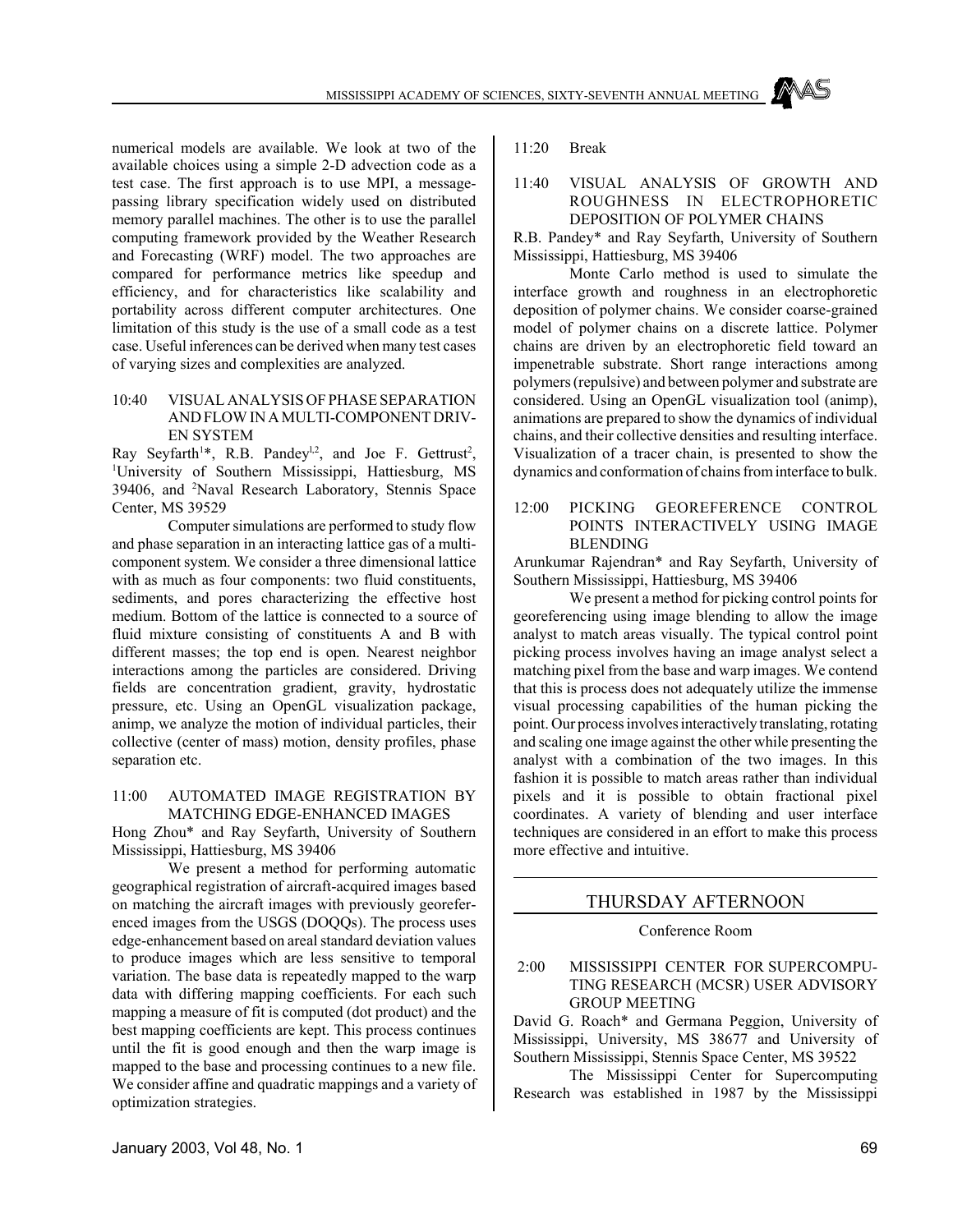numerical models are available. We look at two of the available choices using a simple 2-D advection code as a test case. The first approach is to use MPI, a messagepassing library specification widely used on distributed memory parallel machines. The other is to use the parallel computing framework provided by the Weather Research and Forecasting (WRF) model. The two approaches are compared for performance metrics like speedup and efficiency, and for characteristics like scalability and portability across different computer architectures. One limitation of this study is the use of a small code as a test case. Useful inferences can be derived when many test cases of varying sizes and complexities are analyzed.

## 10:40 VISUAL ANALYSIS OF PHASE SEPARATION AND FLOW IN A MULTI-COMPONENT DRIV-EN SYSTEM

Ray Seyfarth<sup>1\*</sup>, R.B. Pandey<sup>1,2</sup>, and Joe F. Gettrust<sup>2</sup>, <sup>1</sup>University of Southern Mississippi, Hattiesburg, MS 39406, and <sup>2</sup>Naval Research Laboratory, Stennis Space Center, MS 39529

Computer simulations are performed to study flow and phase separation in an interacting lattice gas of a multicomponent system. We consider a three dimensional lattice with as much as four components: two fluid constituents, sediments, and pores characterizing the effective host medium. Bottom of the lattice is connected to a source of fluid mixture consisting of constituents A and B with different masses; the top end is open. Nearest neighbor interactions among the particles are considered. Driving fields are concentration gradient, gravity, hydrostatic pressure, etc. Using an OpenGL visualization package, animp, we analyze the motion of individual particles, their collective (center of mass) motion, density profiles, phase separation etc.

#### 11:00 AUTOMATED IMAGE REGISTRATION BY MATCHING EDGE-ENHANCED IMAGES

Hong Zhou\* and Ray Seyfarth, University of Southern Mississippi, Hattiesburg, MS 39406

We present a method for performing automatic geographical registration of aircraft-acquired images based on matching the aircraft images with previously georeferenced images from the USGS (DOQQs). The process uses edge-enhancement based on areal standard deviation values to produce images which are less sensitive to temporal variation. The base data is repeatedly mapped to the warp data with differing mapping coefficients. For each such mapping a measure of fit is computed (dot product) and the best mapping coefficients are kept. This process continues until the fit is good enough and then the warp image is mapped to the base and processing continues to a new file. We consider affine and quadratic mappings and a variety of optimization strategies.

11:20 Break

## 11:40 VISUAL ANALYSIS OF GROWTH AND ROUGHNESS IN ELECTROPHORETIC DEPOSITION OF POLYMER CHAINS

R.B. Pandey\* and Ray Seyfarth, University of Southern Mississippi, Hattiesburg, MS 39406

Monte Carlo method is used to simulate the interface growth and roughness in an electrophoretic deposition of polymer chains. We consider coarse-grained model of polymer chains on a discrete lattice. Polymer chains are driven by an electrophoretic field toward an impenetrable substrate. Short range interactions among polymers (repulsive) and between polymer and substrate are considered. Using an OpenGL visualization tool (animp), animations are prepared to show the dynamics of individual chains, and their collective densities and resulting interface. Visualization of a tracer chain, is presented to show the dynamics and conformation of chains from interface to bulk.

12:00 PICKING GEOREFERENCE CONTROL POINTS INTERACTIVELY USING IMAGE BLENDING

Arunkumar Rajendran\* and Ray Seyfarth, University of Southern Mississippi, Hattiesburg, MS 39406

We present a method for picking control points for georeferencing using image blending to allow the image analyst to match areas visually. The typical control point picking process involves having an image analyst select a matching pixel from the base and warp images. We contend that this is process does not adequately utilize the immense visual processing capabilities of the human picking the point. Our process involves interactively translating, rotating and scaling one image against the other while presenting the analyst with a combination of the two images. In this fashion it is possible to match areas rather than individual pixels and it is possible to obtain fractional pixel coordinates. A variety of blending and user interface techniques are considered in an effort to make this process more effective and intuitive.

# THURSDAY AFTERNOON

#### Conference Room

## 2:00 MISSISSIPPI CENTER FOR SUPERCOMPU-TING RESEARCH (MCSR) USER ADVISORY GROUP MEETING

David G. Roach\* and Germana Peggion, University of Mississippi, University, MS 38677 and University of Southern Mississippi, Stennis Space Center, MS 39522

The Mississippi Center for Supercomputing Research was established in 1987 by the Mississippi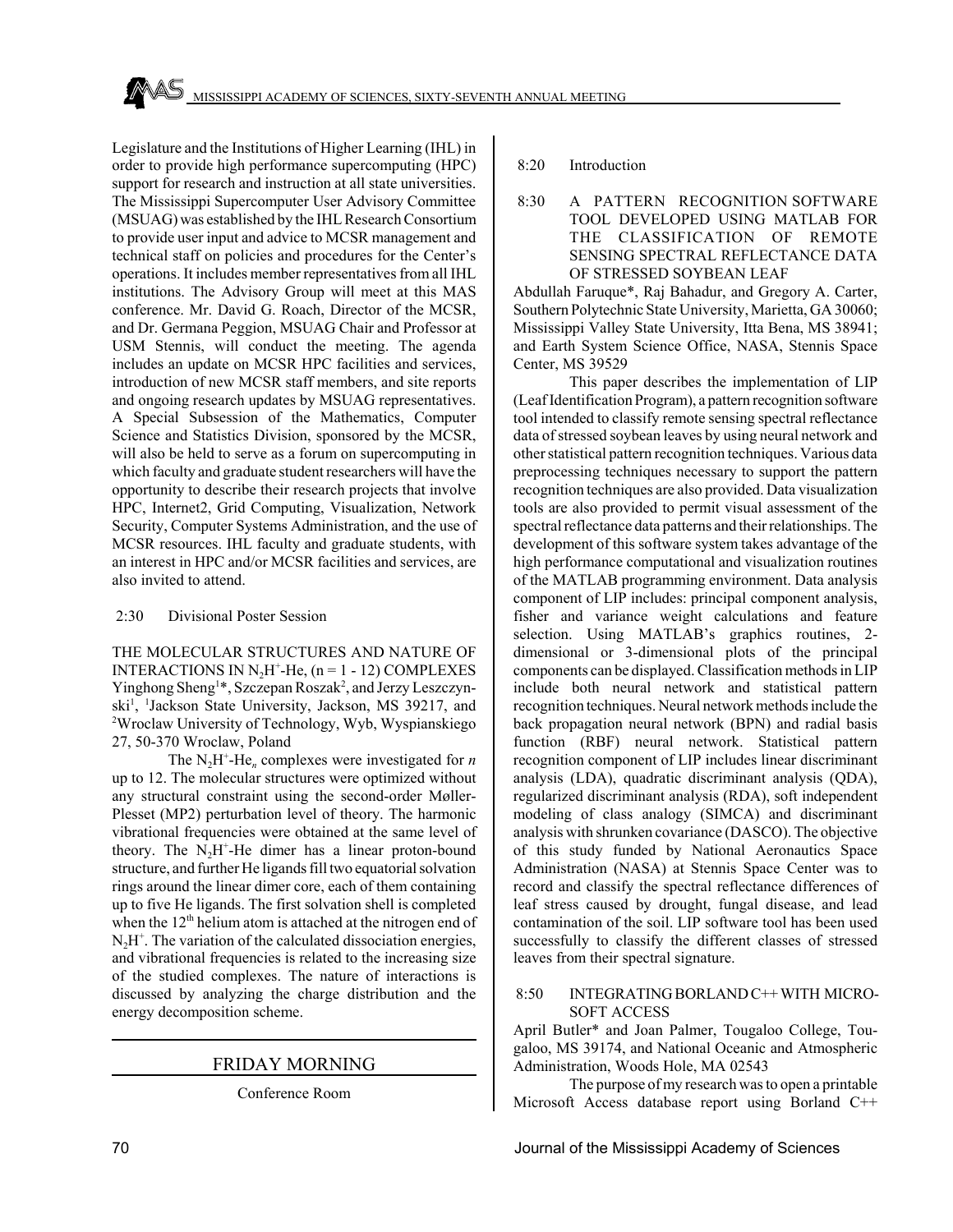Legislature and the Institutions of Higher Learning (IHL) in order to provide high performance supercomputing (HPC) support for research and instruction at all state universities. The Mississippi Supercomputer User Advisory Committee (MSUAG) was established by the IHL Research Consortium to provide user input and advice to MCSR management and technical staff on policies and procedures for the Center's operations. It includes member representatives from all IHL institutions. The Advisory Group will meet at this MAS conference. Mr. David G. Roach, Director of the MCSR, and Dr. Germana Peggion, MSUAG Chair and Professor at USM Stennis, will conduct the meeting. The agenda includes an update on MCSR HPC facilities and services, introduction of new MCSR staff members, and site reports and ongoing research updates by MSUAG representatives. A Special Subsession of the Mathematics, Computer Science and Statistics Division, sponsored by the MCSR, will also be held to serve as a forum on supercomputing in which faculty and graduate student researchers will have the opportunity to describe their research projects that involve HPC, Internet2, Grid Computing, Visualization, Network Security, Computer Systems Administration, and the use of MCSR resources. IHL faculty and graduate students, with an interest in HPC and/or MCSR facilities and services, are also invited to attend.

#### 2:30 Divisional Poster Session

THE MOLECULAR STRUCTURES AND NATURE OF INTERACTIONS IN  $N_2H^+$ -He, (n = 1 - 12) COMPLEXES Yinghong Sheng<sup>1\*</sup>, Szczepan Roszak<sup>2</sup>, and Jerzy Leszczynski<sup>1</sup>, <sup>1</sup>Jackson State University, Jackson, MS 39217, and 2 Wroclaw University of Technology, Wyb, Wyspianskiego 27, 50-370 Wroclaw, Poland

The  $N_2H^+$ -He<sub>n</sub> complexes were investigated for *n* up to 12. The molecular structures were optimized without any structural constraint using the second-order Møller-Plesset (MP2) perturbation level of theory. The harmonic vibrational frequencies were obtained at the same level of theory. The  $N_2H^+$ -He dimer has a linear proton-bound structure, and further He ligands fill two equatorial solvation rings around the linear dimer core, each of them containing up to five He ligands. The first solvation shell is completed when the 12<sup>th</sup> helium atom is attached at the nitrogen end of  $N_2H^+$ . The variation of the calculated dissociation energies, and vibrational frequencies is related to the increasing size of the studied complexes. The nature of interactions is discussed by analyzing the charge distribution and the energy decomposition scheme.

## FRIDAY MORNING

Conference Room

#### 8:20 Introduction

## 8:30 A PATTERN RECOGNITION SOFTWARE TOOL DEVELOPED USING MATLAB FOR THE CLASSIFICATION OF REMOTE SENSING SPECTRAL REFLECTANCE DATA OF STRESSED SOYBEAN LEAF

Abdullah Faruque\*, Raj Bahadur, and Gregory A. Carter, Southern Polytechnic State University, Marietta, GA 30060; Mississippi Valley State University, Itta Bena, MS 38941; and Earth System Science Office, NASA, Stennis Space Center, MS 39529

This paper describes the implementation of LIP (Leaf Identification Program), a pattern recognition software tool intended to classify remote sensing spectral reflectance data of stressed soybean leaves by using neural network and other statistical pattern recognition techniques. Various data preprocessing techniques necessary to support the pattern recognition techniques are also provided. Data visualization tools are also provided to permit visual assessment of the spectral reflectance data patterns and their relationships. The development of this software system takes advantage of the high performance computational and visualization routines of the MATLAB programming environment. Data analysis component of LIP includes: principal component analysis, fisher and variance weight calculations and feature selection. Using MATLAB's graphics routines, 2 dimensional or 3-dimensional plots of the principal components can be displayed. Classification methods in LIP include both neural network and statistical pattern recognition techniques. Neural network methods include the back propagation neural network (BPN) and radial basis function (RBF) neural network. Statistical pattern recognition component of LIP includes linear discriminant analysis (LDA), quadratic discriminant analysis (QDA), regularized discriminant analysis (RDA), soft independent modeling of class analogy (SIMCA) and discriminant analysis with shrunken covariance (DASCO). The objective of this study funded by National Aeronautics Space Administration (NASA) at Stennis Space Center was to record and classify the spectral reflectance differences of leaf stress caused by drought, fungal disease, and lead contamination of the soil. LIP software tool has been used successfully to classify the different classes of stressed leaves from their spectral signature.

#### 8:50 INTEGRATING BORLAND C++ WITH MICRO-SOFT ACCESS

April Butler\* and Joan Palmer, Tougaloo College, Tougaloo, MS 39174, and National Oceanic and Atmospheric Administration, Woods Hole, MA 02543

The purpose of my research was to open a printable Microsoft Access database report using Borland C++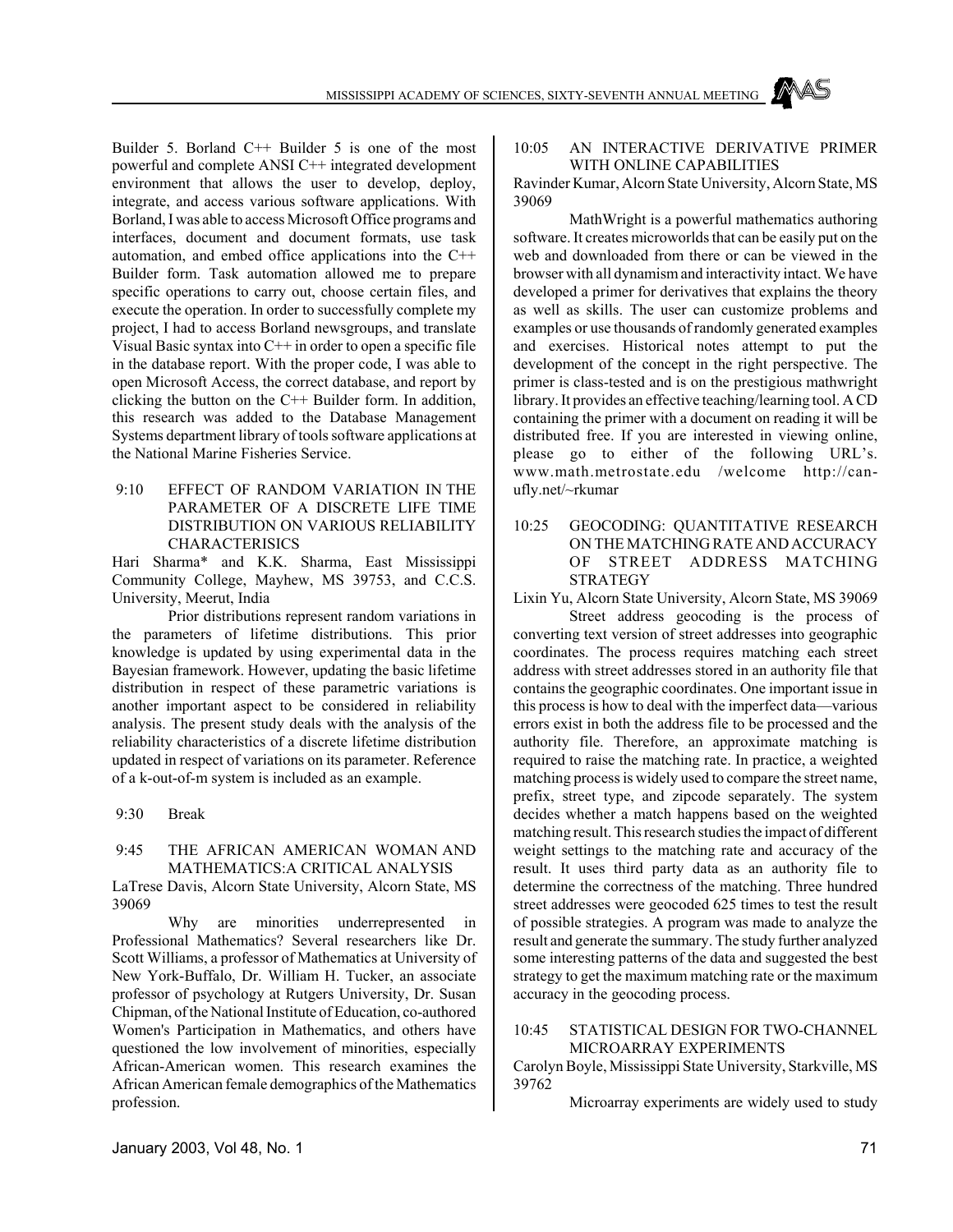Builder 5. Borland C++ Builder 5 is one of the most powerful and complete ANSI C++ integrated development environment that allows the user to develop, deploy, integrate, and access various software applications. With Borland, I was able to access Microsoft Office programs and interfaces, document and document formats, use task automation, and embed office applications into the C++ Builder form. Task automation allowed me to prepare specific operations to carry out, choose certain files, and execute the operation. In order to successfully complete my project, I had to access Borland newsgroups, and translate Visual Basic syntax into  $C^{++}$  in order to open a specific file in the database report. With the proper code, I was able to open Microsoft Access, the correct database, and report by clicking the button on the C++ Builder form. In addition, this research was added to the Database Management Systems department library of tools software applications at the National Marine Fisheries Service.

 9:10 EFFECT OF RANDOM VARIATION IN THE PARAMETER OF A DISCRETE LIFE TIME DISTRIBUTION ON VARIOUS RELIABILITY CHARACTERISICS

Hari Sharma\* and K.K. Sharma, East Mississippi Community College, Mayhew, MS 39753, and C.C.S. University, Meerut, India

Prior distributions represent random variations in the parameters of lifetime distributions. This prior knowledge is updated by using experimental data in the Bayesian framework. However, updating the basic lifetime distribution in respect of these parametric variations is another important aspect to be considered in reliability analysis. The present study deals with the analysis of the reliability characteristics of a discrete lifetime distribution updated in respect of variations on its parameter. Reference of a k-out-of-m system is included as an example.

9:30 Break

#### 9:45 THE AFRICAN AMERICAN WOMAN AND MATHEMATICS:A CRITICAL ANALYSIS

LaTrese Davis, Alcorn State University, Alcorn State, MS 39069

Why are minorities underrepresented in Professional Mathematics? Several researchers like Dr. Scott Williams, a professor of Mathematics at University of New York-Buffalo, Dr. William H. Tucker, an associate professor of psychology at Rutgers University, Dr. Susan Chipman, of the National Institute of Education, co-authored Women's Participation in Mathematics, and others have questioned the low involvement of minorities, especially African-American women. This research examines the African American female demographics of the Mathematics profession.

#### 10:05 AN INTERACTIVE DERIVATIVE PRIMER WITH ONLINE CAPABILITIES

Ravinder Kumar, Alcorn State University, Alcorn State, MS 39069

MathWright is a powerful mathematics authoring software. It creates microworlds that can be easily put on the web and downloaded from there or can be viewed in the browser with all dynamism and interactivity intact. We have developed a primer for derivatives that explains the theory as well as skills. The user can customize problems and examples or use thousands of randomly generated examples and exercises. Historical notes attempt to put the development of the concept in the right perspective. The primer is class-tested and is on the prestigious mathwright library. It provides an effective teaching/learning tool. A CD containing the primer with a document on reading it will be distributed free. If you are interested in viewing online, please go to either of the following URL's. www.math.metrostate.edu /welcome http://canufly.net/~rkumar

10:25 GEOCODING: QUANTITATIVE RESEARCH ON THE MATCHING RATE AND ACCURACY OF STREET ADDRESS MATCHING STRATEGY

Lixin Yu, Alcorn State University, Alcorn State, MS 39069

Street address geocoding is the process of converting text version of street addresses into geographic coordinates. The process requires matching each street address with street addresses stored in an authority file that contains the geographic coordinates. One important issue in this process is how to deal with the imperfect data—various errors exist in both the address file to be processed and the authority file. Therefore, an approximate matching is required to raise the matching rate. In practice, a weighted matching process is widely used to compare the street name, prefix, street type, and zipcode separately. The system decides whether a match happens based on the weighted matching result. This research studies the impact of different weight settings to the matching rate and accuracy of the result. It uses third party data as an authority file to determine the correctness of the matching. Three hundred street addresses were geocoded 625 times to test the result of possible strategies. A program was made to analyze the result and generate the summary. The study further analyzed some interesting patterns of the data and suggested the best strategy to get the maximum matching rate or the maximum accuracy in the geocoding process.

#### 10:45 STATISTICAL DESIGN FOR TWO-CHANNEL MICROARRAY EXPERIMENTS

Carolyn Boyle, Mississippi State University, Starkville, MS 39762

Microarray experiments are widely used to study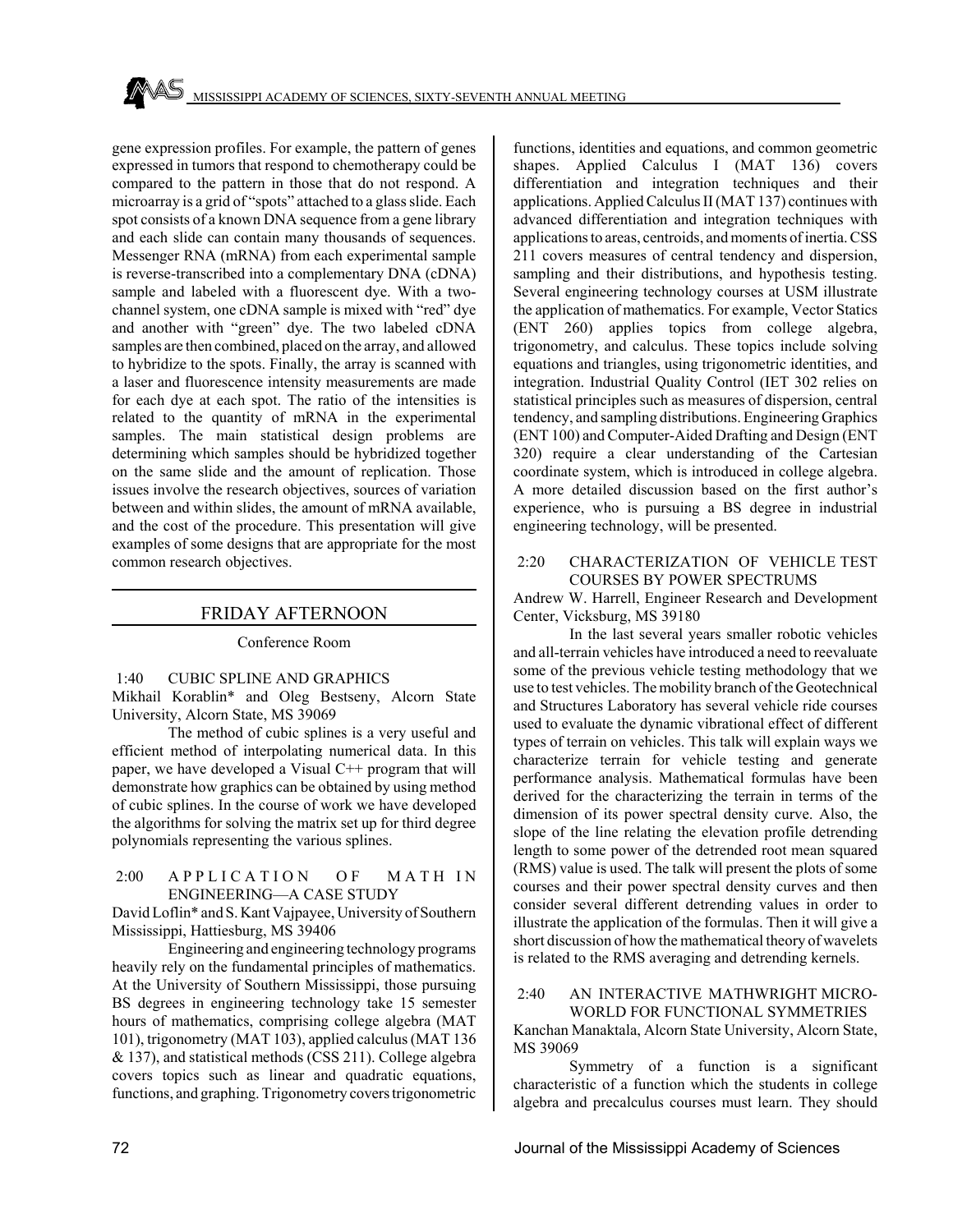gene expression profiles. For example, the pattern of genes expressed in tumors that respond to chemotherapy could be compared to the pattern in those that do not respond. A microarray is a grid of "spots" attached to a glass slide. Each spot consists of a known DNA sequence from a gene library and each slide can contain many thousands of sequences. Messenger RNA (mRNA) from each experimental sample is reverse-transcribed into a complementary DNA (cDNA) sample and labeled with a fluorescent dye. With a twochannel system, one cDNA sample is mixed with "red" dye and another with "green" dye. The two labeled cDNA samples are then combined, placed on the array, and allowed to hybridize to the spots. Finally, the array is scanned with a laser and fluorescence intensity measurements are made for each dye at each spot. The ratio of the intensities is related to the quantity of mRNA in the experimental samples. The main statistical design problems are determining which samples should be hybridized together on the same slide and the amount of replication. Those issues involve the research objectives, sources of variation between and within slides, the amount of mRNA available, and the cost of the procedure. This presentation will give examples of some designs that are appropriate for the most common research objectives.

# FRIDAY AFTERNOON

Conference Room

## 1:40 CUBIC SPLINE AND GRAPHICS

Mikhail Korablin\* and Oleg Bestseny, Alcorn State University, Alcorn State, MS 39069

The method of cubic splines is a very useful and efficient method of interpolating numerical data. In this paper, we have developed a Visual C++ program that will demonstrate how graphics can be obtained by using method of cubic splines. In the course of work we have developed the algorithms for solving the matrix set up for third degree polynomials representing the various splines.

#### 2:00 APPLICATION OF MATHIN ENGINEERING—A CASE STUDY

David Loflin\* and S. Kant Vajpayee, University of Southern Mississippi, Hattiesburg, MS 39406

Engineering and engineering technology programs heavily rely on the fundamental principles of mathematics. At the University of Southern Mississippi, those pursuing BS degrees in engineering technology take 15 semester hours of mathematics, comprising college algebra (MAT 101), trigonometry (MAT 103), applied calculus (MAT 136 & 137), and statistical methods (CSS 211). College algebra covers topics such as linear and quadratic equations, functions, and graphing. Trigonometry covers trigonometric

functions, identities and equations, and common geometric shapes. Applied Calculus I (MAT 136) covers differentiation and integration techniques and their applications. Applied Calculus II (MAT 137) continues with advanced differentiation and integration techniques with applications to areas, centroids, and moments of inertia. CSS 211 covers measures of central tendency and dispersion, sampling and their distributions, and hypothesis testing. Several engineering technology courses at USM illustrate the application of mathematics. For example, Vector Statics (ENT 260) applies topics from college algebra, trigonometry, and calculus. These topics include solving equations and triangles, using trigonometric identities, and integration. Industrial Quality Control (IET 302 relies on statistical principles such as measures of dispersion, central tendency, and sampling distributions. Engineering Graphics (ENT 100) and Computer-Aided Drafting and Design (ENT 320) require a clear understanding of the Cartesian coordinate system, which is introduced in college algebra. A more detailed discussion based on the first author's experience, who is pursuing a BS degree in industrial engineering technology, will be presented.

#### 2:20 CHARACTERIZATION OF VEHICLE TEST COURSES BY POWER SPECTRUMS

Andrew W. Harrell, Engineer Research and Development Center, Vicksburg, MS 39180

In the last several years smaller robotic vehicles and all-terrain vehicles have introduced a need to reevaluate some of the previous vehicle testing methodology that we use to test vehicles. The mobility branch of the Geotechnical and Structures Laboratory has several vehicle ride courses used to evaluate the dynamic vibrational effect of different types of terrain on vehicles. This talk will explain ways we characterize terrain for vehicle testing and generate performance analysis. Mathematical formulas have been derived for the characterizing the terrain in terms of the dimension of its power spectral density curve. Also, the slope of the line relating the elevation profile detrending length to some power of the detrended root mean squared (RMS) value is used. The talk will present the plots of some courses and their power spectral density curves and then consider several different detrending values in order to illustrate the application of the formulas. Then it will give a short discussion of how the mathematical theory of wavelets is related to the RMS averaging and detrending kernels.

## 2:40 AN INTERACTIVE MATHWRIGHT MICRO-WORLD FOR FUNCTIONAL SYMMETRIES

Kanchan Manaktala, Alcorn State University, Alcorn State, MS 39069

Symmetry of a function is a significant characteristic of a function which the students in college algebra and precalculus courses must learn. They should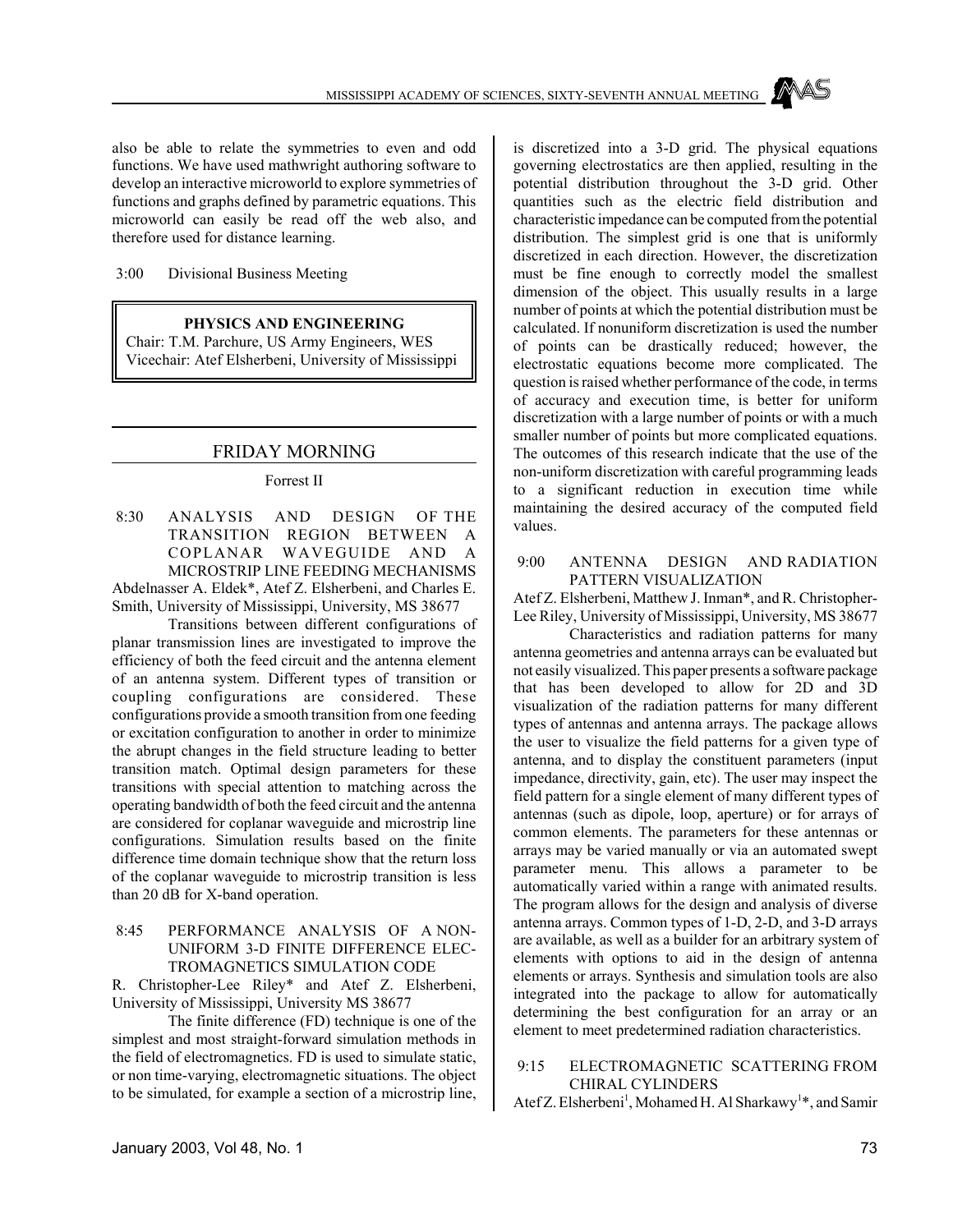also be able to relate the symmetries to even and odd functions. We have used mathwright authoring software to develop an interactive microworld to explore symmetries of functions and graphs defined by parametric equations. This microworld can easily be read off the web also, and therefore used for distance learning.

3:00 Divisional Business Meeting

# **PHYSICS AND ENGINEERING**

Chair: T.M. Parchure, US Army Engineers, WES Vicechair: Atef Elsherbeni, University of Mississippi

# FRIDAY MORNING

# Forrest II

 8:30 ANALYSIS AND DESIGN OF THE TRANSITION REGION BETWEEN A COPLANAR WAVEGUIDE AND A MICROSTRIP LINE FEEDING MECHANISMS Abdelnasser A. Eldek\*, Atef Z. Elsherbeni, and Charles E. Smith, University of Mississippi, University, MS 38677

Transitions between different configurations of planar transmission lines are investigated to improve the efficiency of both the feed circuit and the antenna element of an antenna system. Different types of transition or coupling configurations are considered. These configurations provide a smooth transition from one feeding or excitation configuration to another in order to minimize the abrupt changes in the field structure leading to better transition match. Optimal design parameters for these transitions with special attention to matching across the operating bandwidth of both the feed circuit and the antenna are considered for coplanar waveguide and microstrip line configurations. Simulation results based on the finite difference time domain technique show that the return loss of the coplanar waveguide to microstrip transition is less than 20 dB for X-band operation.

# 8:45 PERFORMANCE ANALYSIS OF A NON-UNIFORM 3-D FINITE DIFFERENCE ELEC-TROMAGNETICS SIMULATION CODE

R. Christopher-Lee Riley\* and Atef Z. Elsherbeni, University of Mississippi, University MS 38677

The finite difference (FD) technique is one of the simplest and most straight-forward simulation methods in the field of electromagnetics. FD is used to simulate static, or non time-varying, electromagnetic situations. The object to be simulated, for example a section of a microstrip line,

is discretized into a 3-D grid. The physical equations governing electrostatics are then applied, resulting in the potential distribution throughout the 3-D grid. Other quantities such as the electric field distribution and characteristic impedance can be computed from the potential distribution. The simplest grid is one that is uniformly discretized in each direction. However, the discretization must be fine enough to correctly model the smallest dimension of the object. This usually results in a large number of points at which the potential distribution must be calculated. If nonuniform discretization is used the number of points can be drastically reduced; however, the electrostatic equations become more complicated. The question is raised whether performance of the code, in terms of accuracy and execution time, is better for uniform discretization with a large number of points or with a much smaller number of points but more complicated equations. The outcomes of this research indicate that the use of the non-uniform discretization with careful programming leads to a significant reduction in execution time while maintaining the desired accuracy of the computed field values.

#### 9:00 ANTENNA DESIGN AND RADIATION PATTERN VISUALIZATION

Atef Z. Elsherbeni, Matthew J. Inman\*, and R. Christopher-Lee Riley, University of Mississippi, University, MS 38677

Characteristics and radiation patterns for many antenna geometries and antenna arrays can be evaluated but not easily visualized. This paper presents a software package that has been developed to allow for 2D and 3D visualization of the radiation patterns for many different types of antennas and antenna arrays. The package allows the user to visualize the field patterns for a given type of antenna, and to display the constituent parameters (input impedance, directivity, gain, etc). The user may inspect the field pattern for a single element of many different types of antennas (such as dipole, loop, aperture) or for arrays of common elements. The parameters for these antennas or arrays may be varied manually or via an automated swept parameter menu. This allows a parameter to be automatically varied within a range with animated results. The program allows for the design and analysis of diverse antenna arrays. Common types of 1-D, 2-D, and 3-D arrays are available, as well as a builder for an arbitrary system of elements with options to aid in the design of antenna elements or arrays. Synthesis and simulation tools are also integrated into the package to allow for automatically determining the best configuration for an array or an element to meet predetermined radiation characteristics.

# 9:15 ELECTROMAGNETIC SCATTERING FROM CHIRAL CYLINDERS

Atef Z. Elsherbeni<sup>1</sup>, Mohamed H. Al Sharkawy<sup>1\*</sup>, and Samir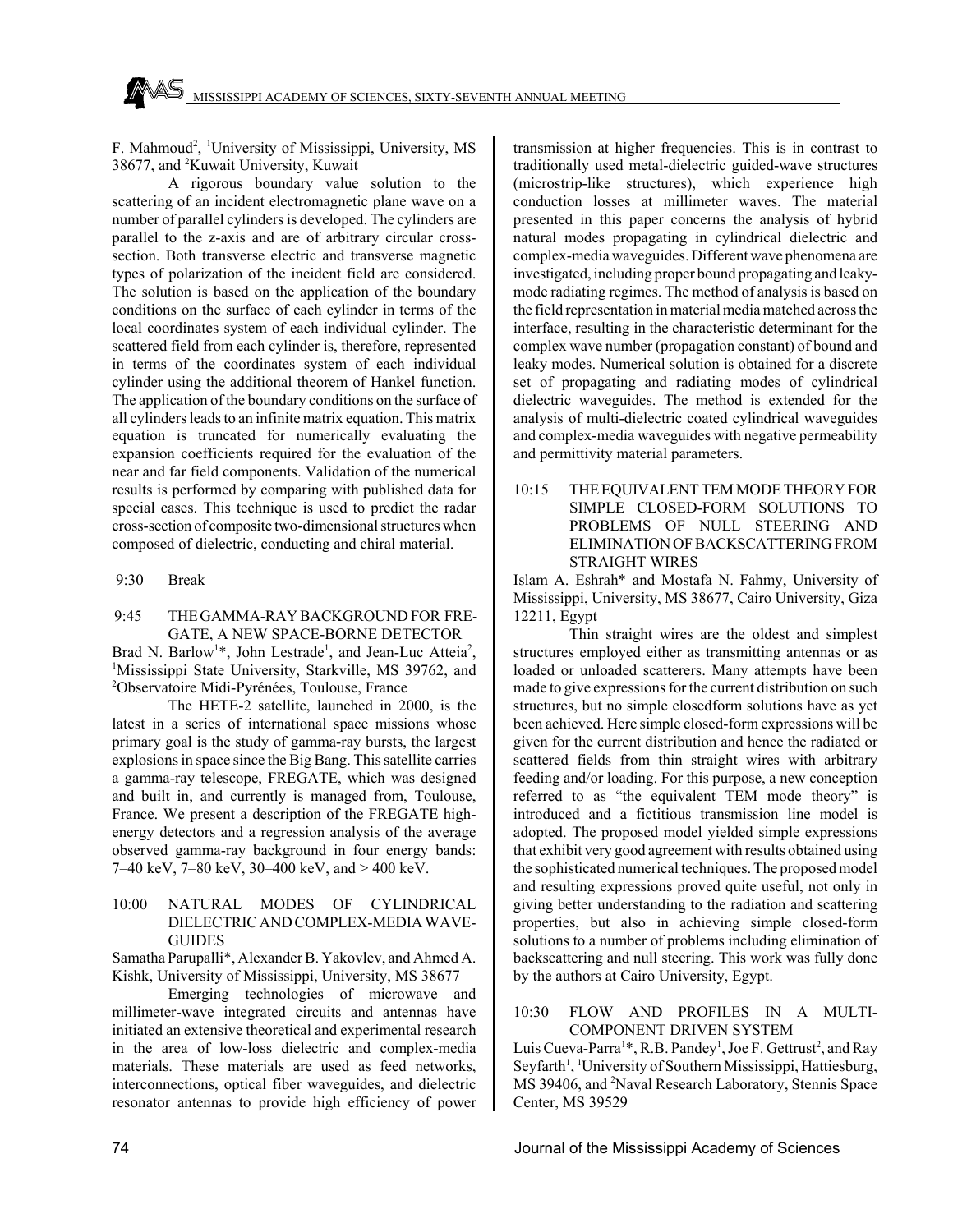F. Mahmoud<sup>2</sup>, <sup>1</sup>University of Mississippi, University, MS 38677, and <sup>2</sup>Kuwait University, Kuwait

A rigorous boundary value solution to the scattering of an incident electromagnetic plane wave on a number of parallel cylinders is developed. The cylinders are parallel to the z-axis and are of arbitrary circular crosssection. Both transverse electric and transverse magnetic types of polarization of the incident field are considered. The solution is based on the application of the boundary conditions on the surface of each cylinder in terms of the local coordinates system of each individual cylinder. The scattered field from each cylinder is, therefore, represented in terms of the coordinates system of each individual cylinder using the additional theorem of Hankel function. The application of the boundary conditions on the surface of all cylinders leads to an infinite matrix equation. This matrix equation is truncated for numerically evaluating the expansion coefficients required for the evaluation of the near and far field components. Validation of the numerical results is performed by comparing with published data for special cases. This technique is used to predict the radar cross-section of composite two-dimensional structures when composed of dielectric, conducting and chiral material.

9:30 Break

# 9:45 THE GAMMA-RAY BACKGROUND FOR FRE-GATE, A NEW SPACE-BORNE DETECTOR

Brad N. Barlow<sup>1\*</sup>, John Lestrade<sup>1</sup>, and Jean-Luc Atteia<sup>2</sup>, <sup>1</sup>Mississippi State University, Starkville, MS 39762, and 2 Observatoire Midi-Pyrénées, Toulouse, France

The HETE-2 satellite, launched in 2000, is the latest in a series of international space missions whose primary goal is the study of gamma-ray bursts, the largest explosions in space since the Big Bang. This satellite carries a gamma-ray telescope, FREGATE, which was designed and built in, and currently is managed from, Toulouse, France. We present a description of the FREGATE highenergy detectors and a regression analysis of the average observed gamma-ray background in four energy bands: 7–40 keV, 7–80 keV, 30–400 keV, and > 400 keV.

# 10:00 NATURAL MODES OF CYLINDRICAL DIELECTRIC AND COMPLEX-MEDIA WAVE-**GUIDES**

Samatha Parupalli\*, Alexander B. Yakovlev, and Ahmed A. Kishk, University of Mississippi, University, MS 38677

Emerging technologies of microwave and millimeter-wave integrated circuits and antennas have initiated an extensive theoretical and experimental research in the area of low-loss dielectric and complex-media materials. These materials are used as feed networks, interconnections, optical fiber waveguides, and dielectric resonator antennas to provide high efficiency of power

transmission at higher frequencies. This is in contrast to traditionally used metal-dielectric guided-wave structures (microstrip-like structures), which experience high conduction losses at millimeter waves. The material presented in this paper concerns the analysis of hybrid natural modes propagating in cylindrical dielectric and complex-media waveguides. Different wave phenomena are investigated, including proper bound propagating and leakymode radiating regimes. The method of analysis is based on the field representation in material media matched across the interface, resulting in the characteristic determinant for the complex wave number (propagation constant) of bound and leaky modes. Numerical solution is obtained for a discrete set of propagating and radiating modes of cylindrical dielectric waveguides. The method is extended for the analysis of multi-dielectric coated cylindrical waveguides and complex-media waveguides with negative permeability and permittivity material parameters.

10:15 THE EQUIVALENT TEM MODE THEORY FOR SIMPLE CLOSED-FORM SOLUTIONS TO PROBLEMS OF NULL STEERING AND ELIMINATION OF BACKSCATTERING FROM STRAIGHT WIRES

Islam A. Eshrah\* and Mostafa N. Fahmy, University of Mississippi, University, MS 38677, Cairo University, Giza 12211, Egypt

Thin straight wires are the oldest and simplest structures employed either as transmitting antennas or as loaded or unloaded scatterers. Many attempts have been made to give expressions for the current distribution on such structures, but no simple closedform solutions have as yet been achieved. Here simple closed-form expressions will be given for the current distribution and hence the radiated or scattered fields from thin straight wires with arbitrary feeding and/or loading. For this purpose, a new conception referred to as "the equivalent TEM mode theory" is introduced and a fictitious transmission line model is adopted. The proposed model yielded simple expressions that exhibit very good agreement with results obtained using the sophisticated numerical techniques. The proposed model and resulting expressions proved quite useful, not only in giving better understanding to the radiation and scattering properties, but also in achieving simple closed-form solutions to a number of problems including elimination of backscattering and null steering. This work was fully done by the authors at Cairo University, Egypt.

# 10:30 FLOW AND PROFILES IN A MULTI-COMPONENT DRIVEN SYSTEM

Luis Cueva-Parra<sup>1\*</sup>, R.B. Pandey<sup>1</sup>, Joe F. Gettrust<sup>2</sup>, and Ray Seyfarth<sup>1</sup>, <sup>1</sup>University of Southern Mississippi, Hattiesburg, MS 39406, and <sup>2</sup>Naval Research Laboratory, Stennis Space Center, MS 39529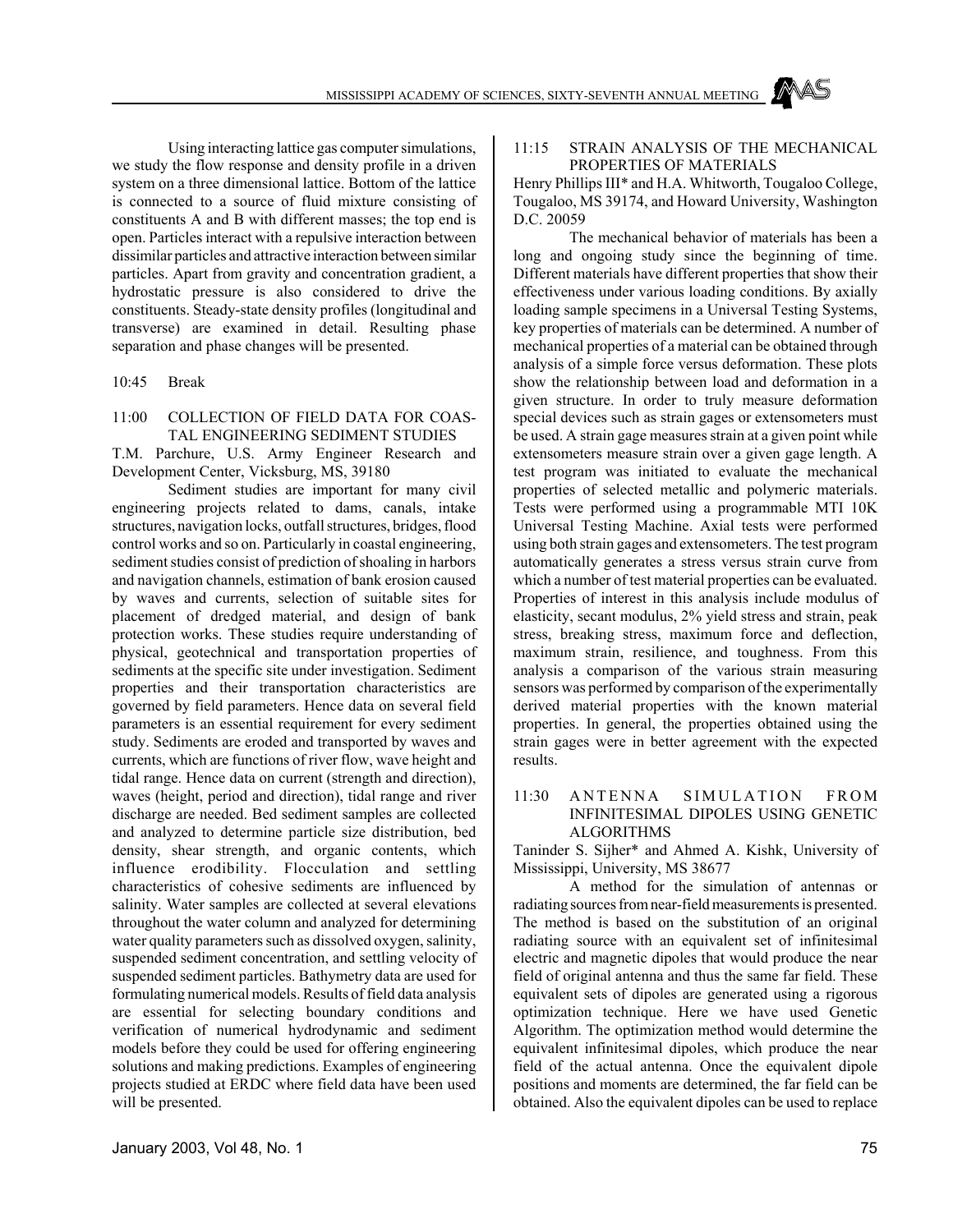Using interacting lattice gas computer simulations, we study the flow response and density profile in a driven system on a three dimensional lattice. Bottom of the lattice is connected to a source of fluid mixture consisting of constituents A and B with different masses; the top end is open. Particles interact with a repulsive interaction between dissimilar particles and attractive interaction between similar particles. Apart from gravity and concentration gradient, a hydrostatic pressure is also considered to drive the constituents. Steady-state density profiles (longitudinal and transverse) are examined in detail. Resulting phase separation and phase changes will be presented.

10:45 Break

#### 11:00 COLLECTION OF FIELD DATA FOR COAS-TAL ENGINEERING SEDIMENT STUDIES

T.M. Parchure, U.S. Army Engineer Research and Development Center, Vicksburg, MS, 39180

Sediment studies are important for many civil engineering projects related to dams, canals, intake structures, navigation locks, outfall structures, bridges, flood control works and so on. Particularly in coastal engineering, sediment studies consist of prediction of shoaling in harbors and navigation channels, estimation of bank erosion caused by waves and currents, selection of suitable sites for placement of dredged material, and design of bank protection works. These studies require understanding of physical, geotechnical and transportation properties of sediments at the specific site under investigation. Sediment properties and their transportation characteristics are governed by field parameters. Hence data on several field parameters is an essential requirement for every sediment study. Sediments are eroded and transported by waves and currents, which are functions of river flow, wave height and tidal range. Hence data on current (strength and direction), waves (height, period and direction), tidal range and river discharge are needed. Bed sediment samples are collected and analyzed to determine particle size distribution, bed density, shear strength, and organic contents, which influence erodibility. Flocculation and settling characteristics of cohesive sediments are influenced by salinity. Water samples are collected at several elevations throughout the water column and analyzed for determining water quality parameters such as dissolved oxygen, salinity, suspended sediment concentration, and settling velocity of suspended sediment particles. Bathymetry data are used for formulating numerical models. Results of field data analysis are essential for selecting boundary conditions and verification of numerical hydrodynamic and sediment models before they could be used for offering engineering solutions and making predictions. Examples of engineering projects studied at ERDC where field data have been used will be presented.

#### 11:15 STRAIN ANALYSIS OF THE MECHANICAL PROPERTIES OF MATERIALS

Henry Phillips III\* and H.A. Whitworth, Tougaloo College, Tougaloo, MS 39174, and Howard University, Washington D.C. 20059

The mechanical behavior of materials has been a long and ongoing study since the beginning of time. Different materials have different properties that show their effectiveness under various loading conditions. By axially loading sample specimens in a Universal Testing Systems, key properties of materials can be determined. A number of mechanical properties of a material can be obtained through analysis of a simple force versus deformation. These plots show the relationship between load and deformation in a given structure. In order to truly measure deformation special devices such as strain gages or extensometers must be used. A strain gage measures strain at a given point while extensometers measure strain over a given gage length. A test program was initiated to evaluate the mechanical properties of selected metallic and polymeric materials. Tests were performed using a programmable MTI 10K Universal Testing Machine. Axial tests were performed using both strain gages and extensometers. The test program automatically generates a stress versus strain curve from which a number of test material properties can be evaluated. Properties of interest in this analysis include modulus of elasticity, secant modulus, 2% yield stress and strain, peak stress, breaking stress, maximum force and deflection, maximum strain, resilience, and toughness. From this analysis a comparison of the various strain measuring sensors was performed by comparison of the experimentally derived material properties with the known material properties. In general, the properties obtained using the strain gages were in better agreement with the expected results.

# 11:30 ANTENNA SIMULATION FROM INFINITESIMAL DIPOLES USING GENETIC ALGORITHMS

Taninder S. Sijher\* and Ahmed A. Kishk, University of Mississippi, University, MS 38677

A method for the simulation of antennas or radiating sources from near-field measurements is presented. The method is based on the substitution of an original radiating source with an equivalent set of infinitesimal electric and magnetic dipoles that would produce the near field of original antenna and thus the same far field. These equivalent sets of dipoles are generated using a rigorous optimization technique. Here we have used Genetic Algorithm. The optimization method would determine the equivalent infinitesimal dipoles, which produce the near field of the actual antenna. Once the equivalent dipole positions and moments are determined, the far field can be obtained. Also the equivalent dipoles can be used to replace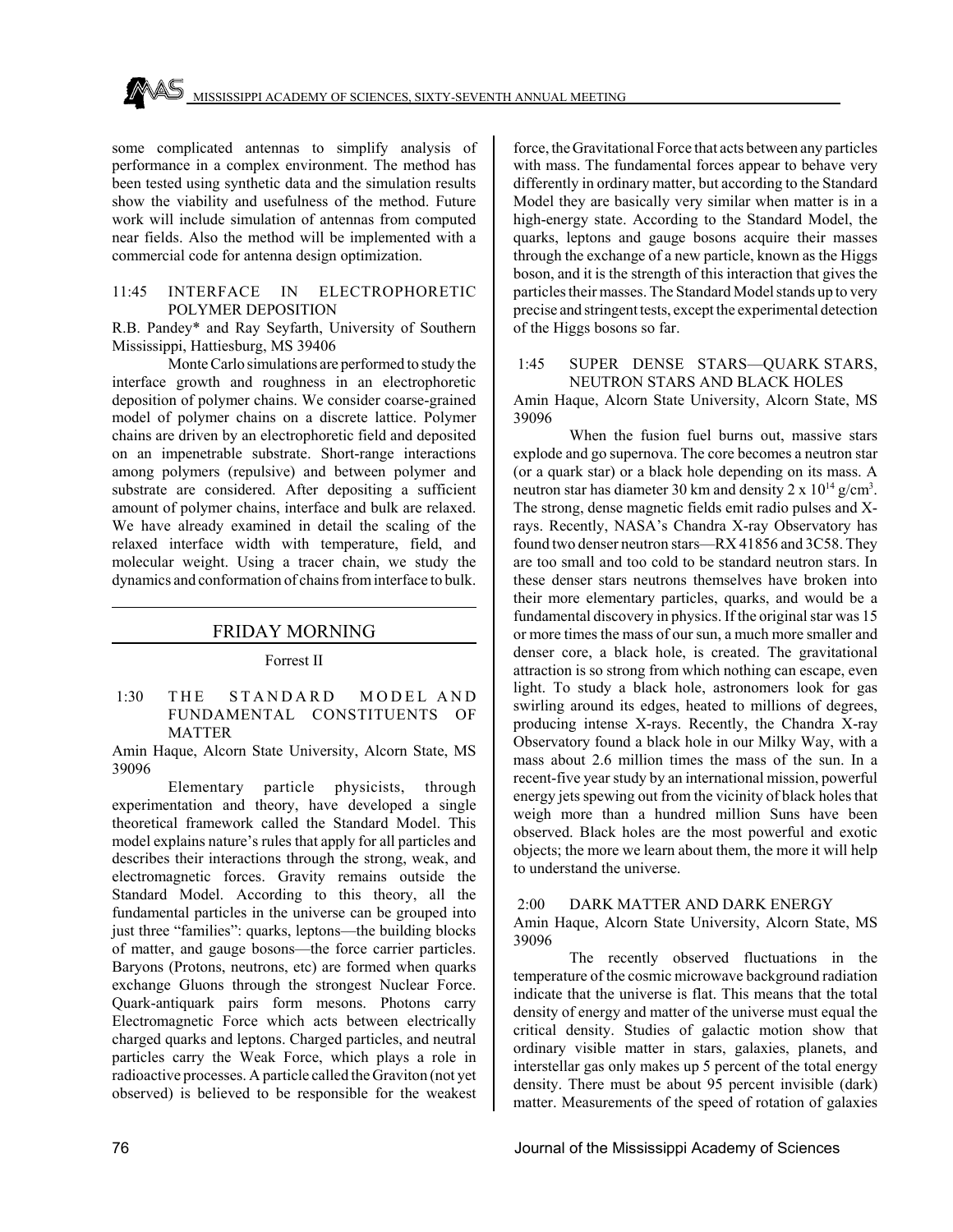some complicated antennas to simplify analysis of performance in a complex environment. The method has been tested using synthetic data and the simulation results show the viability and usefulness of the method. Future work will include simulation of antennas from computed near fields. Also the method will be implemented with a commercial code for antenna design optimization.

#### 11:45 INTERFACE IN ELECTROPHORETIC POLYMER DEPOSITION

R.B. Pandey\* and Ray Seyfarth, University of Southern Mississippi, Hattiesburg, MS 39406

Monte Carlo simulations are performed to study the interface growth and roughness in an electrophoretic deposition of polymer chains. We consider coarse-grained model of polymer chains on a discrete lattice. Polymer chains are driven by an electrophoretic field and deposited on an impenetrable substrate. Short-range interactions among polymers (repulsive) and between polymer and substrate are considered. After depositing a sufficient amount of polymer chains, interface and bulk are relaxed. We have already examined in detail the scaling of the relaxed interface width with temperature, field, and molecular weight. Using a tracer chain, we study the dynamics and conformation of chains from interface to bulk.

# FRIDAY MORNING

#### Forrest II

1:30 THE STANDARD MODEL AND FUNDAMENTAL CONSTITUENTS OF **MATTER** 

Amin Haque, Alcorn State University, Alcorn State, MS 39096

Elementary particle physicists, through experimentation and theory, have developed a single theoretical framework called the Standard Model. This model explains nature's rules that apply for all particles and describes their interactions through the strong, weak, and electromagnetic forces. Gravity remains outside the Standard Model. According to this theory, all the fundamental particles in the universe can be grouped into just three "families": quarks, leptons—the building blocks of matter, and gauge bosons—the force carrier particles. Baryons (Protons, neutrons, etc) are formed when quarks exchange Gluons through the strongest Nuclear Force. Quark-antiquark pairs form mesons. Photons carry Electromagnetic Force which acts between electrically charged quarks and leptons. Charged particles, and neutral particles carry the Weak Force, which plays a role in radioactive processes. A particle called the Graviton (not yet observed) is believed to be responsible for the weakest

force, the Gravitational Force that acts between any particles with mass. The fundamental forces appear to behave very differently in ordinary matter, but according to the Standard Model they are basically very similar when matter is in a high-energy state. According to the Standard Model, the quarks, leptons and gauge bosons acquire their masses through the exchange of a new particle, known as the Higgs boson, and it is the strength of this interaction that gives the particles their masses. The Standard Model stands up to very precise and stringent tests, except the experimental detection of the Higgs bosons so far.

# 1:45 SUPER DENSE STARS—QUARK STARS, NEUTRON STARS AND BLACK HOLES

Amin Haque, Alcorn State University, Alcorn State, MS 39096

When the fusion fuel burns out, massive stars explode and go supernova. The core becomes a neutron star (or a quark star) or a black hole depending on its mass. A neutron star has diameter 30 km and density 2 x  $10^{14}$  g/cm<sup>3</sup>. The strong, dense magnetic fields emit radio pulses and Xrays. Recently, NASA's Chandra X-ray Observatory has found two denser neutron stars—RX 41856 and 3C58. They are too small and too cold to be standard neutron stars. In these denser stars neutrons themselves have broken into their more elementary particles, quarks, and would be a fundamental discovery in physics. If the original star was 15 or more times the mass of our sun, a much more smaller and denser core, a black hole, is created. The gravitational attraction is so strong from which nothing can escape, even light. To study a black hole, astronomers look for gas swirling around its edges, heated to millions of degrees, producing intense X-rays. Recently, the Chandra X-ray Observatory found a black hole in our Milky Way, with a mass about 2.6 million times the mass of the sun. In a recent-five year study by an international mission, powerful energy jets spewing out from the vicinity of black holes that weigh more than a hundred million Suns have been observed. Black holes are the most powerful and exotic objects; the more we learn about them, the more it will help to understand the universe.

# 2:00 DARK MATTER AND DARK ENERGY

Amin Haque, Alcorn State University, Alcorn State, MS 39096

The recently observed fluctuations in the temperature of the cosmic microwave background radiation indicate that the universe is flat. This means that the total density of energy and matter of the universe must equal the critical density. Studies of galactic motion show that ordinary visible matter in stars, galaxies, planets, and interstellar gas only makes up 5 percent of the total energy density. There must be about 95 percent invisible (dark) matter. Measurements of the speed of rotation of galaxies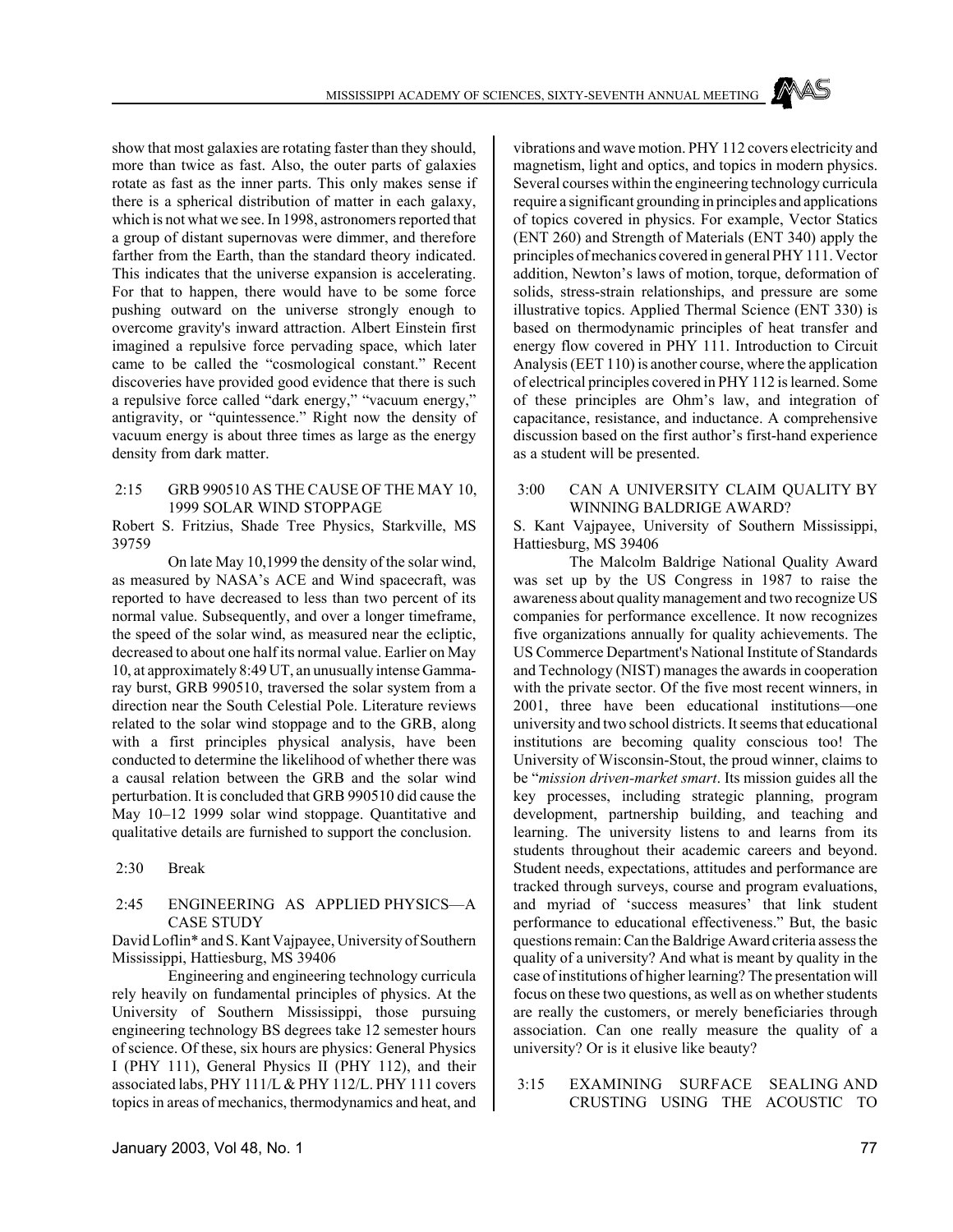show that most galaxies are rotating faster than they should, more than twice as fast. Also, the outer parts of galaxies rotate as fast as the inner parts. This only makes sense if there is a spherical distribution of matter in each galaxy, which is not what we see. In 1998, astronomers reported that a group of distant supernovas were dimmer, and therefore farther from the Earth, than the standard theory indicated. This indicates that the universe expansion is accelerating. For that to happen, there would have to be some force pushing outward on the universe strongly enough to overcome gravity's inward attraction. Albert Einstein first imagined a repulsive force pervading space, which later came to be called the "cosmological constant." Recent discoveries have provided good evidence that there is such a repulsive force called "dark energy," "vacuum energy," antigravity, or "quintessence." Right now the density of vacuum energy is about three times as large as the energy density from dark matter.

#### 2:15 GRB 990510 AS THE CAUSE OF THE MAY 10, 1999 SOLAR WIND STOPPAGE

Robert S. Fritzius, Shade Tree Physics, Starkville, MS 39759

On late May 10,1999 the density of the solar wind, as measured by NASA's ACE and Wind spacecraft, was reported to have decreased to less than two percent of its normal value. Subsequently, and over a longer timeframe, the speed of the solar wind, as measured near the ecliptic, decreased to about one half its normal value. Earlier on May 10, at approximately 8:49 UT, an unusually intense Gammaray burst, GRB 990510, traversed the solar system from a direction near the South Celestial Pole. Literature reviews related to the solar wind stoppage and to the GRB, along with a first principles physical analysis, have been conducted to determine the likelihood of whether there was a causal relation between the GRB and the solar wind perturbation. It is concluded that GRB 990510 did cause the May 10–12 1999 solar wind stoppage. Quantitative and qualitative details are furnished to support the conclusion.

2:30 Break

#### 2:45 ENGINEERING AS APPLIED PHYSICS—A CASE STUDY

David Loflin\* and S. Kant Vajpayee, University of Southern Mississippi, Hattiesburg, MS 39406

Engineering and engineering technology curricula rely heavily on fundamental principles of physics. At the University of Southern Mississippi, those pursuing engineering technology BS degrees take 12 semester hours of science. Of these, six hours are physics: General Physics I (PHY 111), General Physics II (PHY 112), and their associated labs, PHY 111/L & PHY 112/L. PHY 111 covers topics in areas of mechanics, thermodynamics and heat, and

vibrations and wave motion. PHY 112 covers electricity and magnetism, light and optics, and topics in modern physics. Several courses within the engineering technology curricula require a significant grounding in principles and applications of topics covered in physics. For example, Vector Statics (ENT 260) and Strength of Materials (ENT 340) apply the principles of mechanics covered in general PHY 111. Vector addition, Newton's laws of motion, torque, deformation of solids, stress-strain relationships, and pressure are some illustrative topics. Applied Thermal Science (ENT 330) is based on thermodynamic principles of heat transfer and energy flow covered in PHY 111. Introduction to Circuit Analysis (EET 110) is another course, where the application of electrical principles covered in PHY 112 is learned. Some of these principles are Ohm's law, and integration of capacitance, resistance, and inductance. A comprehensive discussion based on the first author's first-hand experience as a student will be presented.

# 3:00 CAN A UNIVERSITY CLAIM QUALITY BY WINNING BALDRIGE AWARD?

S. Kant Vajpayee, University of Southern Mississippi, Hattiesburg, MS 39406

The Malcolm Baldrige National Quality Award was set up by the US Congress in 1987 to raise the awareness about quality management and two recognize US companies for performance excellence. It now recognizes five organizations annually for quality achievements. The US Commerce Department's National Institute of Standards and Technology (NIST) manages the awards in cooperation with the private sector. Of the five most recent winners, in 2001, three have been educational institutions—one university and two school districts. It seems that educational institutions are becoming quality conscious too! The University of Wisconsin-Stout, the proud winner, claims to be "*mission driven-market smart*. Its mission guides all the key processes, including strategic planning, program development, partnership building, and teaching and learning. The university listens to and learns from its students throughout their academic careers and beyond. Student needs, expectations, attitudes and performance are tracked through surveys, course and program evaluations, and myriad of 'success measures' that link student performance to educational effectiveness." But, the basic questions remain: Can the Baldrige Award criteria assess the quality of a university? And what is meant by quality in the case of institutions of higher learning? The presentation will focus on these two questions, as well as on whether students are really the customers, or merely beneficiaries through association. Can one really measure the quality of a university? Or is it elusive like beauty?

 3:15 EXAMINING SURFACE SEALING AND CRUSTING USING THE ACOUSTIC TO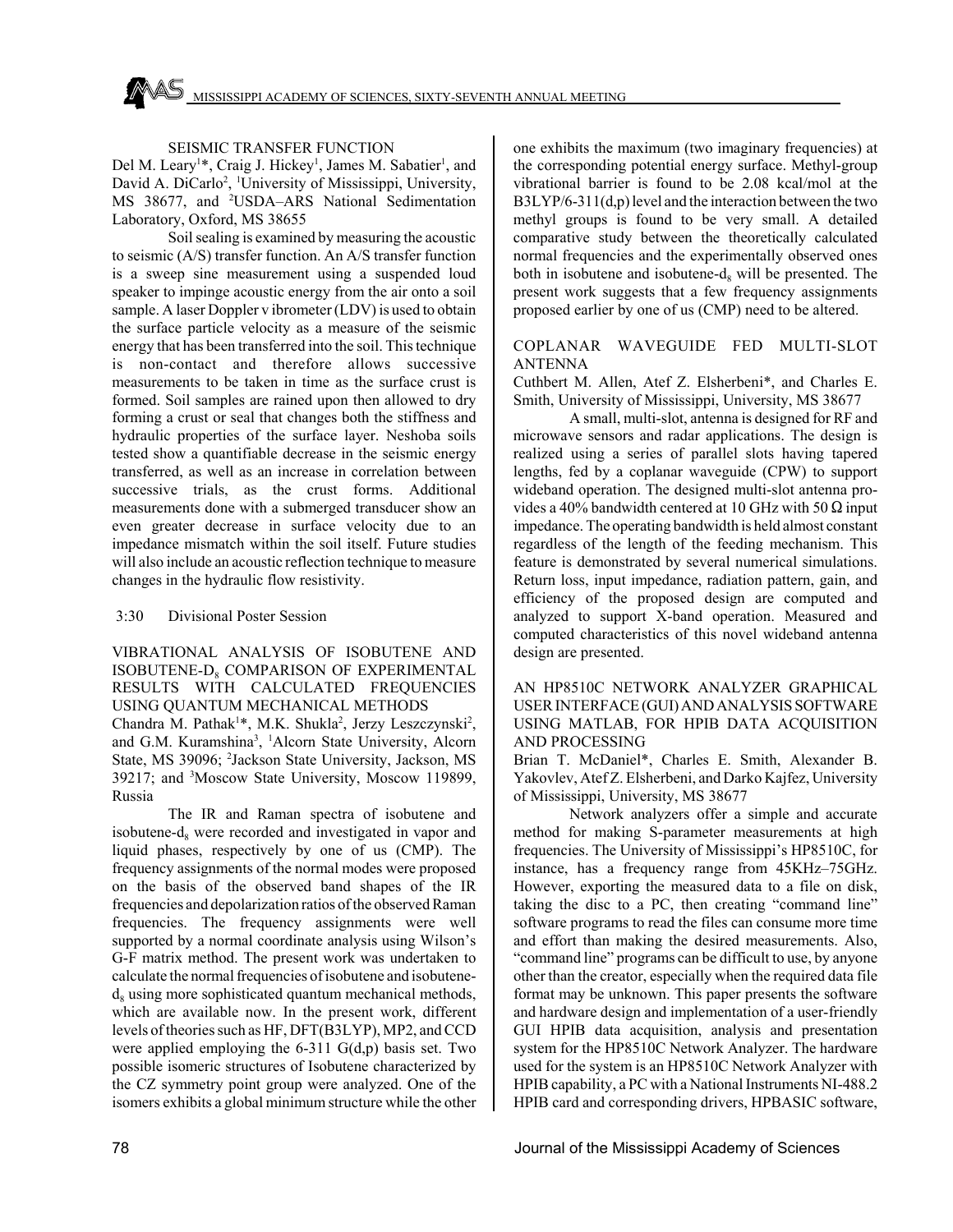# SEISMIC TRANSFER FUNCTION

Del M. Leary<sup>1\*</sup>, Craig J. Hickey<sup>1</sup>, James M. Sabatier<sup>1</sup>, and David A. DiCarlo<sup>2</sup>, <sup>1</sup>University of Mississippi, University, MS 38677, and <sup>2</sup>USDA-ARS National Sedimentation Laboratory, Oxford, MS 38655

Soil sealing is examined by measuring the acoustic to seismic (A/S) transfer function. An A/S transfer function is a sweep sine measurement using a suspended loud speaker to impinge acoustic energy from the air onto a soil sample. A laser Doppler v ibrometer (LDV) is used to obtain the surface particle velocity as a measure of the seismic energy that has been transferred into the soil. This technique is non-contact and therefore allows successive measurements to be taken in time as the surface crust is formed. Soil samples are rained upon then allowed to dry forming a crust or seal that changes both the stiffness and hydraulic properties of the surface layer. Neshoba soils tested show a quantifiable decrease in the seismic energy transferred, as well as an increase in correlation between successive trials, as the crust forms. Additional measurements done with a submerged transducer show an even greater decrease in surface velocity due to an impedance mismatch within the soil itself. Future studies will also include an acoustic reflection technique to measure changes in the hydraulic flow resistivity.

# 3:30 Divisional Poster Session

VIBRATIONAL ANALYSIS OF ISOBUTENE AND ISOBUTENE-D<sub>®</sub> COMPARISON OF EXPERIMENTAL RESULTS WITH CALCULATED FREQUENCIES USING QUANTUM MECHANICAL METHODS Chandra M. Pathak<sup>1\*</sup>, M.K. Shukla<sup>2</sup>, Jerzy Leszczynski<sup>2</sup>,

and G.M. Kuramshina<sup>3</sup>, <sup>1</sup>Alcorn State University, Alcorn State, MS 39096; <sup>2</sup>Jackson State University, Jackson, MS 39217; and <sup>3</sup>Moscow State University, Moscow 119899, Russia

The IR and Raman spectra of isobutene and isobutene- $d_8$  were recorded and investigated in vapor and liquid phases, respectively by one of us (CMP). The frequency assignments of the normal modes were proposed on the basis of the observed band shapes of the IR frequencies and depolarization ratios of the observed Raman frequencies. The frequency assignments were well supported by a normal coordinate analysis using Wilson's G-F matrix method. The present work was undertaken to calculate the normal frequencies of isobutene and isobutene $d_8$  using more sophisticated quantum mechanical methods, which are available now. In the present work, different levels of theories such as HF, DFT(B3LYP), MP2, and CCD were applied employing the 6-311 G(d,p) basis set. Two possible isomeric structures of Isobutene characterized by the CZ symmetry point group were analyzed. One of the isomers exhibits a global minimum structure while the other

one exhibits the maximum (two imaginary frequencies) at the corresponding potential energy surface. Methyl-group vibrational barrier is found to be 2.08 kcal/mol at the B3LYP/6-311(d,p) level and the interaction between the two methyl groups is found to be very small. A detailed comparative study between the theoretically calculated normal frequencies and the experimentally observed ones both in isobutene and isobutene- $d_8$  will be presented. The present work suggests that a few frequency assignments proposed earlier by one of us (CMP) need to be altered.

# COPLANAR WAVEGUIDE FED MULTI-SLOT ANTENNA

Cuthbert M. Allen, Atef Z. Elsherbeni\*, and Charles E. Smith, University of Mississippi, University, MS 38677

A small, multi-slot, antenna is designed for RF and microwave sensors and radar applications. The design is realized using a series of parallel slots having tapered lengths, fed by a coplanar waveguide (CPW) to support wideband operation. The designed multi-slot antenna provides a 40% bandwidth centered at 10 GHz with 50  $\Omega$  input impedance. The operating bandwidth is held almost constant regardless of the length of the feeding mechanism. This feature is demonstrated by several numerical simulations. Return loss, input impedance, radiation pattern, gain, and efficiency of the proposed design are computed and analyzed to support X-band operation. Measured and computed characteristics of this novel wideband antenna design are presented.

# AN HP8510C NETWORK ANALYZER GRAPHICAL USER INTERFACE (GUI) AND ANALYSIS SOFTWARE USING MATLAB, FOR HPIB DATA ACQUISITION AND PROCESSING

Brian T. McDaniel\*, Charles E. Smith, Alexander B. Yakovlev, Atef Z. Elsherbeni, and Darko Kajfez, University of Mississippi, University, MS 38677

Network analyzers offer a simple and accurate method for making S-parameter measurements at high frequencies. The University of Mississippi's HP8510C, for instance, has a frequency range from 45KHz–75GHz. However, exporting the measured data to a file on disk, taking the disc to a PC, then creating "command line" software programs to read the files can consume more time and effort than making the desired measurements. Also, "command line" programs can be difficult to use, by anyone other than the creator, especially when the required data file format may be unknown. This paper presents the software and hardware design and implementation of a user-friendly GUI HPIB data acquisition, analysis and presentation system for the HP8510C Network Analyzer. The hardware used for the system is an HP8510C Network Analyzer with HPIB capability, a PC with a National Instruments NI-488.2 HPIB card and corresponding drivers, HPBASIC software,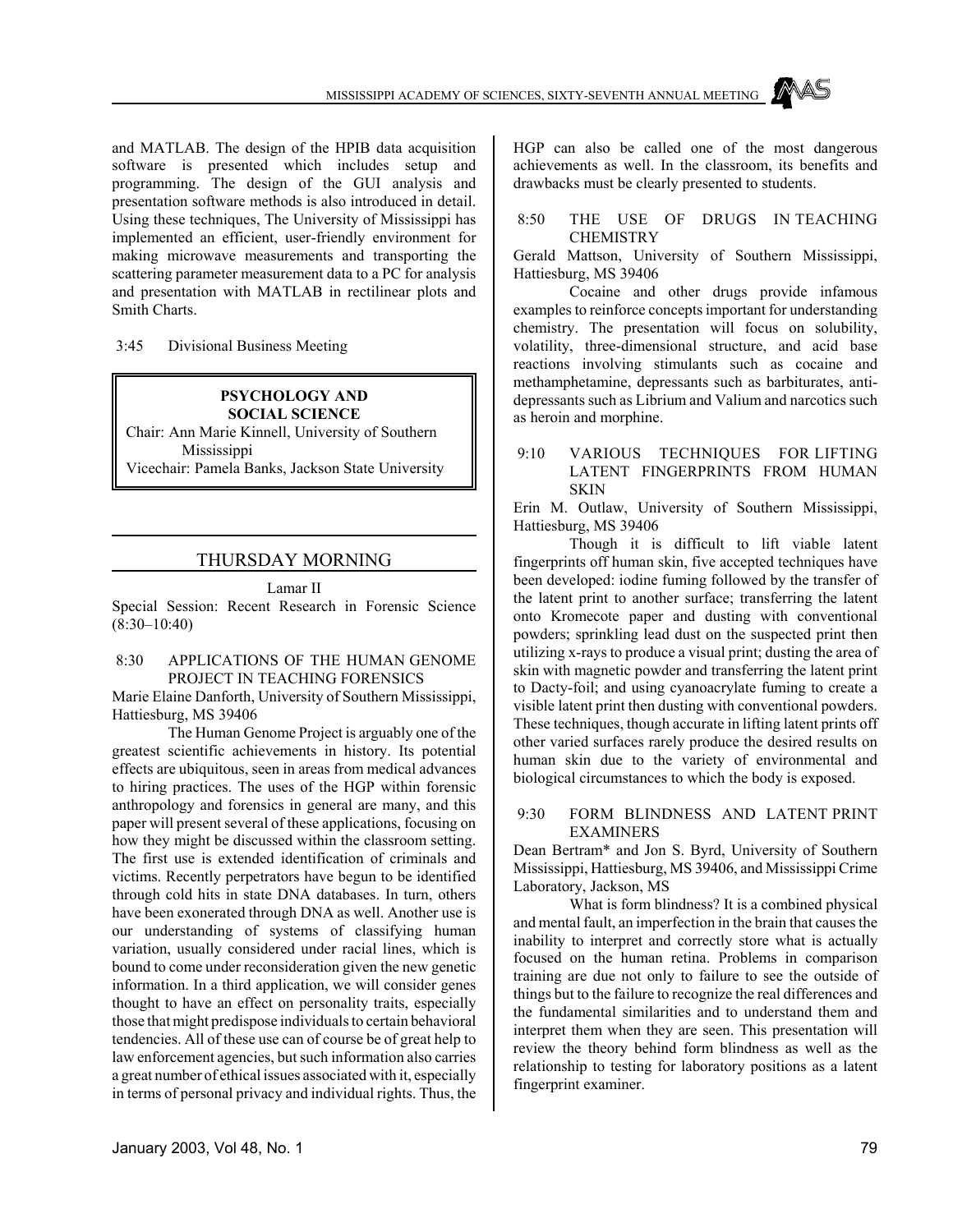and MATLAB. The design of the HPIB data acquisition software is presented which includes setup and programming. The design of the GUI analysis and presentation software methods is also introduced in detail. Using these techniques, The University of Mississippi has implemented an efficient, user-friendly environment for making microwave measurements and transporting the scattering parameter measurement data to a PC for analysis and presentation with MATLAB in rectilinear plots and Smith Charts.

3:45 Divisional Business Meeting

#### **PSYCHOLOGY AND SOCIAL SCIENCE**

Chair: Ann Marie Kinnell, University of Southern Mississippi

Vicechair: Pamela Banks, Jackson State University

# THURSDAY MORNING

#### Lamar II

Special Session: Recent Research in Forensic Science (8:30–10:40)

#### 8:30 APPLICATIONS OF THE HUMAN GENOME PROJECT IN TEACHING FORENSICS

Marie Elaine Danforth, University of Southern Mississippi, Hattiesburg, MS 39406

The Human Genome Project is arguably one of the greatest scientific achievements in history. Its potential effects are ubiquitous, seen in areas from medical advances to hiring practices. The uses of the HGP within forensic anthropology and forensics in general are many, and this paper will present several of these applications, focusing on how they might be discussed within the classroom setting. The first use is extended identification of criminals and victims. Recently perpetrators have begun to be identified through cold hits in state DNA databases. In turn, others have been exonerated through DNA as well. Another use is our understanding of systems of classifying human variation, usually considered under racial lines, which is bound to come under reconsideration given the new genetic information. In a third application, we will consider genes thought to have an effect on personality traits, especially those that might predispose individuals to certain behavioral tendencies. All of these use can of course be of great help to law enforcement agencies, but such information also carries a great number of ethical issues associated with it, especially in terms of personal privacy and individual rights. Thus, the HGP can also be called one of the most dangerous achievements as well. In the classroom, its benefits and drawbacks must be clearly presented to students.

#### 8:50 THE USE OF DRUGS IN TEACHING **CHEMISTRY**

Gerald Mattson, University of Southern Mississippi, Hattiesburg, MS 39406

Cocaine and other drugs provide infamous examples to reinforce concepts important for understanding chemistry. The presentation will focus on solubility, volatility, three-dimensional structure, and acid base reactions involving stimulants such as cocaine and methamphetamine, depressants such as barbiturates, antidepressants such as Librium and Valium and narcotics such as heroin and morphine.

# 9:10 VARIOUS TECHNIQUES FOR LIFTING LATENT FINGERPRINTS FROM HUMAN **SKIN**

Erin M. Outlaw, University of Southern Mississippi, Hattiesburg, MS 39406

Though it is difficult to lift viable latent fingerprints off human skin, five accepted techniques have been developed: iodine fuming followed by the transfer of the latent print to another surface; transferring the latent onto Kromecote paper and dusting with conventional powders; sprinkling lead dust on the suspected print then utilizing x-rays to produce a visual print; dusting the area of skin with magnetic powder and transferring the latent print to Dacty-foil; and using cyanoacrylate fuming to create a visible latent print then dusting with conventional powders. These techniques, though accurate in lifting latent prints off other varied surfaces rarely produce the desired results on human skin due to the variety of environmental and biological circumstances to which the body is exposed.

#### 9:30 FORM BLINDNESS AND LATENT PRINT EXAMINERS

Dean Bertram\* and Jon S. Byrd, University of Southern Mississippi, Hattiesburg, MS 39406, and Mississippi Crime Laboratory, Jackson, MS

What is form blindness? It is a combined physical and mental fault, an imperfection in the brain that causes the inability to interpret and correctly store what is actually focused on the human retina. Problems in comparison training are due not only to failure to see the outside of things but to the failure to recognize the real differences and the fundamental similarities and to understand them and interpret them when they are seen. This presentation will review the theory behind form blindness as well as the relationship to testing for laboratory positions as a latent fingerprint examiner.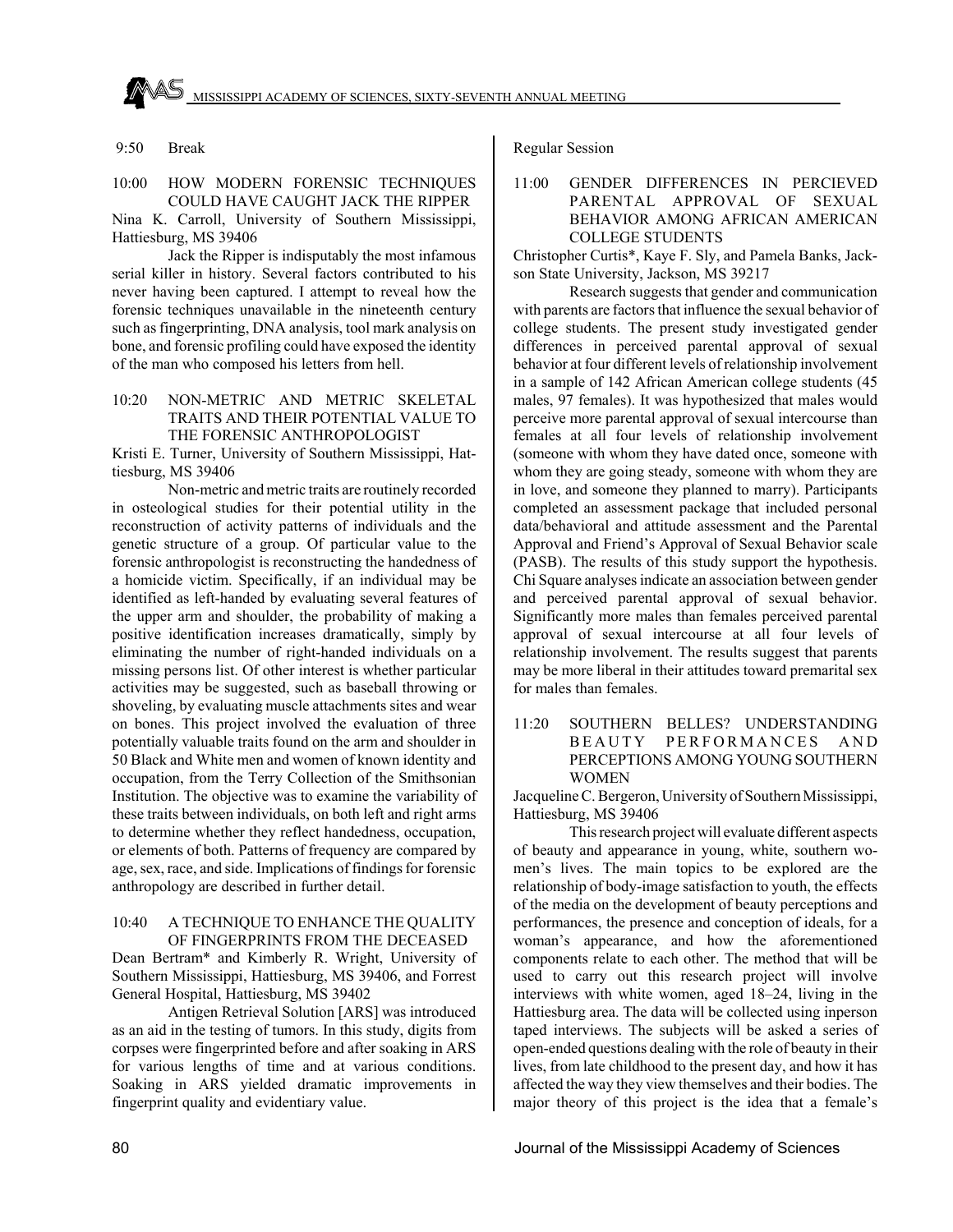

10:00 HOW MODERN FORENSIC TECHNIQUES COULD HAVE CAUGHT JACK THE RIPPER Nina K. Carroll, University of Southern Mississippi, Hattiesburg, MS 39406

Jack the Ripper is indisputably the most infamous serial killer in history. Several factors contributed to his never having been captured. I attempt to reveal how the forensic techniques unavailable in the nineteenth century such as fingerprinting, DNA analysis, tool mark analysis on bone, and forensic profiling could have exposed the identity of the man who composed his letters from hell.

# 10:20 NON-METRIC AND METRIC SKELETAL TRAITS AND THEIR POTENTIAL VALUE TO THE FORENSIC ANTHROPOLOGIST

Kristi E. Turner, University of Southern Mississippi, Hattiesburg, MS 39406

Non-metric and metric traits are routinely recorded in osteological studies for their potential utility in the reconstruction of activity patterns of individuals and the genetic structure of a group. Of particular value to the forensic anthropologist is reconstructing the handedness of a homicide victim. Specifically, if an individual may be identified as left-handed by evaluating several features of the upper arm and shoulder, the probability of making a positive identification increases dramatically, simply by eliminating the number of right-handed individuals on a missing persons list. Of other interest is whether particular activities may be suggested, such as baseball throwing or shoveling, by evaluating muscle attachments sites and wear on bones. This project involved the evaluation of three potentially valuable traits found on the arm and shoulder in 50 Black and White men and women of known identity and occupation, from the Terry Collection of the Smithsonian Institution. The objective was to examine the variability of these traits between individuals, on both left and right arms to determine whether they reflect handedness, occupation, or elements of both. Patterns of frequency are compared by age, sex, race, and side. Implications of findings for forensic anthropology are described in further detail.

#### 10:40 A TECHNIQUE TO ENHANCE THE QUALITY OF FINGERPRINTS FROM THE DECEASED

Dean Bertram\* and Kimberly R. Wright, University of Southern Mississippi, Hattiesburg, MS 39406, and Forrest General Hospital, Hattiesburg, MS 39402

Antigen Retrieval Solution [ARS] was introduced as an aid in the testing of tumors. In this study, digits from corpses were fingerprinted before and after soaking in ARS for various lengths of time and at various conditions. Soaking in ARS yielded dramatic improvements in fingerprint quality and evidentiary value.

Regular Session

# 11:00 GENDER DIFFERENCES IN PERCIEVED PARENTAL APPROVAL OF SEXUAL BEHAVIOR AMONG AFRICAN AMERICAN COLLEGE STUDENTS

Christopher Curtis\*, Kaye F. Sly, and Pamela Banks, Jackson State University, Jackson, MS 39217

Research suggests that gender and communication with parents are factors that influence the sexual behavior of college students. The present study investigated gender differences in perceived parental approval of sexual behavior at four different levels of relationship involvement in a sample of 142 African American college students (45 males, 97 females). It was hypothesized that males would perceive more parental approval of sexual intercourse than females at all four levels of relationship involvement (someone with whom they have dated once, someone with whom they are going steady, someone with whom they are in love, and someone they planned to marry). Participants completed an assessment package that included personal data/behavioral and attitude assessment and the Parental Approval and Friend's Approval of Sexual Behavior scale (PASB). The results of this study support the hypothesis. Chi Square analyses indicate an association between gender and perceived parental approval of sexual behavior. Significantly more males than females perceived parental approval of sexual intercourse at all four levels of relationship involvement. The results suggest that parents may be more liberal in their attitudes toward premarital sex for males than females.

11:20 SOUTHERN BELLES? UNDERSTANDING BEAUTY PERFORMANCES AND PERCEPTIONS AMONG YOUNG SOUTHERN WOMEN

Jacqueline C. Bergeron, University of Southern Mississippi, Hattiesburg, MS 39406

This research project will evaluate different aspects of beauty and appearance in young, white, southern women's lives. The main topics to be explored are the relationship of body-image satisfaction to youth, the effects of the media on the development of beauty perceptions and performances, the presence and conception of ideals, for a woman's appearance, and how the aforementioned components relate to each other. The method that will be used to carry out this research project will involve interviews with white women, aged 18–24, living in the Hattiesburg area. The data will be collected using inperson taped interviews. The subjects will be asked a series of open-ended questions dealing with the role of beauty in their lives, from late childhood to the present day, and how it has affected the way they view themselves and their bodies. The major theory of this project is the idea that a female's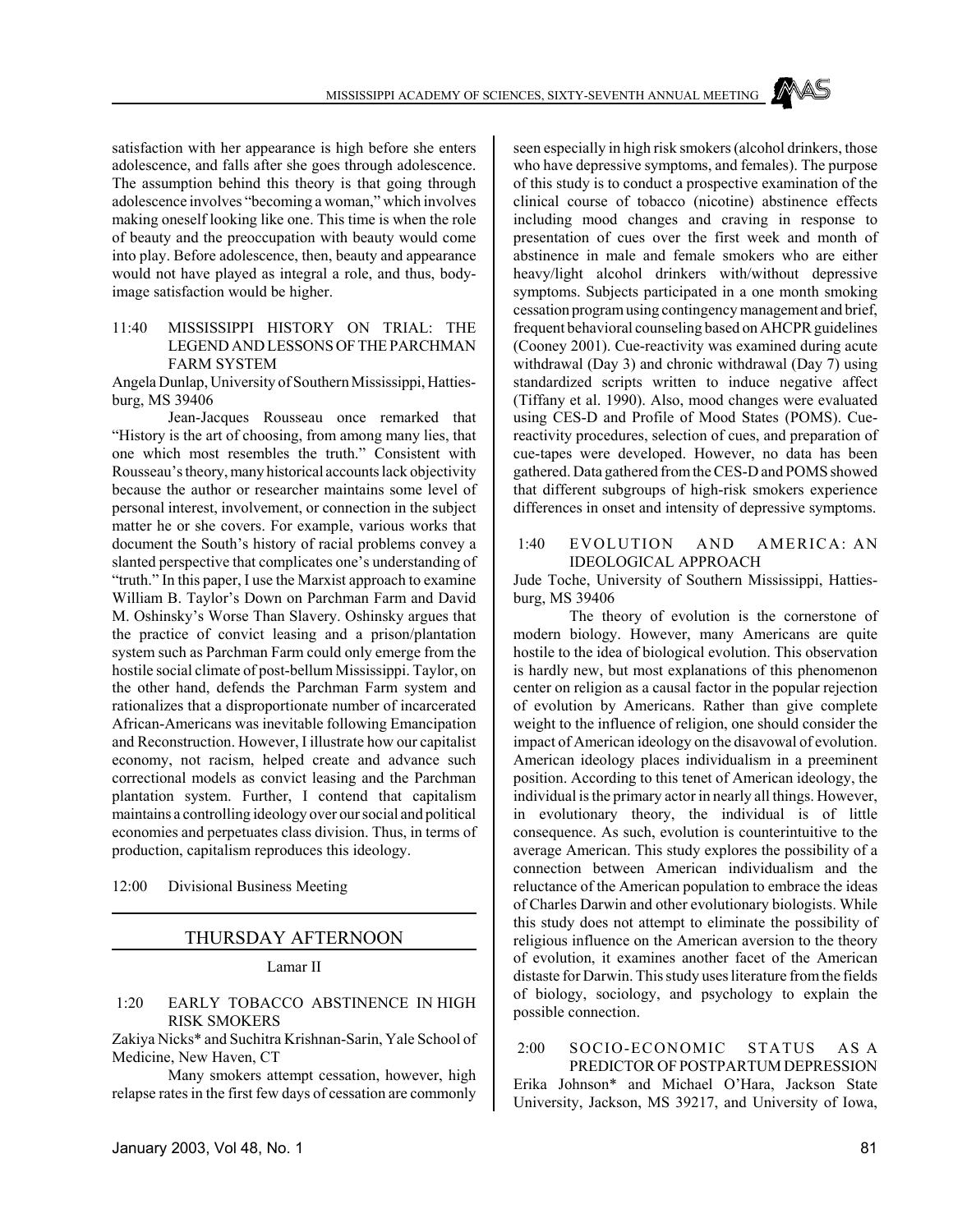satisfaction with her appearance is high before she enters adolescence, and falls after she goes through adolescence. The assumption behind this theory is that going through adolescence involves "becoming a woman," which involves making oneself looking like one. This time is when the role of beauty and the preoccupation with beauty would come into play. Before adolescence, then, beauty and appearance would not have played as integral a role, and thus, bodyimage satisfaction would be higher.

# 11:40 MISSISSIPPI HISTORY ON TRIAL: THE LEGEND AND LESSONS OF THE PARCHMAN FARM SYSTEM

Angela Dunlap, University of Southern Mississippi, Hattiesburg, MS 39406

Jean-Jacques Rousseau once remarked that "History is the art of choosing, from among many lies, that one which most resembles the truth." Consistent with Rousseau's theory, many historical accounts lack objectivity because the author or researcher maintains some level of personal interest, involvement, or connection in the subject matter he or she covers. For example, various works that document the South's history of racial problems convey a slanted perspective that complicates one's understanding of "truth." In this paper, I use the Marxist approach to examine William B. Taylor's Down on Parchman Farm and David M. Oshinsky's Worse Than Slavery. Oshinsky argues that the practice of convict leasing and a prison/plantation system such as Parchman Farm could only emerge from the hostile social climate of post-bellum Mississippi. Taylor, on the other hand, defends the Parchman Farm system and rationalizes that a disproportionate number of incarcerated African-Americans was inevitable following Emancipation and Reconstruction. However, I illustrate how our capitalist economy, not racism, helped create and advance such correctional models as convict leasing and the Parchman plantation system. Further, I contend that capitalism maintains a controlling ideology over our social and political economies and perpetuates class division. Thus, in terms of production, capitalism reproduces this ideology.

12:00 Divisional Business Meeting

# THURSDAY AFTERNOON

Lamar II

# 1:20 EARLY TOBACCO ABSTINENCE IN HIGH RISK SMOKERS

Zakiya Nicks\* and Suchitra Krishnan-Sarin, Yale School of Medicine, New Haven, CT

Many smokers attempt cessation, however, high relapse rates in the first few days of cessation are commonly

seen especially in high risk smokers (alcohol drinkers, those who have depressive symptoms, and females). The purpose of this study is to conduct a prospective examination of the clinical course of tobacco (nicotine) abstinence effects including mood changes and craving in response to presentation of cues over the first week and month of abstinence in male and female smokers who are either heavy/light alcohol drinkers with/without depressive symptoms. Subjects participated in a one month smoking cessation program using contingency management and brief, frequent behavioral counseling based on AHCPR guidelines (Cooney 2001). Cue-reactivity was examined during acute withdrawal (Day 3) and chronic withdrawal (Day 7) using standardized scripts written to induce negative affect (Tiffany et al. 1990). Also, mood changes were evaluated using CES-D and Profile of Mood States (POMS). Cuereactivity procedures, selection of cues, and preparation of cue-tapes were developed. However, no data has been gathered. Data gathered from the CES-D and POMS showed that different subgroups of high-risk smokers experience differences in onset and intensity of depressive symptoms.

#### 1:40 EVOLUTION AND AMERICA: AN IDEOLOGICAL APPROACH

Jude Toche, University of Southern Mississippi, Hattiesburg, MS 39406

The theory of evolution is the cornerstone of modern biology. However, many Americans are quite hostile to the idea of biological evolution. This observation is hardly new, but most explanations of this phenomenon center on religion as a causal factor in the popular rejection of evolution by Americans. Rather than give complete weight to the influence of religion, one should consider the impact of American ideology on the disavowal of evolution. American ideology places individualism in a preeminent position. According to this tenet of American ideology, the individual is the primary actor in nearly all things. However, in evolutionary theory, the individual is of little consequence. As such, evolution is counterintuitive to the average American. This study explores the possibility of a connection between American individualism and the reluctance of the American population to embrace the ideas of Charles Darwin and other evolutionary biologists. While this study does not attempt to eliminate the possibility of religious influence on the American aversion to the theory of evolution, it examines another facet of the American distaste for Darwin. This study uses literature from the fields of biology, sociology, and psychology to explain the possible connection.

 2:00 SOCIO-ECONOMIC STATUS AS A PREDICTOR OF POSTPARTUM DEPRESSION Erika Johnson\* and Michael O'Hara, Jackson State University, Jackson, MS 39217, and University of Iowa,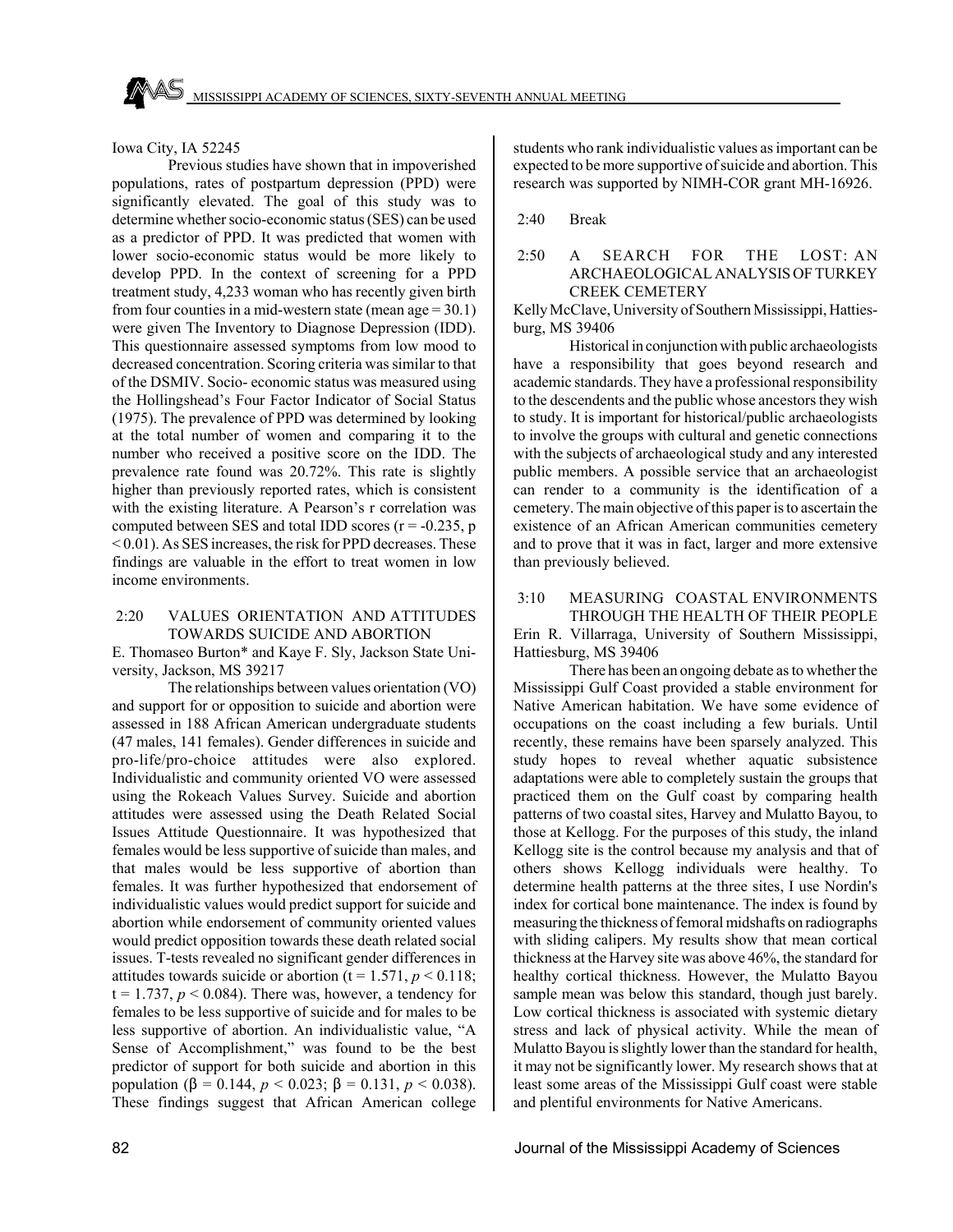Iowa City, IA 52245

Previous studies have shown that in impoverished populations, rates of postpartum depression (PPD) were significantly elevated. The goal of this study was to determine whether socio-economic status (SES) can be used as a predictor of PPD. It was predicted that women with lower socio-economic status would be more likely to develop PPD. In the context of screening for a PPD treatment study, 4,233 woman who has recently given birth from four counties in a mid-western state (mean age  $= 30.1$ ) were given The Inventory to Diagnose Depression (IDD). This questionnaire assessed symptoms from low mood to decreased concentration. Scoring criteria was similar to that of the DSMIV. Socio- economic status was measured using the Hollingshead's Four Factor Indicator of Social Status (1975). The prevalence of PPD was determined by looking at the total number of women and comparing it to the number who received a positive score on the IDD. The prevalence rate found was 20.72%. This rate is slightly higher than previously reported rates, which is consistent with the existing literature. A Pearson's r correlation was computed between SES and total IDD scores  $(r = -0.235, p$ < 0.01). As SES increases, the risk for PPD decreases. These findings are valuable in the effort to treat women in low income environments.

# 2:20 VALUES ORIENTATION AND ATTITUDES TOWARDS SUICIDE AND ABORTION

E. Thomaseo Burton\* and Kaye F. Sly, Jackson State University, Jackson, MS 39217

The relationships between values orientation (VO) and support for or opposition to suicide and abortion were assessed in 188 African American undergraduate students (47 males, 141 females). Gender differences in suicide and pro-life/pro-choice attitudes were also explored. Individualistic and community oriented VO were assessed using the Rokeach Values Survey. Suicide and abortion attitudes were assessed using the Death Related Social Issues Attitude Questionnaire. It was hypothesized that females would be less supportive of suicide than males, and that males would be less supportive of abortion than females. It was further hypothesized that endorsement of individualistic values would predict support for suicide and abortion while endorsement of community oriented values would predict opposition towards these death related social issues. T-tests revealed no significant gender differences in attitudes towards suicide or abortion ( $t = 1.571$ ,  $p < 0.118$ ;  $t = 1.737$ ,  $p < 0.084$ ). There was, however, a tendency for females to be less supportive of suicide and for males to be less supportive of abortion. An individualistic value, "A Sense of Accomplishment," was found to be the best predictor of support for both suicide and abortion in this population ( $\beta = 0.144$ ,  $p < 0.023$ ;  $\beta = 0.131$ ,  $p < 0.038$ ). These findings suggest that African American college

students who rank individualistic values as important can be expected to be more supportive of suicide and abortion. This research was supported by NIMH-COR grant MH-16926.

2:40 Break

# 2:50 A SEARCH FOR THE LOST: AN ARCHAEOLOGICAL ANALYSIS OF TURKEY CREEK CEMETERY

Kelly McClave, University of Southern Mississippi, Hattiesburg, MS 39406

Historical in conjunction with public archaeologists have a responsibility that goes beyond research and academic standards. They have a professional responsibility to the descendents and the public whose ancestors they wish to study. It is important for historical/public archaeologists to involve the groups with cultural and genetic connections with the subjects of archaeological study and any interested public members. A possible service that an archaeologist can render to a community is the identification of a cemetery. The main objective of this paper is to ascertain the existence of an African American communities cemetery and to prove that it was in fact, larger and more extensive than previously believed.

# 3:10 MEASURING COASTAL ENVIRONMENTS THROUGH THE HEALTH OF THEIR PEOPLE

Erin R. Villarraga, University of Southern Mississippi, Hattiesburg, MS 39406

There has been an ongoing debate as to whether the Mississippi Gulf Coast provided a stable environment for Native American habitation. We have some evidence of occupations on the coast including a few burials. Until recently, these remains have been sparsely analyzed. This study hopes to reveal whether aquatic subsistence adaptations were able to completely sustain the groups that practiced them on the Gulf coast by comparing health patterns of two coastal sites, Harvey and Mulatto Bayou, to those at Kellogg. For the purposes of this study, the inland Kellogg site is the control because my analysis and that of others shows Kellogg individuals were healthy. To determine health patterns at the three sites, I use Nordin's index for cortical bone maintenance. The index is found by measuring the thickness of femoral midshafts on radiographs with sliding calipers. My results show that mean cortical thickness at the Harvey site was above 46%, the standard for healthy cortical thickness. However, the Mulatto Bayou sample mean was below this standard, though just barely. Low cortical thickness is associated with systemic dietary stress and lack of physical activity. While the mean of Mulatto Bayou is slightly lower than the standard for health, it may not be significantly lower. My research shows that at least some areas of the Mississippi Gulf coast were stable and plentiful environments for Native Americans.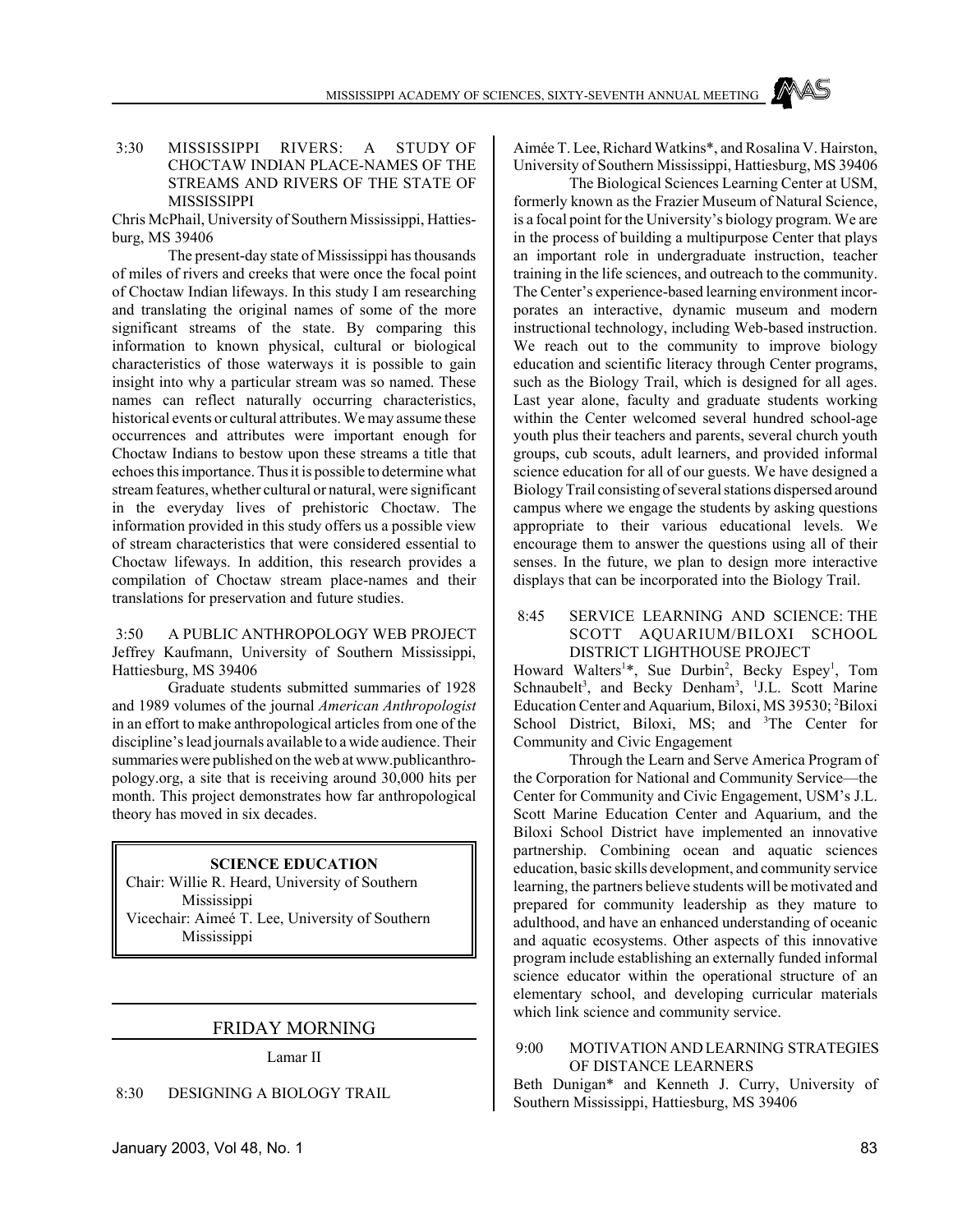# 3:30 MISSISSIPPI RIVERS: A STUDY OF CHOCTAW INDIAN PLACE-NAMES OF THE STREAMS AND RIVERS OF THE STATE OF **MISSISSIPPI**

Chris McPhail, University of Southern Mississippi, Hattiesburg, MS 39406

The present-day state of Mississippi has thousands of miles of rivers and creeks that were once the focal point of Choctaw Indian lifeways. In this study I am researching and translating the original names of some of the more significant streams of the state. By comparing this information to known physical, cultural or biological characteristics of those waterways it is possible to gain insight into why a particular stream was so named. These names can reflect naturally occurring characteristics, historical events or cultural attributes. We may assume these occurrences and attributes were important enough for Choctaw Indians to bestow upon these streams a title that echoes this importance. Thus it is possible to determine what stream features, whether cultural or natural, were significant in the everyday lives of prehistoric Choctaw. The information provided in this study offers us a possible view of stream characteristics that were considered essential to Choctaw lifeways. In addition, this research provides a compilation of Choctaw stream place-names and their translations for preservation and future studies.

 3:50 A PUBLIC ANTHROPOLOGY WEB PROJECT Jeffrey Kaufmann, University of Southern Mississippi, Hattiesburg, MS 39406

Graduate students submitted summaries of 1928 and 1989 volumes of the journal *American Anthropologist* in an effort to make anthropological articles from one of the discipline's lead journals available to a wide audience. Their summaries were published on the web at www.publicanthropology.org, a site that is receiving around 30,000 hits per month. This project demonstrates how far anthropological theory has moved in six decades.

# **SCIENCE EDUCATION**

Chair: Willie R. Heard, University of Southern Mississippi Vicechair: Aimeé T. Lee, University of Southern

Mississippi

# FRIDAY MORNING

Lamar II

8:30 DESIGNING A BIOLOGY TRAIL

Aimée T. Lee, Richard Watkins\*, and Rosalina V. Hairston, University of Southern Mississippi, Hattiesburg, MS 39406

The Biological Sciences Learning Center at USM, formerly known as the Frazier Museum of Natural Science, is a focal point for the University's biology program. We are in the process of building a multipurpose Center that plays an important role in undergraduate instruction, teacher training in the life sciences, and outreach to the community. The Center's experience-based learning environment incorporates an interactive, dynamic museum and modern instructional technology, including Web-based instruction. We reach out to the community to improve biology education and scientific literacy through Center programs, such as the Biology Trail, which is designed for all ages. Last year alone, faculty and graduate students working within the Center welcomed several hundred school-age youth plus their teachers and parents, several church youth groups, cub scouts, adult learners, and provided informal science education for all of our guests. We have designed a Biology Trail consisting of several stations dispersed around campus where we engage the students by asking questions appropriate to their various educational levels. We encourage them to answer the questions using all of their senses. In the future, we plan to design more interactive displays that can be incorporated into the Biology Trail.

# 8:45 SERVICE LEARNING AND SCIENCE: THE SCOTT AQUARIUM/BILOXI SCHOOL DISTRICT LIGHTHOUSE PROJECT

Howard Walters<sup>1\*</sup>, Sue Durbin<sup>2</sup>, Becky Espey<sup>1</sup>, Tom Schnaubelt<sup>3</sup>, and Becky Denham<sup>3</sup>, <sup>1</sup>J.L. Scott Marine Education Center and Aquarium, Biloxi, MS 39530; <sup>2</sup>Biloxi School District, Biloxi, MS; and <sup>3</sup>The Center for Community and Civic Engagement

Through the Learn and Serve America Program of the Corporation for National and Community Service—the Center for Community and Civic Engagement, USM's J.L. Scott Marine Education Center and Aquarium, and the Biloxi School District have implemented an innovative partnership. Combining ocean and aquatic sciences education, basic skills development, and community service learning, the partners believe students will be motivated and prepared for community leadership as they mature to adulthood, and have an enhanced understanding of oceanic and aquatic ecosystems. Other aspects of this innovative program include establishing an externally funded informal science educator within the operational structure of an elementary school, and developing curricular materials which link science and community service.

#### 9:00 MOTIVATION AND LEARNING STRATEGIES OF DISTANCE LEARNERS

Beth Dunigan\* and Kenneth J. Curry, University of Southern Mississippi, Hattiesburg, MS 39406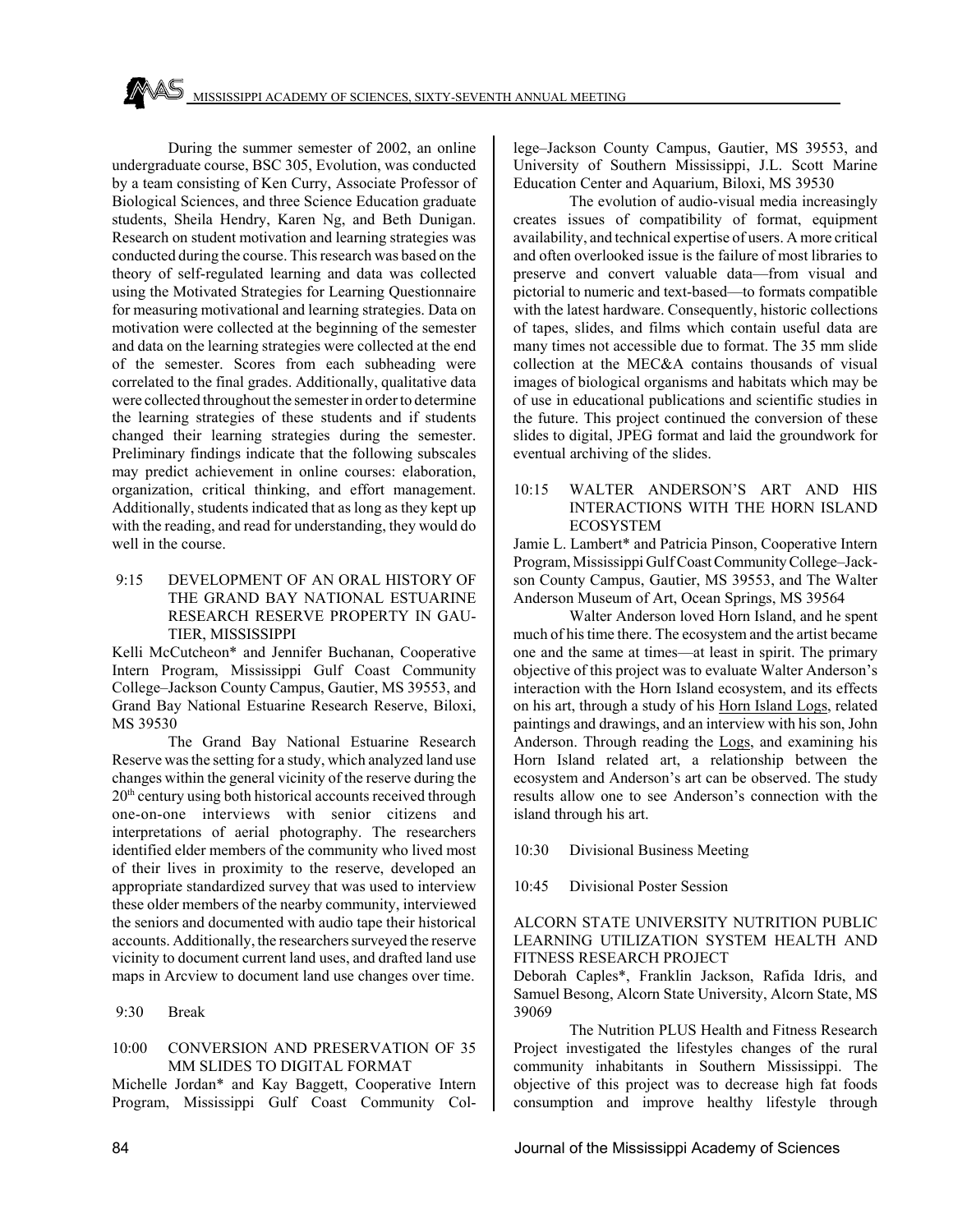During the summer semester of 2002, an online undergraduate course, BSC 305, Evolution, was conducted by a team consisting of Ken Curry, Associate Professor of Biological Sciences, and three Science Education graduate students, Sheila Hendry, Karen Ng, and Beth Dunigan. Research on student motivation and learning strategies was conducted during the course. This research was based on the theory of self-regulated learning and data was collected using the Motivated Strategies for Learning Questionnaire for measuring motivational and learning strategies. Data on motivation were collected at the beginning of the semester and data on the learning strategies were collected at the end of the semester. Scores from each subheading were correlated to the final grades. Additionally, qualitative data were collected throughout the semester in order to determine the learning strategies of these students and if students changed their learning strategies during the semester. Preliminary findings indicate that the following subscales may predict achievement in online courses: elaboration, organization, critical thinking, and effort management. Additionally, students indicated that as long as they kept up with the reading, and read for understanding, they would do well in the course.

 9:15 DEVELOPMENT OF AN ORAL HISTORY OF THE GRAND BAY NATIONAL ESTUARINE RESEARCH RESERVE PROPERTY IN GAU-TIER, MISSISSIPPI

Kelli McCutcheon\* and Jennifer Buchanan, Cooperative Intern Program, Mississippi Gulf Coast Community College–Jackson County Campus, Gautier, MS 39553, and Grand Bay National Estuarine Research Reserve, Biloxi, MS 39530

The Grand Bay National Estuarine Research Reserve was the setting for a study, which analyzed land use changes within the general vicinity of the reserve during the 20<sup>th</sup> century using both historical accounts received through one-on-one interviews with senior citizens and interpretations of aerial photography. The researchers identified elder members of the community who lived most of their lives in proximity to the reserve, developed an appropriate standardized survey that was used to interview these older members of the nearby community, interviewed the seniors and documented with audio tape their historical accounts. Additionally, the researchers surveyed the reserve vicinity to document current land uses, and drafted land use maps in Arcview to document land use changes over time.

9:30 Break

# 10:00 CONVERSION AND PRESERVATION OF 35 MM SLIDES TO DIGITAL FORMAT

Michelle Jordan\* and Kay Baggett, Cooperative Intern Program, Mississippi Gulf Coast Community College–Jackson County Campus, Gautier, MS 39553, and University of Southern Mississippi, J.L. Scott Marine Education Center and Aquarium, Biloxi, MS 39530

The evolution of audio-visual media increasingly creates issues of compatibility of format, equipment availability, and technical expertise of users. A more critical and often overlooked issue is the failure of most libraries to preserve and convert valuable data—from visual and pictorial to numeric and text-based—to formats compatible with the latest hardware. Consequently, historic collections of tapes, slides, and films which contain useful data are many times not accessible due to format. The 35 mm slide collection at the MEC&A contains thousands of visual images of biological organisms and habitats which may be of use in educational publications and scientific studies in the future. This project continued the conversion of these slides to digital, JPEG format and laid the groundwork for eventual archiving of the slides.

10:15 WALTER ANDERSON'S ART AND HIS INTERACTIONS WITH THE HORN ISLAND ECOSYSTEM

Jamie L. Lambert\* and Patricia Pinson, Cooperative Intern Program, Mississippi Gulf Coast Community College–Jackson County Campus, Gautier, MS 39553, and The Walter Anderson Museum of Art, Ocean Springs, MS 39564

Walter Anderson loved Horn Island, and he spent much of his time there. The ecosystem and the artist became one and the same at times—at least in spirit. The primary objective of this project was to evaluate Walter Anderson's interaction with the Horn Island ecosystem, and its effects on his art, through a study of his Horn Island Logs, related paintings and drawings, and an interview with his son, John Anderson. Through reading the Logs, and examining his Horn Island related art, a relationship between the ecosystem and Anderson's art can be observed. The study results allow one to see Anderson's connection with the island through his art.

10:30 Divisional Business Meeting

10:45 Divisional Poster Session

# ALCORN STATE UNIVERSITY NUTRITION PUBLIC LEARNING UTILIZATION SYSTEM HEALTH AND FITNESS RESEARCH PROJECT

Deborah Caples\*, Franklin Jackson, Rafida Idris, and Samuel Besong, Alcorn State University, Alcorn State, MS 39069

The Nutrition PLUS Health and Fitness Research Project investigated the lifestyles changes of the rural community inhabitants in Southern Mississippi. The objective of this project was to decrease high fat foods consumption and improve healthy lifestyle through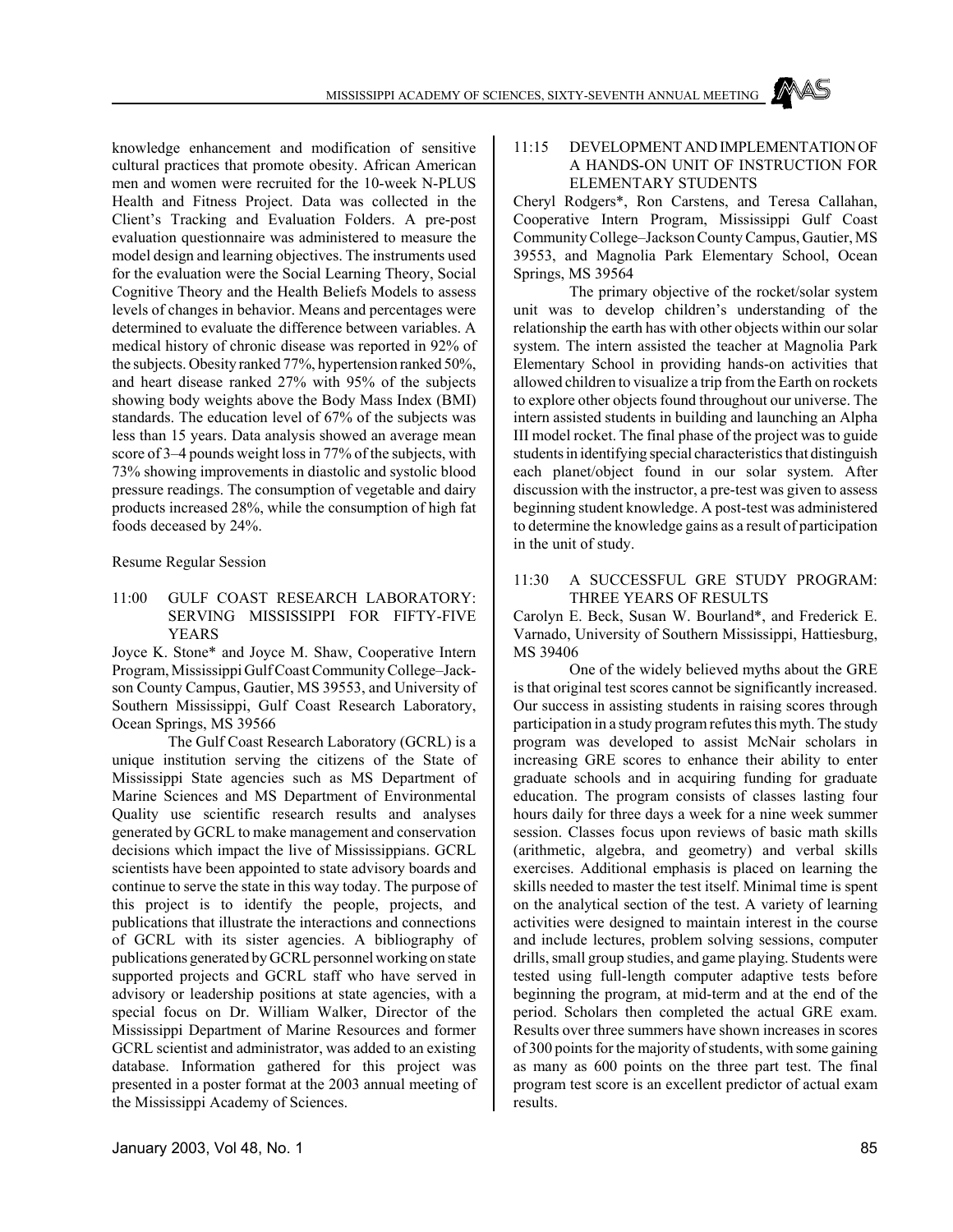knowledge enhancement and modification of sensitive cultural practices that promote obesity. African American men and women were recruited for the 10-week N-PLUS Health and Fitness Project. Data was collected in the Client's Tracking and Evaluation Folders. A pre-post evaluation questionnaire was administered to measure the model design and learning objectives. The instruments used for the evaluation were the Social Learning Theory, Social Cognitive Theory and the Health Beliefs Models to assess levels of changes in behavior. Means and percentages were determined to evaluate the difference between variables. A medical history of chronic disease was reported in 92% of the subjects. Obesity ranked 77%, hypertension ranked 50%, and heart disease ranked 27% with 95% of the subjects showing body weights above the Body Mass Index (BMI) standards. The education level of 67% of the subjects was less than 15 years. Data analysis showed an average mean score of 3–4 pounds weight loss in 77% of the subjects, with 73% showing improvements in diastolic and systolic blood pressure readings. The consumption of vegetable and dairy products increased 28%, while the consumption of high fat foods deceased by 24%.

Resume Regular Session

11:00 GULF COAST RESEARCH LABORATORY: SERVING MISSISSIPPI FOR FIFTY-FIVE YEARS

Joyce K. Stone\* and Joyce M. Shaw, Cooperative Intern Program, Mississippi Gulf Coast Community College–Jackson County Campus, Gautier, MS 39553, and University of Southern Mississippi, Gulf Coast Research Laboratory, Ocean Springs, MS 39566

The Gulf Coast Research Laboratory (GCRL) is a unique institution serving the citizens of the State of Mississippi State agencies such as MS Department of Marine Sciences and MS Department of Environmental Quality use scientific research results and analyses generated by GCRL to make management and conservation decisions which impact the live of Mississippians. GCRL scientists have been appointed to state advisory boards and continue to serve the state in this way today. The purpose of this project is to identify the people, projects, and publications that illustrate the interactions and connections of GCRL with its sister agencies. A bibliography of publications generated by GCRL personnel working on state supported projects and GCRL staff who have served in advisory or leadership positions at state agencies, with a special focus on Dr. William Walker, Director of the Mississippi Department of Marine Resources and former GCRL scientist and administrator, was added to an existing database. Information gathered for this project was presented in a poster format at the 2003 annual meeting of the Mississippi Academy of Sciences.

# 11:15 DEVELOPMENT AND IMPLEMENTATION OF A HANDS-ON UNIT OF INSTRUCTION FOR ELEMENTARY STUDENTS

Cheryl Rodgers\*, Ron Carstens, and Teresa Callahan, Cooperative Intern Program, Mississippi Gulf Coast Community College–Jackson County Campus, Gautier, MS 39553, and Magnolia Park Elementary School, Ocean Springs, MS 39564

The primary objective of the rocket/solar system unit was to develop children's understanding of the relationship the earth has with other objects within our solar system. The intern assisted the teacher at Magnolia Park Elementary School in providing hands-on activities that allowed children to visualize a trip from the Earth on rockets to explore other objects found throughout our universe. The intern assisted students in building and launching an Alpha III model rocket. The final phase of the project was to guide students in identifying special characteristics that distinguish each planet/object found in our solar system. After discussion with the instructor, a pre-test was given to assess beginning student knowledge. A post-test was administered to determine the knowledge gains as a result of participation in the unit of study.

## 11:30 A SUCCESSFUL GRE STUDY PROGRAM: THREE YEARS OF RESULTS

Carolyn E. Beck, Susan W. Bourland\*, and Frederick E. Varnado, University of Southern Mississippi, Hattiesburg, MS 39406

One of the widely believed myths about the GRE is that original test scores cannot be significantly increased. Our success in assisting students in raising scores through participation in a study program refutes this myth. The study program was developed to assist McNair scholars in increasing GRE scores to enhance their ability to enter graduate schools and in acquiring funding for graduate education. The program consists of classes lasting four hours daily for three days a week for a nine week summer session. Classes focus upon reviews of basic math skills (arithmetic, algebra, and geometry) and verbal skills exercises. Additional emphasis is placed on learning the skills needed to master the test itself. Minimal time is spent on the analytical section of the test. A variety of learning activities were designed to maintain interest in the course and include lectures, problem solving sessions, computer drills, small group studies, and game playing. Students were tested using full-length computer adaptive tests before beginning the program, at mid-term and at the end of the period. Scholars then completed the actual GRE exam. Results over three summers have shown increases in scores of 300 points for the majority of students, with some gaining as many as 600 points on the three part test. The final program test score is an excellent predictor of actual exam results.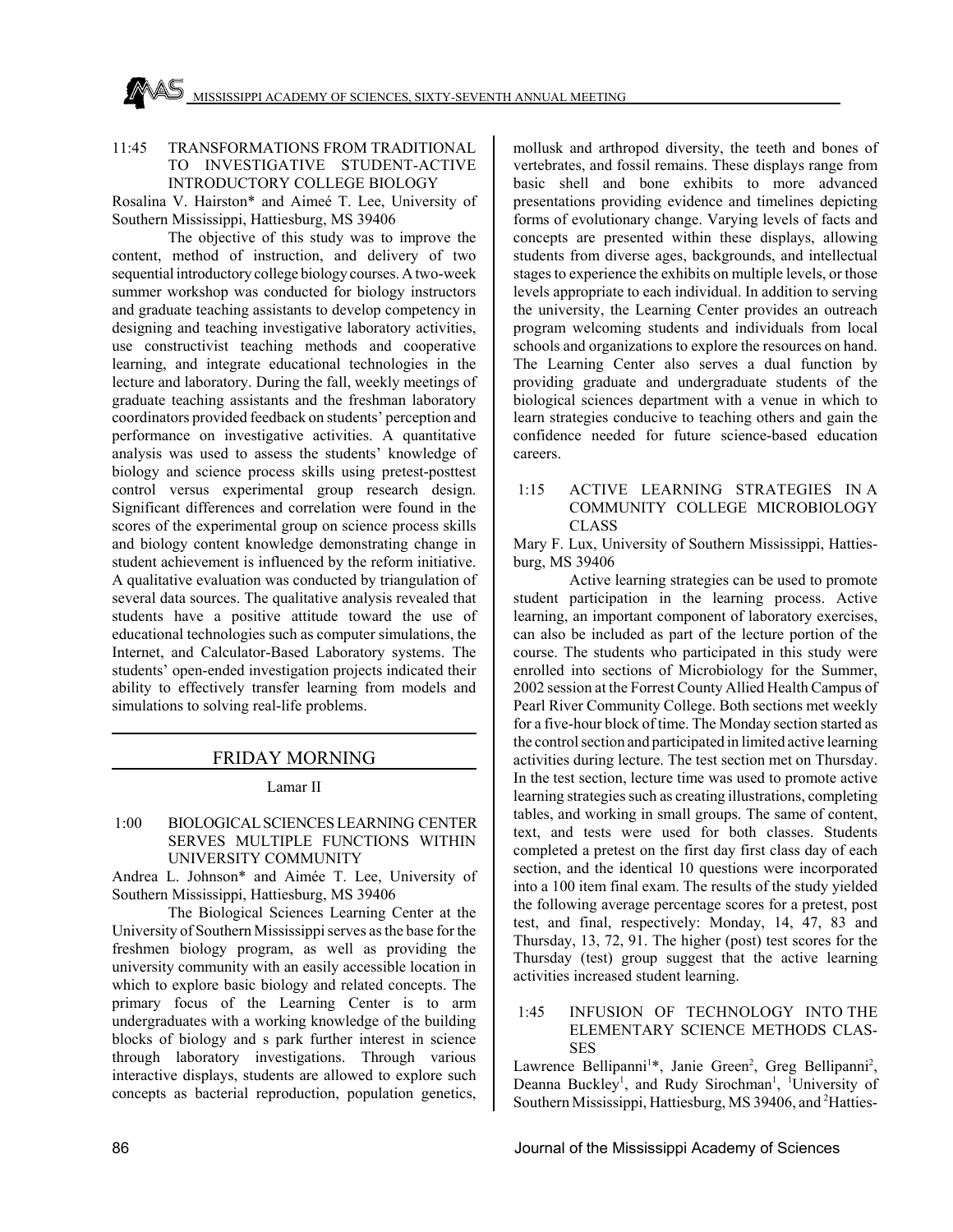## 11:45 TRANSFORMATIONS FROM TRADITIONAL TO INVESTIGATIVE STUDENT-ACTIVE INTRODUCTORY COLLEGE BIOLOGY

Rosalina V. Hairston\* and Aimeé T. Lee, University of Southern Mississippi, Hattiesburg, MS 39406

The objective of this study was to improve the content, method of instruction, and delivery of two sequential introductory college biology courses. A two-week summer workshop was conducted for biology instructors and graduate teaching assistants to develop competency in designing and teaching investigative laboratory activities, use constructivist teaching methods and cooperative learning, and integrate educational technologies in the lecture and laboratory. During the fall, weekly meetings of graduate teaching assistants and the freshman laboratory coordinators provided feedback on students' perception and performance on investigative activities. A quantitative analysis was used to assess the students' knowledge of biology and science process skills using pretest-posttest control versus experimental group research design. Significant differences and correlation were found in the scores of the experimental group on science process skills and biology content knowledge demonstrating change in student achievement is influenced by the reform initiative. A qualitative evaluation was conducted by triangulation of several data sources. The qualitative analysis revealed that students have a positive attitude toward the use of educational technologies such as computer simulations, the Internet, and Calculator-Based Laboratory systems. The students' open-ended investigation projects indicated their ability to effectively transfer learning from models and simulations to solving real-life problems.

# FRIDAY MORNING

Lamar II

 1:00 BIOLOGICAL SCIENCES LEARNING CENTER SERVES MULTIPLE FUNCTIONS WITHIN UNIVERSITY COMMUNITY

Andrea L. Johnson\* and Aimée T. Lee, University of Southern Mississippi, Hattiesburg, MS 39406

The Biological Sciences Learning Center at the University of Southern Mississippi serves as the base for the freshmen biology program, as well as providing the university community with an easily accessible location in which to explore basic biology and related concepts. The primary focus of the Learning Center is to arm undergraduates with a working knowledge of the building blocks of biology and s park further interest in science through laboratory investigations. Through various interactive displays, students are allowed to explore such concepts as bacterial reproduction, population genetics,

mollusk and arthropod diversity, the teeth and bones of vertebrates, and fossil remains. These displays range from basic shell and bone exhibits to more advanced presentations providing evidence and timelines depicting forms of evolutionary change. Varying levels of facts and concepts are presented within these displays, allowing students from diverse ages, backgrounds, and intellectual stages to experience the exhibits on multiple levels, or those levels appropriate to each individual. In addition to serving the university, the Learning Center provides an outreach program welcoming students and individuals from local schools and organizations to explore the resources on hand. The Learning Center also serves a dual function by providing graduate and undergraduate students of the biological sciences department with a venue in which to learn strategies conducive to teaching others and gain the confidence needed for future science-based education careers.

 1:15 ACTIVE LEARNING STRATEGIES IN A COMMUNITY COLLEGE MICROBIOLOGY CLASS

Mary F. Lux, University of Southern Mississippi, Hattiesburg, MS 39406

Active learning strategies can be used to promote student participation in the learning process. Active learning, an important component of laboratory exercises, can also be included as part of the lecture portion of the course. The students who participated in this study were enrolled into sections of Microbiology for the Summer, 2002 session at the Forrest County Allied Health Campus of Pearl River Community College. Both sections met weekly for a five-hour block of time. The Monday section started as the control section and participated in limited active learning activities during lecture. The test section met on Thursday. In the test section, lecture time was used to promote active learning strategies such as creating illustrations, completing tables, and working in small groups. The same of content, text, and tests were used for both classes. Students completed a pretest on the first day first class day of each section, and the identical 10 questions were incorporated into a 100 item final exam. The results of the study yielded the following average percentage scores for a pretest, post test, and final, respectively: Monday, 14, 47, 83 and Thursday, 13, 72, 91. The higher (post) test scores for the Thursday (test) group suggest that the active learning activities increased student learning.

# 1:45 INFUSION OF TECHNOLOGY INTO THE ELEMENTARY SCIENCE METHODS CLAS-SES

Lawrence Bellipanni<sup>1</sup>\*, Janie Green<sup>2</sup>, Greg Bellipanni<sup>2</sup>, Deanna Buckley<sup>1</sup>, and Rudy Sirochman<sup>1</sup>, <sup>1</sup>University of Southern Mississippi, Hattiesburg, MS 39406, and <sup>2</sup>Hatties-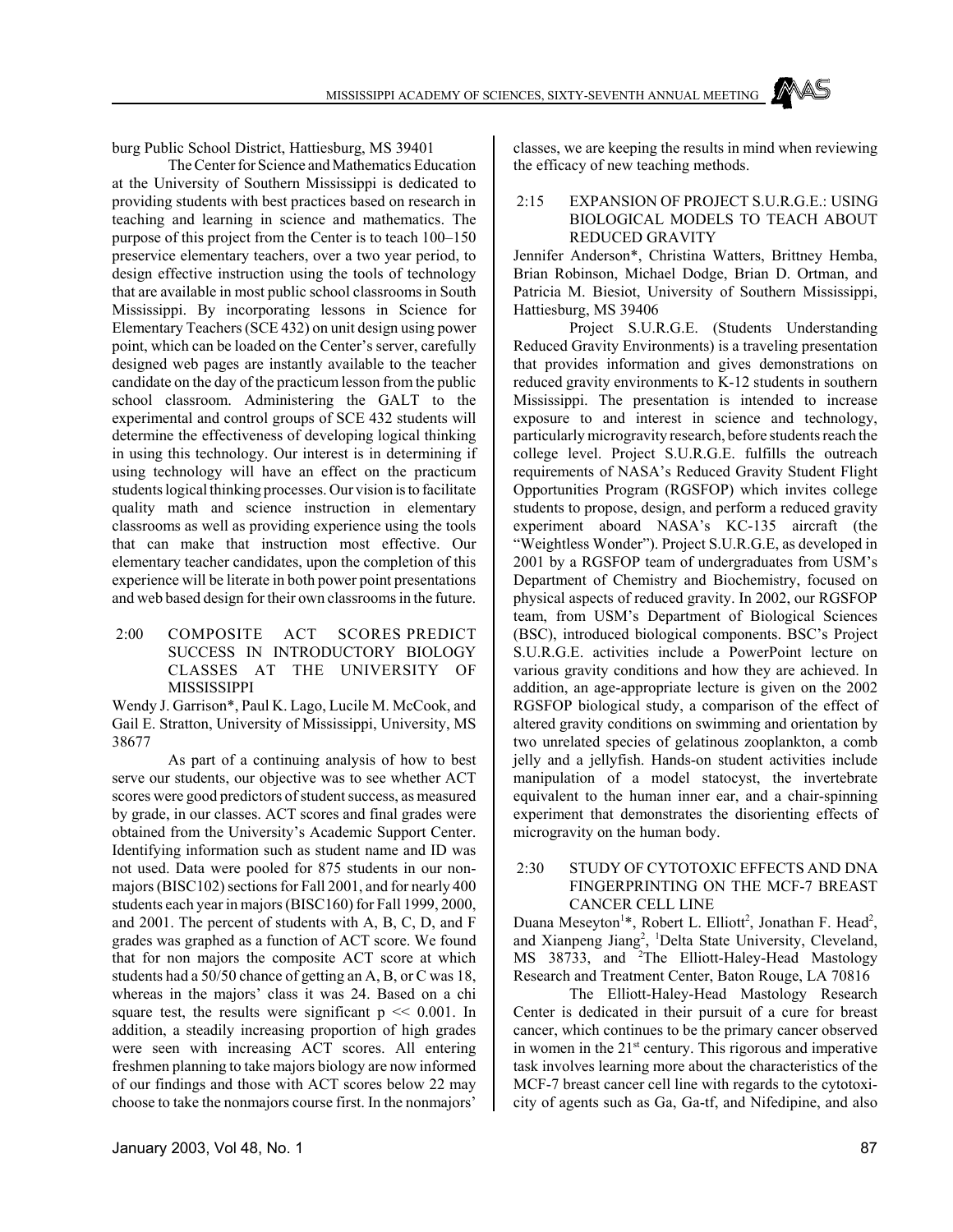burg Public School District, Hattiesburg, MS 39401

The Center for Science and Mathematics Education at the University of Southern Mississippi is dedicated to providing students with best practices based on research in teaching and learning in science and mathematics. The purpose of this project from the Center is to teach 100–150 preservice elementary teachers, over a two year period, to design effective instruction using the tools of technology that are available in most public school classrooms in South Mississippi. By incorporating lessons in Science for Elementary Teachers (SCE 432) on unit design using power point, which can be loaded on the Center's server, carefully designed web pages are instantly available to the teacher candidate on the day of the practicum lesson from the public school classroom. Administering the GALT to the experimental and control groups of SCE 432 students will determine the effectiveness of developing logical thinking in using this technology. Our interest is in determining if using technology will have an effect on the practicum students logical thinking processes. Our vision is to facilitate quality math and science instruction in elementary classrooms as well as providing experience using the tools that can make that instruction most effective. Our elementary teacher candidates, upon the completion of this experience will be literate in both power point presentations and web based design for their own classrooms in the future.

 2:00 COMPOSITE ACT SCORES PREDICT SUCCESS IN INTRODUCTORY BIOLOGY CLASSES AT THE UNIVERSITY OF MISSISSIPPI

Wendy J. Garrison\*, Paul K. Lago, Lucile M. McCook, and Gail E. Stratton, University of Mississippi, University, MS 38677

As part of a continuing analysis of how to best serve our students, our objective was to see whether ACT scores were good predictors of student success, as measured by grade, in our classes. ACT scores and final grades were obtained from the University's Academic Support Center. Identifying information such as student name and ID was not used. Data were pooled for 875 students in our nonmajors (BISC102) sections for Fall 2001, and for nearly 400 students each year in majors (BISC160) for Fall 1999, 2000, and 2001. The percent of students with A, B, C, D, and F grades was graphed as a function of ACT score. We found that for non majors the composite ACT score at which students had a 50/50 chance of getting an A, B, or C was 18, whereas in the majors' class it was 24. Based on a chi square test, the results were significant  $p \ll 0.001$ . In addition, a steadily increasing proportion of high grades were seen with increasing ACT scores. All entering freshmen planning to take majors biology are now informed of our findings and those with ACT scores below 22 may choose to take the nonmajors course first. In the nonmajors'

classes, we are keeping the results in mind when reviewing the efficacy of new teaching methods.

# 2:15 EXPANSION OF PROJECT S.U.R.G.E.: USING BIOLOGICAL MODELS TO TEACH ABOUT REDUCED GRAVITY

Jennifer Anderson\*, Christina Watters, Brittney Hemba, Brian Robinson, Michael Dodge, Brian D. Ortman, and Patricia M. Biesiot, University of Southern Mississippi, Hattiesburg, MS 39406

Project S.U.R.G.E. (Students Understanding Reduced Gravity Environments) is a traveling presentation that provides information and gives demonstrations on reduced gravity environments to K-12 students in southern Mississippi. The presentation is intended to increase exposure to and interest in science and technology, particularly microgravity research, before students reach the college level. Project S.U.R.G.E. fulfills the outreach requirements of NASA's Reduced Gravity Student Flight Opportunities Program (RGSFOP) which invites college students to propose, design, and perform a reduced gravity experiment aboard NASA's KC-135 aircraft (the "Weightless Wonder"). Project S.U.R.G.E, as developed in 2001 by a RGSFOP team of undergraduates from USM's Department of Chemistry and Biochemistry, focused on physical aspects of reduced gravity. In 2002, our RGSFOP team, from USM's Department of Biological Sciences (BSC), introduced biological components. BSC's Project S.U.R.G.E. activities include a PowerPoint lecture on various gravity conditions and how they are achieved. In addition, an age-appropriate lecture is given on the 2002 RGSFOP biological study, a comparison of the effect of altered gravity conditions on swimming and orientation by two unrelated species of gelatinous zooplankton, a comb jelly and a jellyfish. Hands-on student activities include manipulation of a model statocyst, the invertebrate equivalent to the human inner ear, and a chair-spinning experiment that demonstrates the disorienting effects of microgravity on the human body.

#### 2:30 STUDY OF CYTOTOXIC EFFECTS AND DNA FINGERPRINTING ON THE MCF-7 BREAST CANCER CELL LINE

Duana Meseyton<sup>1\*</sup>, Robert L. Elliott<sup>2</sup>, Jonathan F. Head<sup>2</sup>, and Xianpeng Jiang<sup>2</sup>, <sup>1</sup>Delta State University, Cleveland, MS 38733, and <sup>2</sup>The Elliott-Haley-Head Mastology Research and Treatment Center, Baton Rouge, LA 70816

The Elliott-Haley-Head Mastology Research Center is dedicated in their pursuit of a cure for breast cancer, which continues to be the primary cancer observed in women in the 21<sup>st</sup> century. This rigorous and imperative task involves learning more about the characteristics of the MCF-7 breast cancer cell line with regards to the cytotoxicity of agents such as Ga, Ga-tf, and Nifedipine, and also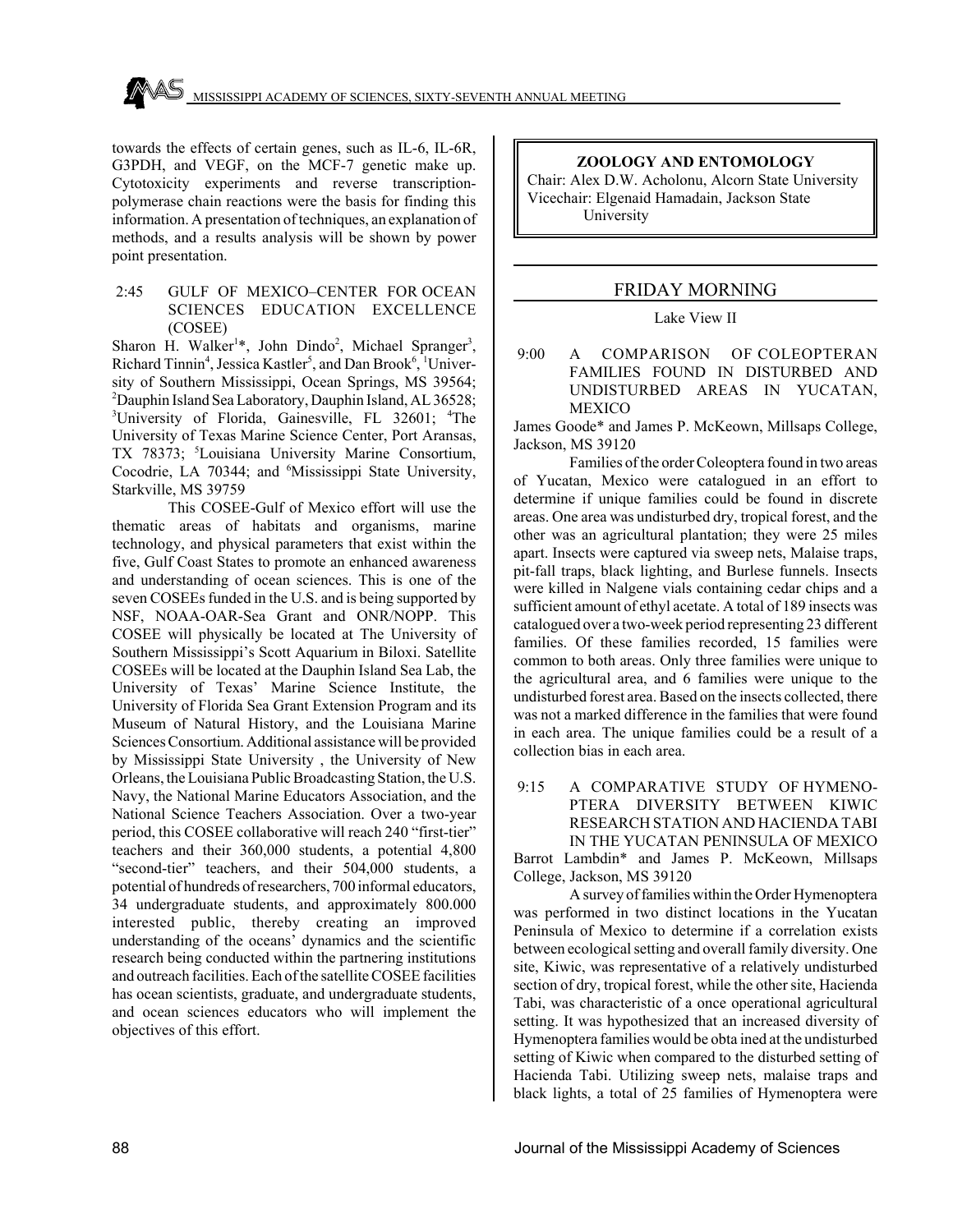towards the effects of certain genes, such as IL-6, IL-6R, G3PDH, and VEGF, on the MCF-7 genetic make up. Cytotoxicity experiments and reverse transcriptionpolymerase chain reactions were the basis for finding this information. A presentation of techniques, an explanation of methods, and a results analysis will be shown by power point presentation.

#### 2:45 GULF OF MEXICO–CENTER FOR OCEAN SCIENCES EDUCATION EXCELLENCE (COSEE)

Sharon H. Walker<sup>1\*</sup>, John Dindo<sup>2</sup>, Michael Spranger<sup>3</sup>, Richard Tinnin<sup>4</sup>, Jessica Kastler<sup>5</sup>, and Dan Brook<sup>6</sup>, <sup>1</sup>University of Southern Mississippi, Ocean Springs, MS 39564; 2 Dauphin Island Sea Laboratory, Dauphin Island, AL 36528; <sup>3</sup>University of Florida, Gainesville, FL 32601; <sup>4</sup>The University of Texas Marine Science Center, Port Aransas, TX 78373; <sup>5</sup>Louisiana University Marine Consortium, Cocodrie, LA 70344; and <sup>6</sup>Mississippi State University, Starkville, MS 39759

This COSEE-Gulf of Mexico effort will use the thematic areas of habitats and organisms, marine technology, and physical parameters that exist within the five, Gulf Coast States to promote an enhanced awareness and understanding of ocean sciences. This is one of the seven COSEEs funded in the U.S. and is being supported by NSF, NOAA-OAR-Sea Grant and ONR/NOPP. This COSEE will physically be located at The University of Southern Mississippi's Scott Aquarium in Biloxi. Satellite COSEEs will be located at the Dauphin Island Sea Lab, the University of Texas' Marine Science Institute, the University of Florida Sea Grant Extension Program and its Museum of Natural History, and the Louisiana Marine Sciences Consortium. Additional assistance will be provided by Mississippi State University , the University of New Orleans, the Louisiana Public Broadcasting Station, the U.S. Navy, the National Marine Educators Association, and the National Science Teachers Association. Over a two-year period, this COSEE collaborative will reach 240 "first-tier" teachers and their 360,000 students, a potential 4,800 "second-tier" teachers, and their 504,000 students, a potential of hundreds of researchers, 700 informal educators, 34 undergraduate students, and approximately 800.000 interested public, thereby creating an improved understanding of the oceans' dynamics and the scientific research being conducted within the partnering institutions and outreach facilities. Each of the satellite COSEE facilities has ocean scientists, graduate, and undergraduate students, and ocean sciences educators who will implement the objectives of this effort.

## **ZOOLOGY AND ENTOMOLOGY**

Chair: Alex D.W. Acholonu, Alcorn State University Vicechair: Elgenaid Hamadain, Jackson State University

# FRIDAY MORNING

# Lake View II

 9:00 A COMPARISON OF COLEOPTERAN FAMILIES FOUND IN DISTURBED AND UNDISTURBED AREAS IN YUCATAN, MEXICO

James Goode\* and James P. McKeown, Millsaps College, Jackson, MS 39120

Families of the order Coleoptera found in two areas of Yucatan, Mexico were catalogued in an effort to determine if unique families could be found in discrete areas. One area was undisturbed dry, tropical forest, and the other was an agricultural plantation; they were 25 miles apart. Insects were captured via sweep nets, Malaise traps, pit-fall traps, black lighting, and Burlese funnels. Insects were killed in Nalgene vials containing cedar chips and a sufficient amount of ethyl acetate. A total of 189 insects was catalogued over a two-week period representing 23 different families. Of these families recorded, 15 families were common to both areas. Only three families were unique to the agricultural area, and 6 families were unique to the undisturbed forest area. Based on the insects collected, there was not a marked difference in the families that were found in each area. The unique families could be a result of a collection bias in each area.

 9:15 A COMPARATIVE STUDY OF HYMENO-PTERA DIVERSITY BETWEEN KIWIC RESEARCH STATION AND HACIENDA TABI IN THE YUCATAN PENINSULA OF MEXICO

Barrot Lambdin\* and James P. McKeown, Millsaps College, Jackson, MS 39120

A survey of families within the Order Hymenoptera was performed in two distinct locations in the Yucatan Peninsula of Mexico to determine if a correlation exists between ecological setting and overall family diversity. One site, Kiwic, was representative of a relatively undisturbed section of dry, tropical forest, while the other site, Hacienda Tabi, was characteristic of a once operational agricultural setting. It was hypothesized that an increased diversity of Hymenoptera families would be obta ined at the undisturbed setting of Kiwic when compared to the disturbed setting of Hacienda Tabi. Utilizing sweep nets, malaise traps and black lights, a total of 25 families of Hymenoptera were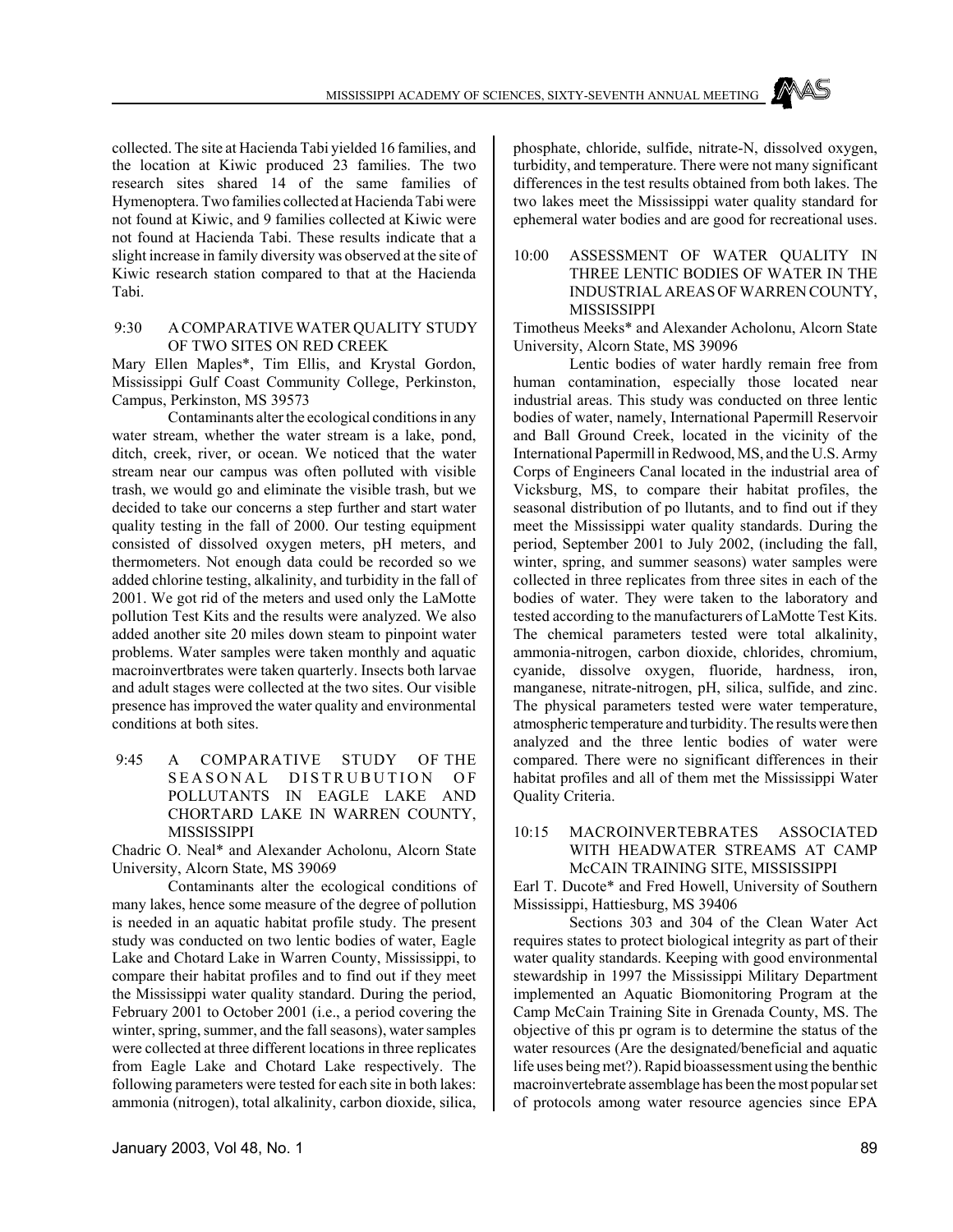collected. The site at Hacienda Tabi yielded 16 families, and the location at Kiwic produced 23 families. The two research sites shared 14 of the same families of Hymenoptera. Two families collected at Hacienda Tabi were not found at Kiwic, and 9 families collected at Kiwic were not found at Hacienda Tabi. These results indicate that a slight increase in family diversity was observed at the site of Kiwic research station compared to that at the Hacienda Tabi.

#### 9:30 A COMPARATIVE WATER QUALITY STUDY OF TWO SITES ON RED CREEK

Mary Ellen Maples\*, Tim Ellis, and Krystal Gordon, Mississippi Gulf Coast Community College, Perkinston, Campus, Perkinston, MS 39573

Contaminants alter the ecological conditions in any water stream, whether the water stream is a lake, pond, ditch, creek, river, or ocean. We noticed that the water stream near our campus was often polluted with visible trash, we would go and eliminate the visible trash, but we decided to take our concerns a step further and start water quality testing in the fall of 2000. Our testing equipment consisted of dissolved oxygen meters, pH meters, and thermometers. Not enough data could be recorded so we added chlorine testing, alkalinity, and turbidity in the fall of 2001. We got rid of the meters and used only the LaMotte pollution Test Kits and the results were analyzed. We also added another site 20 miles down steam to pinpoint water problems. Water samples were taken monthly and aquatic macroinvertbrates were taken quarterly. Insects both larvae and adult stages were collected at the two sites. Our visible presence has improved the water quality and environmental conditions at both sites.

 9:45 A COMPARATIVE STUDY OF THE SEASONAL DISTRUBUTION OF POLLUTANTS IN EAGLE LAKE AND CHORTARD LAKE IN WARREN COUNTY, MISSISSIPPI

Chadric O. Neal\* and Alexander Acholonu, Alcorn State University, Alcorn State, MS 39069

Contaminants alter the ecological conditions of many lakes, hence some measure of the degree of pollution is needed in an aquatic habitat profile study. The present study was conducted on two lentic bodies of water, Eagle Lake and Chotard Lake in Warren County, Mississippi, to compare their habitat profiles and to find out if they meet the Mississippi water quality standard. During the period, February 2001 to October 2001 (i.e., a period covering the winter, spring, summer, and the fall seasons), water samples were collected at three different locations in three replicates from Eagle Lake and Chotard Lake respectively. The following parameters were tested for each site in both lakes: ammonia (nitrogen), total alkalinity, carbon dioxide, silica,

phosphate, chloride, sulfide, nitrate-N, dissolved oxygen, turbidity, and temperature. There were not many significant differences in the test results obtained from both lakes. The two lakes meet the Mississippi water quality standard for ephemeral water bodies and are good for recreational uses.

# 10:00 ASSESSMENT OF WATER QUALITY IN THREE LENTIC BODIES OF WATER IN THE INDUSTRIAL AREAS OF WARREN COUNTY, MISSISSIPPI

Timotheus Meeks\* and Alexander Acholonu, Alcorn State University, Alcorn State, MS 39096

Lentic bodies of water hardly remain free from human contamination, especially those located near industrial areas. This study was conducted on three lentic bodies of water, namely, International Papermill Reservoir and Ball Ground Creek, located in the vicinity of the International Papermill in Redwood, MS, and the U.S. Army Corps of Engineers Canal located in the industrial area of Vicksburg, MS, to compare their habitat profiles, the seasonal distribution of po llutants, and to find out if they meet the Mississippi water quality standards. During the period, September 2001 to July 2002, (including the fall, winter, spring, and summer seasons) water samples were collected in three replicates from three sites in each of the bodies of water. They were taken to the laboratory and tested according to the manufacturers of LaMotte Test Kits. The chemical parameters tested were total alkalinity, ammonia-nitrogen, carbon dioxide, chlorides, chromium, cyanide, dissolve oxygen, fluoride, hardness, iron, manganese, nitrate-nitrogen, pH, silica, sulfide, and zinc. The physical parameters tested were water temperature, atmospheric temperature and turbidity. The results were then analyzed and the three lentic bodies of water were compared. There were no significant differences in their habitat profiles and all of them met the Mississippi Water Quality Criteria.

# 10:15 MACROINVERTEBRATES ASSOCIATED WITH HEADWATER STREAMS AT CAMP McCAIN TRAINING SITE, MISSISSIPPI

Earl T. Ducote\* and Fred Howell, University of Southern Mississippi, Hattiesburg, MS 39406

Sections 303 and 304 of the Clean Water Act requires states to protect biological integrity as part of their water quality standards. Keeping with good environmental stewardship in 1997 the Mississippi Military Department implemented an Aquatic Biomonitoring Program at the Camp McCain Training Site in Grenada County, MS. The objective of this pr ogram is to determine the status of the water resources (Are the designated/beneficial and aquatic life uses being met?). Rapid bioassessment using the benthic macroinvertebrate assemblage has been the most popular set of protocols among water resource agencies since EPA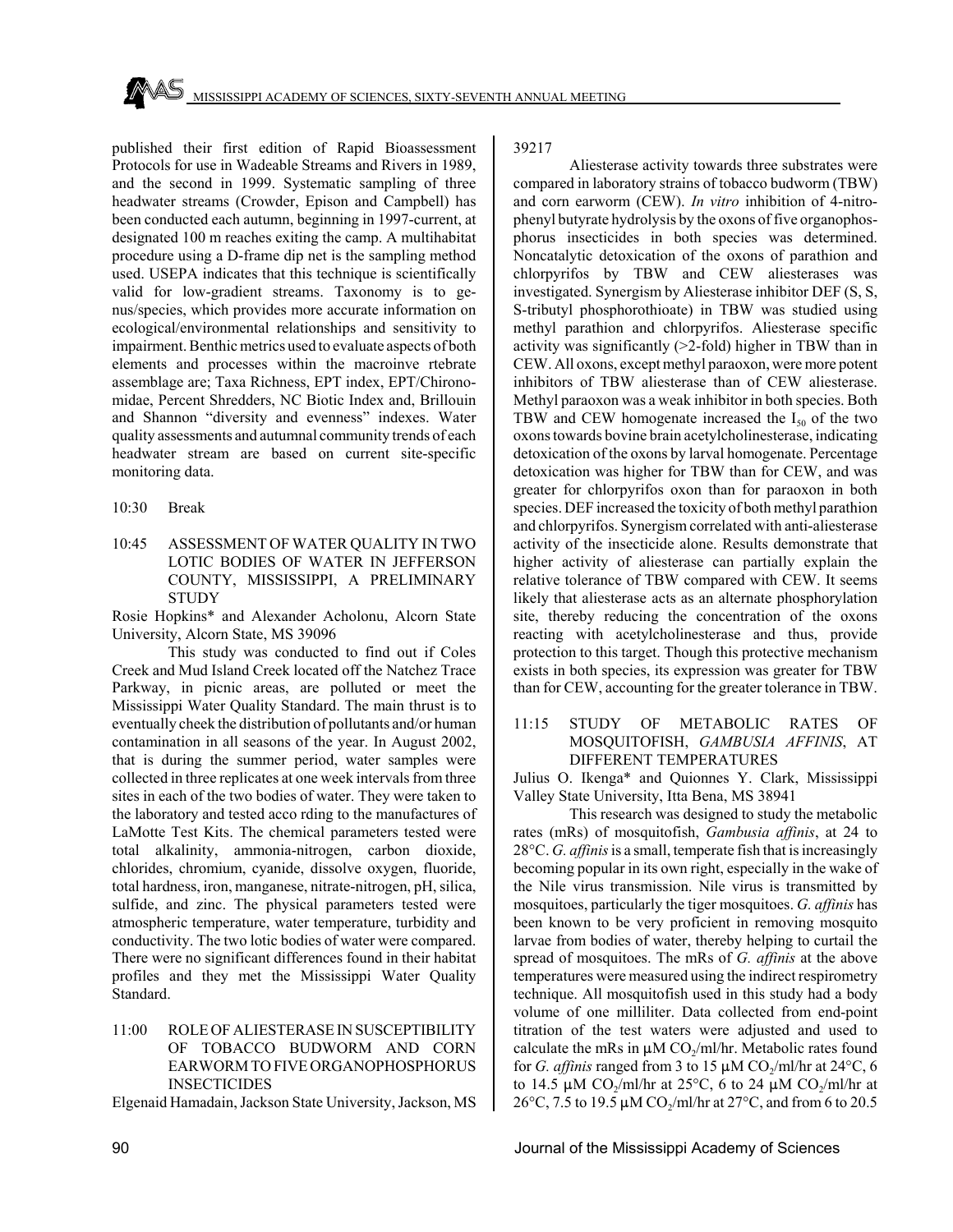published their first edition of Rapid Bioassessment Protocols for use in Wadeable Streams and Rivers in 1989, and the second in 1999. Systematic sampling of three headwater streams (Crowder, Epison and Campbell) has been conducted each autumn, beginning in 1997-current, at designated 100 m reaches exiting the camp. A multihabitat procedure using a D-frame dip net is the sampling method used. USEPA indicates that this technique is scientifically valid for low-gradient streams. Taxonomy is to genus/species, which provides more accurate information on ecological/environmental relationships and sensitivity to impairment. Benthic metrics used to evaluate aspects of both elements and processes within the macroinve rtebrate assemblage are; Taxa Richness, EPT index, EPT/Chironomidae, Percent Shredders, NC Biotic Index and, Brillouin and Shannon "diversity and evenness" indexes. Water quality assessments and autumnal community trends of each headwater stream are based on current site-specific monitoring data.

- 10:30 Break
- 10:45 ASSESSMENT OF WATER QUALITY IN TWO LOTIC BODIES OF WATER IN JEFFERSON COUNTY, MISSISSIPPI, A PRELIMINARY **STUDY**

Rosie Hopkins\* and Alexander Acholonu, Alcorn State University, Alcorn State, MS 39096

This study was conducted to find out if Coles Creek and Mud Island Creek located off the Natchez Trace Parkway, in picnic areas, are polluted or meet the Mississippi Water Quality Standard. The main thrust is to eventually cheek the distribution of pollutants and/or human contamination in all seasons of the year. In August 2002, that is during the summer period, water samples were collected in three replicates at one week intervals from three sites in each of the two bodies of water. They were taken to the laboratory and tested acco rding to the manufactures of LaMotte Test Kits. The chemical parameters tested were total alkalinity, ammonia-nitrogen, carbon dioxide, chlorides, chromium, cyanide, dissolve oxygen, fluoride, total hardness, iron, manganese, nitrate-nitrogen, pH, silica, sulfide, and zinc. The physical parameters tested were atmospheric temperature, water temperature, turbidity and conductivity. The two lotic bodies of water were compared. There were no significant differences found in their habitat profiles and they met the Mississippi Water Quality Standard.

## 11:00 ROLE OF ALIESTERASE IN SUSCEPTIBILITY OF TOBACCO BUDWORM AND CORN EARWORM TO FIVE ORGANOPHOSPHORUS INSECTICIDES

Elgenaid Hamadain, Jackson State University, Jackson, MS

# 39217

Aliesterase activity towards three substrates were compared in laboratory strains of tobacco budworm (TBW) and corn earworm (CEW). *In vitro* inhibition of 4-nitrophenyl butyrate hydrolysis by the oxons of five organophosphorus insecticides in both species was determined. Noncatalytic detoxication of the oxons of parathion and chlorpyrifos by TBW and CEW aliesterases was investigated. Synergism by Aliesterase inhibitor DEF (S, S, S-tributyl phosphorothioate) in TBW was studied using methyl parathion and chlorpyrifos. Aliesterase specific activity was significantly (>2-fold) higher in TBW than in CEW. All oxons, except methyl paraoxon, were more potent inhibitors of TBW aliesterase than of CEW aliesterase. Methyl paraoxon was a weak inhibitor in both species. Both TBW and CEW homogenate increased the  $I_{50}$  of the two oxons towards bovine brain acetylcholinesterase, indicating detoxication of the oxons by larval homogenate. Percentage detoxication was higher for TBW than for CEW, and was greater for chlorpyrifos oxon than for paraoxon in both species. DEF increased the toxicity of both methyl parathion and chlorpyrifos. Synergism correlated with anti-aliesterase activity of the insecticide alone. Results demonstrate that higher activity of aliesterase can partially explain the relative tolerance of TBW compared with CEW. It seems likely that aliesterase acts as an alternate phosphorylation site, thereby reducing the concentration of the oxons reacting with acetylcholinesterase and thus, provide protection to this target. Though this protective mechanism exists in both species, its expression was greater for TBW than for CEW, accounting for the greater tolerance in TBW.

11:15 STUDY OF METABOLIC RATES OF MOSQUITOFISH, *GAMBUSIA AFFINIS*, AT DIFFERENT TEMPERATURES

Julius O. Ikenga\* and Quionnes Y. Clark, Mississippi Valley State University, Itta Bena, MS 38941

This research was designed to study the metabolic rates (mRs) of mosquitofish, *Gambusia affinis*, at 24 to 28°C. *G. affinis* is a small, temperate fish that is increasingly becoming popular in its own right, especially in the wake of the Nile virus transmission. Nile virus is transmitted by mosquitoes, particularly the tiger mosquitoes. *G. affinis* has been known to be very proficient in removing mosquito larvae from bodies of water, thereby helping to curtail the spread of mosquitoes. The mRs of *G. affinis* at the above temperatures were measured using the indirect respirometry technique. All mosquitofish used in this study had a body volume of one milliliter. Data collected from end-point titration of the test waters were adjusted and used to calculate the mRs in  $\mu$ M CO<sub>2</sub>/ml/hr. Metabolic rates found for *G. affinis* ranged from 3 to 15  $\mu$ M CO<sub>2</sub>/ml/hr at 24°C, 6 to 14.5  $\mu$ M CO<sub>2</sub>/ml/hr at 25°C, 6 to 24  $\mu$ M CO<sub>2</sub>/ml/hr at 26°C, 7.5 to 19.5  $\mu$ M CO<sub>2</sub>/ml/hr at 27°C, and from 6 to 20.5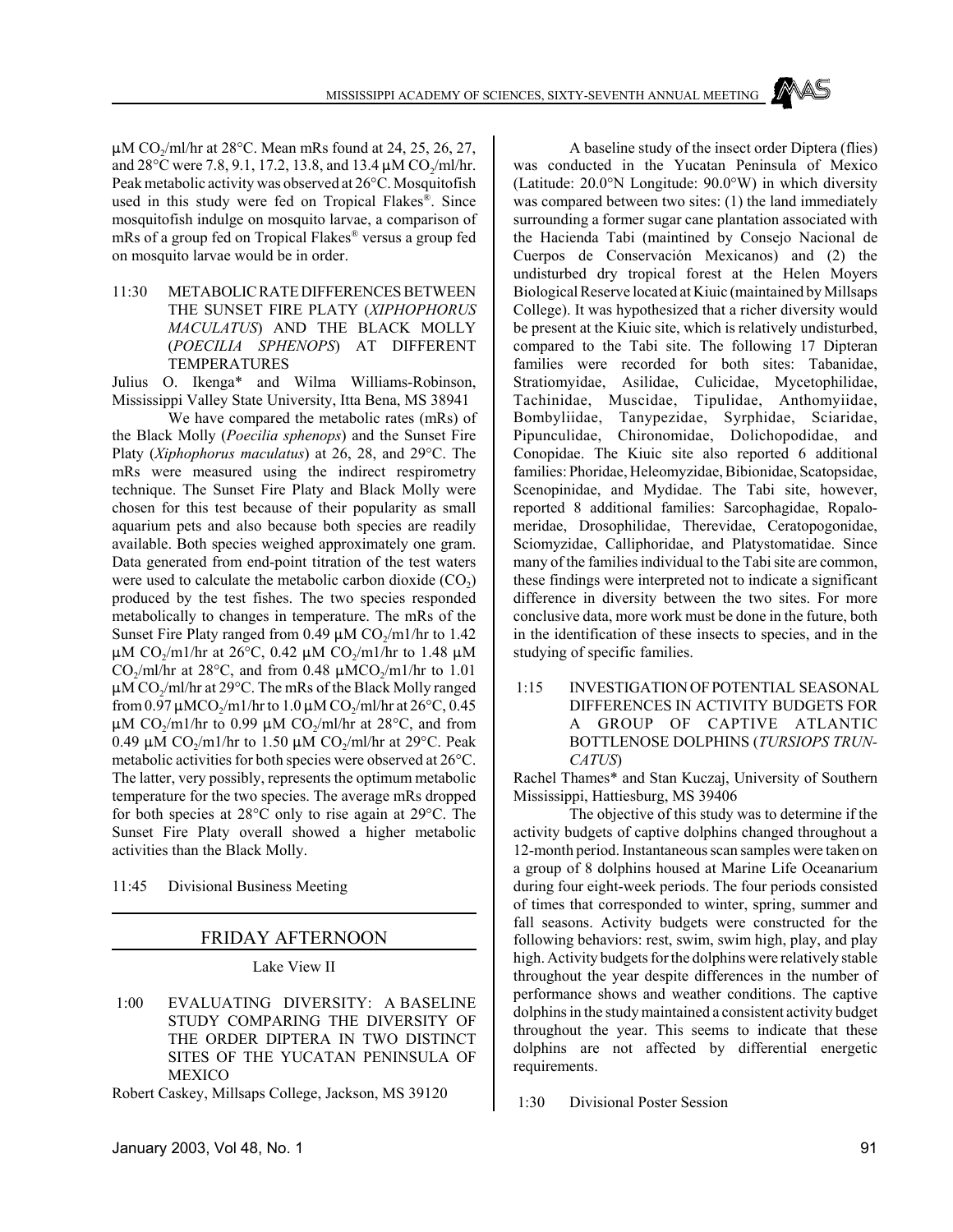$\mu$ M CO<sub>2</sub>/ml/hr at 28°C. Mean mRs found at 24, 25, 26, 27, and  $28^{\circ}$ C were 7.8, 9.1, 17.2, 13.8, and 13.4  $\mu$ M CO<sub>2</sub>/ml/hr. Peak metabolic activity was observed at 26°C. Mosquitofish used in this study were fed on Tropical Flakes®. Since mosquitofish indulge on mosquito larvae, a comparison of mRs of a group fed on Tropical Flakes® versus a group fed on mosquito larvae would be in order.

11:30 METABOLIC RATE DIFFERENCES BETWEEN THE SUNSET FIRE PLATY (*XIPHOPHORUS MACULATUS*) AND THE BLACK MOLLY (*POECILIA SPHENOPS*) AT DIFFERENT TEMPERATURES

Julius O. Ikenga\* and Wilma Williams-Robinson, Mississippi Valley State University, Itta Bena, MS 38941

We have compared the metabolic rates (mRs) of the Black Molly (*Poecilia sphenops*) and the Sunset Fire Platy (*Xiphophorus maculatus*) at 26, 28, and 29°C. The mRs were measured using the indirect respirometry technique. The Sunset Fire Platy and Black Molly were chosen for this test because of their popularity as small aquarium pets and also because both species are readily available. Both species weighed approximately one gram. Data generated from end-point titration of the test waters were used to calculate the metabolic carbon dioxide  $(CO<sub>2</sub>)$ produced by the test fishes. The two species responded metabolically to changes in temperature. The mRs of the Sunset Fire Platy ranged from 0.49  $\mu$ M CO<sub>2</sub>/m1/hr to 1.42  $\mu$ M CO<sub>2</sub>/m1/hr at 26°C, 0.42  $\mu$ M CO<sub>2</sub>/m1/hr to 1.48  $\mu$ M CO<sub>2</sub>/ml/hr at 28 $\degree$ C, and from 0.48  $\mu$ MCO<sub>2</sub>/m1/hr to 1.01  $\mu$ M CO<sub>2</sub>/ml/hr at 29°C. The mRs of the Black Molly ranged from 0.97  $\mu$ MCO<sub>2</sub>/m1/hr to 1.0  $\mu$ MCO<sub>2</sub>/ml/hr at 26°C, 0.45  $\mu$ M CO<sub>2</sub>/m1/hr to 0.99  $\mu$ M CO<sub>2</sub>/ml/hr at 28°C, and from 0.49  $\mu$ M CO<sub>2</sub>/m1/hr to 1.50  $\mu$ M CO<sub>2</sub>/ml/hr at 29°C. Peak metabolic activities for both species were observed at 26°C. The latter, very possibly, represents the optimum metabolic temperature for the two species. The average mRs dropped for both species at 28°C only to rise again at 29°C. The Sunset Fire Platy overall showed a higher metabolic activities than the Black Molly.

11:45 Divisional Business Meeting

# FRIDAY AFTERNOON

Lake View II

 1:00 EVALUATING DIVERSITY: A BASELINE STUDY COMPARING THE DIVERSITY OF THE ORDER DIPTERA IN TWO DISTINCT SITES OF THE YUCATAN PENINSULA OF MEXICO

Robert Caskey, Millsaps College, Jackson, MS 39120

A baseline study of the insect order Diptera (flies) was conducted in the Yucatan Peninsula of Mexico (Latitude: 20.0°N Longitude: 90.0°W) in which diversity was compared between two sites: (1) the land immediately surrounding a former sugar cane plantation associated with the Hacienda Tabi (maintined by Consejo Nacional de Cuerpos de Conservación Mexicanos) and (2) the undisturbed dry tropical forest at the Helen Moyers Biological Reserve located at Kiuic (maintained by Millsaps College). It was hypothesized that a richer diversity would be present at the Kiuic site, which is relatively undisturbed, compared to the Tabi site. The following 17 Dipteran families were recorded for both sites: Tabanidae, Stratiomyidae, Asilidae, Culicidae, Mycetophilidae, Tachinidae, Muscidae, Tipulidae, Anthomyiidae, Bombyliidae, Tanypezidae, Syrphidae, Sciaridae, Pipunculidae, Chironomidae, Dolichopodidae, and Conopidae. The Kiuic site also reported 6 additional families: Phoridae, Heleomyzidae, Bibionidae, Scatopsidae, Scenopinidae, and Mydidae. The Tabi site, however, reported 8 additional families: Sarcophagidae, Ropalomeridae, Drosophilidae, Therevidae, Ceratopogonidae, Sciomyzidae, Calliphoridae, and Platystomatidae. Since many of the families individual to the Tabi site are common, these findings were interpreted not to indicate a significant difference in diversity between the two sites. For more conclusive data, more work must be done in the future, both in the identification of these insects to species, and in the studying of specific families.

 1:15 INVESTIGATION OF POTENTIAL SEASONAL DIFFERENCES IN ACTIVITY BUDGETS FOR A GROUP OF CAPTIVE ATLANTIC BOTTLENOSE DOLPHINS (*TURSIOPS TRUN-CATUS*)

Rachel Thames\* and Stan Kuczaj, University of Southern Mississippi, Hattiesburg, MS 39406

The objective of this study was to determine if the activity budgets of captive dolphins changed throughout a 12-month period. Instantaneous scan samples were taken on a group of 8 dolphins housed at Marine Life Oceanarium during four eight-week periods. The four periods consisted of times that corresponded to winter, spring, summer and fall seasons. Activity budgets were constructed for the following behaviors: rest, swim, swim high, play, and play high. Activity budgets for the dolphins were relatively stable throughout the year despite differences in the number of performance shows and weather conditions. The captive dolphins in the study maintained a consistent activity budget throughout the year. This seems to indicate that these dolphins are not affected by differential energetic requirements.

1:30 Divisional Poster Session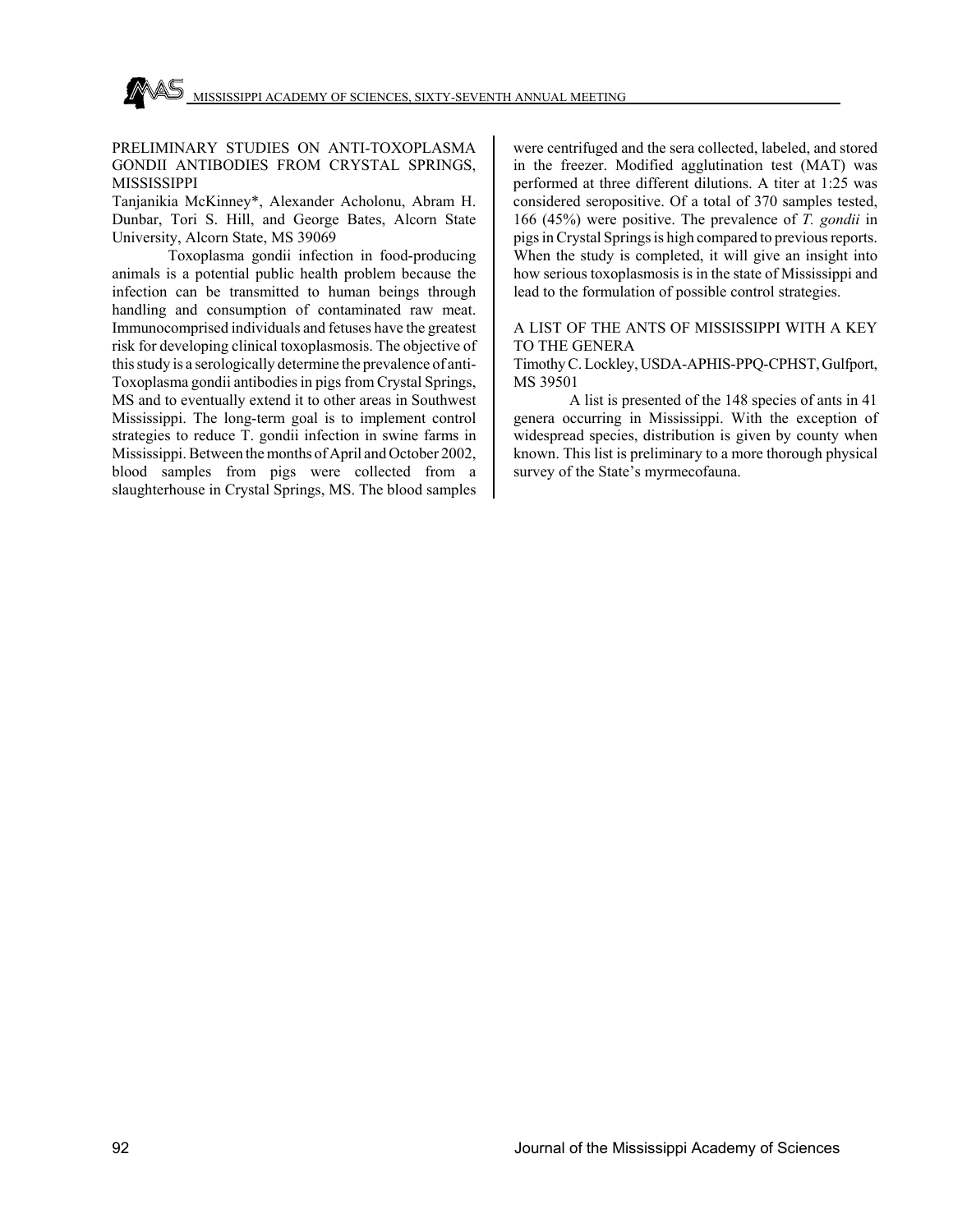## PRELIMINARY STUDIES ON ANTI-TOXOPLASMA GONDII ANTIBODIES FROM CRYSTAL SPRINGS, MISSISSIPPI

Tanjanikia McKinney\*, Alexander Acholonu, Abram H. Dunbar, Tori S. Hill, and George Bates, Alcorn State University, Alcorn State, MS 39069

Toxoplasma gondii infection in food-producing animals is a potential public health problem because the infection can be transmitted to human beings through handling and consumption of contaminated raw meat. Immunocomprised individuals and fetuses have the greatest risk for developing clinical toxoplasmosis. The objective of this study is a serologically determine the prevalence of anti-Toxoplasma gondii antibodies in pigs from Crystal Springs, MS and to eventually extend it to other areas in Southwest Mississippi. The long-term goal is to implement control strategies to reduce T. gondii infection in swine farms in Mississippi. Between the months of April and October 2002, blood samples from pigs were collected from a slaughterhouse in Crystal Springs, MS. The blood samples

were centrifuged and the sera collected, labeled, and stored in the freezer. Modified agglutination test (MAT) was performed at three different dilutions. A titer at 1:25 was considered seropositive. Of a total of 370 samples tested, 166 (45%) were positive. The prevalence of *T. gondii* in pigs in Crystal Springs is high compared to previous reports. When the study is completed, it will give an insight into how serious toxoplasmosis is in the state of Mississippi and lead to the formulation of possible control strategies.

# A LIST OF THE ANTS OF MISSISSIPPI WITH A KEY TO THE GENERA

Timothy C. Lockley, USDA-APHIS-PPQ-CPHST, Gulfport, MS 39501

A list is presented of the 148 species of ants in 41 genera occurring in Mississippi. With the exception of widespread species, distribution is given by county when known. This list is preliminary to a more thorough physical survey of the State's myrmecofauna.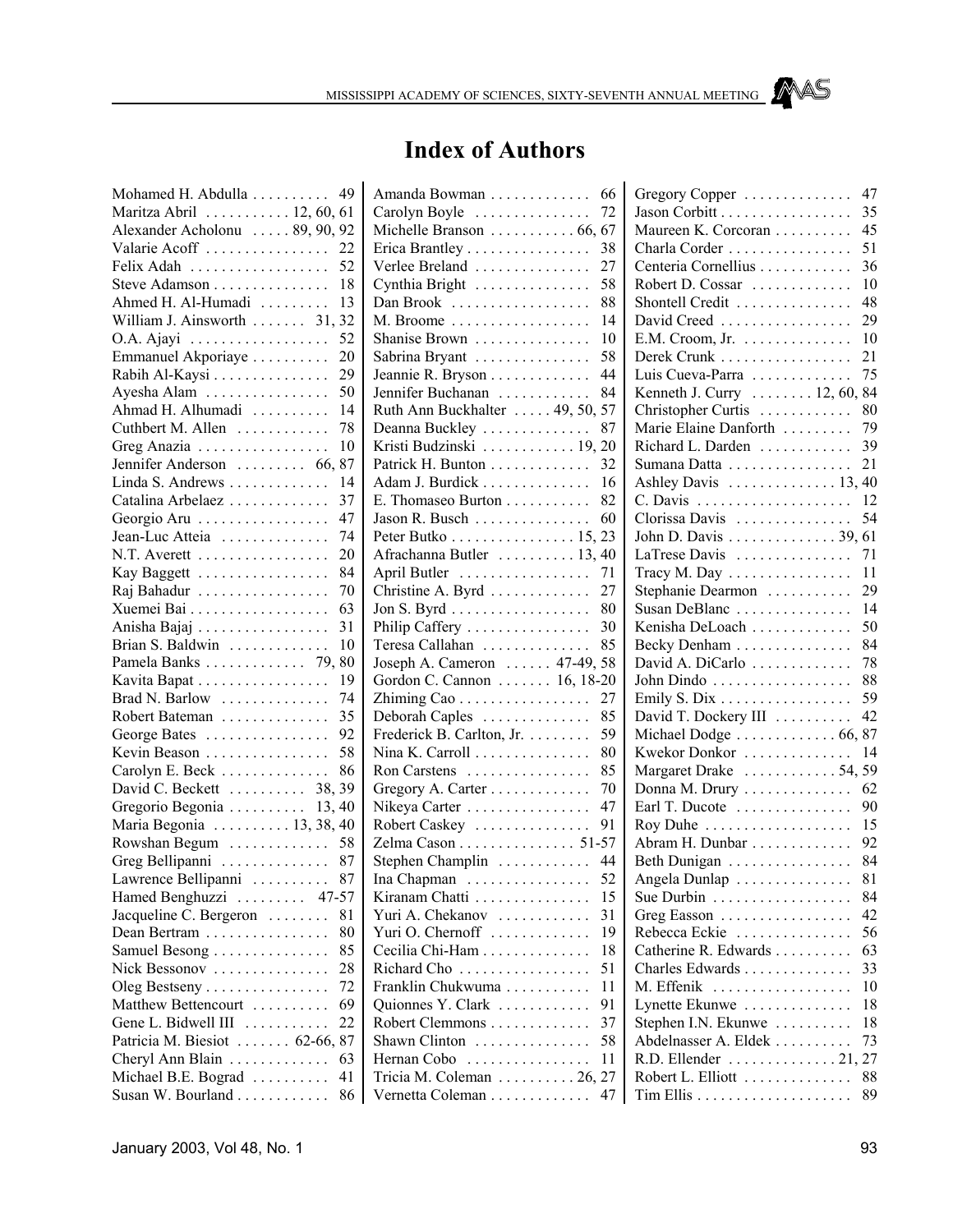# **Index of Authors**

| Mohamed H. Abdulla             | 49                    |
|--------------------------------|-----------------------|
| Maritza Abril 12, 60, 61       |                       |
| Alexander Acholonu  89, 90, 92 |                       |
| Valarie Acoff                  | 22                    |
| Felix Adah                     | 52                    |
| Steve Adamson                  | 18                    |
| Ahmed H. Al-Humadi             | 13                    |
| William J. Ainsworth  31, 32   |                       |
| O.A. Ajayi                     | 52                    |
|                                |                       |
| Emmanuel Akporiaye             | 20                    |
| Rabih Al-Kaysi                 | 29                    |
| Ayesha Alam                    | 50                    |
| Ahmad H. Alhumadi              | 14                    |
| Cuthbert M. Allen              | 78                    |
| Greg Anazia                    | 10                    |
| Jennifer Anderson  66,         | 87                    |
| Linda S. Andrews               | 14                    |
| Catalina Arbelaez              | 37                    |
| Georgio Aru                    | 47                    |
| Jean-Luc Atteia                | 74                    |
| N.T. Averett                   | 20                    |
| Kay Baggett                    | 84                    |
| Raj Bahadur                    | 70                    |
| Xuemei Bai                     | 63                    |
| Anisha Bajaj                   | 31                    |
| Brian S. Baldwin               | 10                    |
| Pamela Banks 79, 80            |                       |
| Kavita Bapat                   | 19                    |
| Brad N. Barlow                 | 74                    |
|                                | 35                    |
| Robert Bateman                 |                       |
| George Bates                   | 92                    |
| Kevin Beason                   | 58                    |
| Carolyn E. Beck                | 86                    |
| David C. Beckett  38, 39       |                       |
| Gregorio Begonia  13,40        |                       |
| Maria Begonia  13, 38, 40      |                       |
| Rowshan Begum  58              |                       |
| Greg Bellipanni  87            |                       |
| Lawrence Bellipanni            | 87                    |
| Hamed Benghuzzi                | $\ldots \ldots 47-57$ |
| Jacqueline C. Bergeron         | 81                    |
| Dean Bertram.<br>.             | 80                    |
| Samuel Besong                  | 85                    |
| Nick Bessonov<br>.             | 28                    |
| Oleg Bestseny                  | 72                    |
| Matthew Bettencourt            | 69                    |
| Gene L. Bidwell III            | 22<br>.               |
| Patricia M. Biesiot  62-66,    | 87                    |
| Cheryl Ann Blain               | 63                    |
| Michael B.E. Bograd            | 41                    |
| Susan W. Bourland              | 86                    |
|                                |                       |

| Amanda Bowman                                               | 66 |
|-------------------------------------------------------------|----|
| Carolyn Boyle                                               | 72 |
| Michelle Branson  66, 67                                    |    |
| Erica Brantley                                              | 38 |
| Verlee Breland                                              | 27 |
| Cynthia Bright                                              | 58 |
| Dan Brook                                                   | 88 |
| M. Broome                                                   | 14 |
| Shanise Brown                                               | 10 |
| Sabrina Bryant                                              | 58 |
| Jeannie R. Bryson                                           | 44 |
| Jennifer Buchanan                                           | 84 |
| Ruth Ann Buckhalter  49, 50, 57                             |    |
| Deanna Buckley                                              | 87 |
| Kristi Budzinski  19, 20                                    |    |
| Patrick H. Bunton                                           | 32 |
| Adam J. Burdick                                             | 16 |
| E. Thomaseo Burton                                          | 82 |
| Jason R. Busch $\dots$                                      | 60 |
| Peter Butko 15, 23                                          |    |
| Afrachanna Butler  13, 40                                   |    |
| April Butler                                                | 71 |
| Christine A. Byrd                                           | 27 |
| Jon S. Byrd $\dots \dots \dots \dots \dots$                 | 80 |
|                                                             | 30 |
| Philip Caffery                                              | 85 |
| Teresa Callahan                                             |    |
| Joseph A. Cameron  47-49, 58<br>Gordon C. Cannon  16, 18-20 |    |
|                                                             |    |
| Zhiming Cao                                                 | 27 |
| Deborah Caples                                              | 85 |
| Frederick B. Carlton, Jr.                                   | 59 |
| Nina K. Carroll                                             | 80 |
| Ron Carstens                                                | 85 |
| Gregory A. Carter                                           | 70 |
| Nikeya Carter                                               | 47 |
| Robert Caskey                                               | 91 |
| Zelma Cason 51-57                                           |    |
| Stephen Champlin                                            | 44 |
| Ina Chapman                                                 | 52 |
| Kiranam Chatti                                              | 15 |
| Yuri A. Chekanov                                            | 31 |
| Yuri O. Chernoff                                            | 19 |
| Cecilia Chi-Ham                                             | 18 |
| Richard Cho                                                 | 51 |
| Franklin Chukwuma                                           | 11 |
| Quionnes Y. Clark                                           | 91 |
| Robert Clemmons                                             | 37 |
| Shawn Clinton<br>.                                          | 58 |
| Hernan Cobo<br>.                                            | 11 |
| Tricia M. Coleman $\ldots \ldots \ldots 26, 27$             |    |
|                                                             |    |
| Vernetta Coleman                                            | 47 |

| Gregory Copper                                    | 47 |
|---------------------------------------------------|----|
| Jason Corbitt                                     | 35 |
| Maureen K. Corcoran                               | 45 |
| Charla Corder                                     | 51 |
| Centeria Cornellius                               | 36 |
| Robert D. Cossar                                  | 10 |
| Shontell Credit                                   | 48 |
| David Creed                                       | 29 |
| E.M. Croom, Jr. $\dots \dots \dots$               | 10 |
| Derek Crunk                                       | 21 |
| Luis Cueva-Parra                                  | 75 |
| Kenneth J. Curry  12, 60,                         | 84 |
| Christopher Curtis                                | 80 |
| Marie Elaine Danforth                             | 79 |
| Richard L. Darden                                 | 39 |
|                                                   | 21 |
| Sumana Datta                                      |    |
| Ashley Davis $\dots \dots \dots \dots \dots 13$ , | 40 |
| C. Davis                                          | 12 |
| Clorissa Davis                                    | 54 |
| John D. Davis 39,                                 | 61 |
| LaTrese Davis                                     | 71 |
| Tracy M. Day                                      | 11 |
| Stephanie Dearmon                                 | 29 |
| Susan DeBlanc                                     | 14 |
| Kenisha DeLoach                                   | 50 |
| Becky Denham                                      | 84 |
| David A. DiCarlo                                  | 78 |
| John Dindo                                        | 88 |
| Emily S. Dix                                      | 59 |
| David T. Dockery III                              | 42 |
| Michael Dodge  66,                                | 87 |
| Kwekor Donkor                                     | 14 |
| Margaret Drake  54,                               | 59 |
| Donna M. Drury                                    | 62 |
| Earl T. Ducote                                    | 90 |
| Roy Duhe                                          | 15 |
| Abram H. Dunbar                                   | 92 |
| Beth Dunigan                                      | 84 |
| Angela Dunlap                                     | 81 |
| Sue Durbin                                        | 84 |
| Greg Easson                                       | 42 |
| Rebecca Eckie<br>.                                | 56 |
| Catherine R. Edwards                              | 63 |
| Charles Edwards                                   | 33 |
| M. Effenik                                        | 10 |
| .<br>Lynette Ekunwe                               | 18 |
|                                                   |    |
| Stephen I.N. Ekunwe                               | 18 |
| Abdelnasser A. Eldek                              | 73 |
| R.D. Ellender 21,                                 | 27 |
| Robert L. Elliott                                 | 88 |
|                                                   | 89 |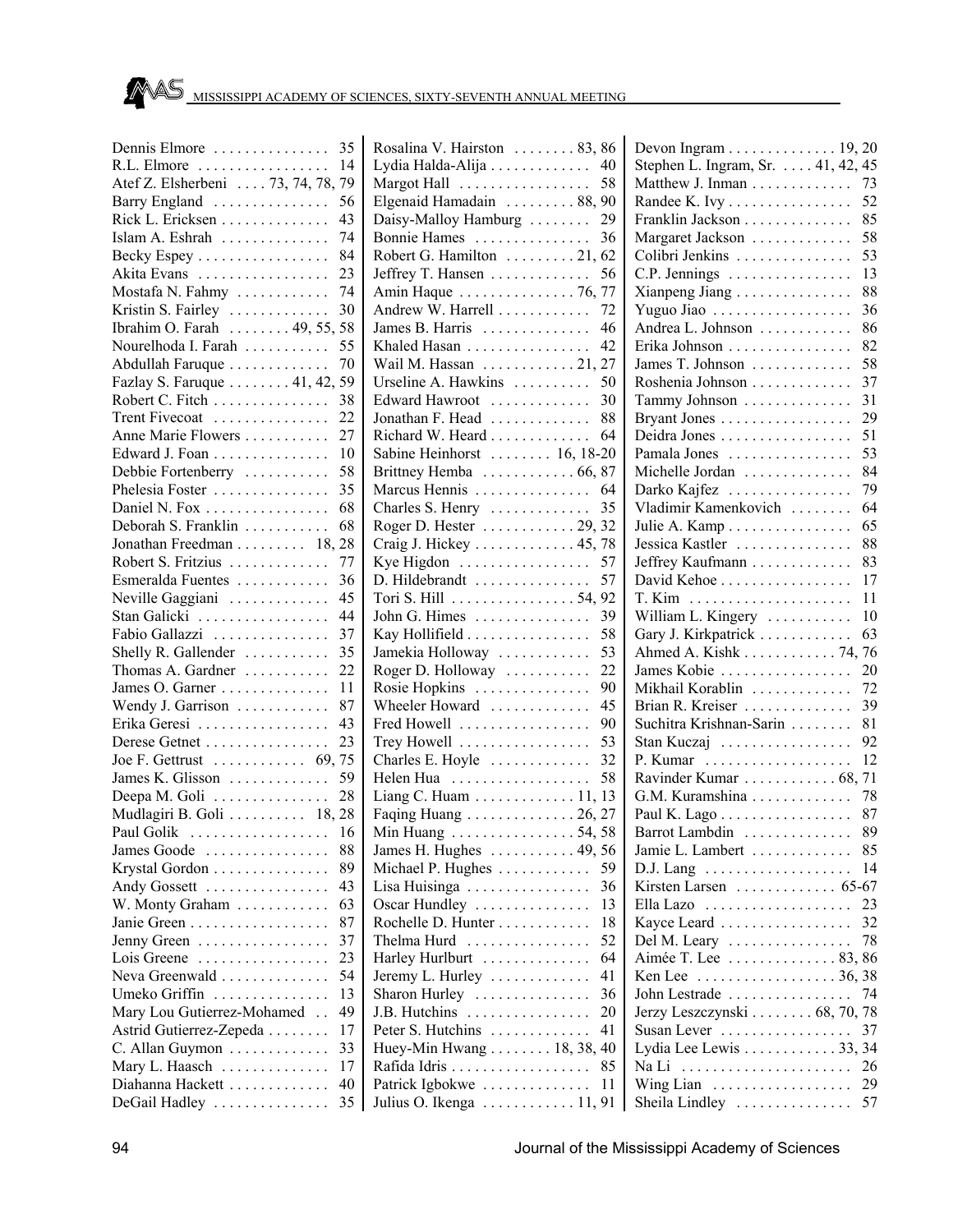| Dennis Elmore                   | 35<br>F                        |
|---------------------------------|--------------------------------|
| R.L. Elmore                     | 14<br>I                        |
| Atef Z. Elsherbeni  73, 74, 78, | 79<br>ľ                        |
| Barry England                   | 56<br>F                        |
| Rick L. Ericksen                | 43<br>Ī                        |
| Islam A. Eshrah                 | 74<br>F                        |
| Becky Espey                     | 84<br>F                        |
| Akita Evans                     | 23<br>J                        |
| Mostafa N. Fahmy                | 74<br>$\overline{1}$           |
| Kristin S. Fairley              | 30<br>$\overline{1}$           |
| Ibrahim O. Farah 49, 55, 58     | J                              |
| Nourelhoda I. Farah             | 55<br>F                        |
| Abdullah Faruque                | ٦<br>70                        |
| Fazlay S. Faruque 41, 42,<br>59 | ι                              |
| Robert C. Fitch                 | F<br>38                        |
| Trent Fivecoat                  | J<br>22                        |
| Anne Marie Flowers              | F<br>27                        |
| Edward J. Foan                  | Š<br>10                        |
| Debbie Fortenberry              | 58<br>F                        |
| Phelesia Foster                 | 35<br>ľ                        |
| Daniel N. Fox                   | 68<br>$\overline{\mathbf{C}}$  |
| Deborah S. Franklin             | 68<br>F                        |
| Jonathan Freedman 18, 28        | Ó                              |
| Robert S. Fritzius              | 77<br>F                        |
|                                 | Ī                              |
| Esmeralda Fuentes               | 36<br>ľ                        |
| Neville Gaggiani                | 45                             |
| Stan Galicki                    | J<br>44                        |
| Fabio Gallazzi                  | 37<br>ŀ                        |
| Shelly R. Gallender             | 35<br>J                        |
| Thomas A. Gardner               | F<br>22                        |
| James O. Garner<br>11           | F                              |
| Wendy J. Garrison               | 87<br>٦                        |
| Erika Geresi                    | 43<br>F                        |
| Derese Getnet                   | 23<br>Ί                        |
| Joe F. Gettrust  69, 75         | $\overline{\mathbf{C}}$        |
| James K. Glisson                | 59<br>I                        |
|                                 | I                              |
|                                 | I                              |
| Paul Golik<br>.                 | 16<br>ľ                        |
| James Goode                     | 88<br>J                        |
| Krystal Gordon                  | 89<br>ľ                        |
| Andy Gossett                    | 43<br>I                        |
| W. Monty Graham                 | 63<br>$\overline{\mathcal{L}}$ |
| Janie Green                     | 87<br>F                        |
| Jenny Green                     | Ί<br>37                        |
| Lois Greene<br>.                | 23<br>I                        |
| Neva Greenwald                  | 54<br>J                        |
| Umeko Griffin                   | 13<br>S                        |
| Mary Lou Gutierrez-Mohamed      | 49<br>J                        |
| Astrid Gutierrez-Zepeda         | 17<br>I                        |
| C. Allan Guymon                 | 33<br>I                        |
| Mary L. Haasch                  | 17<br>F                        |
| Diahanna Hackett                | 40<br>I                        |
| DeGail Hadley                   | J<br>35                        |
|                                 |                                |

| Rosalina V. Hairston  83, 86                 |    |
|----------------------------------------------|----|
| Lydia Halda-Alija 40                         |    |
| Margot Hall  58                              |    |
| Elgenaid Hamadain  88, 90                    |    |
| Daisy-Malloy Hamburg                         | 29 |
| Bonnie Hames                                 | 36 |
| Robert G. Hamilton 21, 62                    |    |
| Jeffrey T. Hansen                            | 56 |
| Amin Haque  76, 77                           |    |
| Andrew W. Harrell                            | 72 |
| James B. Harris                              | 46 |
| Khaled Hasan                                 | 42 |
| Wail M. Hassan  21, 27                       |    |
| Urseline A. Hawkins                          | 50 |
| Edward Hawroot                               | 30 |
| Jonathan F. Head  88                         |    |
| Richard W. Heard                             | 64 |
| Sabine Heinhorst  16, 18-20                  |    |
| Brittney Hemba  66, 87                       |    |
| Marcus Hennis                                | 64 |
| Charles S. Henry                             | 35 |
| Roger D. Hester $\ldots$ 29, 32              |    |
| Craig J. Hickey 45, 78                       |    |
| Kye Higdon                                   | 57 |
| D. Hildebrandt                               | 57 |
| Tori S. Hill 54, 92                          |    |
| John G. Himes                                | 39 |
| Kay Hollifield                               | 58 |
| Jamekia Holloway                             | 53 |
| Roger D. Holloway                            | 22 |
| Rosie Hopkins                                | 90 |
| Wheeler Howard                               | 45 |
| Fred Howell                                  | 90 |
| Trey Howell                                  | 53 |
| Charles E. Hoyle                             | 32 |
| Helen Hua                                    | 58 |
| Liang C. Huam 11, 13                         |    |
| Faqing Huang  26, 27                         |    |
|                                              |    |
| Min Huang  54, 58<br>James H. Hughes  49, 56 |    |
| Michael P. Hughes                            | 59 |
|                                              | 36 |
| Lisa Huisinga $\ldots \ldots \ldots \ldots$  |    |
| Oscar Hundley                                | 13 |
| Rochelle D. Hunter                           | 18 |
| Thelma Hurd<br>.<br>$\ddot{\phantom{a}}$     | 52 |
| Harley Hurlburt                              | 64 |
| Jeremy L. Hurley                             | 41 |
| Sharon Hurley                                | 36 |
| J.B. Hutchins<br>.                           | 20 |
| Peter S. Hutchins                            | 41 |
| Huey-Min Hwang 18, 38,                       | 40 |
| Rafida Idris                                 | 85 |
| Patrick Igbokwe                              | 11 |
| Julius O. Ikenga 11, 91                      |    |

| Devon Ingram 19, 20                                     |    |
|---------------------------------------------------------|----|
| Stephen L. Ingram, Sr. 41, 42, 45                       |    |
| Matthew J. Inman                                        | 73 |
| Randee K. Ivy                                           | 52 |
| Franklin Jackson                                        | 85 |
| Margaret Jackson                                        | 58 |
| Colibri Jenkins                                         | 53 |
| $C.P.$ Jennings $\ldots \ldots \ldots \ldots$           | 13 |
| Xianpeng Jiang                                          | 88 |
| Yuguo Jiao                                              | 36 |
| Andrea L. Johnson                                       | 86 |
| Erika Johnson                                           | 82 |
| James T. Johnson $\dots \dots \dots$                    | 58 |
|                                                         |    |
| Roshenia Johnson                                        | 37 |
| Tammy Johnson                                           | 31 |
| Bryant Jones                                            | 29 |
| Deidra Jones                                            | 51 |
| Pamala Jones                                            | 53 |
| Michelle Jordan                                         | 84 |
| Darko Kajfez                                            | 79 |
| Vladimir Kamenkovich                                    | 64 |
| Julie A. Kamp                                           | 65 |
| Jessica Kastler                                         | 88 |
| Jeffrey Kaufmann                                        | 83 |
| David Kehoe                                             | 17 |
|                                                         | 11 |
| William L. Kingery                                      | 10 |
| Gary J. Kirkpatrick                                     | 63 |
|                                                         | 76 |
| Ahmed A. Kishk 74,                                      | 20 |
| James Kobie                                             |    |
| Mikhail Korablin                                        | 72 |
| Brian R. Kreiser                                        | 39 |
| Suchitra Krishnan-Sarin                                 | 81 |
| Stan Kuczaj                                             | 92 |
|                                                         | 12 |
| Ravinder Kumar  68,                                     | 71 |
| G.M. Kuramshina                                         | 78 |
| Paul K. Lago                                            | 87 |
| Barrot Lambdin  89                                      |    |
| Jamie L. Lambert                                        | 85 |
| $D.J.$ Lang $\ldots \ldots \ldots \ldots \ldots \ldots$ | 14 |
| Kirsten Larsen  65-67                                   |    |
|                                                         | 23 |
| Kayce Leard                                             | 32 |
|                                                         | 78 |
| Del M. Leary                                            |    |
| Aimée T. Lee  83, 86                                    |    |
| Ken Lee<br>. 36, 38                                     |    |
| John Lestrade                                           | 74 |
| Jerzy Leszczynski 68, 70, 78                            |    |
| Susan Lever                                             | 37 |
| Lydia Lee Lewis 33, 34                                  |    |
| Na Li                                                   | 26 |
| Wing Lian                                               | 29 |
| Sheila Lindley                                          | 57 |
|                                                         |    |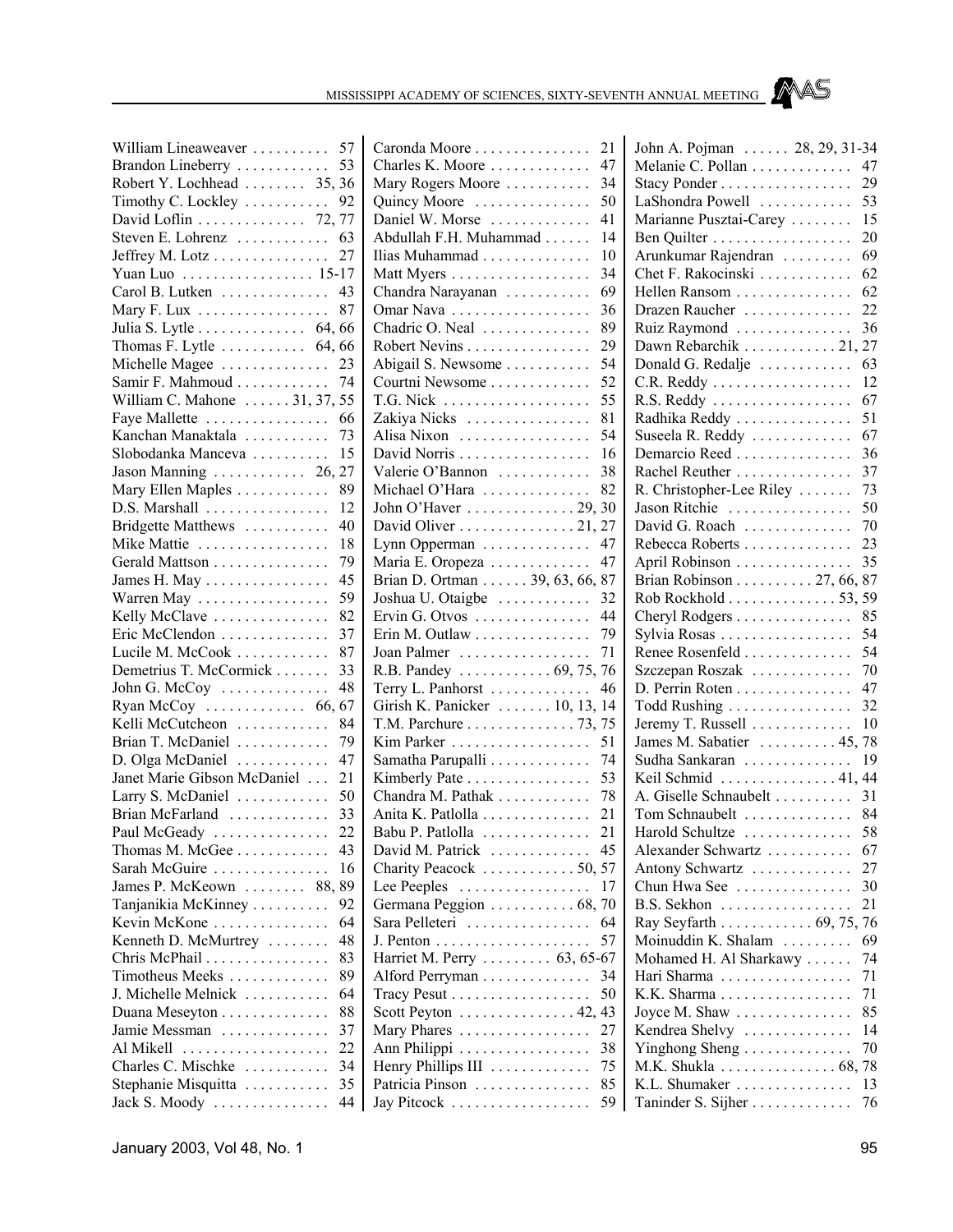

| William Lineaweaver  57                                          |                 |  |
|------------------------------------------------------------------|-----------------|--|
|                                                                  |                 |  |
| Robert Y. Lochhead  35, 36                                       |                 |  |
| Timothy C. Lockley  92                                           |                 |  |
| David Loflin 72, 77                                              |                 |  |
| Steven E. Lohrenz  63                                            |                 |  |
| Jeffrey M. Lotz 27                                               |                 |  |
| Yuan Luo 15-17                                                   |                 |  |
| Carol B. Lutken 43                                               |                 |  |
| Mary F. Lux                                                      | 87              |  |
|                                                                  |                 |  |
| Julia S. Lytle $\ldots$ . $\ldots$ 64, 66                        |                 |  |
| Thomas F. Lytle $\dots \dots \dots$ 64, 66<br>Michelle Magee  23 |                 |  |
|                                                                  |                 |  |
| Samir F. Mahmoud  74                                             |                 |  |
| William C. Mahone  31, 37, 55                                    |                 |  |
| Faye Mallette  66                                                |                 |  |
| Kanchan Manaktala  73                                            |                 |  |
| Slobodanka Manceva                                               | 15              |  |
| Jason Manning $\ldots \ldots \ldots 26, 27$                      |                 |  |
| Mary Ellen Maples                                                | 89              |  |
| D.S. Marshall                                                    | 12              |  |
| Bridgette Matthews                                               | 40              |  |
| Mike Mattie                                                      | 18              |  |
| Gerald Mattson                                                   | 79              |  |
| James H. May                                                     | 45              |  |
| Warren May                                                       | 59              |  |
| Kelly McClave                                                    | 82              |  |
| Eric McClendon                                                   | 37              |  |
| Lucile M. McCook                                                 | 87              |  |
| Demetrius T. McCormick                                           | 33              |  |
| John G. McCoy                                                    | 48              |  |
| Ryan McCoy $\dots \dots \dots \dots 66, 67$                      |                 |  |
| Kelli McCutcheon                                                 | 84              |  |
| Brian T. McDaniel                                                | 79              |  |
|                                                                  | 47              |  |
| D. Olga McDaniel                                                 |                 |  |
| Janet Marie Gibson McDaniel                                      | 21              |  |
| Larry S. McDaniel                                                | 50              |  |
| Brian McFarland                                                  | 33              |  |
| Paul McGeady<br>$\ldots$                                         | $\overline{22}$ |  |
| Thomas M. McGee                                                  | 43              |  |
| Sarah McGuire                                                    | 16              |  |
| James P. McKeown  88,                                            | 89              |  |
| Tanjanikia McKinney                                              | 92              |  |
| Kevin McKone                                                     | 64              |  |
| Kenneth D. McMurtrey                                             | 48              |  |
| Chris McPhail                                                    | 83              |  |
| Timotheus Meeks                                                  | 89              |  |
| J. Michelle Melnick                                              | 64              |  |
| Duana Meseyton                                                   | 88              |  |
| Jamie Messman                                                    | 37              |  |
| Al Mikell<br>.                                                   | 22              |  |
| Charles C. Mischke                                               | 34              |  |
| Stephanie Misquitta                                              | 35              |  |
| Jack S. Moody                                                    | 44              |  |
|                                                                  |                 |  |

| Caronda Moore                                     | 21       |
|---------------------------------------------------|----------|
| Charles K. Moore                                  | 47       |
| Mary Rogers Moore                                 | 34       |
| Quincy Moore                                      | 50       |
| Daniel W. Morse                                   | 41       |
| Abdullah F.H. Muhammad                            | 14       |
| Ilias Muhammad                                    | 10       |
| Matt Myers                                        | 34       |
| Chandra Narayanan                                 | 69       |
| Omar Nava                                         | 36       |
| Chadric O. Neal                                   | 89       |
| Robert Nevins                                     | 29       |
|                                                   | 54       |
| Abigail S. Newsome                                |          |
| Courtni Newsome                                   | 52       |
|                                                   | 55       |
| Zakiya Nicks                                      | 81       |
| Alisa Nixon                                       | 54       |
| David Norris                                      | 16       |
| Valerie O'Bannon                                  | 38       |
| Michael O'Hara                                    | 82       |
| John O'Haver $\dots \dots \dots \dots 29$ ,       | 30       |
| David Oliver 21, 27                               |          |
| Lynn Opperman                                     | 47       |
| Maria E. Oropeza                                  | 47       |
| Brian D. Ortman 39, 63, 66,                       | 87       |
| Joshua U. Otaigbe                                 | 32       |
| Ervin G. Otvos                                    | 44       |
| Erin M. Outlaw                                    | 79       |
| Joan Palmer                                       | 71       |
| R.B. Pandey  69, 75,                              | 76       |
| Terry L. Panhorst                                 | 46       |
| Girish K. Panicker  10, 13,                       | 14       |
| T.M. Parchure 73,                                 | 75       |
| Kim Parker                                        | 51       |
| Samatha Parupalli                                 | 74       |
|                                                   | 53       |
| Kimberly Pate<br>Chandra M. Pathak                |          |
|                                                   | 78       |
| Anita K. Patlolla                                 | 21       |
| Babu P. Patlolla                                  | 21       |
| David M. Patrick                                  | 45       |
| Charity Peacock 50, 57                            |          |
| Lee Peeples<br>.                                  | 17       |
| Germana Peggion 68,                               | 70       |
| Sara Pelleteri                                    | 64       |
|                                                   | 57       |
| Harriet M. Perry  63, 65-67                       |          |
| Alford Perryman                                   | 34       |
| Tracy Pesut                                       | 50       |
| Scott Peyton $\dots \dots \dots \dots \dots 42$ , | 43       |
| Mary Phares                                       | 27       |
| Ann Philippi<br>.                                 | 38       |
| Henry Phillips III                                |          |
|                                                   |          |
|                                                   | 75       |
| Patricia Pinson<br>Jay Pitcock                    | 85<br>59 |

| John A. Pojman 28, 29, 31-34                       |  |    |
|----------------------------------------------------|--|----|
| Melanie C. Pollan                                  |  | 47 |
| Stacy Ponder                                       |  | 29 |
| LaShondra Powell                                   |  | 53 |
| Marianne Pusztai-Carey                             |  | 15 |
| Ben Quilter                                        |  | 20 |
| Arunkumar Rajendran                                |  | 69 |
| Chet F. Rakocinski                                 |  | 62 |
| Hellen Ransom                                      |  | 62 |
| Drazen Raucher                                     |  | 22 |
| Ruiz Raymond                                       |  | 36 |
| Dawn Rebarchik 21,                                 |  | 27 |
| Donald G. Redalje                                  |  | 63 |
|                                                    |  | 12 |
| C.R. Reddy<br>R.S. Reddy                           |  | 67 |
|                                                    |  |    |
| Radhika Reddy                                      |  | 51 |
| Suseela R. Reddy                                   |  | 67 |
| Demarcio Reed                                      |  | 36 |
| Rachel Reuther                                     |  | 37 |
| R. Christopher-Lee Riley                           |  | 73 |
| Jason Ritchie                                      |  | 50 |
| David G. Roach                                     |  | 70 |
| Rebecca Roberts                                    |  | 23 |
| April Robinson                                     |  | 35 |
| Brian Robinson 27, 66,                             |  | 87 |
| Rob Rockhold 53,                                   |  | 59 |
| Cheryl Rodgers                                     |  | 85 |
| Sylvia Rosas                                       |  | 54 |
| Renee Rosenfeld                                    |  | 54 |
| Szczepan Roszak                                    |  | 70 |
| D. Perrin Roten                                    |  | 47 |
| Todd Rushing                                       |  | 32 |
| Jeremy T. Russell                                  |  | 10 |
| James M. Sabatier  45,                             |  | 78 |
| Sudha Sankaran                                     |  | 19 |
|                                                    |  |    |
| Keil Schmid 41, 44                                 |  |    |
| A. Giselle Schnaubelt                              |  | 31 |
| Tom Schnaubelt                                     |  | 84 |
| Harold Schultze                                    |  | 58 |
| Alexander Schwartz                                 |  | 67 |
| Antony Schwartz                                    |  | 27 |
| Chun Hwa See                                       |  | 30 |
| B.S. Sekhon                                        |  | 21 |
| Ray Seyfarth $\ldots \ldots \ldots \ldots 69, 75,$ |  | 76 |
| Moinuddin K. Shalam                                |  | 69 |
| Mohamed H. Al Sharkawy                             |  | 74 |
| Hari Sharma                                        |  | 71 |
| K.K. Sharma                                        |  | 71 |
| Joyce M. Shaw $\dots \dots \dots \dots$            |  | 85 |
| Kendrea Shelvy                                     |  | 14 |
| Yinghong Sheng                                     |  | 70 |
| M.K. Shukla 68,                                    |  | 78 |
| K.L. Shumaker                                      |  | 13 |
| Taninder S. Sijher                                 |  | 76 |
|                                                    |  |    |